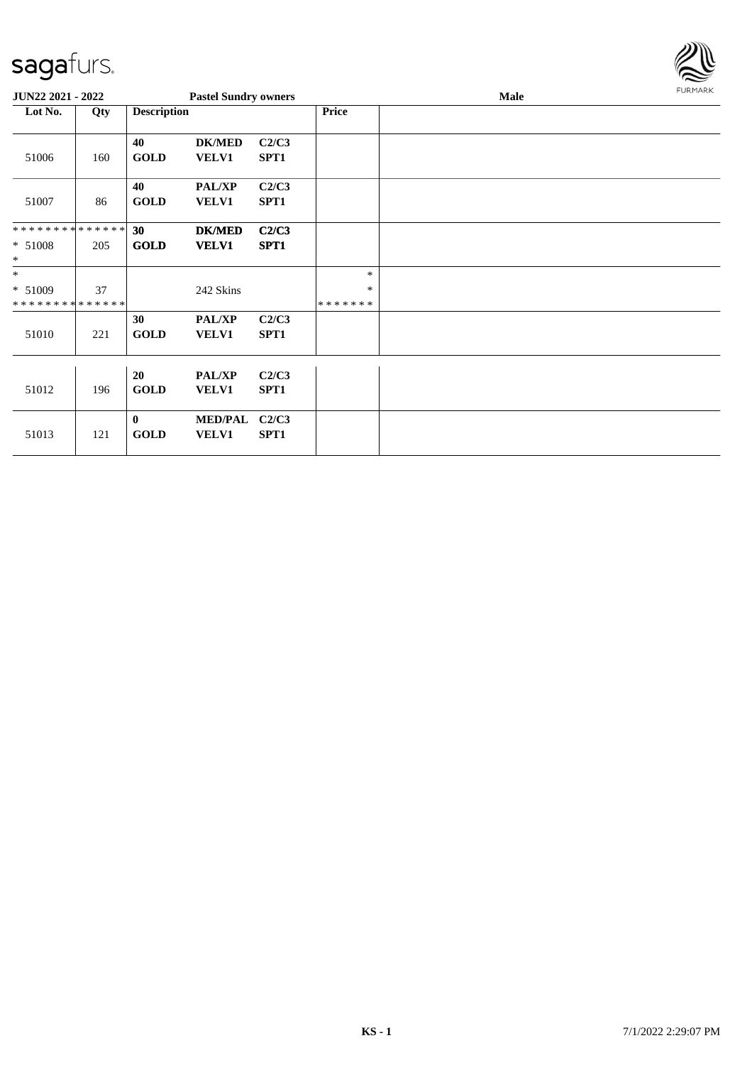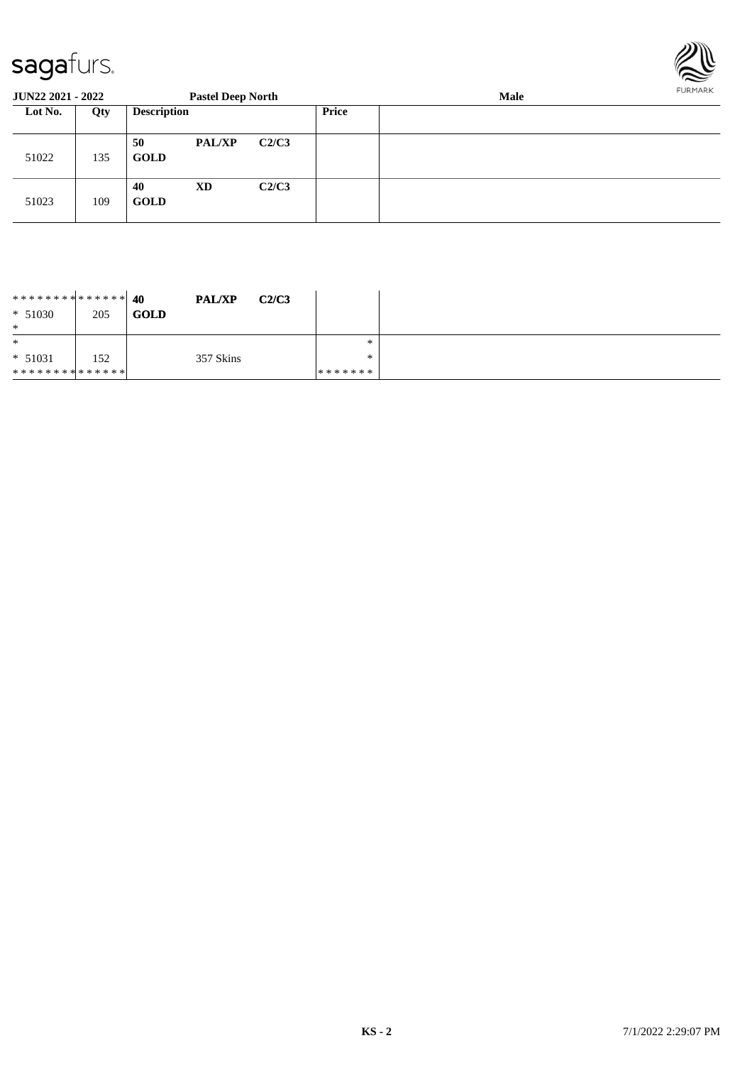

| <b>JUN22 2021 - 2022</b> |     |                    | <b>Pastel Deep North</b> |       |              | Male |  |  |  |  |
|--------------------------|-----|--------------------|--------------------------|-------|--------------|------|--|--|--|--|
| Lot No.                  | Qty | <b>Description</b> |                          |       | <b>Price</b> |      |  |  |  |  |
| 51022                    | 135 | 50<br><b>GOLD</b>  | <b>PAL/XP</b>            | C2/C3 |              |      |  |  |  |  |
| 51023                    | 109 | 40<br><b>GOLD</b>  | <b>XD</b>                | C2/C3 |              |      |  |  |  |  |

| ************** 40<br>$* 51030$<br>$\ast$ | 205 | <b>PAL/XP</b><br><b>GOLD</b> | C2/C3   |        |  |
|------------------------------------------|-----|------------------------------|---------|--------|--|
| $\ast$                                   |     |                              |         | $\ast$ |  |
| $* 51031$                                | 152 | 357 Skins                    |         | $*$    |  |
| * * * * * * * * * * * * * * *            |     |                              | ******* |        |  |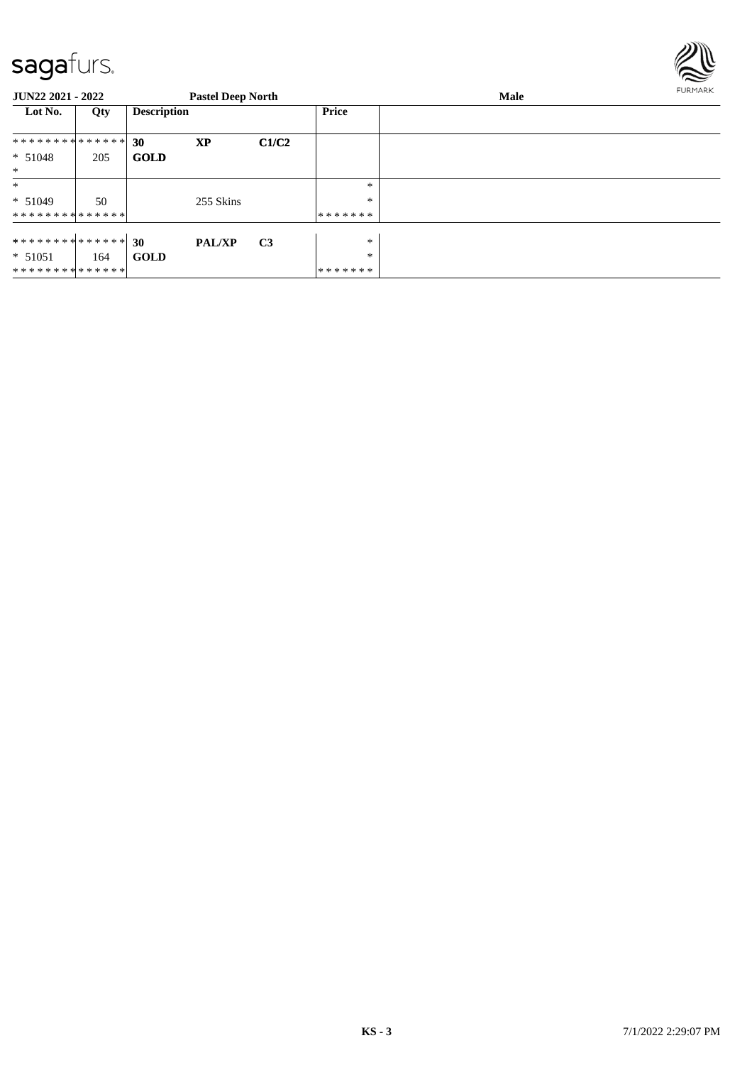

| <b>JUN22 2021 - 2022</b> |     |                    | <b>Pastel Deep North</b> |                |         | Male | FURMARK |
|--------------------------|-----|--------------------|--------------------------|----------------|---------|------|---------|
| Lot No.                  | Qty | <b>Description</b> |                          |                | Price   |      |         |
| **************           |     | 30                 | <b>XP</b>                | C1/C2          |         |      |         |
| $* 51048$                | 205 | <b>GOLD</b>        |                          |                |         |      |         |
| $\ast$                   |     |                    |                          |                |         |      |         |
| $\ast$                   |     |                    |                          |                | $\ast$  |      |         |
| $* 51049$                | 50  |                    | 255 Skins                |                | $\ast$  |      |         |
| **************           |     |                    |                          |                | ******* |      |         |
|                          |     |                    |                          |                |         |      |         |
| ************** 30        |     |                    | <b>PAL/XP</b>            | C <sub>3</sub> | $\ast$  |      |         |
| $* 51051$                | 164 | <b>GOLD</b>        |                          |                | $\ast$  |      |         |
| **************           |     |                    |                          |                | ******* |      |         |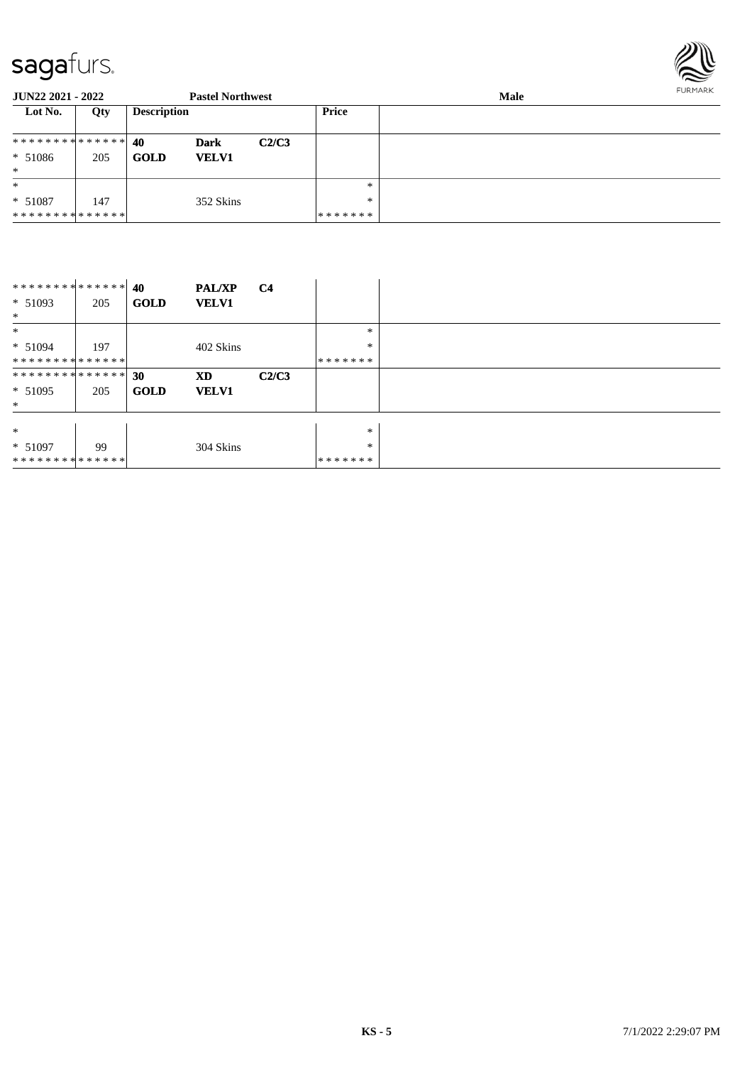

| JUN22 2021 - 2022 |     |                    | <b>Pastel Northwest</b> |       |         | FURMARK |  |
|-------------------|-----|--------------------|-------------------------|-------|---------|---------|--|
| Lot No.           | Qty | <b>Description</b> |                         |       | Price   |         |  |
| ************** 40 |     |                    | <b>Dark</b>             | C2/C3 |         |         |  |
| $* 51086$         | 205 | <b>GOLD</b>        | <b>VELV1</b>            |       |         |         |  |
| $\ast$            |     |                    |                         |       |         |         |  |
| $\ast$            |     |                    |                         |       | $*$     |         |  |
| $* 51087$         | 147 |                    | 352 Skins               |       | $*$     |         |  |
| **************    |     |                    |                         |       | ******* |         |  |

| **************    |     | 40          | <b>PAL/XP</b> | <b>C4</b> |         |  |
|-------------------|-----|-------------|---------------|-----------|---------|--|
| $* 51093$         | 205 | <b>GOLD</b> | <b>VELV1</b>  |           |         |  |
| $\ast$            |     |             |               |           |         |  |
| $\ast$            |     |             |               |           | $\ast$  |  |
| $* 51094$         | 197 |             | 402 Skins     |           | $\ast$  |  |
| **************    |     |             |               |           | ******* |  |
| ************** 30 |     |             | XD            | C2/C3     |         |  |
| $* 51095$         | 205 | <b>GOLD</b> | <b>VELV1</b>  |           |         |  |
| $*$               |     |             |               |           |         |  |
|                   |     |             |               |           |         |  |
| $\ast$            |     |             |               |           | $\ast$  |  |
| $* 51097$         | 99  |             | 304 Skins     |           | $\ast$  |  |
| **************    |     |             |               |           | ******* |  |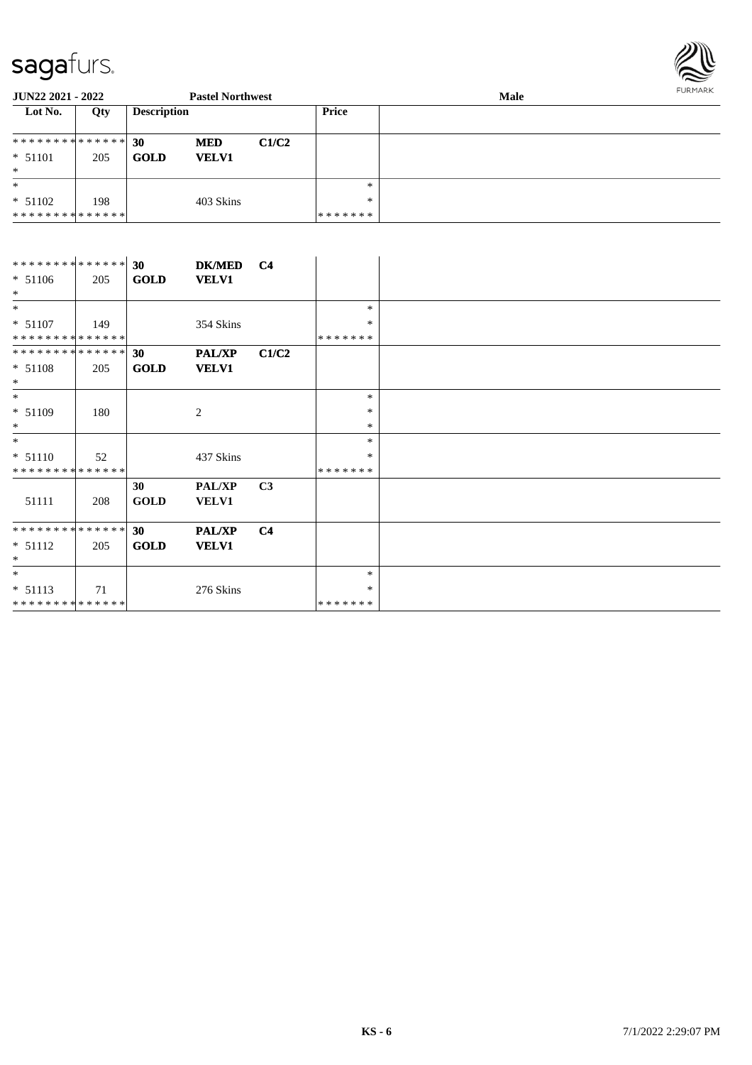

| <b>JUN22 2021 - 2022</b>      |     |                    | <b>Pastel Northwest</b> |       |              | Male | FURMARK |  |
|-------------------------------|-----|--------------------|-------------------------|-------|--------------|------|---------|--|
| Lot No.                       | Qty | <b>Description</b> |                         |       | <b>Price</b> |      |         |  |
| ************** 30             |     |                    | <b>MED</b>              | C1/C2 |              |      |         |  |
| $* 51101$                     | 205 | <b>GOLD</b>        | <b>VELV1</b>            |       |              |      |         |  |
| $\ast$                        |     |                    |                         |       |              |      |         |  |
| $*$                           |     |                    |                         |       | $*$          |      |         |  |
| $* 51102$                     | 198 |                    | 403 Skins               |       | $*$          |      |         |  |
| * * * * * * * * * * * * * * * |     |                    |                         |       | *******      |      |         |  |

| ************** 30           |     |                 | DK/MED C4     |                |         |  |
|-----------------------------|-----|-----------------|---------------|----------------|---------|--|
| $* 51106$<br>$*$            | 205 | <b>GOLD</b>     | <b>VELV1</b>  |                |         |  |
| $*$                         |     |                 |               |                | $\ast$  |  |
| $* 51107$                   | 149 |                 | 354 Skins     |                | ∗       |  |
| * * * * * * * * * * * * * * |     |                 |               |                | ******* |  |
| * * * * * * * * * * * * * * |     | 30              | <b>PAL/XP</b> | C1/C2          |         |  |
| $* 51108$                   | 205 | <b>GOLD</b>     | <b>VELV1</b>  |                |         |  |
| $\ast$                      |     |                 |               |                |         |  |
| $*$                         |     |                 |               |                | $\ast$  |  |
| $* 51109$                   | 180 |                 | 2             |                | $\ast$  |  |
| $*$                         |     |                 |               |                | $\ast$  |  |
| $*$                         |     |                 |               |                | $\ast$  |  |
| $* 51110$                   | 52  |                 | 437 Skins     |                | *       |  |
| * * * * * * * * * * * * * * |     |                 |               |                | ******* |  |
|                             |     | 30              | <b>PAL/XP</b> | C <sub>3</sub> |         |  |
| 51111                       | 208 | <b>GOLD</b>     | <b>VELV1</b>  |                |         |  |
|                             |     |                 |               |                |         |  |
| **************              |     | 30 <sup>°</sup> | <b>PAL/XP</b> | C <sub>4</sub> |         |  |
| $* 51112$                   | 205 | <b>GOLD</b>     | <b>VELV1</b>  |                |         |  |
| ∗                           |     |                 |               |                |         |  |
| $\ast$                      |     |                 |               |                | $\ast$  |  |
| $* 51113$                   | 71  |                 | 276 Skins     |                | *       |  |
| * * * * * * * * * * * * * * |     |                 |               |                | ******* |  |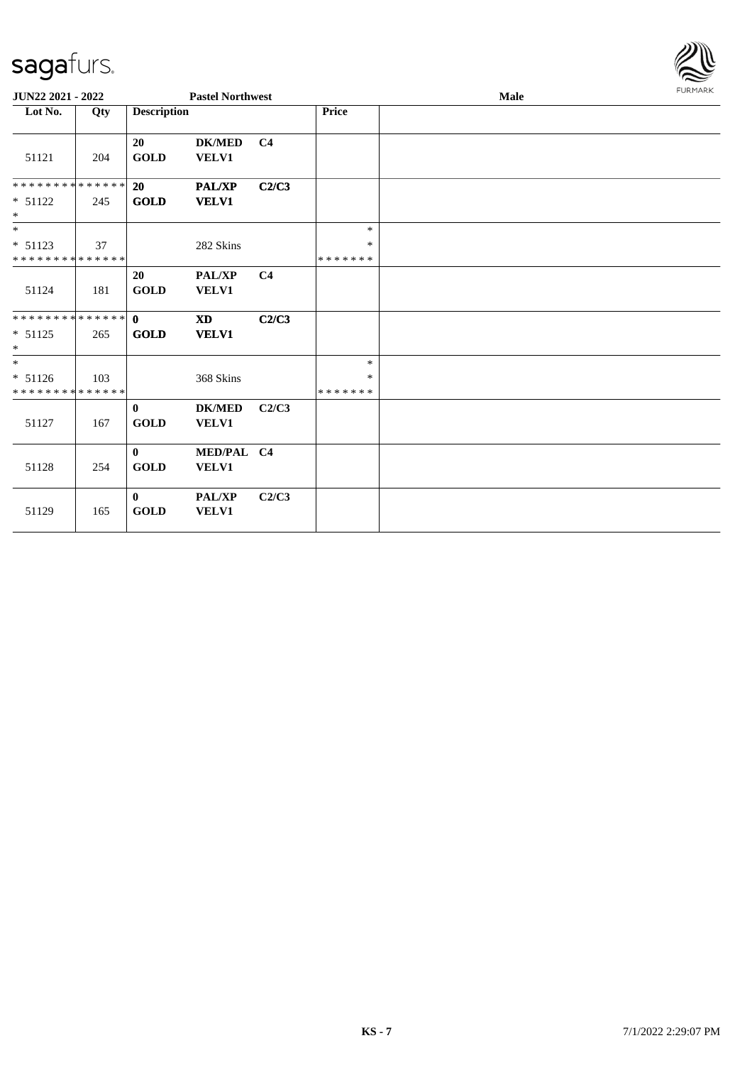

| JUN22 2021 - 2022                                    |     |                             | <b>Pastel Northwest</b>       |                |                             | <b>Male</b> |  | <b>FURMARK</b> |
|------------------------------------------------------|-----|-----------------------------|-------------------------------|----------------|-----------------------------|-------------|--|----------------|
| Lot No.                                              | Qty | <b>Description</b>          |                               |                | <b>Price</b>                |             |  |                |
| 51121                                                | 204 | 20<br><b>GOLD</b>           | <b>DK/MED</b><br><b>VELV1</b> | C <sub>4</sub> |                             |             |  |                |
| * * * * * * * * * * * * * * *<br>$* 51122$<br>$\ast$ | 245 | 20<br>GOLD                  | <b>PAL/XP</b><br><b>VELV1</b> | C2/C3          |                             |             |  |                |
| $*$<br>$* 51123$<br>* * * * * * * * * * * * * *      | 37  |                             | 282 Skins                     |                | $\ast$<br>∗<br>*******      |             |  |                |
| 51124                                                | 181 | 20<br><b>GOLD</b>           | PAL/XP<br><b>VELV1</b>        | C <sub>4</sub> |                             |             |  |                |
| * * * * * * * * * * * * * * *<br>$* 51125$<br>$*$    | 265 | $\mathbf{0}$<br>GOLD        | <b>XD</b><br><b>VELV1</b>     | C2/C3          |                             |             |  |                |
| $*$<br>* 51126<br>* * * * * * * * * * * * * *        | 103 |                             | 368 Skins                     |                | $\ast$<br>$\ast$<br>******* |             |  |                |
| 51127                                                | 167 | $\mathbf{0}$<br><b>GOLD</b> | <b>DK/MED</b><br><b>VELV1</b> | C2/C3          |                             |             |  |                |
| 51128                                                | 254 | $\mathbf{0}$<br><b>GOLD</b> | MED/PAL C4<br>VELV1           |                |                             |             |  |                |
| 51129                                                | 165 | $\bf{0}$<br><b>GOLD</b>     | PAL/XP<br>VELV1               | C2/C3          |                             |             |  |                |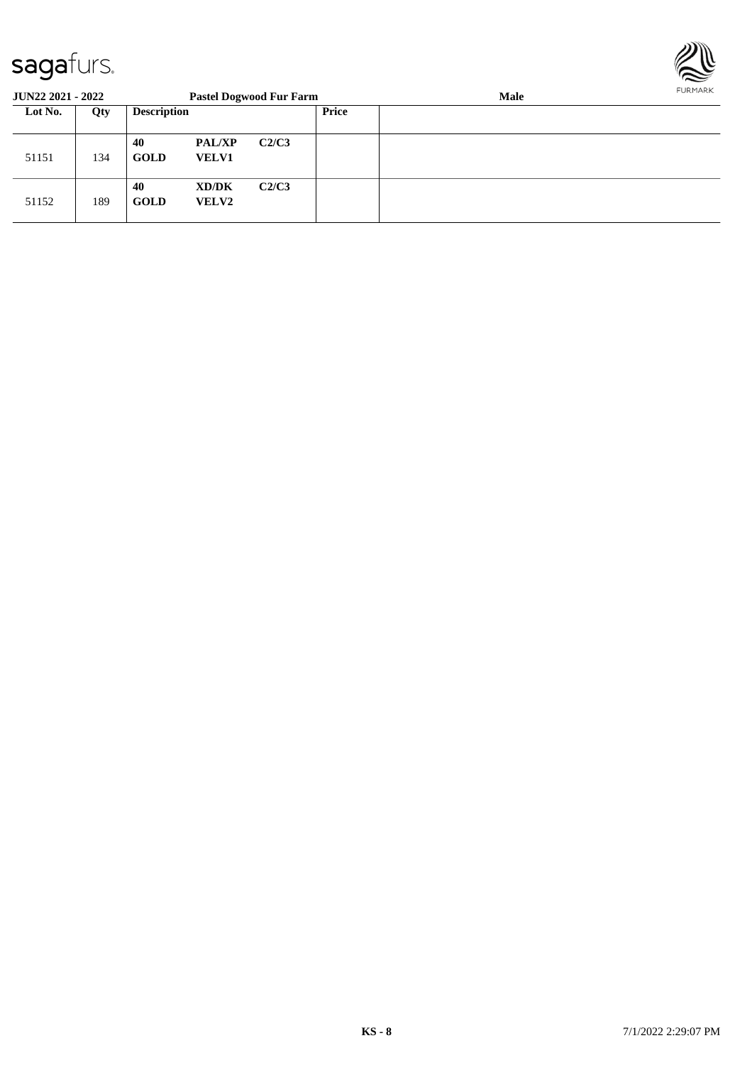

| <b>JUN22 2021 - 2022</b> |     |                    |                               | <b>Pastel Dogwood Fur Farm</b> |       | <b>Male</b> | FURMARK |
|--------------------------|-----|--------------------|-------------------------------|--------------------------------|-------|-------------|---------|
| Lot No.                  | Qty | <b>Description</b> |                               |                                | Price |             |         |
| 51151                    | 134 | 40<br><b>GOLD</b>  | <b>PAL/XP</b><br><b>VELV1</b> | C2/C3                          |       |             |         |
| 51152                    | 189 | 40<br><b>GOLD</b>  | XD/DK<br><b>VELV2</b>         | C2/C3                          |       |             |         |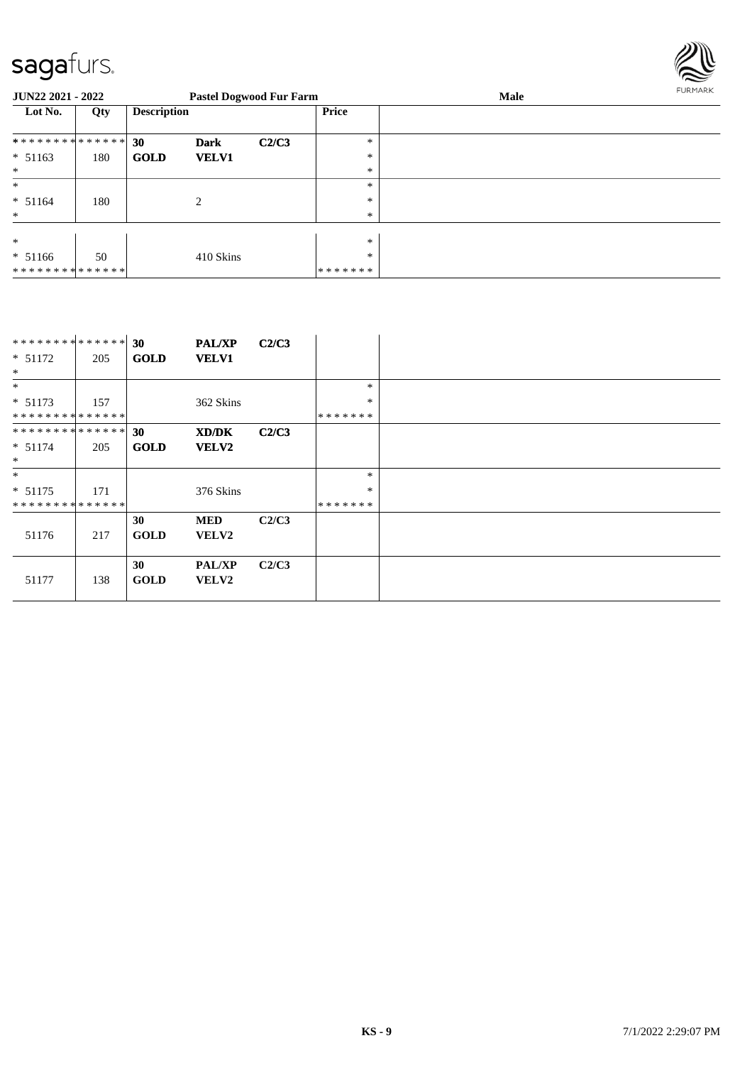

| JUN22 2021 - 2022 |     |                    |              | <b>Pastel Dogwood Fur Farm</b> |              | Male | <b>FURPIARA</b> |
|-------------------|-----|--------------------|--------------|--------------------------------|--------------|------|-----------------|
| Lot No.           | Qty | <b>Description</b> |              |                                | <b>Price</b> |      |                 |
| ************** 30 |     |                    | <b>Dark</b>  | C2/C3                          | $\ast$       |      |                 |
| $* 51163$         | 180 | <b>GOLD</b>        | <b>VELV1</b> |                                | $\ast$       |      |                 |
| $*$               |     |                    |              |                                | $\ast$       |      |                 |
| $\ast$            |     |                    |              |                                | $\ast$       |      |                 |
| $* 51164$         | 180 |                    | 2            |                                | $\ast$       |      |                 |
| $\ast$            |     |                    |              |                                | $\ast$       |      |                 |
|                   |     |                    |              |                                |              |      |                 |
| $\ast$            |     |                    |              |                                | $\ast$       |      |                 |
| $* 51166$         | 50  |                    | 410 Skins    |                                | $*$          |      |                 |
| **************    |     |                    |              |                                | *******      |      |                 |

| ******** <mark>******</mark> |     | 30          | <b>PAL/XP</b> | C2/C3 |         |
|------------------------------|-----|-------------|---------------|-------|---------|
| $* 51172$                    | 205 | <b>GOLD</b> | <b>VELV1</b>  |       |         |
| $\ast$                       |     |             |               |       |         |
| $\ast$                       |     |             |               |       | *       |
| $* 51173$                    | 157 |             | 362 Skins     |       | $\ast$  |
| **************               |     |             |               |       | ******* |
| **************               |     | 30          | XD/DK         | C2/C3 |         |
| $* 51174$                    | 205 | <b>GOLD</b> | <b>VELV2</b>  |       |         |
| $\ast$                       |     |             |               |       |         |
| $*$                          |     |             |               |       | $\ast$  |
| $* 51175$                    | 171 |             | 376 Skins     |       | $\ast$  |
| **************               |     |             |               |       | ******* |
|                              |     | 30          | <b>MED</b>    | C2/C3 |         |
| 51176                        | 217 | <b>GOLD</b> | <b>VELV2</b>  |       |         |
|                              |     |             |               |       |         |
|                              |     | 30          | <b>PAL/XP</b> | C2/C3 |         |
| 51177                        | 138 | <b>GOLD</b> | <b>VELV2</b>  |       |         |
|                              |     |             |               |       |         |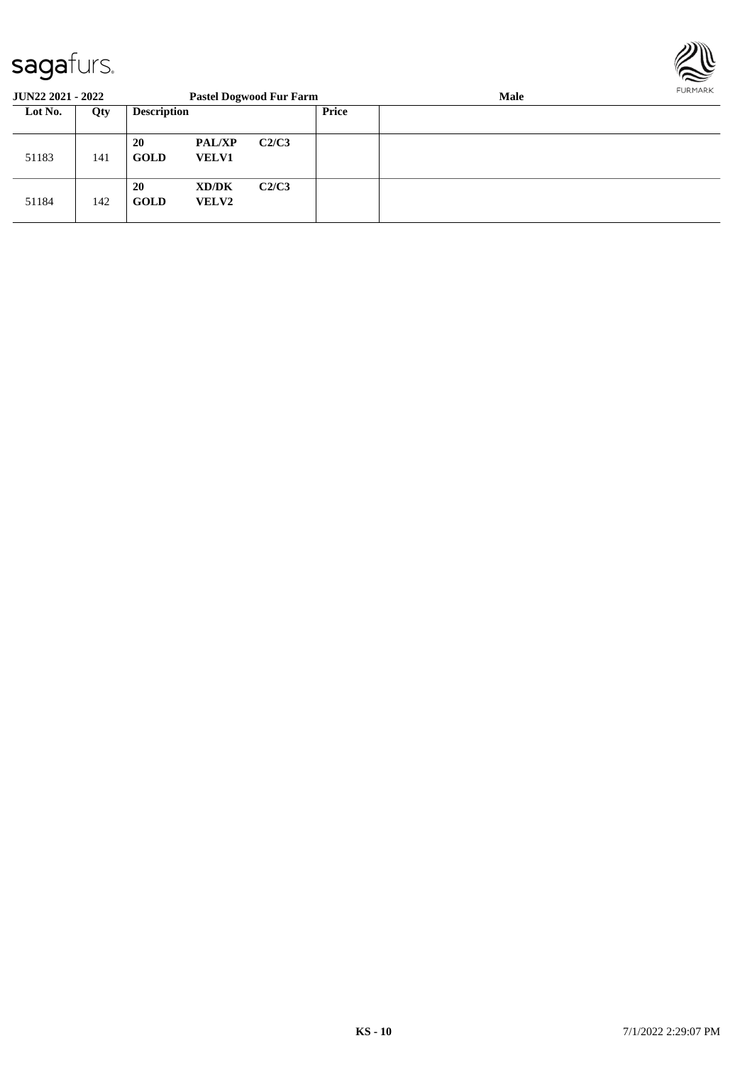

| <b>JUN22 2021 - 2022</b> |     |                          |                               | <b>Pastel Dogwood Fur Farm</b> |       | <b>FURPIARR</b><br><b>Male</b> |  |
|--------------------------|-----|--------------------------|-------------------------------|--------------------------------|-------|--------------------------------|--|
| Lot No.                  | Qty | <b>Description</b>       |                               |                                | Price |                                |  |
| 51183                    | 141 | <b>20</b><br><b>GOLD</b> | <b>PAL/XP</b><br><b>VELV1</b> | C2/C3                          |       |                                |  |
| 51184                    | 142 | <b>20</b><br><b>GOLD</b> | XD/DK<br><b>VELV2</b>         | C2/C3                          |       |                                |  |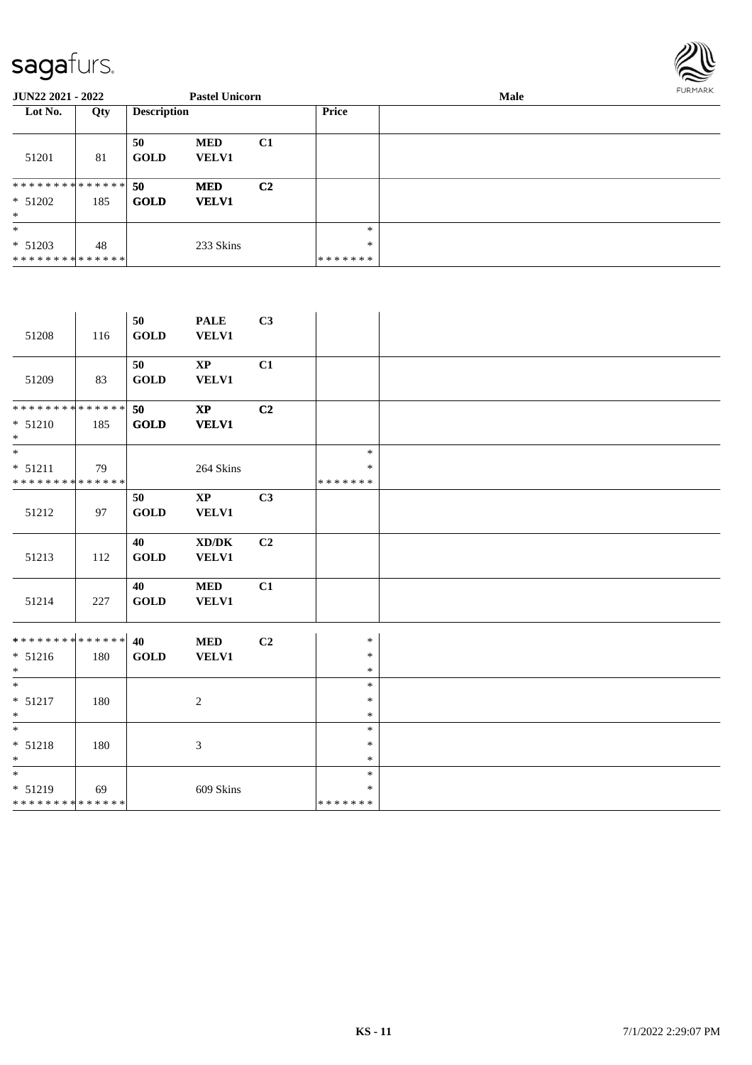

| <b>JUN22 2021 - 2022</b>                             |     |                    | <b>Pastel Unicorn</b>      |                |                             | Male | FURMARK |
|------------------------------------------------------|-----|--------------------|----------------------------|----------------|-----------------------------|------|---------|
| Lot No.                                              | Qty | <b>Description</b> |                            |                | <b>Price</b>                |      |         |
| 51201                                                | 81  | 50<br><b>GOLD</b>  | <b>MED</b><br><b>VELV1</b> | C1             |                             |      |         |
| * * * * * * * * * * * * * * *<br>$* 51202$<br>$*$    | 185 | 50<br><b>GOLD</b>  | <b>MED</b><br><b>VELV1</b> | C <sub>2</sub> |                             |      |         |
| $\ast$<br>$* 51203$<br>* * * * * * * * * * * * * * * | 48  |                    | 233 Skins                  |                | $\ast$<br>$\ast$<br>******* |      |         |

| 51208                                                              | 116 | 50<br>GOLD                  | <b>PALE</b><br><b>VELV1</b>            | C3             |                             |  |
|--------------------------------------------------------------------|-----|-----------------------------|----------------------------------------|----------------|-----------------------------|--|
| 51209                                                              | 83  | 50<br>GOLD                  | $\mathbf{X}\mathbf{P}$<br><b>VELV1</b> | C1             |                             |  |
| **************<br>$* 51210$<br>$\ast$                              | 185 | 50<br>$\bf GOLD$            | $\mathbf{X}\mathbf{P}$<br><b>VELV1</b> | C <sub>2</sub> |                             |  |
| $\overline{\phantom{a}^*}$<br>$* 51211$<br>**************          | 79  |                             | 264 Skins                              |                | $\ast$<br>$\ast$<br>******* |  |
| 51212                                                              | 97  | 50<br>GOLD                  | $\mathbf{X}\mathbf{P}$<br><b>VELV1</b> | C3             |                             |  |
| 51213                                                              | 112 | 40<br><b>GOLD</b>           | XD/DK<br><b>VELV1</b>                  | C <sub>2</sub> |                             |  |
| 51214                                                              | 227 | 40<br>$\operatorname{GOLD}$ | <b>MED</b><br><b>VELV1</b>             | C1             |                             |  |
| ******** <sup>*</sup> ****** <sup>2</sup> 0<br>$* 51216$<br>$\ast$ | 180 | <b>GOLD</b>                 | <b>MED</b><br><b>VELV1</b>             | C <sub>2</sub> | $\ast$<br>$\ast$<br>$\ast$  |  |
| $\ast$<br>$* 51217$<br>$\ast$                                      | 180 |                             | $\overline{2}$                         |                | $\ast$<br>$\ast$<br>$\ast$  |  |
| $*$<br>$* 51218$<br>$\ast$                                         | 180 |                             | 3                                      |                | $\ast$<br>$\ast$<br>$\ast$  |  |
| $\ast$<br>$* 51219$<br>******** <mark>******</mark>                | 69  |                             | 609 Skins                              |                | $\ast$<br>$\ast$<br>******* |  |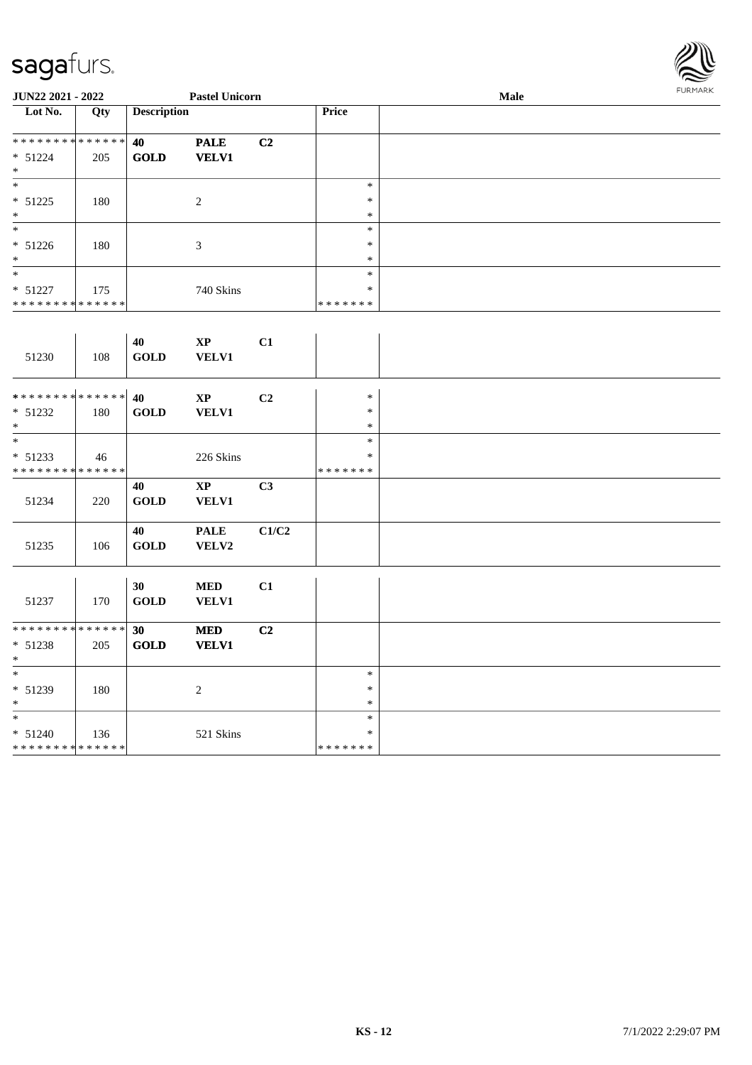

| JUN22 2021 - 2022                          |     |                       | <b>Pastel Unicorn</b>  |                |                   | Male | <b>FURMARK</b> |
|--------------------------------------------|-----|-----------------------|------------------------|----------------|-------------------|------|----------------|
| $\overline{\phantom{1}}$ Lot No.           | Qty | <b>Description</b>    |                        |                | Price             |      |                |
| **************                             |     | 40                    | <b>PALE</b>            | C <sub>2</sub> |                   |      |                |
| $* 51224$<br>$\ast$                        | 205 | GOLD                  | <b>VELV1</b>           |                |                   |      |                |
| $\ast$                                     |     |                       |                        |                | $\ast$            |      |                |
| $* 51225$                                  | 180 |                       | $\overline{c}$         |                | $\ast$            |      |                |
| $\ast$                                     |     |                       |                        |                | $\ast$            |      |                |
| $\overline{\phantom{a}}$                   |     |                       |                        |                | $\ast$            |      |                |
| $* 51226$                                  | 180 |                       | $\mathfrak{Z}$         |                | $\ast$            |      |                |
| $\ast$<br>$\overline{\phantom{a}^*}$       |     |                       |                        |                | $\ast$            |      |                |
|                                            |     |                       |                        |                | $\ast$            |      |                |
| $* 51227$<br>**************                | 175 |                       | 740 Skins              |                | $\ast$<br>******* |      |                |
|                                            |     |                       |                        |                |                   |      |                |
|                                            |     |                       |                        |                |                   |      |                |
|                                            |     | 40                    | $\mathbf{X}\mathbf{P}$ | C1             |                   |      |                |
| 51230                                      | 108 | <b>GOLD</b>           | <b>VELV1</b>           |                |                   |      |                |
|                                            |     |                       |                        |                |                   |      |                |
| **************                             |     | 40                    | $\mathbf{X}\mathbf{P}$ | C <sub>2</sub> | $\ast$            |      |                |
| $* 51232$                                  | 180 | $\operatorname{GOLD}$ | <b>VELV1</b>           |                | $\ast$            |      |                |
| $\ast$                                     |     |                       |                        |                | $\ast$            |      |                |
| $\overline{\phantom{a}^*}$                 |     |                       |                        |                | $\ast$            |      |                |
| $* 51233$                                  | 46  |                       | 226 Skins              |                | *                 |      |                |
| **************                             |     |                       |                        |                | *******           |      |                |
|                                            |     | 40                    | $\mathbf{XP}$          | C <sub>3</sub> |                   |      |                |
| 51234                                      | 220 | <b>GOLD</b>           | <b>VELV1</b>           |                |                   |      |                |
|                                            |     |                       |                        |                |                   |      |                |
|                                            |     | 40                    | <b>PALE</b>            | C1/C2          |                   |      |                |
| 51235                                      | 106 | <b>GOLD</b>           | VELV2                  |                |                   |      |                |
|                                            |     |                       |                        |                |                   |      |                |
|                                            |     | 30                    | <b>MED</b>             | C1             |                   |      |                |
| 51237                                      | 170 | <b>GOLD</b>           | <b>VELV1</b>           |                |                   |      |                |
|                                            |     |                       |                        |                |                   |      |                |
| **************                             |     | 30                    | <b>MED</b>             | C <sub>2</sub> |                   |      |                |
| $* 51238$                                  | 205 | GOLD                  | <b>VELV1</b>           |                |                   |      |                |
| $\ast$<br>$\ast$                           |     |                       |                        |                | $\ast$            |      |                |
| * 51239                                    | 180 |                       | $\sqrt{2}$             |                | $\ast$            |      |                |
| $\ast$                                     |     |                       |                        |                | $\ast$            |      |                |
| $\frac{1}{1}$                              |     |                       |                        |                | $\ast$            |      |                |
| * 51240                                    | 136 |                       | 521 Skins              |                | $\ast$            |      |                |
| * * * * * * * * <mark>* * * * * * *</mark> |     |                       |                        |                | * * * * * * *     |      |                |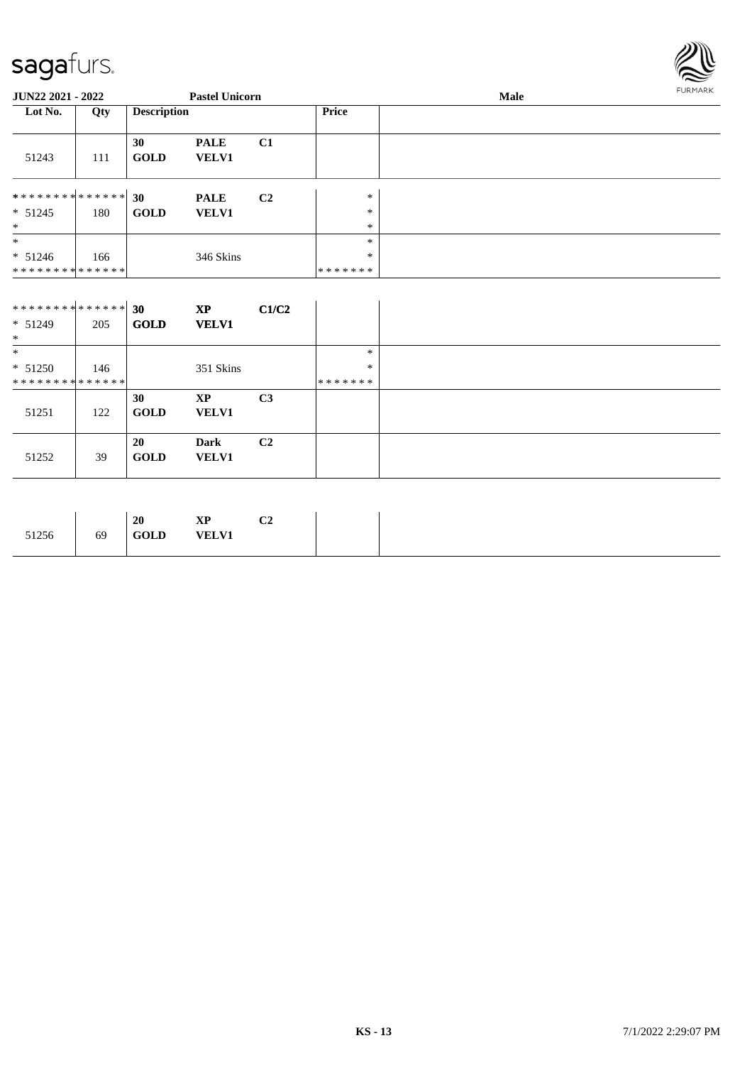

| JUN22 2021 - 2022 |     |                    | <b>Pastel Unicorn</b>       |                |                  | FURMARK |  |
|-------------------|-----|--------------------|-----------------------------|----------------|------------------|---------|--|
| Lot No.           | Qty | <b>Description</b> |                             |                | Price            |         |  |
| 51243             | 111 | 30<br><b>GOLD</b>  | <b>PALE</b><br><b>VELV1</b> | C <sub>1</sub> |                  |         |  |
| **************    |     | 30                 | <b>PALE</b>                 | C <sub>2</sub> | $\ast$           |         |  |
| $* 51245$<br>$*$  | 180 | <b>GOLD</b>        | <b>VELV1</b>                |                | $\ast$<br>$\ast$ |         |  |
| $\ast$            |     |                    |                             |                | *                |         |  |
| $* 51246$         | 166 |                    | 346 Skins                   |                | $\ast$           |         |  |
| **************    |     |                    |                             |                | *******          |         |  |

| ******** <mark>******</mark><br>$* 51249$<br>$*$ | 205 | 30<br><b>GOLD</b>        | <b>XP</b><br><b>VELV1</b>   | C1/C2          |                  |
|--------------------------------------------------|-----|--------------------------|-----------------------------|----------------|------------------|
| $\ast$<br>$* 51250$                              | 146 |                          |                             |                | $\ast$<br>$\ast$ |
| **************                                   |     |                          | 351 Skins                   |                | *******          |
| 51251                                            | 122 | 30<br><b>GOLD</b>        | XP<br><b>VELV1</b>          | C <sub>3</sub> |                  |
| 51252                                            | 39  | <b>20</b><br><b>GOLD</b> | <b>Dark</b><br><b>VELV1</b> | C <sub>2</sub> |                  |

|  | $\sim$<br>VD.<br>ЛI<br>◡▵<br><b>VELV1</b> | 20<br><b>GOLD</b> | 69 |
|--|-------------------------------------------|-------------------|----|
|--|-------------------------------------------|-------------------|----|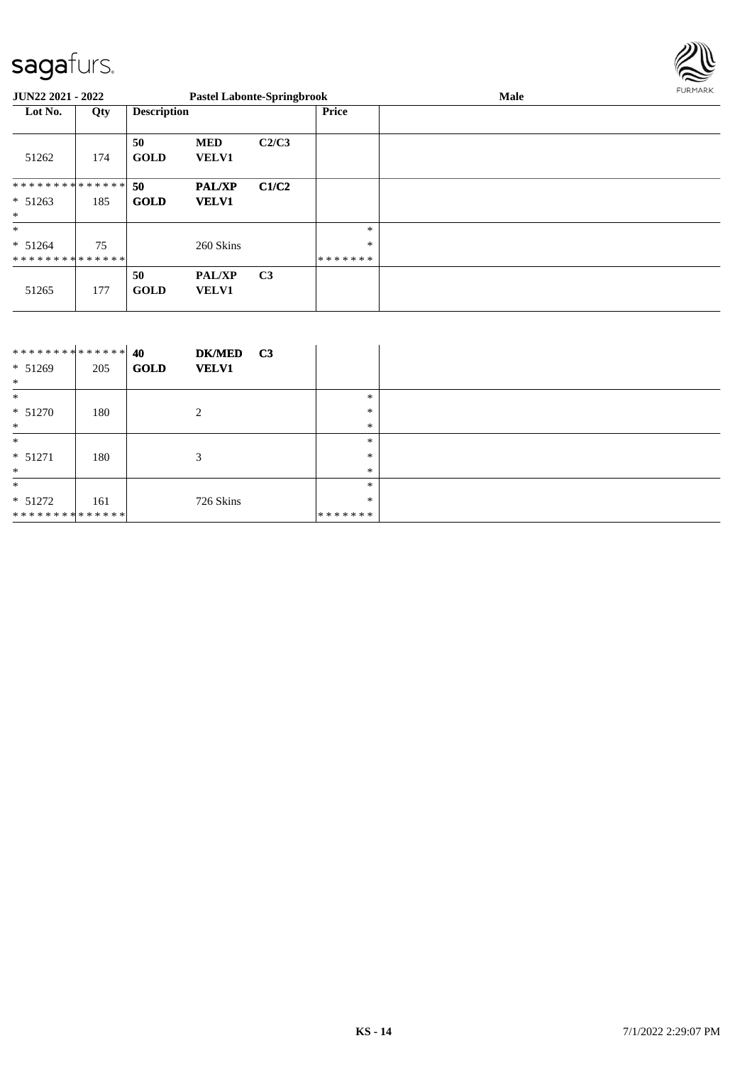

| <b>JUN22 2021 - 2022</b>                        |     |                    |                               | <b>Pastel Labonte-Springbrook</b> |                             | Male | FURMARK |
|-------------------------------------------------|-----|--------------------|-------------------------------|-----------------------------------|-----------------------------|------|---------|
| Lot No.                                         | Qty | <b>Description</b> |                               |                                   | Price                       |      |         |
| 51262                                           | 174 | 50<br><b>GOLD</b>  | <b>MED</b><br><b>VELV1</b>    | C2/C3                             |                             |      |         |
| **************<br>$* 51263$<br>$\ast$           | 185 | 50<br><b>GOLD</b>  | <b>PAL/XP</b><br><b>VELV1</b> | C1/C2                             |                             |      |         |
| $*$<br>$* 51264$<br>* * * * * * * * * * * * * * | 75  |                    | 260 Skins                     |                                   | $\ast$<br>$\ast$<br>******* |      |         |
| 51265                                           | 177 | 50<br><b>GOLD</b>  | <b>PAL/XP</b><br><b>VELV1</b> | C <sub>3</sub>                    |                             |      |         |

| ************** 40<br>$* 51269$<br>$\ast$ | 205 | <b>DK/MED</b><br><b>GOLD</b><br><b>VELV1</b> | C3 |         |  |
|------------------------------------------|-----|----------------------------------------------|----|---------|--|
| $\ast$                                   |     |                                              |    | $\ast$  |  |
| $* 51270$                                | 180 | 2                                            |    | *       |  |
| $*$                                      |     |                                              |    | $\ast$  |  |
| $\ast$                                   |     |                                              |    | $\ast$  |  |
| $* 51271$                                | 180 | 3                                            |    | $\ast$  |  |
| $*$                                      |     |                                              |    | $*$     |  |
| $\ast$                                   |     |                                              |    | $*$     |  |
| $* 51272$                                | 161 | 726 Skins                                    |    | *       |  |
| **************                           |     |                                              |    | ******* |  |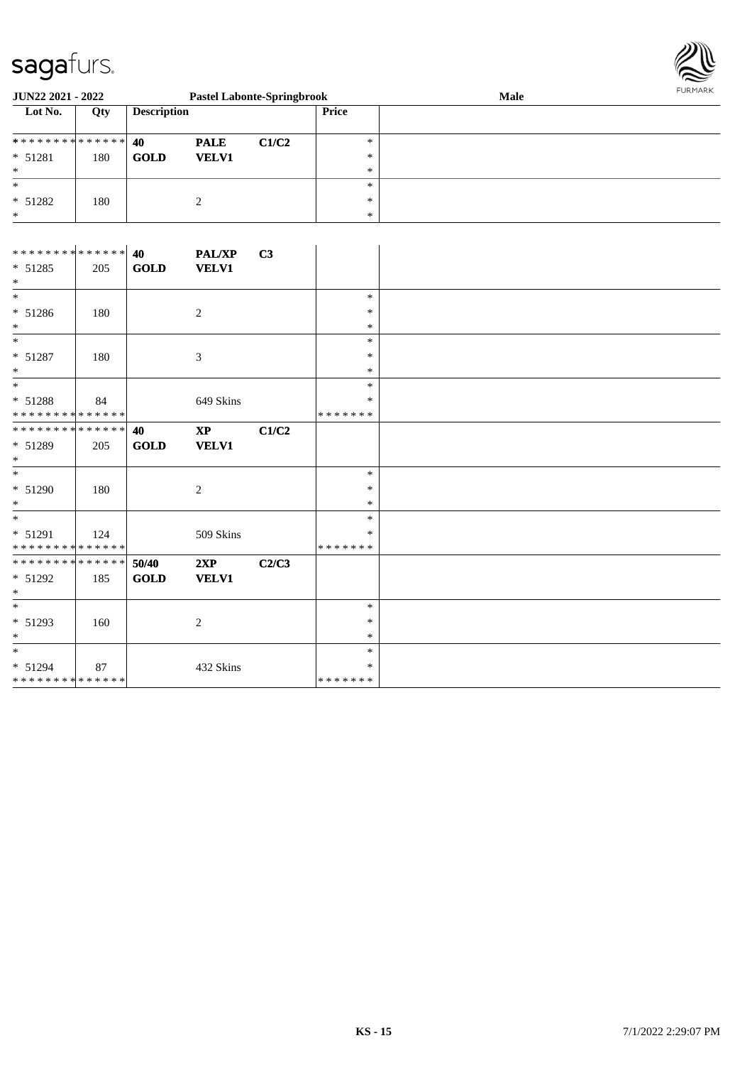

| <b>JUN22 2021 - 2022</b> |     |                    |              | <b>Pastel Labonte-Springbrook</b> |        | Male | <b>FURMARK</b> |
|--------------------------|-----|--------------------|--------------|-----------------------------------|--------|------|----------------|
| Lot No.                  | Qty | <b>Description</b> |              |                                   | Price  |      |                |
|                          |     |                    | <b>PALE</b>  | C1/C2                             | $\ast$ |      |                |
| $* 51281$                | 180 | GOLD               | <b>VELV1</b> |                                   | $*$    |      |                |
| *                        |     |                    |              |                                   | $\ast$ |      |                |
| *                        |     |                    |              |                                   | $\ast$ |      |                |
| $* 51282$                | 180 |                    |              |                                   | $*$    |      |                |
| $\ast$                   |     |                    |              |                                   | $\ast$ |      |                |

| ******** <mark>******</mark> |     | 40          | <b>PAL/XP</b>          | C3    |               |
|------------------------------|-----|-------------|------------------------|-------|---------------|
| $* 51285$                    | 205 | <b>GOLD</b> | <b>VELV1</b>           |       |               |
| $\ast$                       |     |             |                        |       |               |
| $*$                          |     |             |                        |       | $\ast$        |
| * 51286                      | 180 |             | $\overline{c}$         |       | $\ast$        |
| $*$                          |     |             |                        |       | $\ast$        |
| $*$                          |     |             |                        |       | $\ast$        |
| $* 51287$                    | 180 |             | $\mathfrak{Z}$         |       | $\ast$        |
| $*$                          |     |             |                        |       | $\ast$        |
| $*$                          |     |             |                        |       | $\ast$        |
| * 51288                      | 84  |             | 649 Skins              |       | ∗             |
| **************               |     |             |                        |       | * * * * * * * |
| **************               |     | 40          | $\mathbf{X}\mathbf{P}$ | C1/C2 |               |
| $* 51289$                    | 205 | GOLD        | <b>VELV1</b>           |       |               |
| $*$                          |     |             |                        |       |               |
| $*$                          |     |             |                        |       | $\ast$        |
| * 51290                      | 180 |             | $\overline{c}$         |       | $\ast$        |
| $*$                          |     |             |                        |       | $\ast$        |
| $\overline{\phantom{a}^*}$   |     |             |                        |       | $\ast$        |
| $* 51291$                    | 124 |             | 509 Skins              |       | $\ast$        |
| **************               |     |             |                        |       | * * * * * * * |
| **************               |     | 50/40       | 2XP                    | C2/C3 |               |
| $* 51292$                    | 185 | <b>GOLD</b> | <b>VELV1</b>           |       |               |
| $*$                          |     |             |                        |       |               |
| $*$                          |     |             |                        |       | $\ast$        |
| * 51293                      | 160 |             | 2                      |       | $\ast$        |
| $\ast$                       |     |             |                        |       | $\ast$        |
| $\overline{\phantom{a}^*}$   |     |             |                        |       | $\ast$        |
| $* 51294$                    | 87  |             | 432 Skins              |       | $\ast$        |
| **************               |     |             |                        |       | * * * * * * * |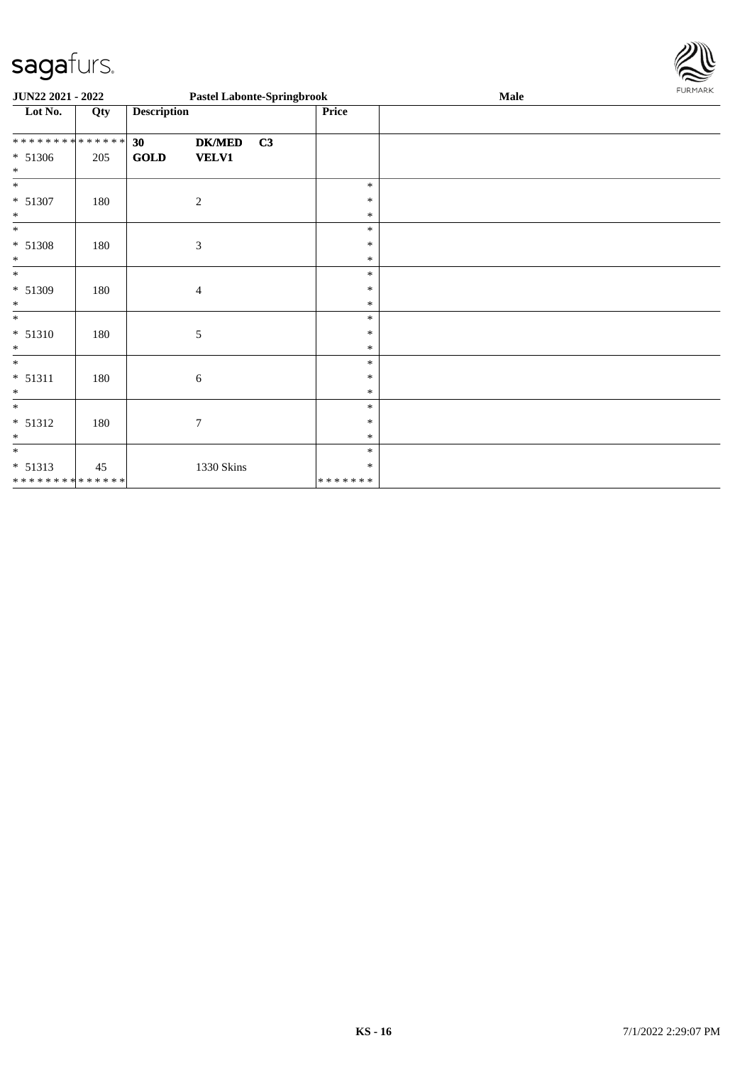

| JUN22 2021 - 2022           |     |                                |                | <b>Pastel Labonte-Springbrook</b> |         | Male | FURMARK |
|-----------------------------|-----|--------------------------------|----------------|-----------------------------------|---------|------|---------|
| Lot No.                     | Qty | <b>Description</b>             |                |                                   | Price   |      |         |
| * * * * * * * * * * * * * * |     | 30                             | <b>DK/MED</b>  | C3                                |         |      |         |
| $* 51306$<br>$\ast$         | 205 | $\operatorname{\mathbf{GOLD}}$ | <b>VELV1</b>   |                                   |         |      |         |
| $\overline{\ast}$           |     |                                |                |                                   | $\ast$  |      |         |
| $* 51307$                   | 180 |                                | $\overline{c}$ |                                   | $\ast$  |      |         |
| $\ast$                      |     |                                |                |                                   | $\ast$  |      |         |
| $\ast$                      |     |                                |                |                                   | $\ast$  |      |         |
| $* 51308$                   | 180 |                                | $\mathfrak{Z}$ |                                   | $\ast$  |      |         |
| $\ast$                      |     |                                |                |                                   | $\ast$  |      |         |
| $\ast$                      |     |                                |                |                                   | $\ast$  |      |         |
| * 51309                     | 180 |                                | $\overline{4}$ |                                   | $\ast$  |      |         |
| $\ast$                      |     |                                |                |                                   | $\ast$  |      |         |
| $\ast$                      |     |                                |                |                                   | $\ast$  |      |         |
| $* 51310$                   | 180 |                                | $\sqrt{5}$     |                                   | $\ast$  |      |         |
| $\ast$                      |     |                                |                |                                   | $\ast$  |      |         |
| $\ast$                      |     |                                |                |                                   | $\ast$  |      |         |
| $* 51311$                   | 180 |                                | 6              |                                   | $\ast$  |      |         |
| $\ast$                      |     |                                |                |                                   | $\ast$  |      |         |
| $\ast$                      |     |                                |                |                                   | $\ast$  |      |         |
| $* 51312$                   | 180 |                                | 7              |                                   | $\ast$  |      |         |
| $\ast$                      |     |                                |                |                                   | $\ast$  |      |         |
| $\ast$                      |     |                                |                |                                   | $\ast$  |      |         |
| $* 51313$                   | 45  |                                | 1330 Skins     |                                   | $\ast$  |      |         |
| * * * * * * * * * * * * * * |     |                                |                |                                   | ******* |      |         |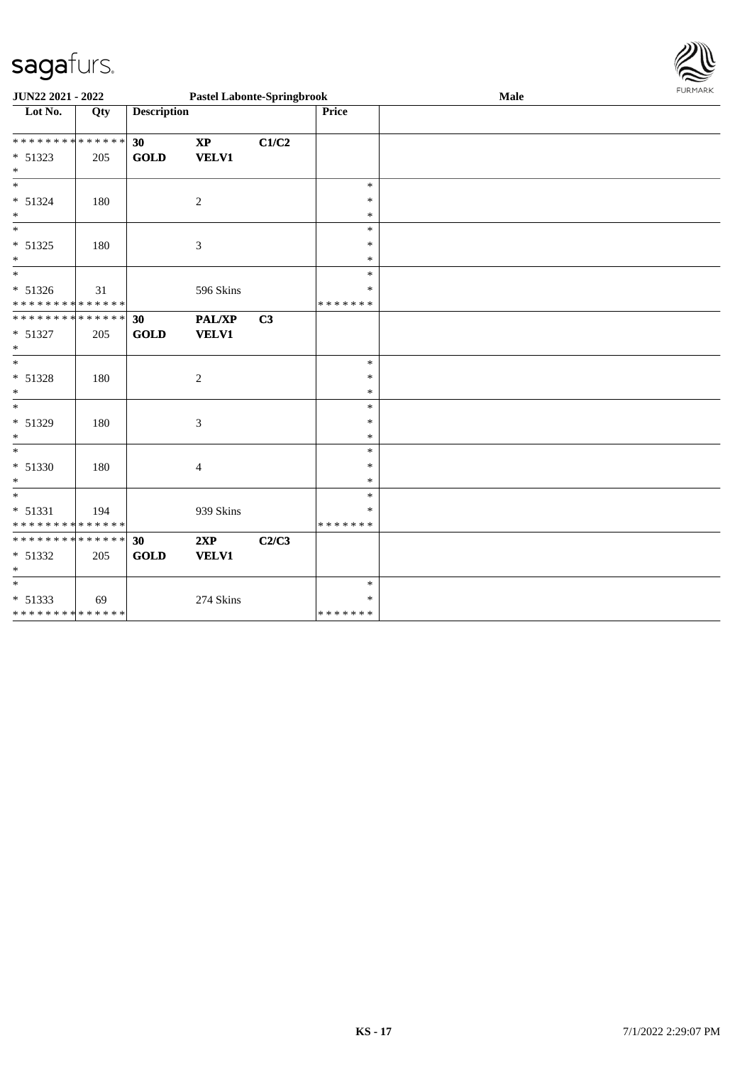

| JUN22 2021 - 2022                                     |     |                    | <b>Pastel Labonte-Springbrook</b> |       |                         | Male | <b>FURMARK</b> |
|-------------------------------------------------------|-----|--------------------|-----------------------------------|-------|-------------------------|------|----------------|
| $\overline{\text{Lot No.}}$                           | Qty | <b>Description</b> |                                   |       | Price                   |      |                |
| * * * * * * * * * * * * * * *                         |     | 30                 | $\mathbf{X}\mathbf{P}$            | C1/C2 |                         |      |                |
| $* 51323$<br>$*$                                      | 205 | <b>GOLD</b>        | <b>VELV1</b>                      |       |                         |      |                |
| $\ast$                                                |     |                    |                                   |       | $\ast$                  |      |                |
| $* 51324$<br>$*$                                      | 180 |                    | 2                                 |       | $\ast$<br>$\ast$        |      |                |
| $*$                                                   |     |                    |                                   |       | $\ast$                  |      |                |
| * 51325<br>$\ast$                                     | 180 |                    | 3                                 |       | $\ast$<br>$\ast$        |      |                |
| $*$                                                   |     |                    |                                   |       | $\ast$                  |      |                |
| $* 51326$<br>* * * * * * * * * * * * * *              | 31  |                    | 596 Skins                         |       | $\ast$<br>* * * * * * * |      |                |
| * * * * * * * * * * * * * * *                         |     | 30                 | PAL/XP                            | C3    |                         |      |                |
| * 51327<br>$*$                                        | 205 | <b>GOLD</b>        | <b>VELV1</b>                      |       |                         |      |                |
| $\overline{\phantom{0}}$                              |     |                    |                                   |       | $\ast$                  |      |                |
| $* 51328$<br>$*$                                      | 180 |                    | 2                                 |       | $\ast$<br>$\ast$        |      |                |
| $*$                                                   |     |                    |                                   |       | $\ast$                  |      |                |
| $* 51329$<br>$*$                                      | 180 |                    | $\boldsymbol{\mathfrak{Z}}$       |       | $\ast$<br>$\ast$        |      |                |
| $\ast$                                                |     |                    |                                   |       | $\ast$                  |      |                |
| $* 51330$<br>$\ast$                                   | 180 |                    | 4                                 |       | $\ast$<br>$\ast$        |      |                |
| $*$                                                   |     |                    |                                   |       | $\ast$                  |      |                |
| * 51331<br>* * * * * * * * <mark>* * * * * * *</mark> | 194 |                    | 939 Skins                         |       | $\ast$<br>* * * * * * * |      |                |
| ******** <mark>******</mark>                          |     | 30                 | 2XP                               | C2/C3 |                         |      |                |
| * 51332<br>$\ast$                                     | 205 | <b>GOLD</b>        | <b>VELV1</b>                      |       |                         |      |                |
| $*$                                                   |     |                    |                                   |       | $\ast$                  |      |                |
| $* 51333$<br>******** <mark>******</mark>             | 69  |                    | 274 Skins                         |       | $\ast$<br>*******       |      |                |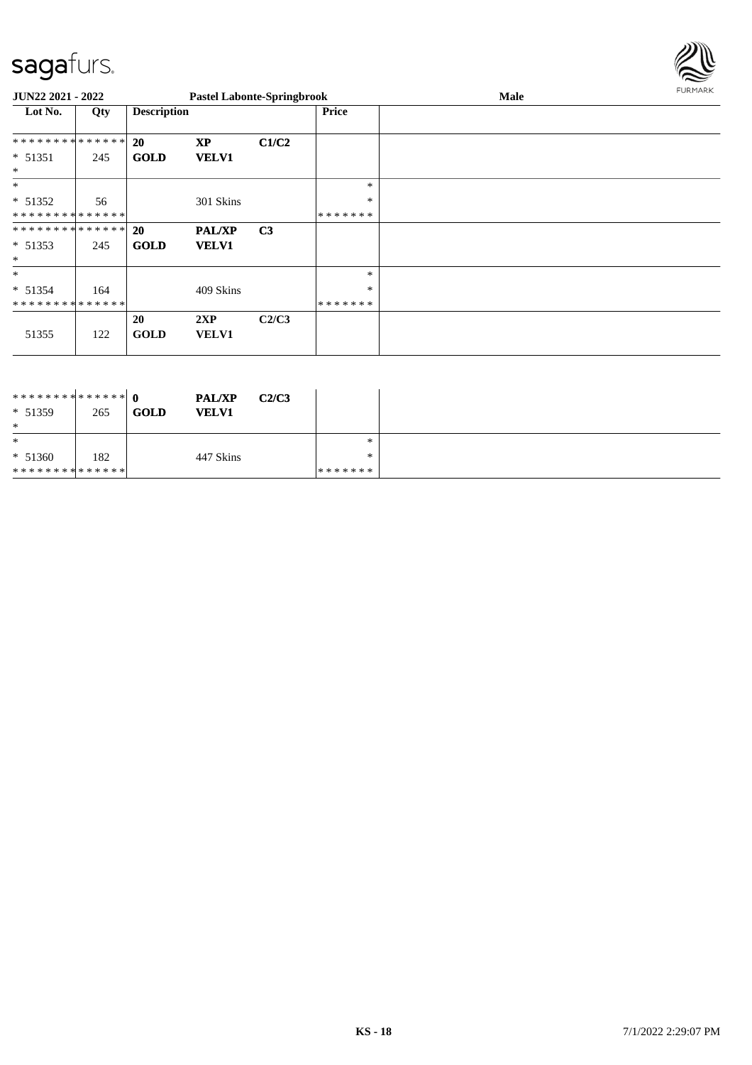

| JUN22 2021 - 2022 |     |                    | <b>Pastel Labonte-Springbrook</b> |                |              | Male | <b>FURMARK</b> |
|-------------------|-----|--------------------|-----------------------------------|----------------|--------------|------|----------------|
| Lot No.           | Qty | <b>Description</b> |                                   |                | <b>Price</b> |      |                |
| **************    |     | <b>20</b>          | <b>XP</b>                         | C1/C2          |              |      |                |
| $* 51351$         | 245 | <b>GOLD</b>        | <b>VELV1</b>                      |                |              |      |                |
| $\ast$            |     |                    |                                   |                |              |      |                |
| $\ast$            |     |                    |                                   |                | $\ast$       |      |                |
| $* 51352$         | 56  |                    | 301 Skins                         |                | $\ast$       |      |                |
| **************    |     |                    |                                   |                | *******      |      |                |
| **************    |     | <b>20</b>          | <b>PAL/XP</b>                     | C <sub>3</sub> |              |      |                |
| $* 51353$         | 245 | <b>GOLD</b>        | <b>VELV1</b>                      |                |              |      |                |
| $\ast$            |     |                    |                                   |                |              |      |                |
| $\ast$            |     |                    |                                   |                | $\ast$       |      |                |
| $* 51354$         | 164 |                    | 409 Skins                         |                | $\ast$       |      |                |
| **************    |     |                    |                                   |                | *******      |      |                |
|                   |     | 20                 | 2XP                               | C2/C3          |              |      |                |
| 51355             | 122 | <b>GOLD</b>        | <b>VELV1</b>                      |                |              |      |                |
|                   |     |                    |                                   |                |              |      |                |

| $* 51359$<br>$\ast$ | 265 | <b>GOLD</b> | <b>PAL/XP</b><br><b>VELV1</b> | C2/C3 |         |  |
|---------------------|-----|-------------|-------------------------------|-------|---------|--|
| $\ast$              |     |             |                               |       | *       |  |
| $* 51360$           | 182 |             | 447 Skins                     |       | *       |  |
| **************      |     |             |                               |       | ******* |  |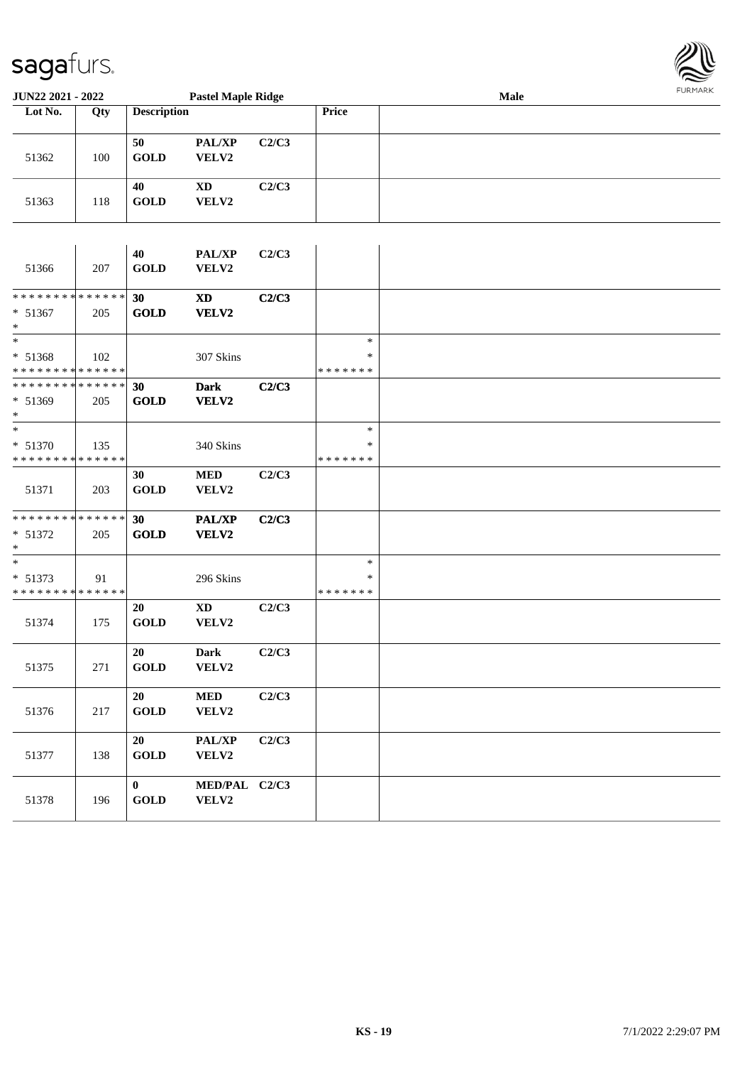

| JUN22 2021 - 2022                                    |     | <b>Pastel Maple Ridge</b>         |                                 |       |                              | <b>LOKINKY</b> |  |
|------------------------------------------------------|-----|-----------------------------------|---------------------------------|-------|------------------------------|----------------|--|
| Lot No.                                              | Qty | <b>Description</b>                |                                 |       | Price                        |                |  |
| 51362                                                | 100 | 50<br><b>GOLD</b>                 | PAL/XP<br>VELV2                 | C2/C3 |                              |                |  |
| 51363                                                | 118 | 40<br><b>GOLD</b>                 | $\mathbf{X}\mathbf{D}$<br>VELV2 | C2/C3 |                              |                |  |
| 51366                                                | 207 | 40<br><b>GOLD</b>                 | PAL/XP<br>VELV2                 | C2/C3 |                              |                |  |
| * * * * * * * * * * * * * *<br>* 51367<br>$\ast$     | 205 | 30<br><b>GOLD</b>                 | <b>XD</b><br>VELV2              | C2/C3 |                              |                |  |
| $\ast$<br>* 51368<br>* * * * * * * * * * * * * *     | 102 |                                   | 307 Skins                       |       | $\ast$<br>∗<br>* * * * * * * |                |  |
| * * * * * * * * * * * * * * *<br>* 51369<br>$*$      | 205 | 30<br><b>GOLD</b>                 | <b>Dark</b><br>VELV2            | C2/C3 |                              |                |  |
| $*$<br>* 51370<br>* * * * * * * * * * * * * *        | 135 |                                   | 340 Skins                       |       | $\ast$<br>∗<br>* * * * * * * |                |  |
| 51371                                                | 203 | 30<br><b>GOLD</b>                 | <b>MED</b><br>VELV2             | C2/C3 |                              |                |  |
| * * * * * * * * * * * * * * *<br>$* 51372$<br>$\ast$ | 205 | 30<br><b>GOLD</b>                 | <b>PAL/XP</b><br>VELV2          | C2/C3 |                              |                |  |
| $*$<br>* 51373<br>* * * * * * * * * * * * * *        | 91  |                                   | 296 Skins                       |       | $\ast$<br>∗<br>* * * * * * * |                |  |
| 51374                                                | 175 | 20<br><b>GOLD</b>                 | <b>XD</b><br>VELV2              | C2/C3 |                              |                |  |
| 51375                                                | 271 | 20<br>GOLD                        | Dark<br>VELV2                   | C2/C3 |                              |                |  |
| 51376                                                | 217 | 20<br><b>GOLD</b>                 | $\bf MED$<br>VELV2              | C2/C3 |                              |                |  |
| 51377                                                | 138 | 20<br>GOLD                        | PAL/XP<br>VELV2                 | C2/C3 |                              |                |  |
| 51378                                                | 196 | $\bf{0}$<br>$\operatorname{GOLD}$ | MED/PAL C2/C3<br>VELV2          |       |                              |                |  |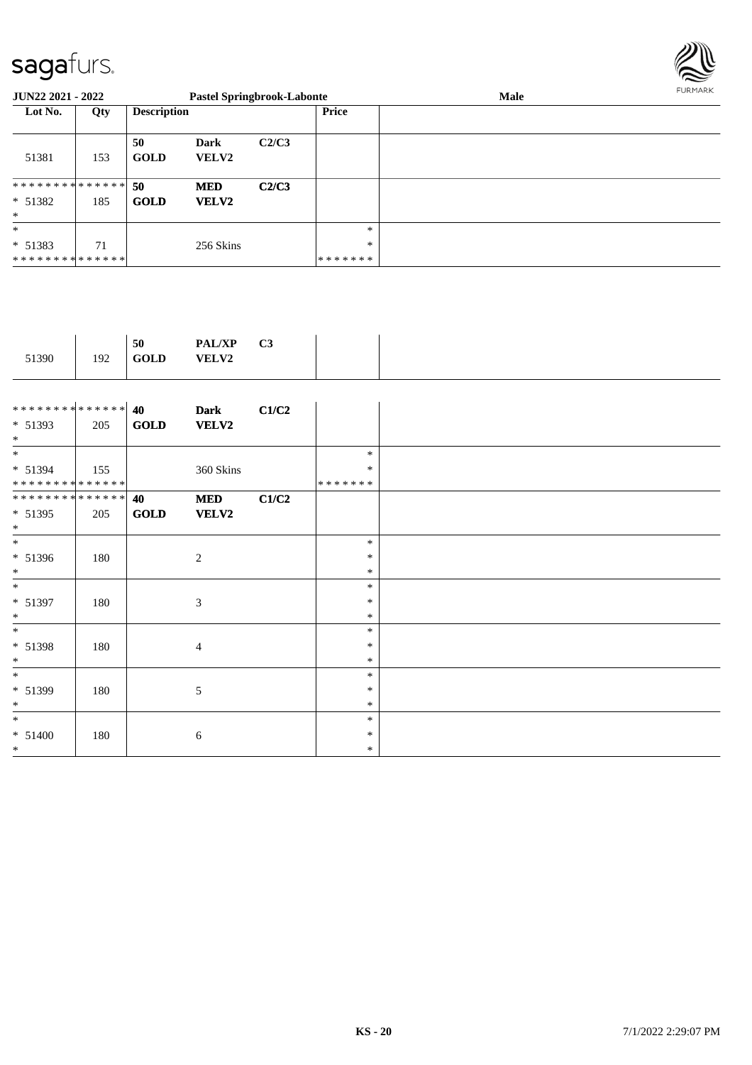

| <b>JUN22 2021 - 2022</b>                          |     |                    |                             | <b>Pastel Springbrook-Labonte</b> |                          | Male | FURMARK |
|---------------------------------------------------|-----|--------------------|-----------------------------|-----------------------------------|--------------------------|------|---------|
| Lot No.                                           | Qty | <b>Description</b> |                             |                                   | Price                    |      |         |
| 51381                                             | 153 | 50<br><b>GOLD</b>  | <b>Dark</b><br><b>VELV2</b> | C2/C3                             |                          |      |         |
| * * * * * * * * * * * * * * *<br>$* 51382$<br>$*$ | 185 | 50<br><b>GOLD</b>  | <b>MED</b><br><b>VELV2</b>  | C2/C3                             |                          |      |         |
| $*$<br>$* 51383$<br>* * * * * * * * * * * * * * * | 71  |                    | 256 Skins                   |                                   | $*$<br>$\ast$<br>******* |      |         |

|--|--|

| ************** 40            |     |             | <b>Dark</b>    | C1/C2 |         |  |
|------------------------------|-----|-------------|----------------|-------|---------|--|
| $* 51393$                    | 205 | <b>GOLD</b> | <b>VELV2</b>   |       |         |  |
| $*$                          |     |             |                |       |         |  |
| $*$                          |     |             |                |       | $\ast$  |  |
| $* 51394$                    | 155 |             | 360 Skins      |       | $\ast$  |  |
| **************               |     |             |                |       | ******* |  |
| ******** <mark>******</mark> |     | 40          | <b>MED</b>     | C1/C2 |         |  |
| * 51395                      | 205 | <b>GOLD</b> | <b>VELV2</b>   |       |         |  |
| $*$                          |     |             |                |       |         |  |
| $*$                          |     |             |                |       | $\ast$  |  |
| $* 51396$                    | 180 |             | 2              |       | $\ast$  |  |
| $*$                          |     |             |                |       | $\ast$  |  |
|                              |     |             |                |       |         |  |
| $*$                          |     |             |                |       | $\ast$  |  |
| $* 51397$                    | 180 |             | 3              |       | *       |  |
| $*$                          |     |             |                |       | $\ast$  |  |
| $*$                          |     |             |                |       | $\ast$  |  |
| * 51398                      | 180 |             | $\overline{4}$ |       | $\ast$  |  |
| $*$                          |     |             |                |       | $\ast$  |  |
| $*$                          |     |             |                |       | $\ast$  |  |
| * 51399                      | 180 |             | 5              |       | $\ast$  |  |
| $*$                          |     |             |                |       | $\ast$  |  |
| $*$                          |     |             |                |       | $\ast$  |  |
|                              |     |             |                |       | $\ast$  |  |
| $* 51400$                    | 180 |             | 6              |       |         |  |
| $*$                          |     |             |                |       | $\ast$  |  |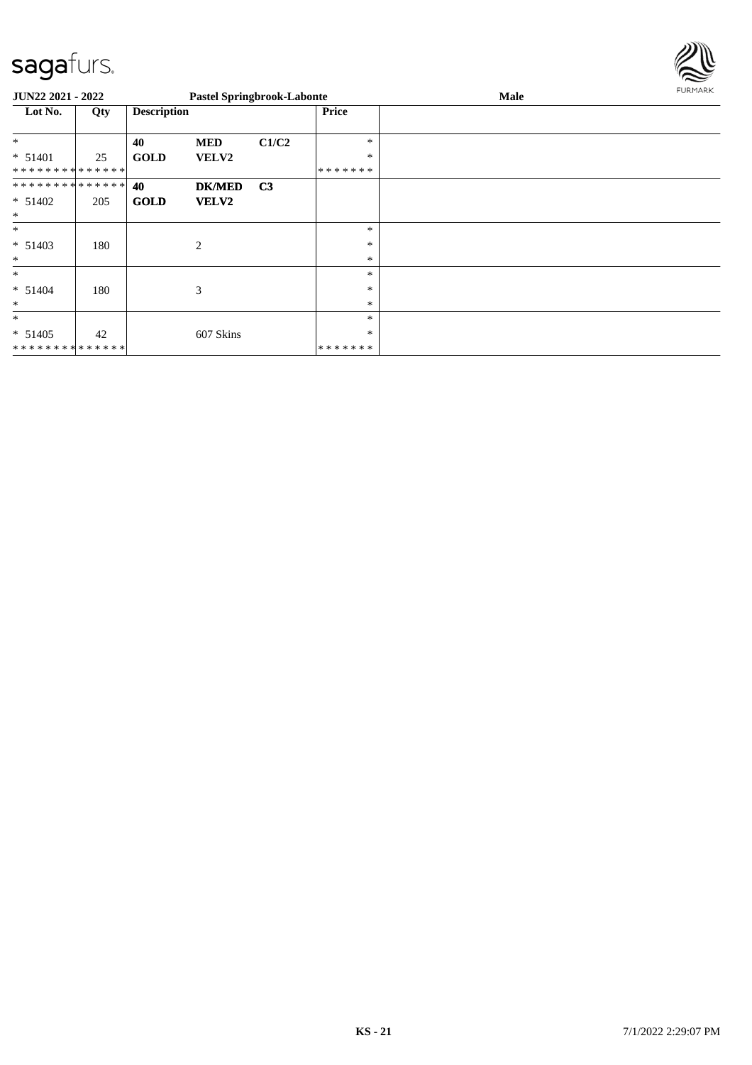

| <b>JUN22 2021 - 2022</b>      |     |                    |                | <b>Pastel Springbrook-Labonte</b> |               | Male | FURMARK |
|-------------------------------|-----|--------------------|----------------|-----------------------------------|---------------|------|---------|
| Lot No.                       | Qty | <b>Description</b> |                |                                   | <b>Price</b>  |      |         |
|                               |     |                    |                |                                   |               |      |         |
| $*$                           |     | 40                 | <b>MED</b>     | C1/C2                             | *             |      |         |
| * 51401                       | 25  | <b>GOLD</b>        | <b>VELV2</b>   |                                   | $\ast$        |      |         |
| * * * * * * * * * * * * * *   |     |                    |                |                                   | *******       |      |         |
| * * * * * * * * * * * * * * * |     | 40                 | <b>DK/MED</b>  | C <sub>3</sub>                    |               |      |         |
| $* 51402$                     | 205 | <b>GOLD</b>        | <b>VELV2</b>   |                                   |               |      |         |
| $\ast$                        |     |                    |                |                                   |               |      |         |
| $*$                           |     |                    |                |                                   | $\ast$        |      |         |
| $* 51403$                     | 180 |                    | $\overline{2}$ |                                   | *             |      |         |
| $\ast$                        |     |                    |                |                                   | $\ast$        |      |         |
| $\ast$                        |     |                    |                |                                   | *             |      |         |
| $* 51404$                     | 180 |                    | 3              |                                   | *             |      |         |
| $\ast$                        |     |                    |                |                                   | $\ast$        |      |         |
| $\ast$                        |     |                    |                |                                   | $\ast$        |      |         |
| $* 51405$                     | 42  |                    | 607 Skins      |                                   | *             |      |         |
| * * * * * * * * * * * * * *   |     |                    |                |                                   | * * * * * * * |      |         |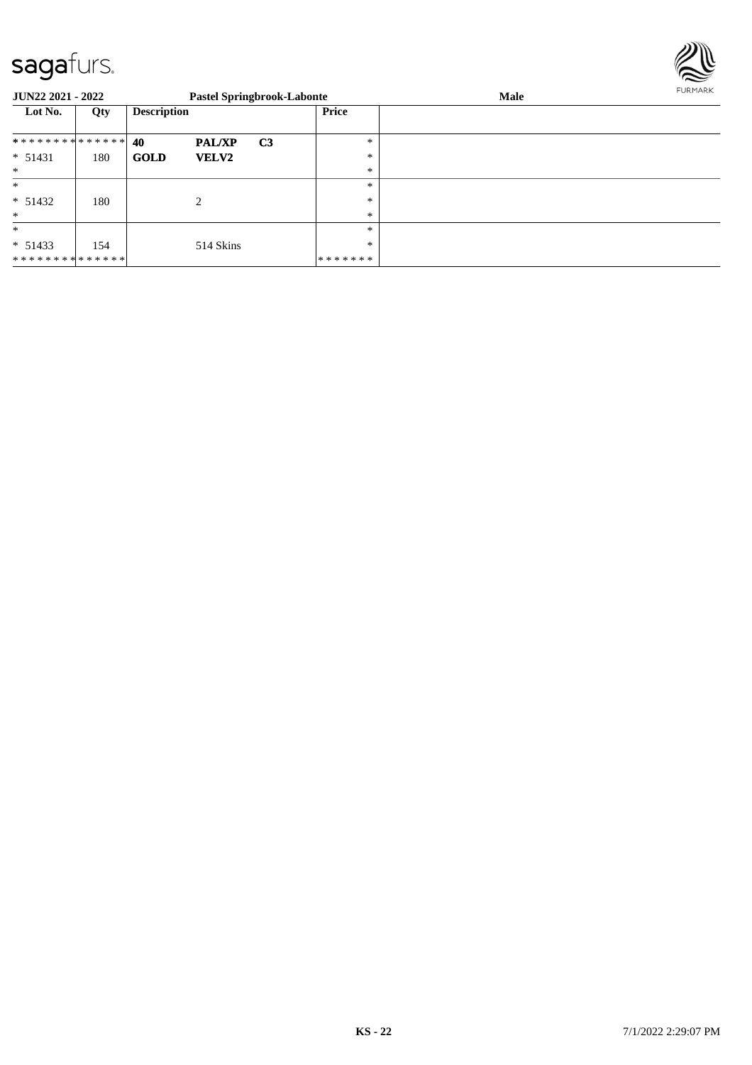

| <b>JUN22 2021 - 2022</b> |     |                    |                             | <b>Pastel Springbrook-Labonte</b> |              | Male | FURMARK |
|--------------------------|-----|--------------------|-----------------------------|-----------------------------------|--------------|------|---------|
| Lot No.                  | Qty | <b>Description</b> |                             |                                   | <b>Price</b> |      |         |
| **************           |     | 40                 | <b>PAL/XP</b>               | C <sub>3</sub>                    | $\ast$       |      |         |
| $* 51431$                | 180 | <b>GOLD</b>        | <b>VELV2</b>                |                                   | $\ast$       |      |         |
| $\ast$                   |     |                    |                             |                                   | $\ast$       |      |         |
| $\ast$                   |     |                    |                             |                                   | $\ast$       |      |         |
| $* 51432$                | 180 |                    | $\mathcal{D}_{\mathcal{L}}$ |                                   | $\ast$       |      |         |
| $\ast$                   |     |                    |                             |                                   | $\ast$       |      |         |
| $\ast$                   |     |                    |                             |                                   | $\ast$       |      |         |
| $* 51433$                | 154 |                    | 514 Skins                   |                                   | $\ast$       |      |         |
| **************           |     |                    |                             |                                   | *******      |      |         |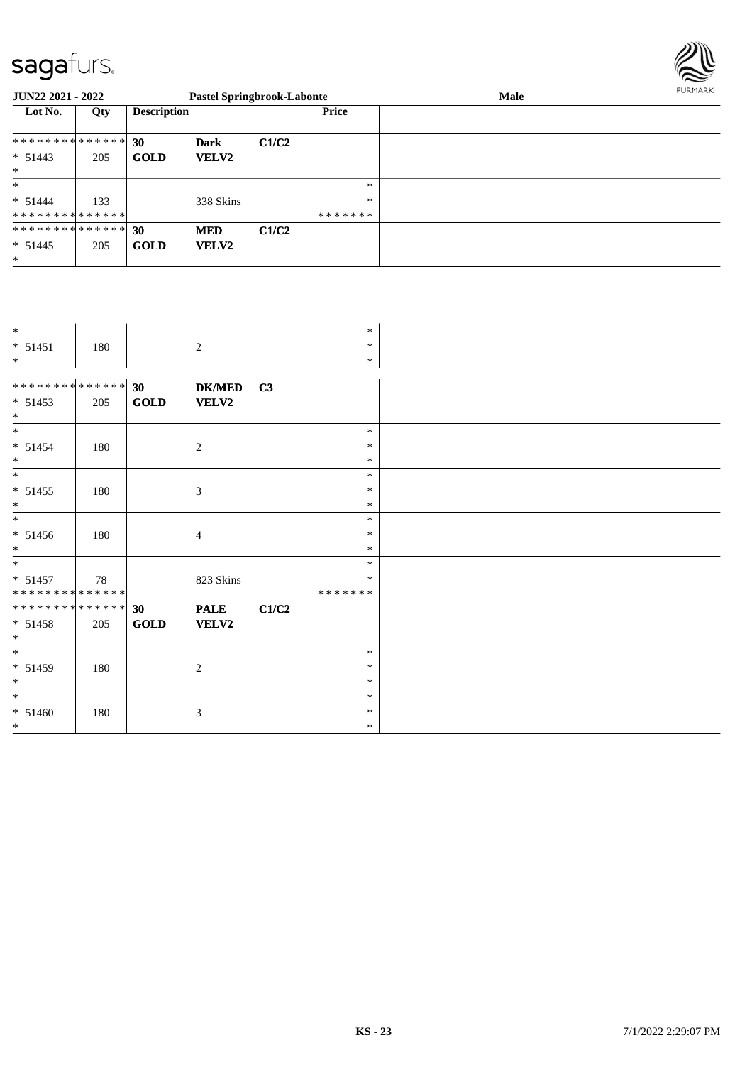

| <b>JUN22 2021 - 2022</b>      |     |                    |              | <b>Pastel Springbrook-Labonte</b> |              | <b>Male</b> | FURMARK |
|-------------------------------|-----|--------------------|--------------|-----------------------------------|--------------|-------------|---------|
| Lot No.                       | Qty | <b>Description</b> |              |                                   | <b>Price</b> |             |         |
| ************** 30             |     |                    | <b>Dark</b>  | C1/C2                             |              |             |         |
| $* 51443$                     | 205 | <b>GOLD</b>        | <b>VELV2</b> |                                   |              |             |         |
| $*$                           |     |                    |              |                                   |              |             |         |
| $\ast$                        |     |                    |              |                                   | $\ast$       |             |         |
| $* 51444$                     | 133 |                    | 338 Skins    |                                   | $\ast$       |             |         |
| * * * * * * * * * * * * * * * |     |                    |              |                                   | *******      |             |         |
| ************** 30             |     |                    | <b>MED</b>   | C1/C2                             |              |             |         |
| $* 51445$                     | 205 | <b>GOLD</b>        | <b>VELV2</b> |                                   |              |             |         |
| $*$                           |     |                    |              |                                   |              |             |         |

| $*$                          |     |                 |                |       | $\ast$  |  |
|------------------------------|-----|-----------------|----------------|-------|---------|--|
| $* 51451$                    | 180 |                 | $\sqrt{2}$     |       | $\ast$  |  |
| $*$                          |     |                 |                |       | $\ast$  |  |
|                              |     |                 |                |       |         |  |
| ******** <mark>******</mark> |     | 30 <sub>1</sub> | <b>DK/MED</b>  | C3    |         |  |
| $* 51453$                    | 205 | <b>GOLD</b>     | <b>VELV2</b>   |       |         |  |
| $*$                          |     |                 |                |       |         |  |
| $\ast$                       |     |                 |                |       | $\ast$  |  |
| $* 51454$                    | 180 |                 | $\sqrt{2}$     |       | $\ast$  |  |
| $*$                          |     |                 |                |       | $\ast$  |  |
| $*$                          |     |                 |                |       | $\ast$  |  |
| $* 51455$                    | 180 |                 | 3              |       | $\ast$  |  |
| $*$                          |     |                 |                |       | $\ast$  |  |
| $\ast$                       |     |                 |                |       | $\ast$  |  |
| $* 51456$                    | 180 |                 | $\overline{4}$ |       | $\ast$  |  |
| $*$                          |     |                 |                |       | $\ast$  |  |
| $\ast$                       |     |                 |                |       | $\ast$  |  |
| $* 51457$                    | 78  |                 | 823 Skins      |       | ∗       |  |
| **************               |     |                 |                |       | ******* |  |
| **************               |     | 30 <sub>1</sub> | <b>PALE</b>    | C1/C2 |         |  |
| $* 51458$                    | 205 | <b>GOLD</b>     | <b>VELV2</b>   |       |         |  |
| $*$                          |     |                 |                |       |         |  |
| $*$                          |     |                 |                |       | $\ast$  |  |
| $* 51459$                    | 180 |                 | 2              |       | $\ast$  |  |
| $\ast$                       |     |                 |                |       | $\ast$  |  |
| $*$                          |     |                 |                |       | $\ast$  |  |
| $* 51460$                    | 180 |                 | 3              |       | $\ast$  |  |
| $*$                          |     |                 |                |       | $\ast$  |  |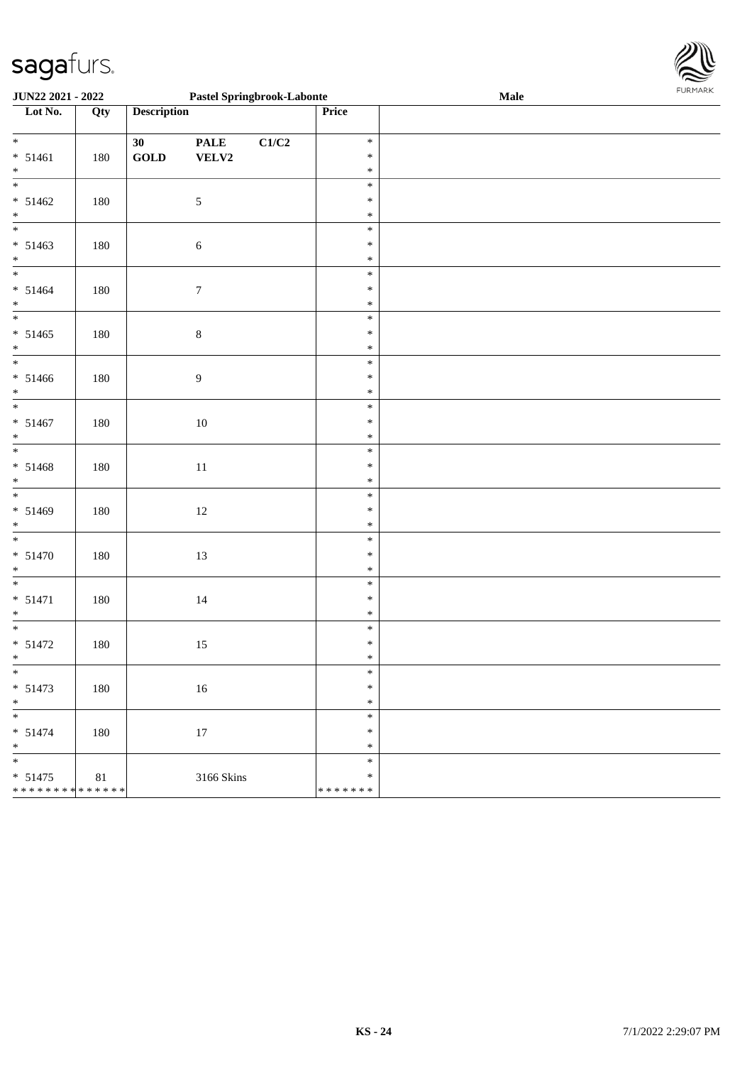| JUN22 2021 - 2022                                          |         |                             | <b>Pastel Springbrook-Labonte</b> |       |                                   | <b>Male</b> |  |
|------------------------------------------------------------|---------|-----------------------------|-----------------------------------|-------|-----------------------------------|-------------|--|
| Lot No.                                                    | Qty     | <b>Description</b>          |                                   |       | Price                             |             |  |
| $\overline{\ast}$<br>$* 51461$<br>$\ast$                   | 180     | 30<br>$\operatorname{GOLD}$ | <b>PALE</b><br>VELV2              | C1/C2 | $\ast$<br>$\ast$<br>$\ast$        |             |  |
| $\overline{\phantom{0}}$<br>$* 51462$<br>$\ast$            | 180     |                             | $\sqrt{5}$                        |       | $\ast$<br>$\ast$<br>$\ast$        |             |  |
| $\overline{\phantom{0}}$<br>$* 51463$<br>$\ast$            | 180     |                             | $\sqrt{6}$                        |       | $\ast$<br>$\ast$<br>$\ast$        |             |  |
| $\overline{\phantom{0}}$<br>$* 51464$<br>$\ast$            | 180     |                             | $\boldsymbol{7}$                  |       | $\ast$<br>$\ast$<br>$\ast$        |             |  |
| $\overline{\phantom{1}}$<br>$* 51465$<br>$\ast$            | 180     |                             | $\bf 8$                           |       | $\ast$<br>$\ast$<br>$\ast$        |             |  |
| $\overline{\phantom{0}}$<br>$* 51466$<br>$\ast$            | 180     |                             | $\overline{9}$                    |       | $\ast$<br>$\ast$<br>$\ast$        |             |  |
| $\overline{\phantom{a}^*}$<br>$* 51467$<br>$\ast$          | 180     |                             | $10\,$                            |       | $\ast$<br>$\ast$<br>$\ast$        |             |  |
| $\overline{\ast}$<br>$* 51468$<br>$\ast$                   | 180     |                             | $11\,$                            |       | $\ast$<br>$\ast$<br>$\ast$        |             |  |
| $\overline{\phantom{0}}$<br>$* 51469$<br>$\ast$            | $180\,$ |                             | $12\,$                            |       | $\ast$<br>$\ast$<br>$\ast$        |             |  |
| $\overline{\phantom{a}^*}$<br>$* 51470$<br>$\ast$          | 180     |                             | $13\,$                            |       | $\ast$<br>$\ast$<br>$\ast$        |             |  |
| $\overline{\phantom{0}}$<br>$* 51471$<br>$\ast$            | 180     |                             | $14\,$                            |       | $\ast$<br>$\ast$<br>$\ast$        |             |  |
| $\ast$<br>$* 51472$<br>$*$                                 | 180     |                             | $15\,$                            |       | $\ast$<br>$\ast$<br>$\ast$        |             |  |
| $\ast$<br>$* 51473$<br>$\ast$                              | 180     |                             | $16\,$                            |       | $\ast$<br>$\ast$<br>$\ast$        |             |  |
| $\overline{\ast}$<br>$* 51474$<br>$\ast$                   | 180     |                             | $17\,$                            |       | $\ast$<br>$\ast$<br>$\ast$        |             |  |
| $\frac{1}{1}$<br>$* 51475$<br>******** <mark>******</mark> | $81\,$  |                             | 3166 Skins                        |       | $\ast$<br>$\ast$<br>* * * * * * * |             |  |

\* \* \* \* \* \* \*

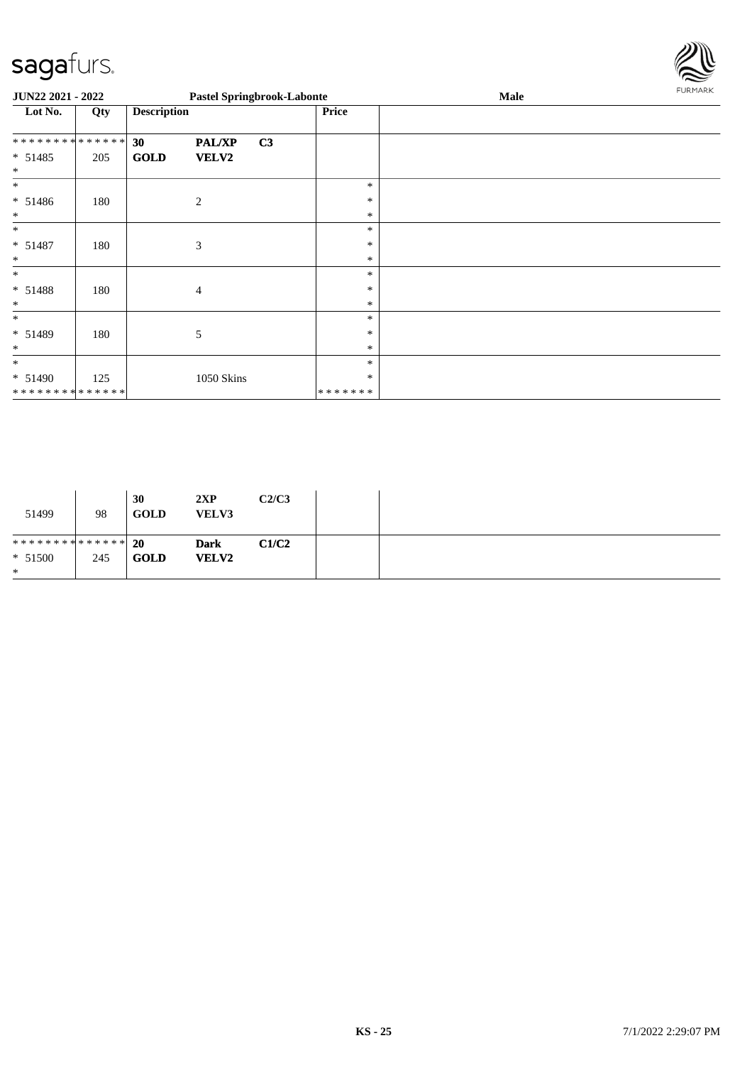

| JUN22 2021 - 2022   |     |                    |               | <b>Pastel Springbrook-Labonte</b> |              | Male | FURMARK |
|---------------------|-----|--------------------|---------------|-----------------------------------|--------------|------|---------|
| Lot No.             | Qty | <b>Description</b> |               |                                   | <b>Price</b> |      |         |
| **************      |     | 30                 | <b>PAL/XP</b> | C3                                |              |      |         |
| $* 51485$<br>$\ast$ | 205 | <b>GOLD</b>        | VELV2         |                                   |              |      |         |
| $\ast$              |     |                    |               |                                   | $\ast$       |      |         |
| $* 51486$           | 180 |                    | $\mathbf{2}$  |                                   | $\ast$       |      |         |
| $\ast$              |     |                    |               |                                   | $\ast$       |      |         |
| $\ast$              |     |                    |               |                                   | $\ast$       |      |         |
| $* 51487$           | 180 |                    | 3             |                                   | $\ast$       |      |         |
| $\ast$              |     |                    |               |                                   | $\ast$       |      |         |
| $\ast$              |     |                    |               |                                   | $\ast$       |      |         |
| $* 51488$           | 180 |                    | 4             |                                   | $\ast$       |      |         |
| $\ast$              |     |                    |               |                                   | $\ast$       |      |         |
| $\ast$              |     |                    |               |                                   | $\ast$       |      |         |
| * 51489             | 180 |                    | 5             |                                   | $\ast$       |      |         |
| $\ast$              |     |                    |               |                                   | $\ast$       |      |         |
| $\ast$              |     |                    |               |                                   | $\ast$       |      |         |
| $* 51490$           | 125 |                    | 1050 Skins    |                                   | $\ast$       |      |         |
| **************      |     |                    |               |                                   | *******      |      |         |

| 51499                           | 98  | 30<br><b>GOLD</b> | 2XP<br><b>VELV3</b> | C2/C3 |  |
|---------------------------------|-----|-------------------|---------------------|-------|--|
| ******** <mark>******</mark> 20 |     |                   | <b>Dark</b>         | C1/C2 |  |
| $* 51500$                       | 245 | <b>GOLD</b>       | <b>VELV2</b>        |       |  |
| $\ast$                          |     |                   |                     |       |  |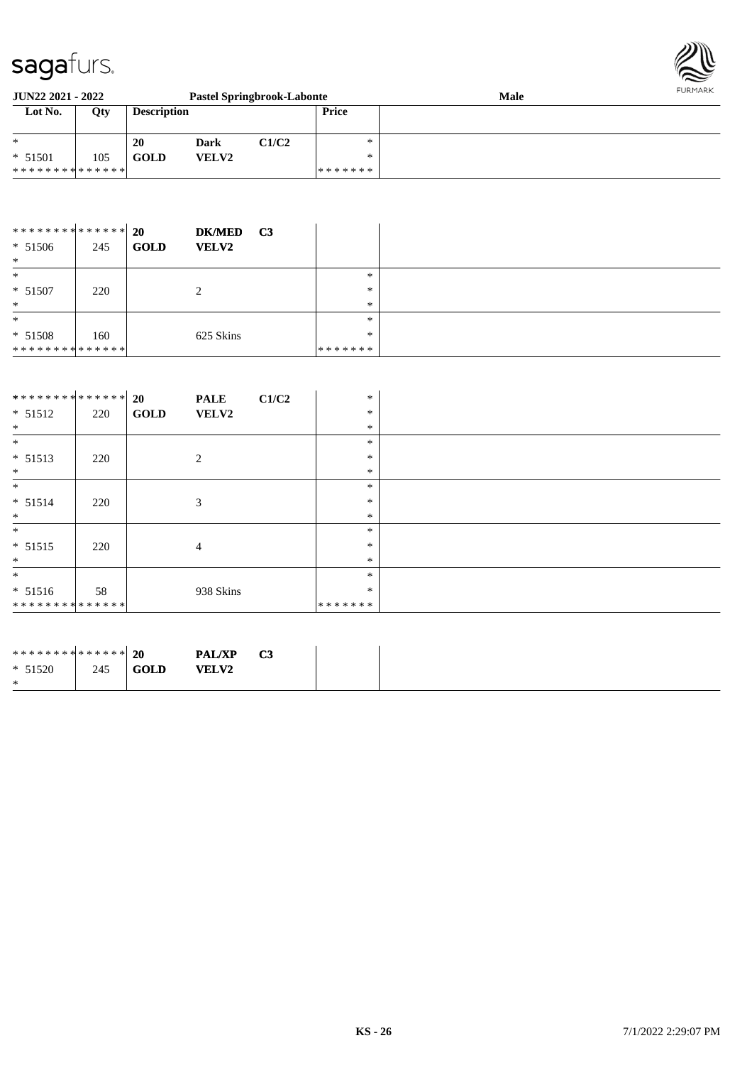

| <b>JUN22 2021 - 2022</b><br><b>Pastel Springbrook-Labonte</b> |     |                    |       |       |              | <b>Male</b> | FURMARK |
|---------------------------------------------------------------|-----|--------------------|-------|-------|--------------|-------------|---------|
| Lot No.                                                       | Qty | <b>Description</b> |       |       | <b>Price</b> |             |         |
| $*$                                                           |     | 20                 | Dark  | C1/C2 | ∗            |             |         |
| $* 51501$                                                     | 105 | GOLD               | VELV2 |       | $\ast$       |             |         |
| **************                                                |     |                    |       |       | *******      |             |         |

| **************                |     | <b>20</b><br><b>DK/MED</b>  | C <sub>3</sub> |         |  |
|-------------------------------|-----|-----------------------------|----------------|---------|--|
| $* 51506$                     | 245 | <b>GOLD</b><br><b>VELV2</b> |                |         |  |
| $\ast$                        |     |                             |                |         |  |
| $\ast$                        |     |                             |                | $*$     |  |
| $* 51507$                     | 220 |                             |                | $\ast$  |  |
| $\ast$                        |     |                             |                | $\ast$  |  |
| $\ast$                        |     |                             |                | $\ast$  |  |
| $* 51508$                     | 160 | 625 Skins                   |                | $*$     |  |
| * * * * * * * * * * * * * * * |     |                             |                | ******* |  |

| ************** 20 |     |             | <b>PALE</b> | C1/C2 | $\ast$  |  |
|-------------------|-----|-------------|-------------|-------|---------|--|
| $* 51512$         | 220 | <b>GOLD</b> | VELV2       |       | $\ast$  |  |
| $*$               |     |             |             |       | $\ast$  |  |
| $\ast$            |     |             |             |       | $\ast$  |  |
| $* 51513$         | 220 |             | 2           |       | $\ast$  |  |
| $\ast$            |     |             |             |       | $\ast$  |  |
| $*$               |     |             |             |       | $\ast$  |  |
| $* 51514$         | 220 |             | 3           |       | $\ast$  |  |
| $\ast$            |     |             |             |       | $\ast$  |  |
| $\ast$            |     |             |             |       | $\ast$  |  |
| $* 51515$         | 220 |             | 4           |       | $\ast$  |  |
| $*$               |     |             |             |       | $\ast$  |  |
| $\ast$            |     |             |             |       | $\ast$  |  |
| $* 51516$         | 58  |             | 938 Skins   |       | $\ast$  |  |
| **************    |     |             |             |       | ******* |  |

| ******** <mark>******</mark> 20 |     |             | <b>PAL/XP</b> | C3 |
|---------------------------------|-----|-------------|---------------|----|
| $* 51520$                       | 245 | <b>GOLD</b> | <b>VELV2</b>  |    |
| ∗                               |     |             |               |    |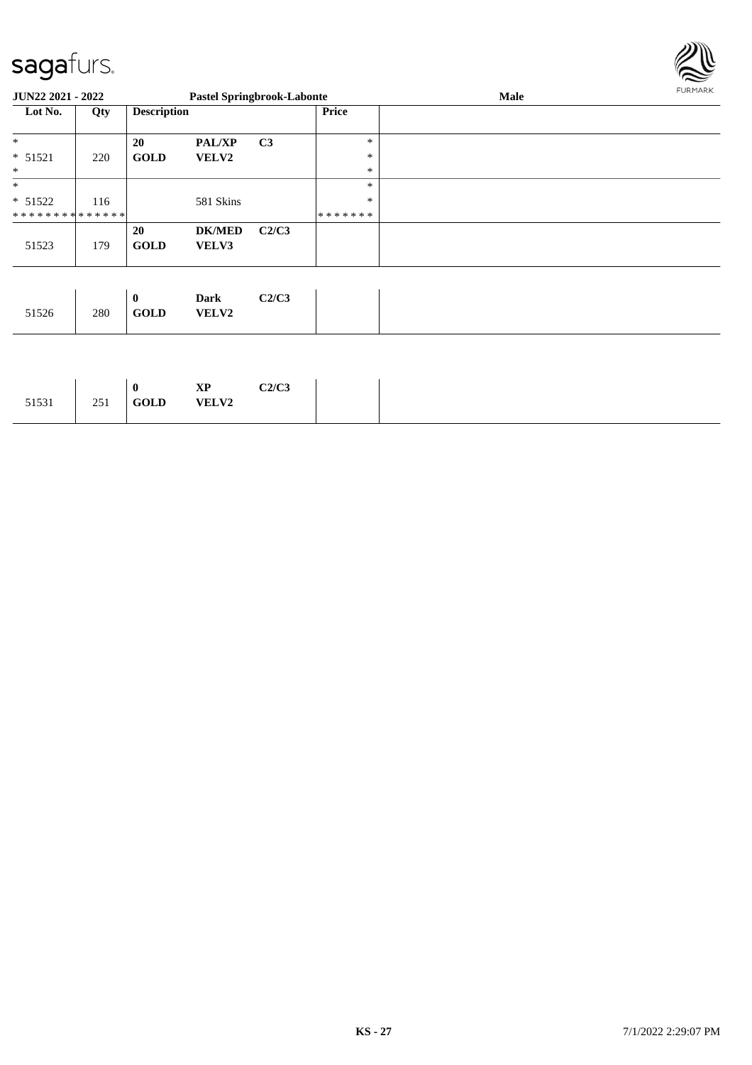

| <b>JUN22 2021 - 2022</b>      |     |                             | <b>Pastel Springbrook-Labonte</b> |                |              | Male | <b>FURMARK</b> |
|-------------------------------|-----|-----------------------------|-----------------------------------|----------------|--------------|------|----------------|
| Lot No.                       | Qty | <b>Description</b>          |                                   |                | <b>Price</b> |      |                |
| *                             |     | 20                          | PAL/XP                            | C <sub>3</sub> | $\ast$       |      |                |
| $* 51521$                     | 220 | <b>GOLD</b>                 | <b>VELV2</b>                      |                | $\ast$       |      |                |
| *                             |     |                             |                                   |                | $\ast$       |      |                |
| $\ast$                        |     |                             |                                   |                | $\ast$       |      |                |
| $* 51522$                     | 116 |                             | 581 Skins                         |                | $\ast$       |      |                |
| * * * * * * * * * * * * * * * |     |                             |                                   |                | *******      |      |                |
| 51523                         | 179 | <b>20</b><br><b>GOLD</b>    | <b>DK/MED</b><br>VELV3            | C2/C3          |              |      |                |
|                               |     |                             |                                   |                |              |      |                |
| 51526                         | 280 | $\mathbf{0}$<br><b>GOLD</b> | Dark<br><b>VELV2</b>              | C2/C3          |              |      |                |

| C2/C3<br>$\mathbf{X}\mathbf{P}$<br><b>VELV2</b><br><b>GOLD</b> |
|----------------------------------------------------------------|
|----------------------------------------------------------------|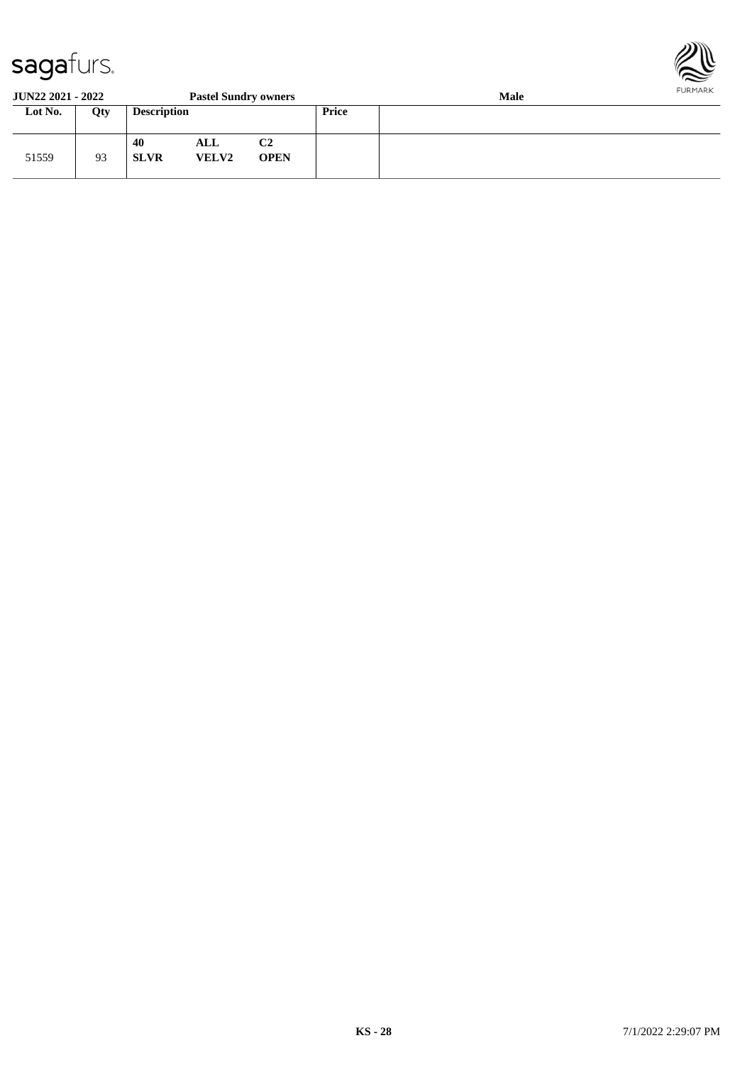

#### **JUN22 2021 - 2022 Pastel Sundry owners Male Lot No. Qty Description Price** 51559 93 **40 ALL C2 SLVR VELV2 OPEN**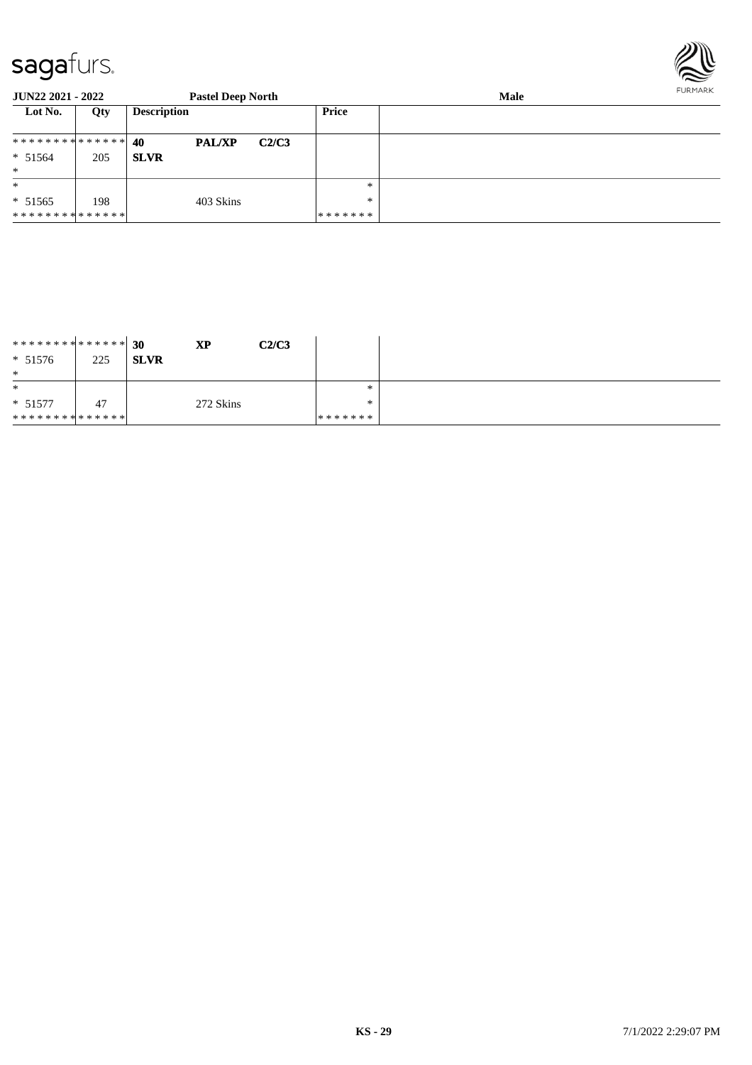

| <b>JUN22 2021 - 2022</b> |     | <b>Pastel Deep North</b> |       |         | FURMARK |  |
|--------------------------|-----|--------------------------|-------|---------|---------|--|
| Lot No.                  | Qty | <b>Description</b>       |       | Price   |         |  |
| ************** 40        |     | <b>PAL/XP</b>            | C2/C3 |         |         |  |
| $* 51564$                | 205 | <b>SLVR</b>              |       |         |         |  |
| $\ast$                   |     |                          |       |         |         |  |
| $\ast$                   |     |                          |       | $*$     |         |  |
| $* 51565$                | 198 | 403 Skins                |       | $*$     |         |  |
| **************           |     |                          |       | ******* |         |  |

| ************** 30            |     | <b>XP</b>   | C2/C3 |         |
|------------------------------|-----|-------------|-------|---------|
| $* 51576$                    | 225 | <b>SLVR</b> |       |         |
| $\ast$                       |     |             |       |         |
| $\ast$                       |     |             |       | $*$     |
| $* 51577$                    | 47  | 272 Skins   |       | $*$     |
| ******** <mark>******</mark> |     |             |       | ******* |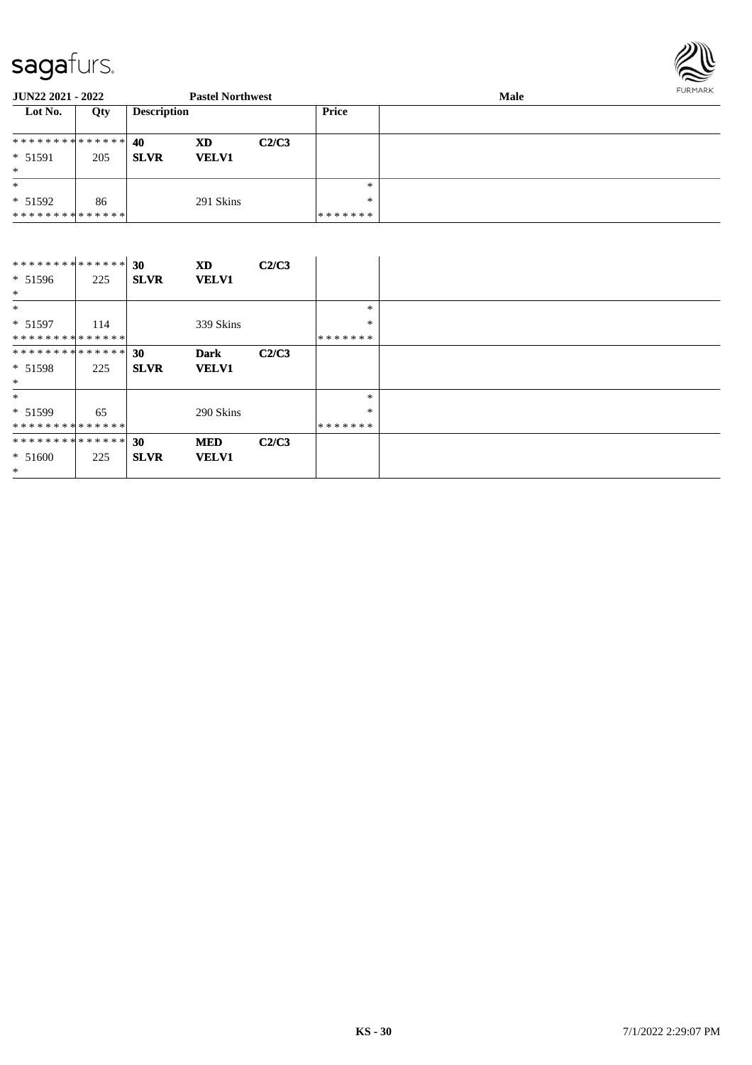

| <b>JUN22 2021 - 2022</b>        |     |                    | <b>Pastel Northwest</b> |       |         | FURMARK<br><b>Male</b> |  |
|---------------------------------|-----|--------------------|-------------------------|-------|---------|------------------------|--|
| Lot No.                         | Qty | <b>Description</b> |                         |       | Price   |                        |  |
| ******** <mark>******</mark> 40 |     |                    | <b>XD</b>               | C2/C3 |         |                        |  |
| $* 51591$                       | 205 | <b>SLVR</b>        | <b>VELV1</b>            |       |         |                        |  |
| $*$                             |     |                    |                         |       |         |                        |  |
| $\ast$                          |     |                    |                         |       | $*$     |                        |  |
| $* 51592$                       | 86  |                    | 291 Skins               |       | $*$     |                        |  |
| * * * * * * * * * * * * * * *   |     |                    |                         |       | ******* |                        |  |

| **************    |     | 30          | <b>XD</b>    | C2/C3 |         |  |
|-------------------|-----|-------------|--------------|-------|---------|--|
| $* 51596$         | 225 | <b>SLVR</b> | <b>VELV1</b> |       |         |  |
| $*$               |     |             |              |       |         |  |
| $\ast$            |     |             |              |       | $\ast$  |  |
| $* 51597$         | 114 |             | 339 Skins    |       | $\ast$  |  |
| **************    |     |             |              |       | ******* |  |
| ************** 30 |     |             | <b>Dark</b>  | C2/C3 |         |  |
| $* 51598$         | 225 | <b>SLVR</b> | <b>VELV1</b> |       |         |  |
| $*$               |     |             |              |       |         |  |
| $\ast$            |     |             |              |       | $\ast$  |  |
| $* 51599$         | 65  |             | 290 Skins    |       | *       |  |
| **************    |     |             |              |       | ******* |  |
| ************** 30 |     |             | <b>MED</b>   | C2/C3 |         |  |
| $* 51600$         | 225 | <b>SLVR</b> | <b>VELV1</b> |       |         |  |
| $\ast$            |     |             |              |       |         |  |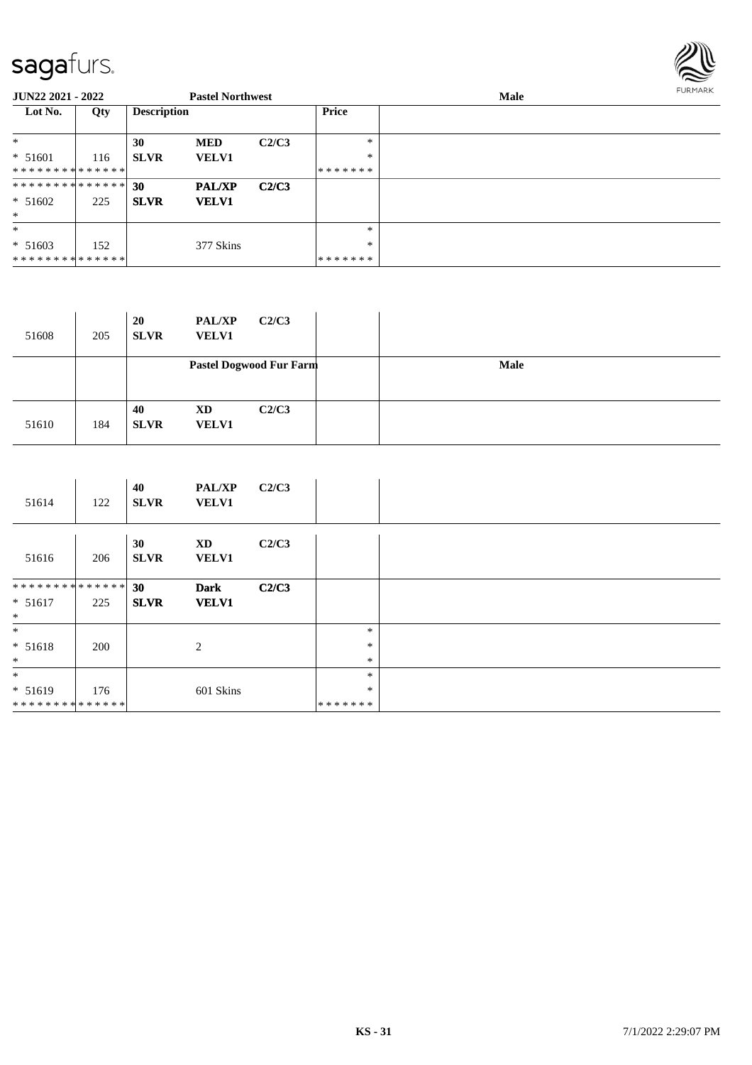

| <b>JUN22 2021 - 2022</b>        |     |                    | <b>Pastel Northwest</b> |       |              | <b>Male</b> | FURMARK |
|---------------------------------|-----|--------------------|-------------------------|-------|--------------|-------------|---------|
| Lot No.                         | Qty | <b>Description</b> |                         |       | <b>Price</b> |             |         |
| $*$                             |     | 30                 | <b>MED</b>              | C2/C3 | *            |             |         |
| $* 51601$                       | 116 | <b>SLVR</b>        | <b>VELV1</b>            |       | $\ast$       |             |         |
| * * * * * * * * * * * * * * *   |     |                    |                         |       | *******      |             |         |
| ******** <mark>******</mark> 30 |     |                    | <b>PAL/XP</b>           | C2/C3 |              |             |         |
| $* 51602$                       | 225 | <b>SLVR</b>        | <b>VELV1</b>            |       |              |             |         |
| $*$                             |     |                    |                         |       |              |             |         |
| $*$                             |     |                    |                         |       | $\ast$       |             |         |
| $* 51603$                       | 152 |                    | 377 Skins               |       | *            |             |         |
| * * * * * * * * * * * * * * *   |     |                    |                         |       | *******      |             |         |

| 51608 | 205 | <b>20</b><br><b>SLVR</b> | <b>PAL/XP</b><br><b>VELV1</b> | C2/C3                   |      |
|-------|-----|--------------------------|-------------------------------|-------------------------|------|
|       |     |                          |                               | Pastel Dogwood Fur Farm | Male |
| 51610 | 184 | 40<br><b>SLVR</b>        | <b>XD</b><br><b>VELV1</b>     | C2/C3                   |      |

| 51614          | 122 | 40<br><b>SLVR</b> | <b>PAL/XP</b><br><b>VELV1</b> | C2/C3 |         |  |
|----------------|-----|-------------------|-------------------------------|-------|---------|--|
| 51616          | 206 | 30<br><b>SLVR</b> | XD<br><b>VELV1</b>            | C2/C3 |         |  |
| ************** |     | 30                | <b>Dark</b>                   | C2/C3 |         |  |
| $* 51617$      | 225 | <b>SLVR</b>       | <b>VELV1</b>                  |       |         |  |
| $\ast$         |     |                   |                               |       |         |  |
| $*$            |     |                   |                               |       | $\ast$  |  |
| $* 51618$      | 200 |                   | 2                             |       | $\ast$  |  |
| $\ast$         |     |                   |                               |       | $\ast$  |  |
| $*$            |     |                   |                               |       | $\ast$  |  |
| $* 51619$      | 176 |                   | 601 Skins                     |       | $\ast$  |  |
| ************** |     |                   |                               |       | ******* |  |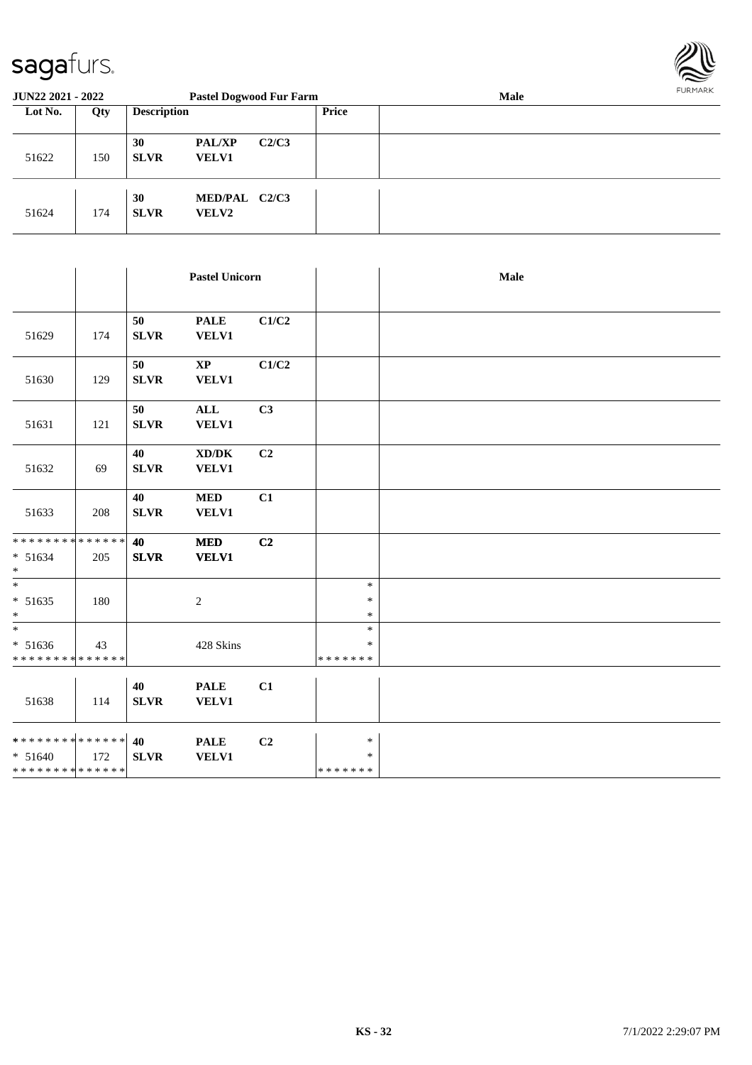

| <b>JUN22 2021 - 2022</b> |     |                    | <b>Pastel Dogwood Fur Farm</b> |       |       | <b>Male</b> | FURMARK |
|--------------------------|-----|--------------------|--------------------------------|-------|-------|-------------|---------|
| Lot No.                  | Qty | <b>Description</b> |                                |       | Price |             |         |
| 51622                    | 150 | 30<br><b>SLVR</b>  | <b>PAL/XP</b><br><b>VELV1</b>  | C2/C3 |       |             |         |
| 51624                    | 174 | 30<br><b>SLVR</b>  | MED/PAL C2/C3<br><b>VELV2</b>  |       |       |             |         |

|                                                                            |     |                   | <b>Pastel Unicorn</b>                               |                |                              | Male |
|----------------------------------------------------------------------------|-----|-------------------|-----------------------------------------------------|----------------|------------------------------|------|
| 51629                                                                      | 174 | 50<br><b>SLVR</b> | <b>PALE</b><br><b>VELV1</b>                         | C1/C2          |                              |      |
| 51630                                                                      | 129 | 50<br><b>SLVR</b> | $\mathbf{X}\mathbf{P}$<br><b>VELV1</b>              | C1/C2          |                              |      |
| 51631                                                                      | 121 | 50<br><b>SLVR</b> | $\mathbf{ALL}$<br><b>VELV1</b>                      | C3             |                              |      |
| 51632                                                                      | 69  | 40<br><b>SLVR</b> | $\bold{X}\bold{D}/\bold{D}\bold{K}$<br><b>VELV1</b> | C <sub>2</sub> |                              |      |
| 51633                                                                      | 208 | 40<br><b>SLVR</b> | <b>MED</b><br><b>VELV1</b>                          | C1             |                              |      |
| **************<br>$* 51634$<br>$\ast$                                      | 205 | 40<br><b>SLVR</b> | $\bf MED$<br><b>VELV1</b>                           | C <sub>2</sub> |                              |      |
| $\overline{\phantom{a}^*}$<br>$* 51635$<br>$\ast$                          | 180 |                   | $\overline{c}$                                      |                | $\ast$<br>$\ast$<br>$\ast$   |      |
| $\ast$<br>$* 51636$<br>******** <mark>*****</mark> *                       | 43  |                   | 428 Skins                                           |                | $\ast$<br>∗<br>* * * * * * * |      |
| 51638                                                                      | 114 | 40<br><b>SLVR</b> | <b>PALE</b><br><b>VELV1</b>                         | C1             |                              |      |
| ******** <sup>*</sup> ****** <sup>2</sup> 0<br>$* 51640$<br>************** | 172 | <b>SLVR</b>       | <b>PALE</b><br><b>VELV1</b>                         | C2             | $\ast$<br>∗<br>*******       |      |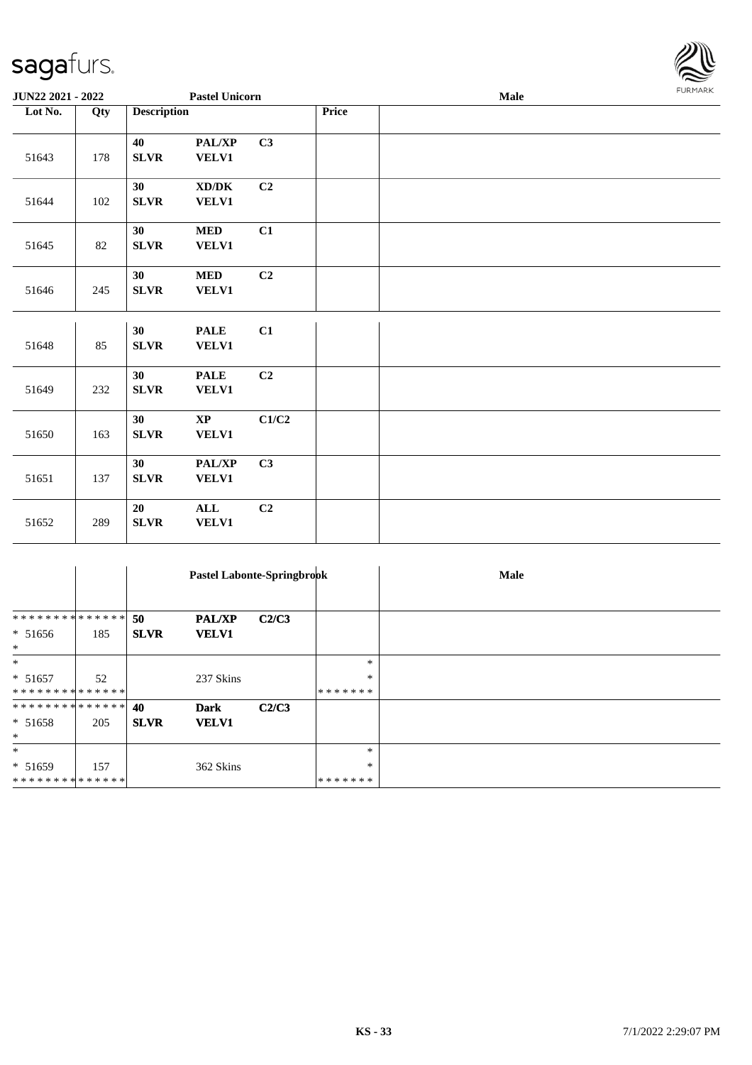

| JUN22 2021 - 2022 |     |                    | <b>Pastel Unicorn</b>                               |       | <b>Male</b> |  |  | <b>FURMARK</b> |
|-------------------|-----|--------------------|-----------------------------------------------------|-------|-------------|--|--|----------------|
| Lot No.           | Qty | <b>Description</b> |                                                     |       | Price       |  |  |                |
| 51643             | 178 | 40<br>SLVR         | PAL/XP<br><b>VELV1</b>                              | C3    |             |  |  |                |
| 51644             | 102 | 30<br><b>SLVR</b>  | $\bold{X}\bold{D}/\bold{D}\bold{K}$<br><b>VELV1</b> | C2    |             |  |  |                |
| 51645             | 82  | 30<br>${\bf SLVR}$ | <b>MED</b><br><b>VELV1</b>                          | C1    |             |  |  |                |
| 51646             | 245 | 30<br>SLVR         | <b>MED</b><br><b>VELV1</b>                          | C2    |             |  |  |                |
| 51648             | 85  | 30<br><b>SLVR</b>  | <b>PALE</b><br><b>VELV1</b>                         | C1    |             |  |  |                |
| 51649             | 232 | 30<br><b>SLVR</b>  | <b>PALE</b><br><b>VELV1</b>                         | C2    |             |  |  |                |
| 51650             | 163 | 30<br>SLVR         | $\mathbf{X}\mathbf{P}$<br><b>VELV1</b>              | C1/C2 |             |  |  |                |
| 51651             | 137 | 30<br><b>SLVR</b>  | PAL/XP<br><b>VELV1</b>                              | C3    |             |  |  |                |
| 51652             | 289 | 20<br>SLVR         | $\mathbf{ALL}$<br><b>VELV1</b>                      | C2    |             |  |  |                |

|                     |     | Pastel Labonte-Springbrook |               |       |         | Male |
|---------------------|-----|----------------------------|---------------|-------|---------|------|
|                     |     |                            |               |       |         |      |
| **************      |     | 50                         | <b>PAL/XP</b> | C2/C3 |         |      |
| $* 51656$<br>$\ast$ | 185 | <b>SLVR</b>                | <b>VELV1</b>  |       |         |      |
| $\ast$              |     |                            |               |       | $\ast$  |      |
| $* 51657$           | 52  |                            | 237 Skins     |       | $\ast$  |      |
| **************      |     |                            |               |       | ******* |      |
| **************      |     | 40                         | <b>Dark</b>   | C2/C3 |         |      |
| $* 51658$           | 205 | <b>SLVR</b>                | <b>VELV1</b>  |       |         |      |
| $\ast$              |     |                            |               |       |         |      |
| $\ast$              |     |                            |               |       | $\ast$  |      |
| $* 51659$           | 157 |                            | 362 Skins     |       | $\ast$  |      |
| **************      |     |                            |               |       | ******* |      |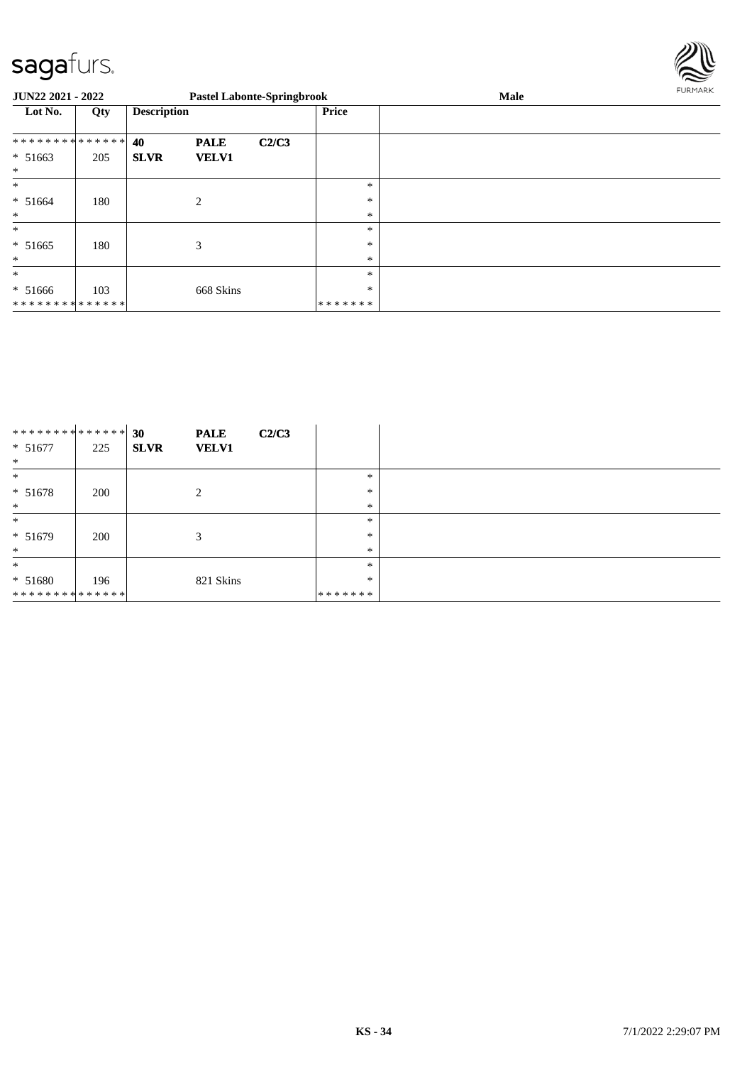

| JUN22 2021 - 2022                     |     |                    |                             | <b>Pastel Labonte-Springbrook</b> |                            | Male | FURMARK |
|---------------------------------------|-----|--------------------|-----------------------------|-----------------------------------|----------------------------|------|---------|
| Lot No.                               | Qty | <b>Description</b> |                             |                                   | <b>Price</b>               |      |         |
| **************<br>$* 51663$<br>$\ast$ | 205 | 40<br><b>SLVR</b>  | <b>PALE</b><br><b>VELV1</b> | C2/C3                             |                            |      |         |
| $\ast$<br>$* 51664$<br>$\ast$         | 180 |                    | $\overline{2}$              |                                   | $\ast$<br>$\ast$<br>$\ast$ |      |         |
| $\ast$<br>$* 51665$<br>$\ast$         | 180 |                    | 3                           |                                   | *<br>*<br>*                |      |         |
| $\ast$<br>$* 51666$<br>************** | 103 |                    | 668 Skins                   |                                   | *<br>$\ast$<br>*******     |      |         |

| ************** |     | 30            | C2/C3<br><b>PALE</b> |         |  |
|----------------|-----|---------------|----------------------|---------|--|
| $* 51677$      | 225 | <b>SLVR</b>   | <b>VELV1</b>         |         |  |
| $\ast$         |     |               |                      |         |  |
| $\ast$         |     |               |                      | $\ast$  |  |
| $* 51678$      | 200 | $\mathcal{L}$ |                      | $\ast$  |  |
| $\ast$         |     |               |                      | $\ast$  |  |
| $\ast$         |     |               |                      | $\ast$  |  |
| $* 51679$      | 200 | 3             |                      | $\ast$  |  |
| $\ast$         |     |               |                      | $\ast$  |  |
| $\ast$         |     |               |                      | $\ast$  |  |
| $* 51680$      | 196 |               | 821 Skins            | $\ast$  |  |
| ************** |     |               |                      | ******* |  |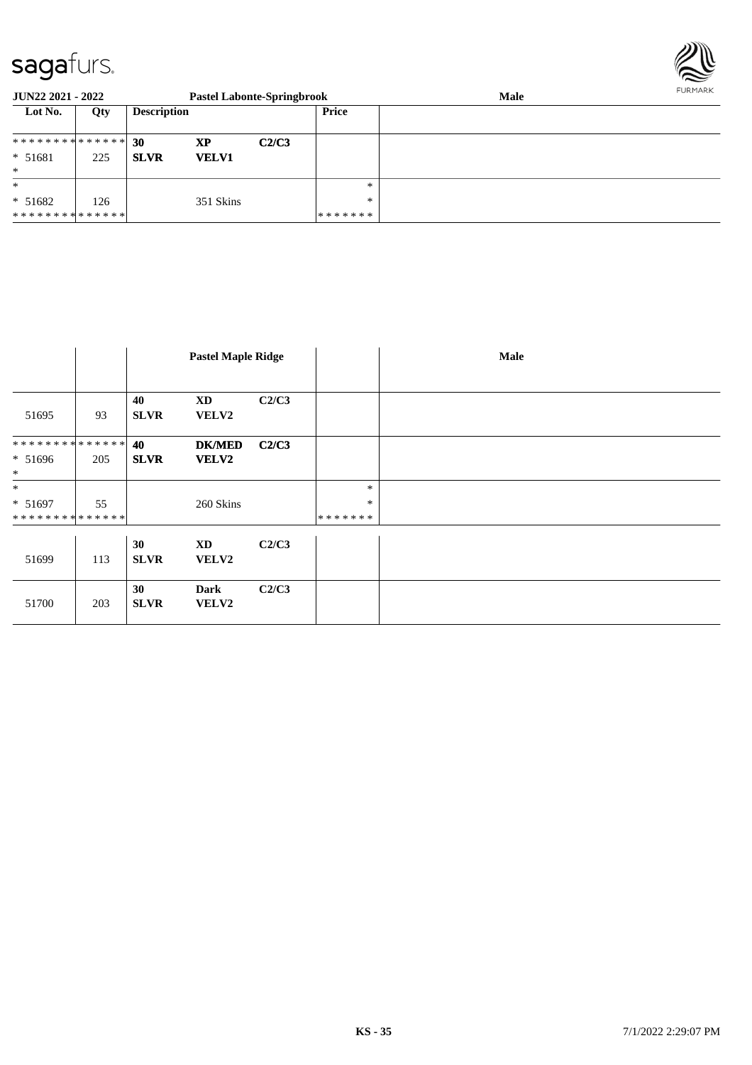

| JUN22 2021 - 2022             |     | <b>Pastel Labonte-Springbrook</b> |              |       |         | <b>Male</b> | <b>FURPIARN</b> |
|-------------------------------|-----|-----------------------------------|--------------|-------|---------|-------------|-----------------|
| Lot No.                       | Qty | <b>Description</b>                |              |       | Price   |             |                 |
|                               |     |                                   |              |       |         |             |                 |
| * * * * * * * * * * * * * * * |     | -30                               | XP           | C2/C3 |         |             |                 |
| $* 51681$                     | 225 | <b>SLVR</b>                       | <b>VELV1</b> |       |         |             |                 |
| $\ast$                        |     |                                   |              |       |         |             |                 |
| $\ast$                        |     |                                   |              |       | $*$     |             |                 |
| $* 51682$                     | 126 |                                   | 351 Skins    |       | $*$     |             |                 |
| **************                |     |                                   |              |       | ******* |             |                 |

|                                       |     | <b>Pastel Maple Ridge</b> |                               |       |                             | Male |
|---------------------------------------|-----|---------------------------|-------------------------------|-------|-----------------------------|------|
| 51695                                 | 93  | 40<br><b>SLVR</b>         | <b>XD</b><br><b>VELV2</b>     | C2/C3 |                             |      |
| **************<br>$* 51696$<br>$\ast$ | 205 | 40<br><b>SLVR</b>         | <b>DK/MED</b><br><b>VELV2</b> | C2/C3 |                             |      |
| $\ast$<br>$* 51697$<br>************** | 55  |                           | 260 Skins                     |       | $\ast$<br>$\ast$<br>******* |      |
| 51699                                 | 113 | 30<br><b>SLVR</b>         | <b>XD</b><br>VELV2            | C2/C3 |                             |      |
| 51700                                 | 203 | 30<br><b>SLVR</b>         | <b>Dark</b><br>VELV2          | C2/C3 |                             |      |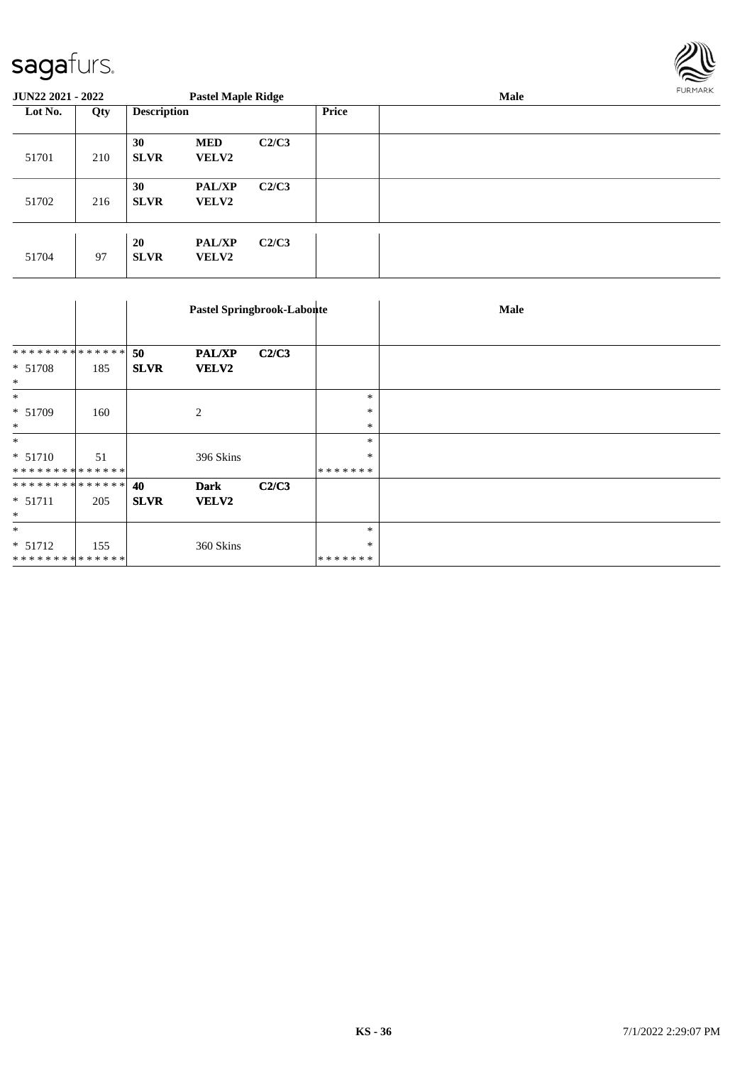

| <b>JUN22 2021 - 2022</b> |     |                    | <b>Pastel Maple Ridge</b>     |       |              | <b>Male</b> |  |  |
|--------------------------|-----|--------------------|-------------------------------|-------|--------------|-------------|--|--|
| Lot No.                  | Qty | <b>Description</b> |                               |       | <b>Price</b> |             |  |  |
| 51701                    | 210 | 30<br><b>SLVR</b>  | <b>MED</b><br><b>VELV2</b>    | C2/C3 |              |             |  |  |
| 51702                    | 216 | 30<br><b>SLVR</b>  | <b>PAL/XP</b><br><b>VELV2</b> | C2/C3 |              |             |  |  |
| 51704                    | 97  | 20<br><b>SLVR</b>  | <b>PAL/XP</b><br><b>VELV2</b> | C2/C3 |              |             |  |  |

|                |     |             |                | Pastel Springbrook-Labonte |         | <b>Male</b> |
|----------------|-----|-------------|----------------|----------------------------|---------|-------------|
|                |     |             |                |                            |         |             |
| ************** |     | 50          | <b>PAL/XP</b>  | C2/C3                      |         |             |
| $* 51708$      | 185 | <b>SLVR</b> | <b>VELV2</b>   |                            |         |             |
| $\ast$         |     |             |                |                            |         |             |
| $\ast$         |     |             |                |                            | $\ast$  |             |
| * 51709        | 160 |             | $\overline{c}$ |                            | $\ast$  |             |
| $\ast$         |     |             |                |                            | $\ast$  |             |
| $*$            |     |             |                |                            | $\ast$  |             |
| $* 51710$      | 51  |             | 396 Skins      |                            | $\ast$  |             |
| ************** |     |             |                |                            | ******* |             |
| ************** |     | 40          | <b>Dark</b>    | C2/C3                      |         |             |
| $* 51711$      | 205 | <b>SLVR</b> | <b>VELV2</b>   |                            |         |             |
| $\ast$         |     |             |                |                            |         |             |
| $\ast$         |     |             |                |                            | $\ast$  |             |
| $* 51712$      | 155 |             | 360 Skins      |                            | $\ast$  |             |
| ************** |     |             |                |                            | ******* |             |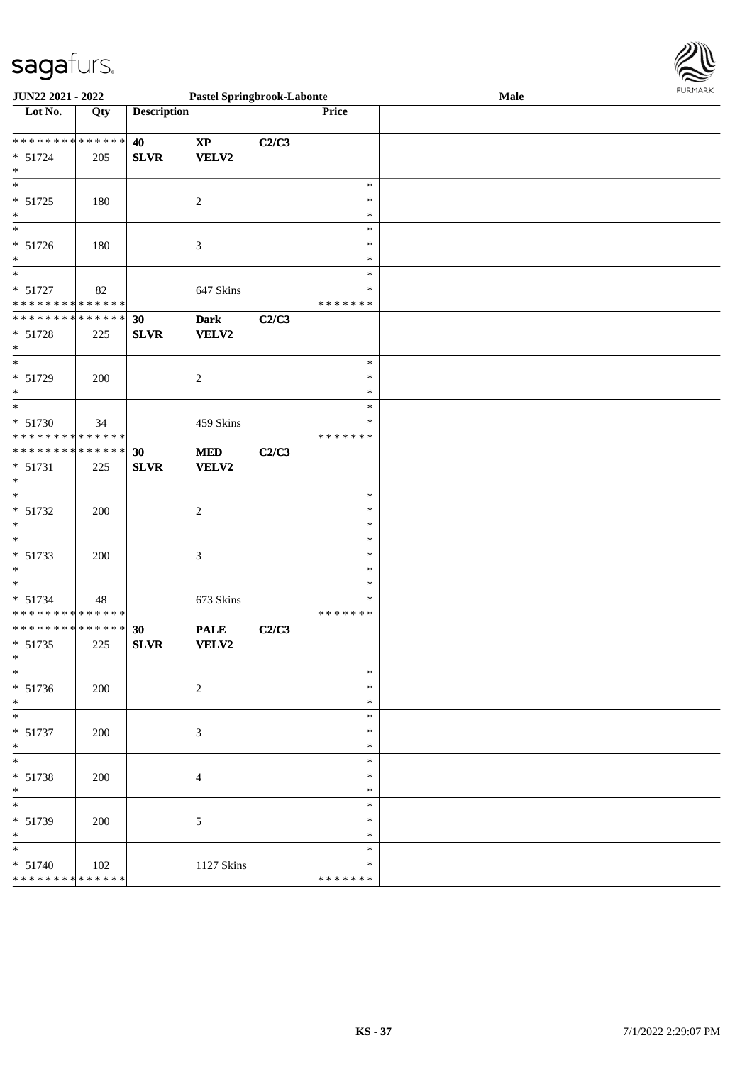

| JUN22 2021 - 2022                                                                 |     |                    | <b>Pastel Springbrook-Labonte</b> |       |                                   | Male | <b>FUNITANN</b> |
|-----------------------------------------------------------------------------------|-----|--------------------|-----------------------------------|-------|-----------------------------------|------|-----------------|
| Lot No.                                                                           | Qty | <b>Description</b> |                                   |       | <b>Price</b>                      |      |                 |
| * * * * * * * * * * * * * * *<br>$* 51724$<br>$*$                                 | 205 | 40<br><b>SLVR</b>  | $\bold{XP}$<br><b>VELV2</b>       | C2/C3 |                                   |      |                 |
| $\overline{\phantom{0}}$<br>$* 51725$<br>$*$                                      | 180 |                    | 2                                 |       | $\ast$<br>∗<br>*                  |      |                 |
| $\overline{\phantom{0}}$<br>$* 51726$<br>$*$                                      | 180 |                    | $\mathfrak{Z}$                    |       | $\ast$<br>∗<br>*                  |      |                 |
| $\overline{\phantom{0}}$<br>$* 51727$<br>* * * * * * * * * * * * * *              | 82  |                    | 647 Skins                         |       | $\ast$<br>∗<br>* * * * * * *      |      |                 |
| * * * * * * * * <mark>* * * * * * *</mark><br>* 51728<br>$*$                      | 225 | 30<br><b>SLVR</b>  | <b>Dark</b><br><b>VELV2</b>       | C2/C3 |                                   |      |                 |
| $\overline{\phantom{0}}$<br>* 51729<br>$*$                                        | 200 |                    | $\sqrt{2}$                        |       | $\ast$<br>$\ast$<br>*             |      |                 |
| $\overline{\phantom{0}}$<br>* 51730<br>* * * * * * * * <mark>* * * * * * *</mark> | 34  |                    | 459 Skins                         |       | $\ast$<br>$\ast$<br>* * * * * * * |      |                 |
| * * * * * * * * <mark>* * * * * * *</mark><br>* 51731<br>$*$                      | 225 | 30<br><b>SLVR</b>  | $\bf MED$<br>VELV2                | C2/C3 |                                   |      |                 |
| $*$<br>$* 51732$<br>$*$<br>$\frac{1}{\ast}$                                       | 200 |                    | 2                                 |       | $\ast$<br>∗<br>$\ast$             |      |                 |
| * 51733<br>$*$                                                                    | 200 |                    | $\mathfrak{Z}$                    |       | $\ast$<br>∗<br>*                  |      |                 |
| $*$<br>* 51734<br>* * * * * * * * <mark>* * * * * * *</mark>                      | 48  |                    | 673 Skins                         |       | $\ast$<br>∗<br>* * * * * * *      |      |                 |
| * * * * * * * * <mark>* * * * * * *</mark><br>$* 51735$<br>$*$ $-$<br>$*$         | 225 | 30<br><b>SLVR</b>  | <b>PALE</b><br><b>VELV2</b>       | C2/C3 | $\ast$                            |      |                 |
| $* 51736$<br>$*$                                                                  | 200 |                    | $\overline{c}$                    |       | $\ast$<br>$\ast$<br>$\ast$        |      |                 |
| $* 51737$<br>$*$<br>$\overline{\phantom{0}}$                                      | 200 |                    | 3                                 |       | $\ast$<br>*<br>$\ast$             |      |                 |
| $* 51738$<br>$*$                                                                  | 200 |                    | 4                                 |       | ∗<br>$\ast$<br>$\ast$             |      |                 |
| * 51739<br>$\ast$<br>$*$                                                          | 200 |                    | 5                                 |       | ∗<br>∗<br>$\ast$                  |      |                 |
| $* 51740$<br>* * * * * * * * <mark>* * * * * * *</mark>                           | 102 |                    | 1127 Skins                        |       | *<br>* * * * * * *                |      |                 |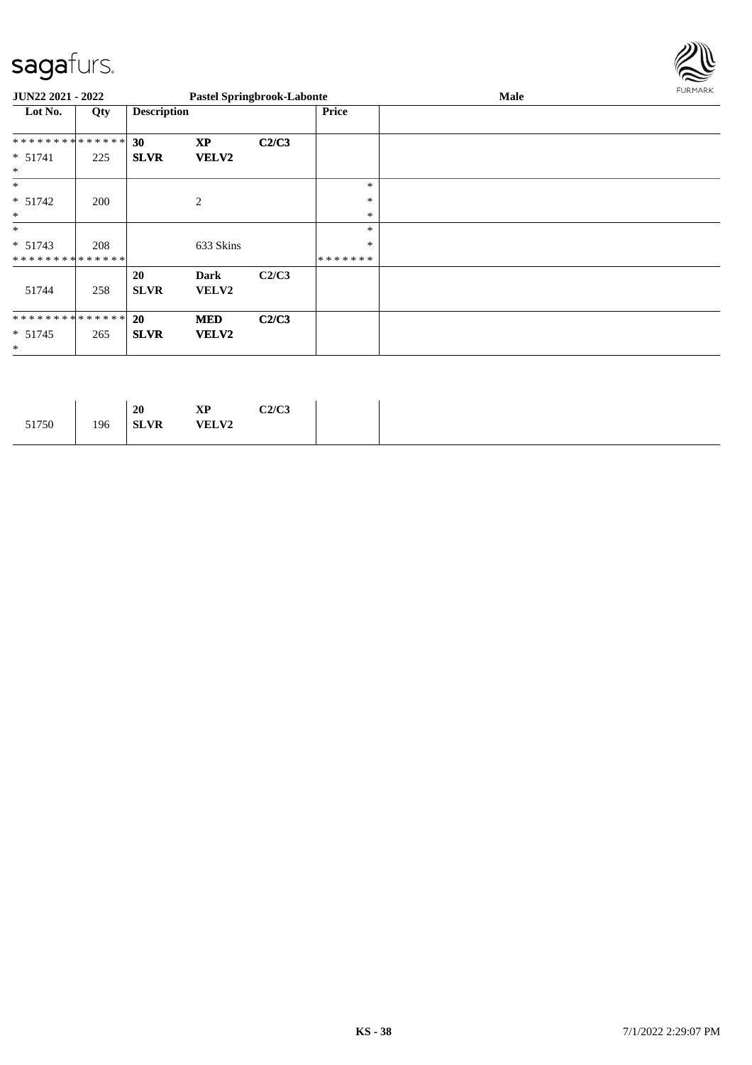

| JUN22 2021 - 2022             |     |                    |                      | <b>Pastel Springbrook-Labonte</b> |              | Male | <b>FURMARK</b> |
|-------------------------------|-----|--------------------|----------------------|-----------------------------------|--------------|------|----------------|
| Lot No.                       | Qty | <b>Description</b> |                      |                                   | <b>Price</b> |      |                |
| **************                |     | 30                 | <b>XP</b>            | C2/C3                             |              |      |                |
| $* 51741$<br>$\ast$           | 225 | <b>SLVR</b>        | <b>VELV2</b>         |                                   |              |      |                |
| $\ast$                        |     |                    |                      |                                   | *            |      |                |
| $* 51742$                     | 200 |                    | 2                    |                                   | $\ast$       |      |                |
| $\ast$                        |     |                    |                      |                                   | $\ast$       |      |                |
| $\ast$                        |     |                    |                      |                                   | $\ast$       |      |                |
| $* 51743$                     | 208 |                    | 633 Skins            |                                   | $\ast$       |      |                |
| **************                |     |                    |                      |                                   | *******      |      |                |
| 51744                         | 258 | 20<br><b>SLVR</b>  | Dark<br><b>VELV2</b> | C2/C3                             |              |      |                |
| * * * * * * * * * * * * * * * |     | <b>20</b>          | <b>MED</b>           | C2/C3                             |              |      |                |
| $* 51745$<br>$\ast$           | 265 | <b>SLVR</b>        | <b>VELV2</b>         |                                   |              |      |                |

|                                      |     | 20 | <b>XP</b> | C2/C3 |
|--------------------------------------|-----|----|-----------|-------|
| 51750<br><b>VELV2</b><br><b>SLVR</b> | 196 |    |           |       |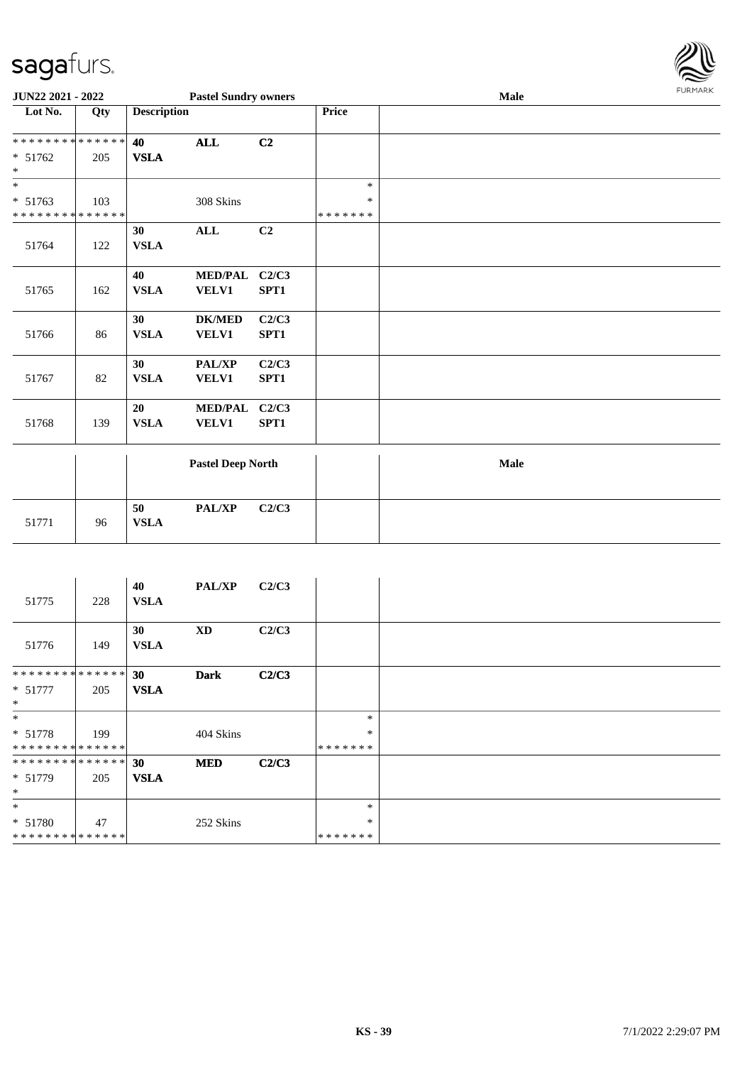

| JUN22 2021 - 2022           |     |                    | <b>Pastel Sundry owners</b> |       |               | <b>Male</b> |  |  |  |
|-----------------------------|-----|--------------------|-----------------------------|-------|---------------|-------------|--|--|--|
| Lot No.                     | Qty | <b>Description</b> |                             |       | Price         |             |  |  |  |
| **************              |     | 40                 | <b>ALL</b>                  | C2    |               |             |  |  |  |
| * 51762                     | 205 | <b>VSLA</b>        |                             |       |               |             |  |  |  |
| $\ast$                      |     |                    |                             |       |               |             |  |  |  |
| $\overline{\phantom{0}}$    |     |                    |                             |       | $\ast$        |             |  |  |  |
| $* 51763$                   | 103 |                    | 308 Skins                   |       | $\ast$        |             |  |  |  |
| * * * * * * * * * * * * * * |     |                    |                             |       | * * * * * * * |             |  |  |  |
|                             |     | 30                 | $\mathbf{ALL}$              | C2    |               |             |  |  |  |
| 51764                       | 122 | <b>VSLA</b>        |                             |       |               |             |  |  |  |
|                             |     | 40                 | MED/PAL C2/C3               |       |               |             |  |  |  |
| 51765                       | 162 | <b>VSLA</b>        | <b>VELV1</b>                | SPT1  |               |             |  |  |  |
|                             |     | 30                 | <b>DK/MED</b>               | C2/C3 |               |             |  |  |  |
| 51766                       | 86  | <b>VSLA</b>        | <b>VELV1</b>                | SPT1  |               |             |  |  |  |
|                             |     | 30                 | PAL/XP                      | C2/C3 |               |             |  |  |  |
| 51767                       | 82  | <b>VSLA</b>        | <b>VELV1</b>                | SPT1  |               |             |  |  |  |
|                             |     | 20                 | MED/PAL C2/C3               |       |               |             |  |  |  |
| 51768                       | 139 | <b>VSLA</b>        | <b>VELV1</b>                | SPT1  |               |             |  |  |  |
|                             |     |                    | <b>Pastel Deep North</b>    |       |               | Male        |  |  |  |
|                             |     |                    |                             |       |               |             |  |  |  |
|                             |     | 50                 | PAL/XP                      | C2/C3 |               |             |  |  |  |
| 51771                       | 96  | <b>VSLA</b>        |                             |       |               |             |  |  |  |

| 51775          | 228 | 40<br><b>VSLA</b> | <b>PAL/XP</b> | C2/C3 |         |  |
|----------------|-----|-------------------|---------------|-------|---------|--|
| 51776          | 149 | 30<br><b>VSLA</b> | <b>XD</b>     | C2/C3 |         |  |
| ************** |     | 30                | <b>Dark</b>   | C2/C3 |         |  |
| $* 51777$      | 205 | <b>VSLA</b>       |               |       |         |  |
| $*$            |     |                   |               |       |         |  |
| $*$            |     |                   |               |       | $\ast$  |  |
| $* 51778$      | 199 |                   | 404 Skins     |       | $\ast$  |  |
| ************** |     |                   |               |       | ******* |  |
| ************** |     | 30                | <b>MED</b>    | C2/C3 |         |  |
| * 51779        | 205 | <b>VSLA</b>       |               |       |         |  |
| $*$            |     |                   |               |       |         |  |
| $*$            |     |                   |               |       | $\ast$  |  |
| * 51780        | 47  |                   | 252 Skins     |       | $\ast$  |  |
| ************** |     |                   |               |       | ******* |  |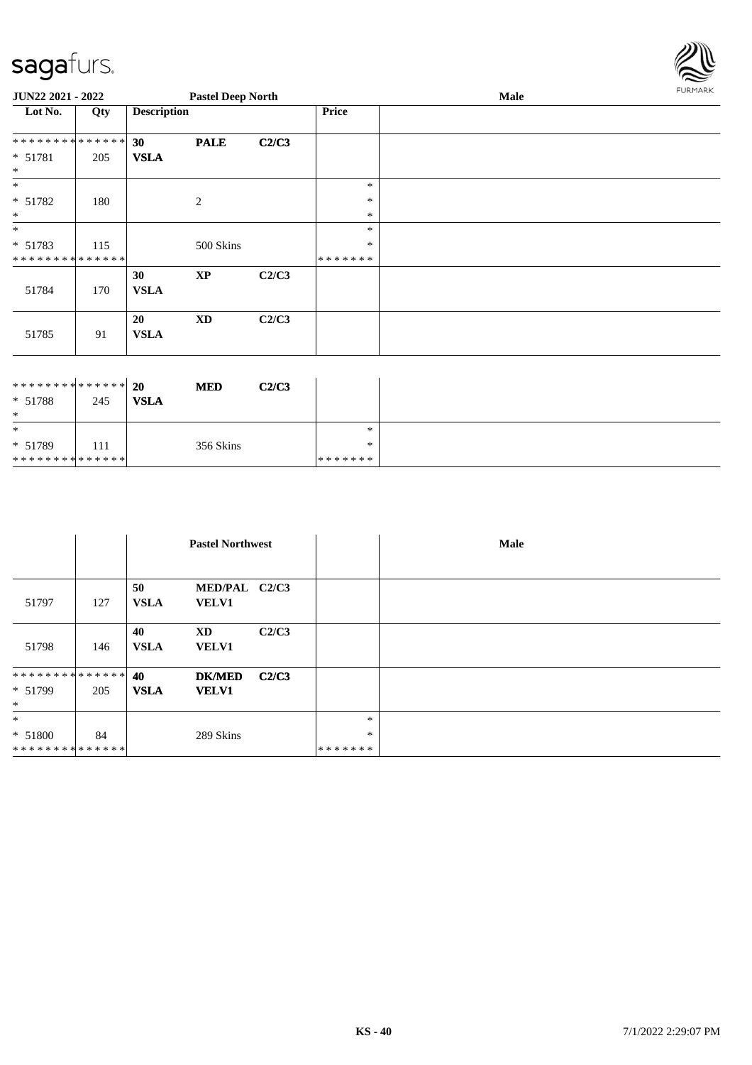\* 51789

\* \* \* \* \* \* \* \* \* \* \* \* \* \*

| 111 | 356 Skins



| JUN22 2021 - 2022            |     |                    | <b>Pastel Deep North</b> |       |         | Male | <b>FURMARK</b> |
|------------------------------|-----|--------------------|--------------------------|-------|---------|------|----------------|
| Lot No.                      | Qty | <b>Description</b> |                          |       | Price   |      |                |
| **************               |     | 30                 | <b>PALE</b>              | C2/C3 |         |      |                |
| $* 51781$<br>$\ast$          | 205 | <b>VSLA</b>        |                          |       |         |      |                |
| $\ast$                       |     |                    |                          |       | $\ast$  |      |                |
| $* 51782$                    | 180 |                    | 2                        |       | $\ast$  |      |                |
| $\ast$                       |     |                    |                          |       | $\ast$  |      |                |
| $\ast$                       |     |                    |                          |       | $\ast$  |      |                |
| * 51783                      | 115 |                    | 500 Skins                |       | $\ast$  |      |                |
| **************               |     |                    |                          |       | ******* |      |                |
| 51784                        | 170 | 30<br><b>VSLA</b>  | $\mathbf{X}\mathbf{P}$   | C2/C3 |         |      |                |
| 51785                        | 91  | 20<br><b>VSLA</b>  | <b>XD</b>                | C2/C3 |         |      |                |
|                              |     |                    |                          |       |         |      |                |
| ******** <mark>******</mark> |     | 20                 | <b>MED</b>               | C2/C3 |         |      |                |
| * 51788                      | 245 | <b>VSLA</b>        |                          |       |         |      |                |
| $\ast$                       |     |                    |                          |       |         |      |                |
| $\ast$                       |     |                    |                          |       | $\ast$  |      |                |

\*

\* \* \* \* \* \* \*

|                |     | <b>Pastel Northwest</b> |                               |       |         | Male |
|----------------|-----|-------------------------|-------------------------------|-------|---------|------|
|                |     |                         |                               |       |         |      |
| 51797          | 127 | 50<br><b>VSLA</b>       | MED/PAL C2/C3<br><b>VELV1</b> |       |         |      |
| 51798          | 146 | 40<br><b>VSLA</b>       | <b>XD</b><br><b>VELV1</b>     | C2/C3 |         |      |
| ************** |     | 40                      | <b>DK/MED</b>                 | C2/C3 |         |      |
| * 51799        | 205 | <b>VSLA</b>             | <b>VELV1</b>                  |       |         |      |
| $\ast$         |     |                         |                               |       |         |      |
| $*$            |     |                         |                               |       | $\ast$  |      |
| * 51800        | 84  |                         | 289 Skins                     |       | $\ast$  |      |
| ************** |     |                         |                               |       | ******* |      |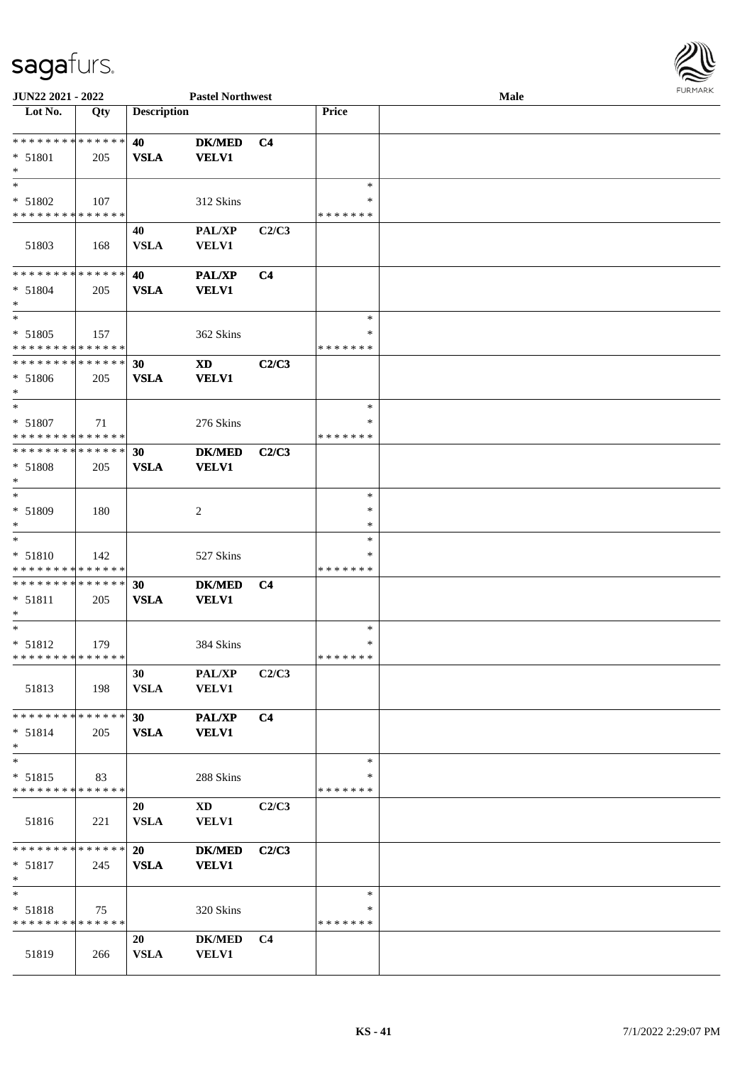| JUN22 2021 - 2022                                   |     |                    | <b>Pastel Northwest</b>                |                |                                   | Male | <b>FURMAR</b> |
|-----------------------------------------------------|-----|--------------------|----------------------------------------|----------------|-----------------------------------|------|---------------|
| Lot No.                                             | Qty | <b>Description</b> |                                        |                | Price                             |      |               |
| ******** <mark>******</mark><br>* 51801<br>$\ast$   | 205 | 40<br><b>VSLA</b>  | <b>DK/MED</b><br><b>VELV1</b>          | C <sub>4</sub> |                                   |      |               |
| $\ast$<br>* 51802<br>* * * * * * * * * * * * * *    | 107 |                    | 312 Skins                              |                | $\ast$<br>∗<br>* * * * * * *      |      |               |
| 51803                                               | 168 | 40<br><b>VSLA</b>  | PAL/XP<br><b>VELV1</b>                 | C2/C3          |                                   |      |               |
| ******** <mark>******</mark><br>$* 51804$<br>$\ast$ | 205 | 40<br><b>VSLA</b>  | <b>PAL/XP</b><br><b>VELV1</b>          | C <sub>4</sub> |                                   |      |               |
| $\ast$<br>$* 51805$<br>**************               | 157 |                    | 362 Skins                              |                | $\ast$<br>*<br>* * * * * * *      |      |               |
| ******** <mark>******</mark><br>$* 51806$<br>∗      | 205 | 30<br><b>VSLA</b>  | <b>XD</b><br><b>VELV1</b>              | C2/C3          |                                   |      |               |
| $\ast$<br>$* 51807$<br>******** <mark>******</mark> | 71  |                    | 276 Skins                              |                | $\ast$<br>$\ast$<br>* * * * * * * |      |               |
| ******** <mark>******</mark><br>* 51808<br>$\ast$   | 205 | 30<br><b>VSLA</b>  | <b>DK/MED</b><br><b>VELV1</b>          | C2/C3          |                                   |      |               |
| $\ast$<br>* 51809<br>$\ast$                         | 180 |                    | $\sqrt{2}$                             |                | $\ast$<br>$\ast$<br>$\ast$        |      |               |
| $\ast$<br>$* 51810$<br>* * * * * * * * * * * * * *  | 142 |                    | 527 Skins                              |                | $\ast$<br>$\ast$<br>* * * * * * * |      |               |
| ******** <mark>******</mark><br>* 51811<br>$\ast$   | 205 | 30<br><b>VSLA</b>  | <b>DK/MED</b><br><b>VELV1</b>          | C <sub>4</sub> |                                   |      |               |
| $\ast$<br>$* 51812$<br>* * * * * * * * * * * * * *  | 179 |                    | 384 Skins                              |                | $\ast$<br>$\ast$<br>*******       |      |               |
| 51813                                               | 198 | 30<br><b>VSLA</b>  | PAL/XP<br><b>VELV1</b>                 | C2/C3          |                                   |      |               |
| ******** <mark>******</mark><br>$* 51814$<br>$\ast$ | 205 | 30<br>${\bf VSLA}$ | PAL/XP<br><b>VELV1</b>                 | C <sub>4</sub> |                                   |      |               |
| $\ast$<br>$* 51815$<br>* * * * * * * * * * * * * *  | 83  |                    | 288 Skins                              |                | $\ast$<br>$\ast$<br>* * * * * * * |      |               |
| 51816                                               | 221 | 20<br><b>VSLA</b>  | $\mathbf{X}\mathbf{D}$<br><b>VELV1</b> | C2/C3          |                                   |      |               |
| ******** <mark>******</mark><br>$* 51817$<br>$\ast$ | 245 | 20<br><b>VSLA</b>  | <b>DK/MED</b><br><b>VELV1</b>          | C2/C3          |                                   |      |               |
| $\ast$<br>* 51818<br>* * * * * * * * * * * * * *    | 75  |                    | 320 Skins                              |                | $\ast$<br>$\ast$<br>* * * * * * * |      |               |
| 51819                                               | 266 | 20<br><b>VSLA</b>  | $DK/MED$<br><b>VELV1</b>               | C <sub>4</sub> |                                   |      |               |

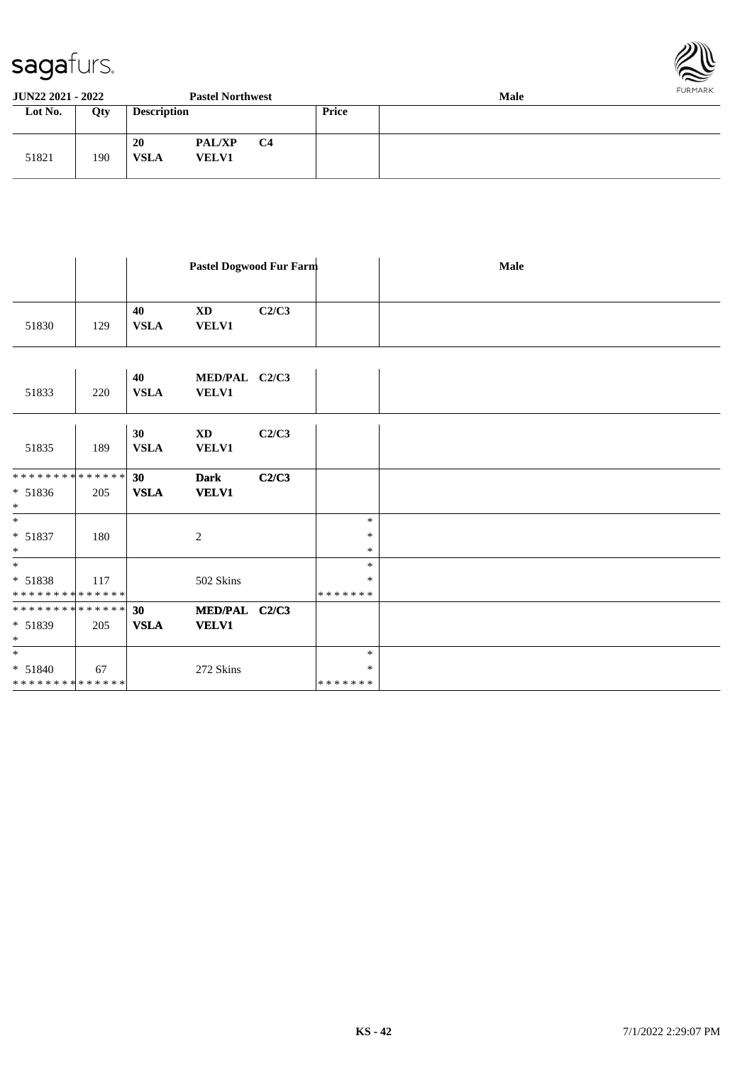



| <b>JUN22 2021 - 2022</b> |     |                    | <b>Pastel Northwest</b>       |           |       | FURMARK<br><b>Male</b> |  |  |
|--------------------------|-----|--------------------|-------------------------------|-----------|-------|------------------------|--|--|
| Lot No.                  | Qty | <b>Description</b> |                               |           | Price |                        |  |  |
| 51821                    | 190 | 20<br><b>VSLA</b>  | <b>PAL/XP</b><br><b>VELV1</b> | <b>C4</b> |       |                        |  |  |

|       |     | Pastel Dogwood Fur Farm |                           |       | Male |
|-------|-----|-------------------------|---------------------------|-------|------|
| 51830 | 129 | 40<br><b>VSLA</b>       | <b>XD</b><br><b>VELV1</b> | C2/C3 |      |

| 51833               | 220 | 40<br><b>VSLA</b> | MED/PAL C2/C3<br><b>VELV1</b>          |       |         |  |
|---------------------|-----|-------------------|----------------------------------------|-------|---------|--|
| 51835               | 189 | 30<br><b>VSLA</b> | $\mathbf{X}\mathbf{D}$<br><b>VELV1</b> | C2/C3 |         |  |
| **************      |     | 30                | <b>Dark</b>                            | C2/C3 |         |  |
| $* 51836$<br>$\ast$ | 205 | <b>VSLA</b>       | <b>VELV1</b>                           |       |         |  |
| $*$                 |     |                   |                                        |       | $\ast$  |  |
| $* 51837$           | 180 |                   | 2                                      |       | ∗       |  |
| $\ast$              |     |                   |                                        |       | $\ast$  |  |
| $*$                 |     |                   |                                        |       | $\ast$  |  |
| $* 51838$           | 117 |                   | 502 Skins                              |       | $\ast$  |  |
| **************      |     |                   |                                        |       | ******* |  |
| **************      |     | 30                | MED/PAL C2/C3                          |       |         |  |
| $* 51839$           | 205 | <b>VSLA</b>       | <b>VELV1</b>                           |       |         |  |
| $\ast$              |     |                   |                                        |       |         |  |
| $\ast$              |     |                   |                                        |       | $\ast$  |  |
| $* 51840$           | 67  |                   | 272 Skins                              |       | $\ast$  |  |
| **************      |     |                   |                                        |       | ******* |  |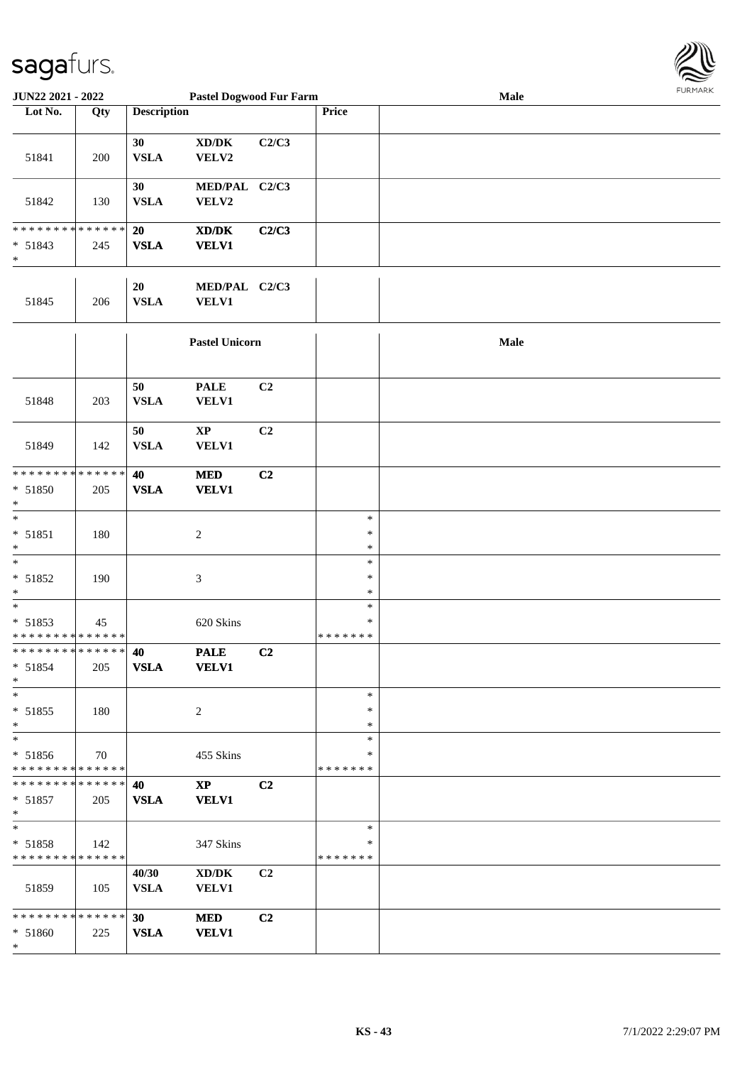

| JUN22 2021 - 2022                                         |     | <b>Pastel Dogwood Fur Farm</b> |                                                                                                                      |                |                              | Male |  |  |  |
|-----------------------------------------------------------|-----|--------------------------------|----------------------------------------------------------------------------------------------------------------------|----------------|------------------------------|------|--|--|--|
| Lot No.                                                   | Qty | <b>Description</b>             |                                                                                                                      |                | Price                        |      |  |  |  |
| 51841                                                     | 200 | 30<br><b>VSLA</b>              | $\boldsymbol{\mathrm{XD}}\boldsymbol{/}\boldsymbol{\mathrm{DK}}$<br>VELV2                                            | C2/C3          |                              |      |  |  |  |
| 51842                                                     | 130 | 30<br><b>VSLA</b>              | MED/PAL C2/C3<br>VELV2                                                                                               |                |                              |      |  |  |  |
| ******** <mark>******</mark><br>$* 51843$<br>$\ast$       | 245 | 20<br><b>VSLA</b>              | $\boldsymbol{\text{X}}\boldsymbol{\text{D}}\boldsymbol{/}\boldsymbol{\text{D}}\boldsymbol{\text{K}}$<br><b>VELV1</b> | C2/C3          |                              |      |  |  |  |
| 51845                                                     | 206 | 20<br><b>VSLA</b>              | MED/PAL C2/C3<br><b>VELV1</b>                                                                                        |                |                              |      |  |  |  |
|                                                           |     |                                | <b>Pastel Unicorn</b>                                                                                                |                |                              | Male |  |  |  |
| 51848                                                     | 203 | 50<br><b>VSLA</b>              | $\ensuremath{\mathsf{PALE}}$<br><b>VELV1</b>                                                                         | C <sub>2</sub> |                              |      |  |  |  |
| 51849                                                     | 142 | 50<br><b>VSLA</b>              | $\mathbf{XP}$<br><b>VELV1</b>                                                                                        | C <sub>2</sub> |                              |      |  |  |  |
| **************                                            |     | 40                             | $\bf MED$                                                                                                            | C2             |                              |      |  |  |  |
| $* 51850$<br>$\ast$                                       | 205 | <b>VSLA</b>                    | <b>VELV1</b>                                                                                                         |                |                              |      |  |  |  |
| $\ast$<br>* 51851<br>$\ast$                               | 180 |                                | $\overline{2}$                                                                                                       |                | $\ast$<br>$\ast$<br>$\ast$   |      |  |  |  |
| $\ast$<br>* 51852<br>$\ast$                               | 190 |                                | $\ensuremath{\mathfrak{Z}}$                                                                                          |                | $\ast$<br>$\ast$<br>$\ast$   |      |  |  |  |
| $_{\ast}^{-}$<br>$* 51853$<br>* * * * * * * * * * * * * * | 45  |                                | 620 Skins                                                                                                            |                | $\ast$<br>∗<br>* * * * * * * |      |  |  |  |
| * * * * * * * * * * * * * * *<br>* 51854<br>$\ast$        | 205 | 40<br><b>VSLA</b>              | <b>PALE</b><br><b>VELV1</b>                                                                                          | C2             |                              |      |  |  |  |
| $\ast$<br>$* 51855$<br>$\ast$                             | 180 |                                | $\sqrt{2}$                                                                                                           |                | $\ast$<br>$\ast$<br>$\ast$   |      |  |  |  |
| $_{\ast}^{-}$<br>$* 51856$<br>* * * * * * * * * * * * * * | 70  |                                | 455 Skins                                                                                                            |                | $\ast$<br>∗<br>* * * * * * * |      |  |  |  |
| * * * * * * * * * * * * * *<br>* 51857<br>$\ast$          | 205 | 40<br><b>VSLA</b>              | $\bold{XP}$<br><b>VELV1</b>                                                                                          | C <sub>2</sub> |                              |      |  |  |  |
| $\ast$<br>* 51858<br>* * * * * * * * * * * * * *          | 142 |                                | 347 Skins                                                                                                            |                | $\ast$<br>∗<br>* * * * * * * |      |  |  |  |
| 51859                                                     | 105 | 40/30<br><b>VSLA</b>           | $\bold{X}\bold{D}/\bold{D}\bold{K}$<br><b>VELV1</b>                                                                  | C <sub>2</sub> |                              |      |  |  |  |
| **************<br>* 51860<br>$\ast$                       | 225 | 30<br><b>VSLA</b>              | <b>MED</b><br><b>VELV1</b>                                                                                           | C <sub>2</sub> |                              |      |  |  |  |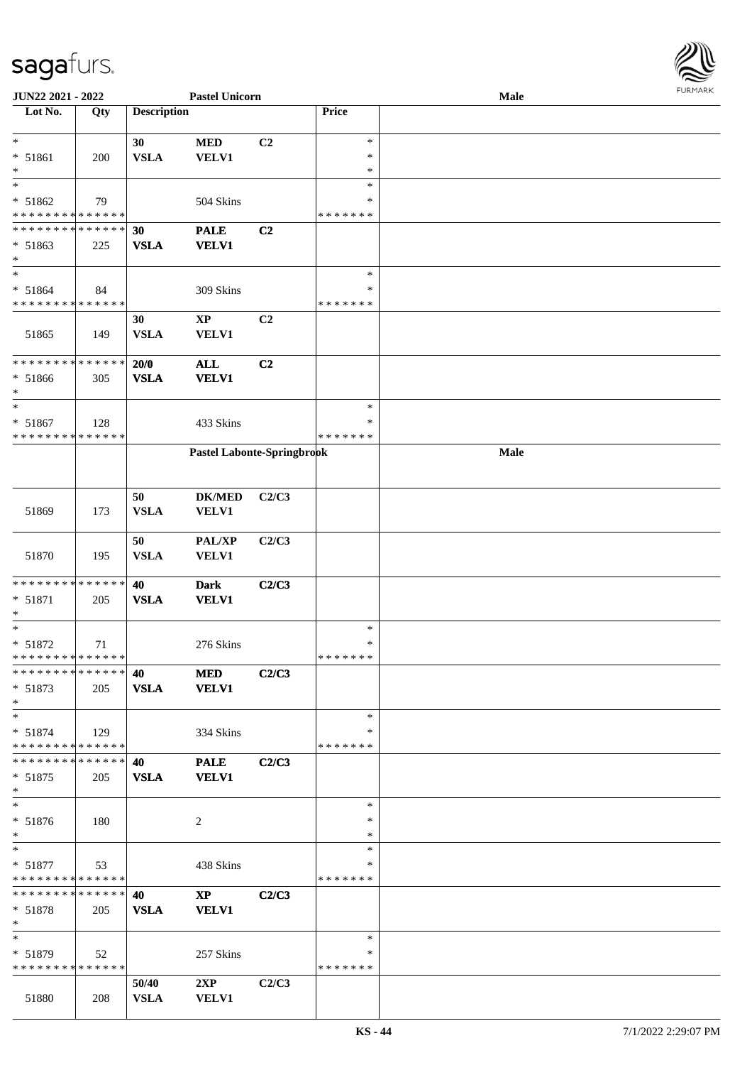

| JUN22 2021 - 2022                        |     | <b>Pastel Unicorn</b> |                            |                |               | <b>FUNITANY</b><br>Male |  |  |  |  |
|------------------------------------------|-----|-----------------------|----------------------------|----------------|---------------|-------------------------|--|--|--|--|
| Lot No.                                  | Qty | <b>Description</b>    |                            |                | Price         |                         |  |  |  |  |
|                                          |     |                       |                            |                |               |                         |  |  |  |  |
| $\ast$                                   |     | 30                    | $\bf MED$                  | C <sub>2</sub> | $\ast$        |                         |  |  |  |  |
| * 51861                                  | 200 | <b>VSLA</b>           | <b>VELV1</b>               |                | $\ast$        |                         |  |  |  |  |
| $\ast$                                   |     |                       |                            |                | $\ast$        |                         |  |  |  |  |
| $\ast$                                   |     |                       |                            |                | $\ast$        |                         |  |  |  |  |
| * 51862                                  | 79  |                       | 504 Skins                  |                | ∗             |                         |  |  |  |  |
| * * * * * * * * * * * * * *              |     |                       |                            |                | * * * * * * * |                         |  |  |  |  |
| * * * * * * * * * * * * * *              |     | 30                    | <b>PALE</b>                | C <sub>2</sub> |               |                         |  |  |  |  |
| * 51863<br>$\ast$                        | 225 | <b>VSLA</b>           | <b>VELV1</b>               |                |               |                         |  |  |  |  |
| $\ast$                                   |     |                       |                            |                | $\ast$        |                         |  |  |  |  |
|                                          |     |                       |                            |                | $\ast$        |                         |  |  |  |  |
| $* 51864$<br>* * * * * * * * * * * * * * | 84  |                       | 309 Skins                  |                | * * * * * * * |                         |  |  |  |  |
|                                          |     | 30                    | $\bold{XP}$                | C <sub>2</sub> |               |                         |  |  |  |  |
|                                          |     | <b>VSLA</b>           |                            |                |               |                         |  |  |  |  |
| 51865                                    | 149 |                       | <b>VELV1</b>               |                |               |                         |  |  |  |  |
| * * * * * * * * * * * * * *              |     | $20/0$                | $\mathbf{ALL}$             | C <sub>2</sub> |               |                         |  |  |  |  |
| * 51866                                  | 305 | <b>VSLA</b>           | <b>VELV1</b>               |                |               |                         |  |  |  |  |
| $\ast$                                   |     |                       |                            |                |               |                         |  |  |  |  |
| $\ast$                                   |     |                       |                            |                | $\ast$        |                         |  |  |  |  |
| $* 51867$                                | 128 |                       | 433 Skins                  |                | $\ast$        |                         |  |  |  |  |
| * * * * * * * * * * * * * *              |     |                       |                            |                | * * * * * * * |                         |  |  |  |  |
|                                          |     |                       | Pastel Labonte-Springbrook |                |               | Male                    |  |  |  |  |
|                                          |     |                       |                            |                |               |                         |  |  |  |  |
|                                          |     |                       |                            |                |               |                         |  |  |  |  |
|                                          |     | 50                    | <b>DK/MED</b>              | C2/C3          |               |                         |  |  |  |  |
| 51869                                    | 173 | <b>VSLA</b>           | VELV1                      |                |               |                         |  |  |  |  |
|                                          |     |                       |                            |                |               |                         |  |  |  |  |
|                                          |     | 50                    | PAL/XP                     | C2/C3          |               |                         |  |  |  |  |
| 51870                                    | 195 | <b>VSLA</b>           | VELV1                      |                |               |                         |  |  |  |  |
|                                          |     |                       |                            |                |               |                         |  |  |  |  |
| * * * * * * * * * * * * * *              |     | 40                    | <b>Dark</b>                | C2/C3          |               |                         |  |  |  |  |
| * 51871                                  | 205 | <b>VSLA</b>           | <b>VELV1</b>               |                |               |                         |  |  |  |  |
| $\ast$                                   |     |                       |                            |                |               |                         |  |  |  |  |
| $\ast$                                   |     |                       |                            |                | $\ast$        |                         |  |  |  |  |
| $* 51872$                                | 71  |                       | 276 Skins                  |                | $\ast$        |                         |  |  |  |  |
| * * * * * * * * * * * * * *              |     |                       |                            |                | * * * * * * * |                         |  |  |  |  |
| **************                           |     | 40                    | <b>MED</b>                 | C2/C3          |               |                         |  |  |  |  |
| $* 51873$                                | 205 | <b>VSLA</b>           | <b>VELV1</b>               |                |               |                         |  |  |  |  |
| $\ast$                                   |     |                       |                            |                |               |                         |  |  |  |  |
| $\ast$                                   |     |                       |                            |                | $\ast$        |                         |  |  |  |  |
| $* 51874$                                | 129 |                       | 334 Skins                  |                | ∗             |                         |  |  |  |  |
| * * * * * * * * * * * * * *              |     |                       |                            |                | * * * * * * * |                         |  |  |  |  |
| * * * * * * * * * * * * * *              |     | 40                    | <b>PALE</b>                | C2/C3          |               |                         |  |  |  |  |
| $* 51875$                                | 205 | <b>VSLA</b>           | <b>VELV1</b>               |                |               |                         |  |  |  |  |
| $\ast$                                   |     |                       |                            |                |               |                         |  |  |  |  |
| $\ast$                                   |     |                       |                            |                | $\ast$        |                         |  |  |  |  |
| $* 51876$                                | 180 |                       | 2                          |                | ∗             |                         |  |  |  |  |
| $\ast$                                   |     |                       |                            |                | $\ast$        |                         |  |  |  |  |
| $\ast$                                   |     |                       |                            |                | $\ast$        |                         |  |  |  |  |
| $* 51877$                                | 53  |                       | 438 Skins                  |                | ∗             |                         |  |  |  |  |
| * * * * * * * * * * * * * *              |     |                       |                            |                | * * * * * * * |                         |  |  |  |  |
| **************                           |     | 40                    | $\mathbf{X}\mathbf{P}$     | C2/C3          |               |                         |  |  |  |  |
| $* 51878$                                | 205 | <b>VSLA</b>           | <b>VELV1</b>               |                |               |                         |  |  |  |  |
| $*$                                      |     |                       |                            |                |               |                         |  |  |  |  |
| $*$                                      |     |                       |                            |                | $\ast$        |                         |  |  |  |  |
| * 51879                                  | 52  |                       | 257 Skins                  |                | ∗             |                         |  |  |  |  |
| * * * * * * * * * * * * * *              |     |                       |                            |                | * * * * * * * |                         |  |  |  |  |
|                                          |     | 50/40                 | 2XP                        | C2/C3          |               |                         |  |  |  |  |
| 51880                                    | 208 | <b>VSLA</b>           | <b>VELV1</b>               |                |               |                         |  |  |  |  |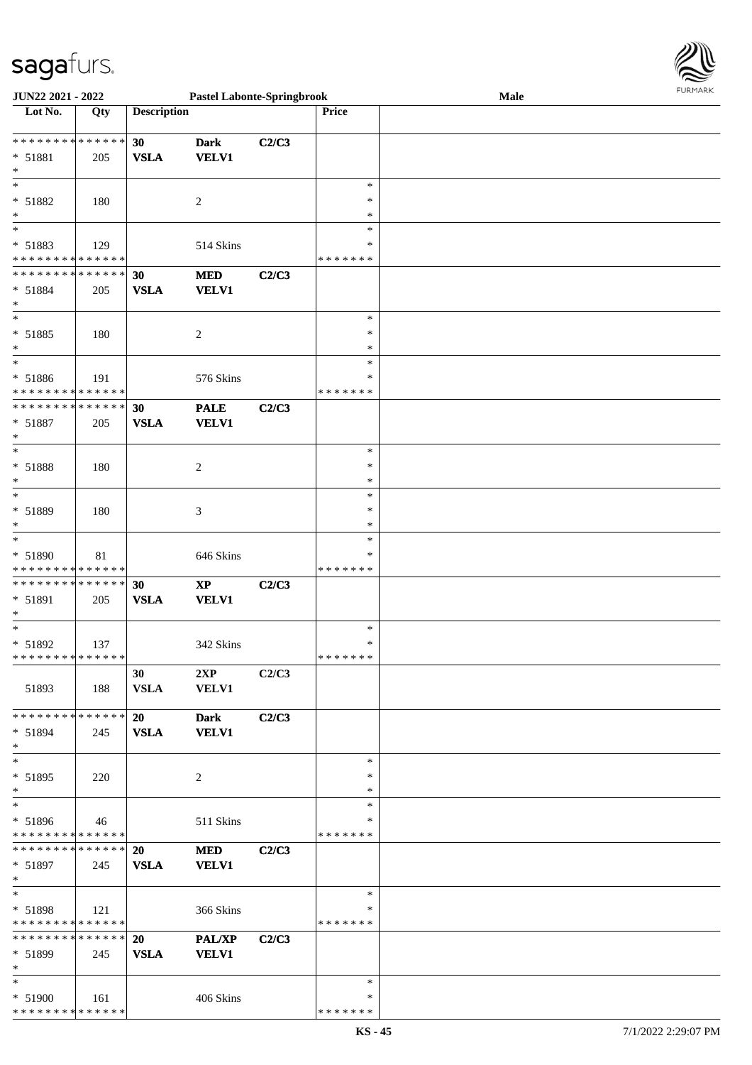| JUN22 2021 - 2022                                                    |        |                          | <b>Pastel Labonte-Springbrook</b>          |       |                                   | Male | <b>FURMARK</b> |
|----------------------------------------------------------------------|--------|--------------------------|--------------------------------------------|-------|-----------------------------------|------|----------------|
| Lot No.                                                              | Qty    | <b>Description</b>       |                                            |       | Price                             |      |                |
| ******** <mark>******</mark><br>* 51881<br>$\ast$                    | 205    | 30<br>${\bf VSLA}$       | <b>Dark</b><br><b>VELV1</b>                | C2/C3 |                                   |      |                |
| $\ast$<br>* 51882<br>$\ast$                                          | 180    |                          | $\overline{c}$                             |       | $\ast$<br>$\ast$<br>$\ast$        |      |                |
| $\ast$<br>* 51883<br>* * * * * * * * * * * * * *                     | 129    |                          | 514 Skins                                  |       | $\ast$<br>∗<br>* * * * * * *      |      |                |
| * * * * * * * * * * * * * *<br>* 51884<br>$\ast$                     | 205    | 30<br><b>VSLA</b>        | <b>MED</b><br><b>VELV1</b>                 | C2/C3 |                                   |      |                |
| $\ast$<br>* 51885<br>$\ast$                                          | 180    |                          | $\sqrt{2}$                                 |       | $\ast$<br>$\ast$<br>$\ast$        |      |                |
| $\ast$<br>* 51886<br>******** <mark>******</mark>                    | 191    |                          | 576 Skins                                  |       | $\ast$<br>∗<br>* * * * * * *      |      |                |
| **************<br>* 51887<br>$\ast$                                  | 205    | 30<br><b>VSLA</b>        | <b>PALE</b><br><b>VELV1</b>                | C2/C3 |                                   |      |                |
| $\ast$<br>* 51888<br>$\ast$                                          | 180    |                          | $\sqrt{2}$                                 |       | $\ast$<br>$\ast$<br>$\ast$        |      |                |
| $\ast$<br>* 51889<br>$\ast$                                          | 180    |                          | 3                                          |       | $\ast$<br>∗<br>$\ast$             |      |                |
| $\overline{\phantom{a}^*}$<br>* 51890<br>* * * * * * * * * * * * * * | $81\,$ |                          | 646 Skins                                  |       | $\ast$<br>*<br>* * * * * * *      |      |                |
| * * * * * * * * * * * * * *<br>* 51891<br>$\ast$                     | 205    | 30<br><b>VSLA</b>        | $\bold{XP}$<br><b>VELV1</b>                | C2/C3 |                                   |      |                |
| $\ast$<br>* 51892<br>* * * * * * * * * * * * * * *                   | 137    |                          | 342 Skins                                  |       | $\ast$<br>$\ast$<br>* * * * * * * |      |                |
| 51893                                                                | 188    | 30<br><b>VSLA</b>        | 2XP<br><b>VELV1</b>                        | C2/C3 |                                   |      |                |
| * * * * * * * * * * * * * *<br>$* 51894$<br>$\ast$                   | 245    | <b>20</b><br><b>VSLA</b> | <b>Dark</b><br><b>VELV1</b>                | C2/C3 |                                   |      |                |
| $\ast$<br>$* 51895$<br>$\ast$                                        | 220    |                          | 2                                          |       | $\ast$<br>*<br>$\ast$             |      |                |
| $\overline{\phantom{1}}$<br>* 51896<br>* * * * * * * * * * * * * *   | 46     |                          | 511 Skins                                  |       | $\ast$<br>$\ast$<br>* * * * * * * |      |                |
| * * * * * * * * * * * * * *<br>$* 51897$<br>$\ast$                   | 245    | 20<br><b>VSLA</b>        | <b>MED</b><br><b>VELV1</b>                 | C2/C3 |                                   |      |                |
| $\ast$<br>* 51898<br>******** <mark>******</mark>                    | 121    |                          | 366 Skins                                  |       | $\ast$<br>∗<br>* * * * * * *      |      |                |
| ******** <mark>******</mark><br>$* 51899$<br>$\ast$                  | 245    | 20<br><b>VSLA</b>        | $\mathbf{PAL}/\mathbf{XP}$<br><b>VELV1</b> | C2/C3 |                                   |      |                |
| $\ast$<br>* 51900<br>* * * * * * * * * * * * * *                     | 161    |                          | 406 Skins                                  |       | $\ast$<br>∗<br>* * * * * * *      |      |                |

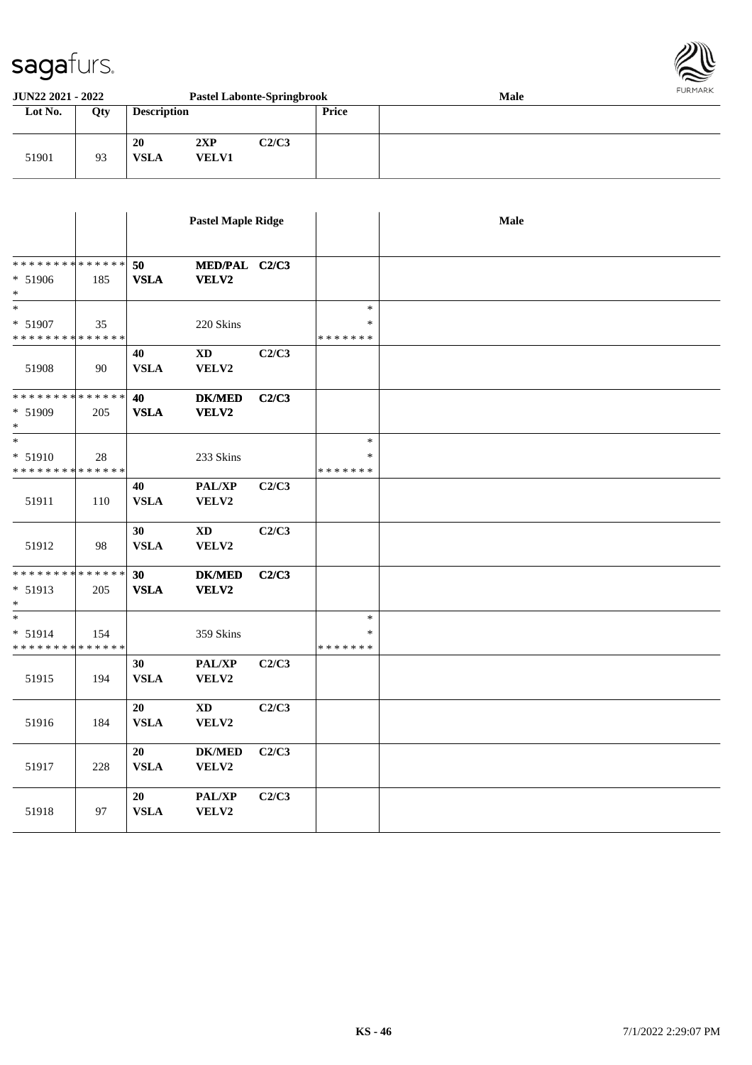

| <b>JUN22 2021 - 2022</b><br><b>Pastel Labonte-Springbrook</b> |     |                    |                     |       |              | <b>Male</b> | FURMARK |
|---------------------------------------------------------------|-----|--------------------|---------------------|-------|--------------|-------------|---------|
| Lot No.                                                       | Qty | <b>Description</b> |                     |       | <b>Price</b> |             |         |
| 51901                                                         | 93  | 20<br><b>VSLA</b>  | 2XP<br><b>VELV1</b> | C2/C3 |              |             |         |

|                                      |     |             | <b>Pastel Maple Ridge</b>  |       |               | Male |
|--------------------------------------|-----|-------------|----------------------------|-------|---------------|------|
|                                      |     |             |                            |       |               |      |
| **************                       |     | 50          | MED/PAL C2/C3              |       |               |      |
| * 51906                              | 185 | <b>VSLA</b> | <b>VELV2</b>               |       |               |      |
| $\ast$                               |     |             |                            |       |               |      |
| $\overline{\phantom{a}^*}$           |     |             |                            |       | $\ast$        |      |
| $* 51907$                            | 35  |             | 220 Skins                  |       | $\ast$        |      |
| * * * * * * * * * * * * * *          |     |             |                            |       | * * * * * * * |      |
|                                      |     | 40          | $\mathbf{X}\mathbf{D}$     | C2/C3 |               |      |
| 51908                                | 90  | <b>VSLA</b> | VELV2                      |       |               |      |
| * * * * * * * * * * * * * *          |     | 40          | <b>DK/MED</b>              | C2/C3 |               |      |
| * 51909                              | 205 | <b>VSLA</b> | VELV2                      |       |               |      |
| $\ast$<br>$\overline{\phantom{a}^*}$ |     |             |                            |       |               |      |
|                                      |     |             |                            |       | $\ast$        |      |
| * 51910                              | 28  |             | 233 Skins                  |       | *             |      |
| * * * * * * * * * * * * * *          |     |             |                            |       | * * * * * * * |      |
|                                      |     | 40          | $\mathbf{PAL}/\mathbf{XP}$ | C2/C3 |               |      |
| 51911                                | 110 | <b>VSLA</b> | VELV2                      |       |               |      |
|                                      |     | 30          | <b>XD</b>                  | C2/C3 |               |      |
| 51912                                | 98  | <b>VSLA</b> | VELV2                      |       |               |      |
| * * * * * * * * * * * * * *          |     | 30          | <b>DK/MED</b>              | C2/C3 |               |      |
| * 51913                              | 205 | <b>VSLA</b> | VELV2                      |       |               |      |
| $\ast$                               |     |             |                            |       |               |      |
| $\ast$                               |     |             |                            |       | $\ast$        |      |
| * 51914                              | 154 |             | 359 Skins                  |       | $\ast$        |      |
| ******** <mark>******</mark>         |     |             |                            |       | * * * * * * * |      |
|                                      |     | 30          | PAL/XP                     | C2/C3 |               |      |
| 51915                                | 194 | <b>VSLA</b> | VELV2                      |       |               |      |
|                                      |     | 20          | $\mathbf{X}\mathbf{D}$     | C2/C3 |               |      |
| 51916                                | 184 | <b>VSLA</b> | VELV2                      |       |               |      |
|                                      |     |             |                            |       |               |      |
|                                      |     | 20          | $DK/MED$                   | C2/C3 |               |      |
| 51917                                | 228 | <b>VSLA</b> | VELV2                      |       |               |      |
|                                      |     | 20          | PAL/XP                     | C2/C3 |               |      |
| 51918                                | 97  | <b>VSLA</b> | VELV2                      |       |               |      |
|                                      |     |             |                            |       |               |      |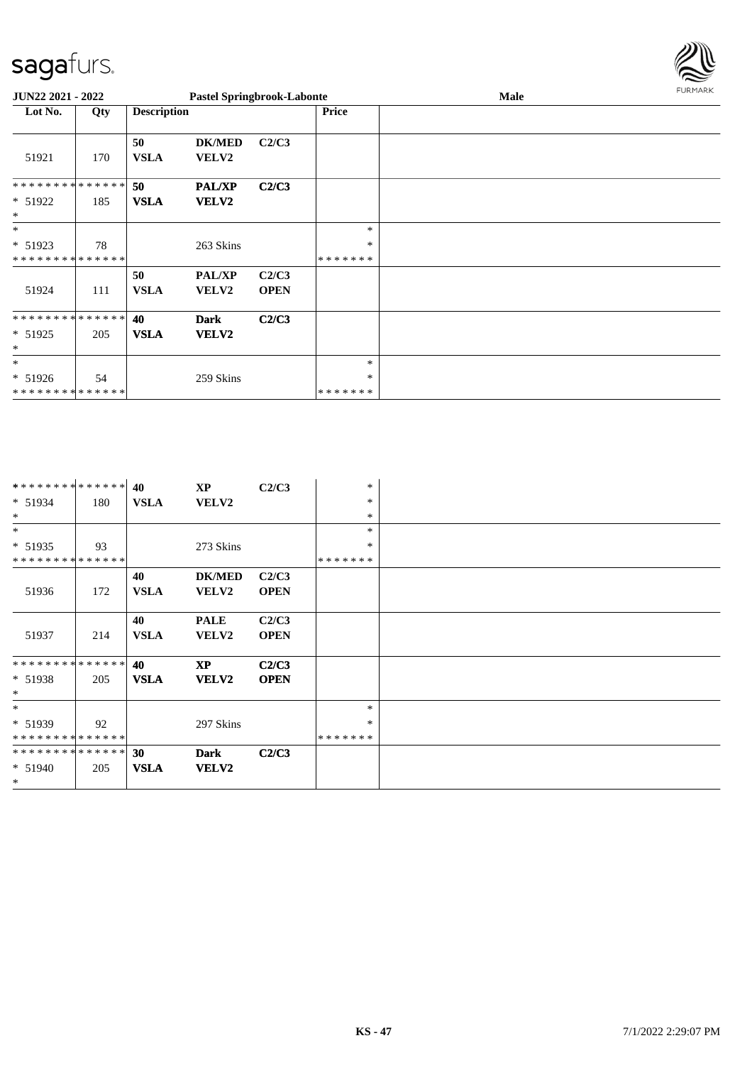

| <b>JUN22 2021 - 2022</b>                           |     |                    | <b>Pastel Springbrook-Labonte</b> |                      |                             | Male | 1.91111111 |
|----------------------------------------------------|-----|--------------------|-----------------------------------|----------------------|-----------------------------|------|------------|
| Lot No.                                            | Qty | <b>Description</b> |                                   |                      | <b>Price</b>                |      |            |
| 51921                                              | 170 | 50<br><b>VSLA</b>  | <b>DK/MED</b><br><b>VELV2</b>     | C2/C3                |                             |      |            |
| * * * * * * * * * * * * * * *<br>* 51922<br>$\ast$ | 185 | 50<br><b>VSLA</b>  | <b>PAL/XP</b><br><b>VELV2</b>     | C2/C3                |                             |      |            |
| $\ast$<br>* 51923<br>* * * * * * * * * * * * * *   | 78  |                    | 263 Skins                         |                      | $\ast$<br>$\ast$<br>******* |      |            |
| 51924                                              | 111 | 50<br><b>VSLA</b>  | <b>PAL/XP</b><br><b>VELV2</b>     | C2/C3<br><b>OPEN</b> |                             |      |            |
| * * * * * * * * * * * * * * *<br>* 51925<br>$\ast$ | 205 | 40<br><b>VSLA</b>  | <b>Dark</b><br><b>VELV2</b>       | C2/C3                |                             |      |            |
| $\ast$<br>* 51926<br>* * * * * * * * * * * * * * * | 54  |                    | 259 Skins                         |                      | $\ast$<br>∗<br>*******      |      |            |

| ************** |     | 40          | $\mathbf{X} \mathbf{P}$ | C2/C3       | $\ast$  |  |
|----------------|-----|-------------|-------------------------|-------------|---------|--|
| $* 51934$      | 180 | <b>VSLA</b> | <b>VELV2</b>            |             | $\ast$  |  |
| $\ast$         |     |             |                         |             | $*$     |  |
| $\ast$         |     |             |                         |             | $\ast$  |  |
| $* 51935$      | 93  |             | 273 Skins               |             | $\ast$  |  |
| ************** |     |             |                         |             | ******* |  |
|                |     | 40          | <b>DK/MED</b>           | C2/C3       |         |  |
| 51936          | 172 | <b>VSLA</b> | <b>VELV2</b>            | <b>OPEN</b> |         |  |
|                |     |             |                         |             |         |  |
|                |     | 40          | <b>PALE</b>             | C2/C3       |         |  |
| 51937          | 214 | <b>VSLA</b> | <b>VELV2</b>            | <b>OPEN</b> |         |  |
|                |     |             |                         |             |         |  |
| ************** |     | 40          | <b>XP</b>               | C2/C3       |         |  |
| $* 51938$      | 205 | <b>VSLA</b> | <b>VELV2</b>            | <b>OPEN</b> |         |  |
| $*$            |     |             |                         |             |         |  |
| $*$            |     |             |                         |             | $\ast$  |  |
| $* 51939$      | 92  |             | 297 Skins               |             | $\ast$  |  |
| ************** |     |             |                         |             | ******* |  |
| ************** |     | 30          | Dark                    | C2/C3       |         |  |
| $* 51940$      | 205 | <b>VSLA</b> | <b>VELV2</b>            |             |         |  |
| $\ast$         |     |             |                         |             |         |  |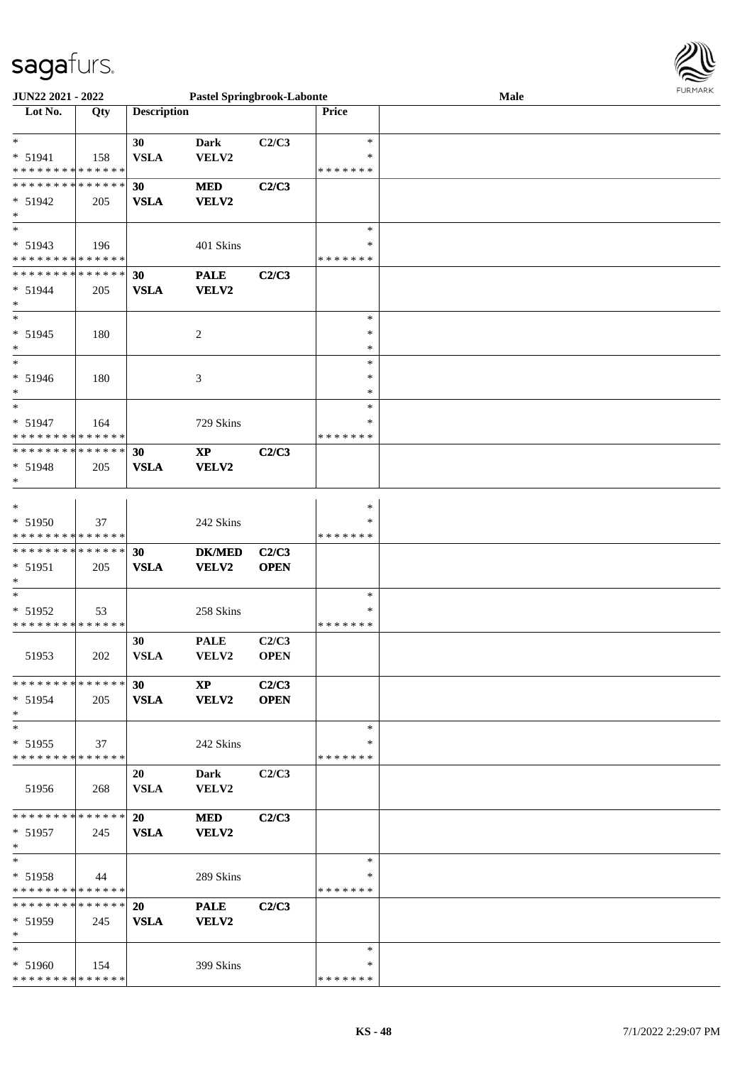

| <b>JUN22 2021 - 2022</b>                   |     |                    | <b>Pastel Springbrook-Labonte</b> |             |               | <b>FUNITANN</b><br>Male |  |
|--------------------------------------------|-----|--------------------|-----------------------------------|-------------|---------------|-------------------------|--|
| Lot No.                                    | Qty | <b>Description</b> |                                   |             | <b>Price</b>  |                         |  |
|                                            |     |                    |                                   |             |               |                         |  |
| $*$                                        |     | 30                 | <b>Dark</b>                       | C2/C3       | $\ast$        |                         |  |
| $* 51941$                                  | 158 | <b>VSLA</b>        | <b>VELV2</b>                      |             | $\ast$        |                         |  |
| * * * * * * * * * * * * * *                |     |                    |                                   |             | *******       |                         |  |
| * * * * * * * * * * * * * *                |     | 30                 | <b>MED</b>                        | C2/C3       |               |                         |  |
|                                            |     |                    |                                   |             |               |                         |  |
| $* 51942$                                  | 205 | <b>VSLA</b>        | <b>VELV2</b>                      |             |               |                         |  |
| $*$                                        |     |                    |                                   |             |               |                         |  |
| $*$                                        |     |                    |                                   |             | $\ast$        |                         |  |
| $* 51943$                                  | 196 |                    | 401 Skins                         |             | *             |                         |  |
| * * * * * * * * <mark>* * * * * *</mark>   |     |                    |                                   |             | * * * * * * * |                         |  |
| * * * * * * * * <mark>* * * * * * *</mark> |     | 30                 | <b>PALE</b>                       | C2/C3       |               |                         |  |
| $* 51944$                                  | 205 | <b>VSLA</b>        | VELV2                             |             |               |                         |  |
| $*$                                        |     |                    |                                   |             |               |                         |  |
| $\overline{\phantom{0}}$                   |     |                    |                                   |             | $\ast$        |                         |  |
|                                            |     |                    |                                   |             |               |                         |  |
| $* 51945$                                  | 180 |                    | 2                                 |             | $\ast$        |                         |  |
| $*$                                        |     |                    |                                   |             | *             |                         |  |
| $\ast$                                     |     |                    |                                   |             | $\ast$        |                         |  |
| * 51946                                    | 180 |                    | 3                                 |             | $\ast$        |                         |  |
| $\ast$                                     |     |                    |                                   |             | *             |                         |  |
| $*$                                        |     |                    |                                   |             | $\ast$        |                         |  |
| $* 51947$                                  | 164 |                    | 729 Skins                         |             | $\ast$        |                         |  |
| * * * * * * * * * * * * * *                |     |                    |                                   |             | * * * * * * * |                         |  |
|                                            |     |                    |                                   |             |               |                         |  |
| * * * * * * * * * * * * * * *              |     | 30                 | $\mathbf{XP}$                     | C2/C3       |               |                         |  |
| * 51948                                    | 205 | <b>VSLA</b>        | <b>VELV2</b>                      |             |               |                         |  |
| $*$                                        |     |                    |                                   |             |               |                         |  |
|                                            |     |                    |                                   |             |               |                         |  |
| $\ast$                                     |     |                    |                                   |             | $\ast$        |                         |  |
| * 51950                                    | 37  |                    | 242 Skins                         |             | $\ast$        |                         |  |
| * * * * * * * * * * * * * *                |     |                    |                                   |             | *******       |                         |  |
| * * * * * * * * * * * * * * *              |     | 30                 | <b>DK/MED</b>                     | C2/C3       |               |                         |  |
| * 51951                                    | 205 | <b>VSLA</b>        | VELV2                             | <b>OPEN</b> |               |                         |  |
| $\ast$                                     |     |                    |                                   |             |               |                         |  |
| $*$                                        |     |                    |                                   |             | $\ast$        |                         |  |
|                                            |     |                    |                                   |             |               |                         |  |
| * 51952                                    | 53  |                    | 258 Skins                         |             | *             |                         |  |
| * * * * * * * * * * * * * *                |     |                    |                                   |             | *******       |                         |  |
|                                            |     | 30                 | <b>PALE</b>                       | C2/C3       |               |                         |  |
| 51953                                      | 202 | <b>VSLA</b>        | <b>VELV2</b>                      | <b>OPEN</b> |               |                         |  |
|                                            |     |                    |                                   |             |               |                         |  |
| * * * * * * * * * * * * * * *              |     | 30 <sup>°</sup>    | $\mathbf{X}\mathbf{P}$            | C2/C3       |               |                         |  |
| $* 51954$                                  | 205 | <b>VSLA</b>        | <b>VELV2</b>                      | <b>OPEN</b> |               |                         |  |
| $*$                                        |     |                    |                                   |             |               |                         |  |
| $*$                                        |     |                    |                                   |             | $\ast$        |                         |  |
|                                            |     |                    |                                   |             | *             |                         |  |
| $* 51955$                                  | 37  |                    | 242 Skins                         |             |               |                         |  |
| * * * * * * * * * * * * * *                |     |                    |                                   |             | *******       |                         |  |
|                                            |     | 20                 | Dark                              | C2/C3       |               |                         |  |
| 51956                                      | 268 | <b>VSLA</b>        | VELV2                             |             |               |                         |  |
|                                            |     |                    |                                   |             |               |                         |  |
| * * * * * * * * * * * * * * <mark>*</mark> |     | <b>20</b>          | <b>MED</b>                        | C2/C3       |               |                         |  |
| $* 51957$                                  | 245 | <b>VSLA</b>        | <b>VELV2</b>                      |             |               |                         |  |
| $*$                                        |     |                    |                                   |             |               |                         |  |
| $*$ $-$                                    |     |                    |                                   |             | $\ast$        |                         |  |
|                                            |     |                    |                                   |             |               |                         |  |
| $* 51958$                                  | 44  |                    | 289 Skins                         |             | ∗             |                         |  |
| * * * * * * * * <mark>* * * * * *</mark>   |     |                    |                                   |             | *******       |                         |  |
| * * * * * * * * * * * * * * <mark>*</mark> |     | 20                 | <b>PALE</b>                       | C2/C3       |               |                         |  |
| $* 51959$                                  | 245 | <b>VSLA</b>        | <b>VELV2</b>                      |             |               |                         |  |
| $*$                                        |     |                    |                                   |             |               |                         |  |
| $*$                                        |     |                    |                                   |             | ∗             |                         |  |
| $* 51960$                                  |     |                    |                                   |             | ∗             |                         |  |
|                                            | 154 |                    | 399 Skins                         |             |               |                         |  |
| * * * * * * * * * * * * * *                |     |                    |                                   |             | * * * * * * * |                         |  |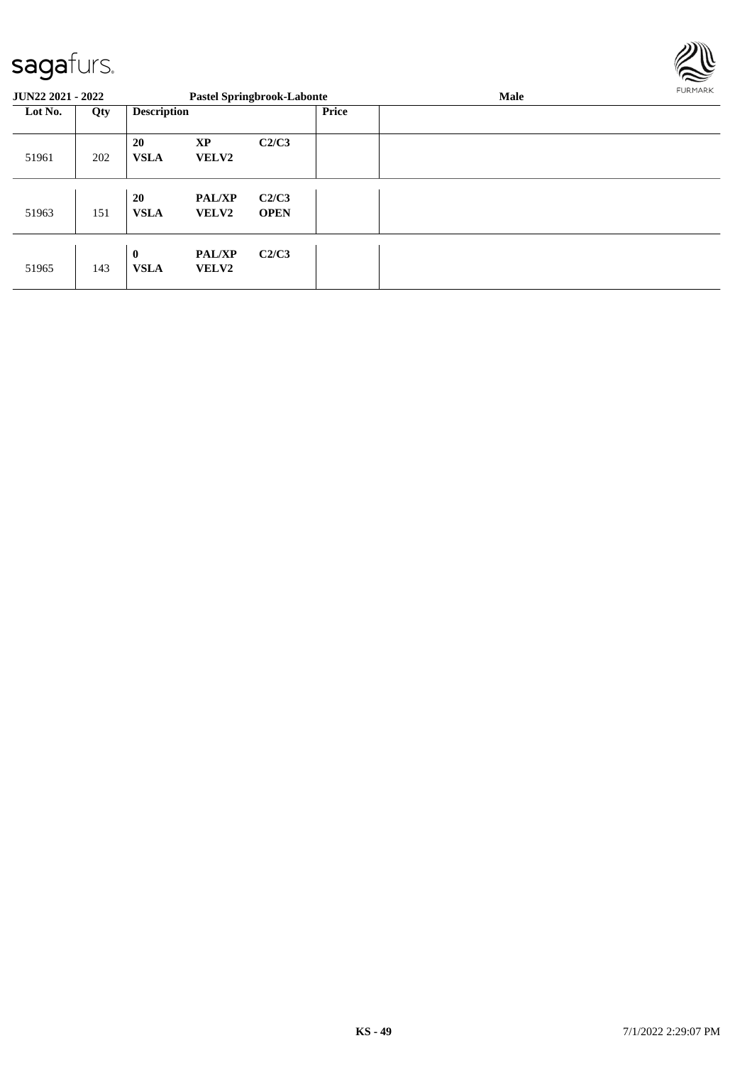

| <b>JUN22 2021 - 2022</b> |     |                             |                               | <b>Pastel Springbrook-Labonte</b> |              | Male | FURMARK |
|--------------------------|-----|-----------------------------|-------------------------------|-----------------------------------|--------------|------|---------|
| Lot No.                  | Qty | <b>Description</b>          |                               |                                   | <b>Price</b> |      |         |
| 51961                    | 202 | 20<br><b>VSLA</b>           | <b>XP</b><br><b>VELV2</b>     | C2/C3                             |              |      |         |
| 51963                    | 151 | 20<br><b>VSLA</b>           | <b>PAL/XP</b><br><b>VELV2</b> | C2/C3<br><b>OPEN</b>              |              |      |         |
| 51965                    | 143 | $\mathbf{0}$<br><b>VSLA</b> | <b>PAL/XP</b><br><b>VELV2</b> | C2/C3                             |              |      |         |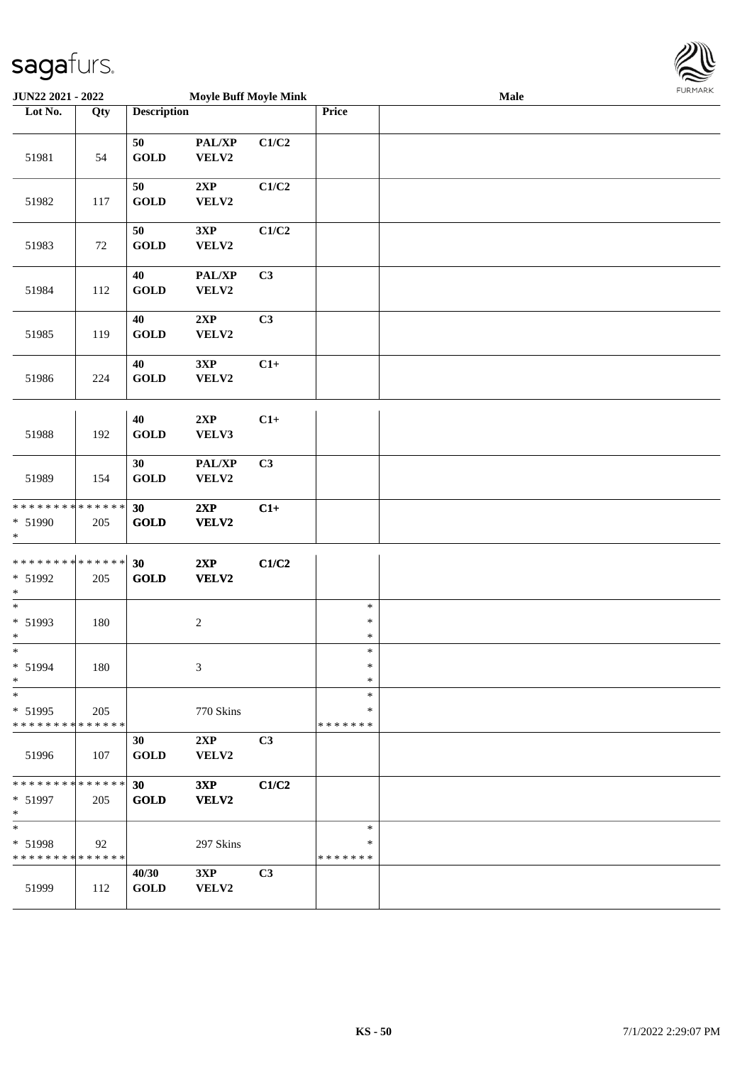

| JUN22 2021 - 2022                                               |     |                             | <b>Moyle Buff Moyle Mink</b> |                |                              | Male | FURMARK |
|-----------------------------------------------------------------|-----|-----------------------------|------------------------------|----------------|------------------------------|------|---------|
| Lot No.                                                         | Qty | <b>Description</b>          |                              |                | Price                        |      |         |
| 51981                                                           | 54  | 50<br>$\operatorname{GOLD}$ | PAL/XP<br>VELV2              | C1/C2          |                              |      |         |
| 51982                                                           | 117 | 50<br>$\operatorname{GOLD}$ | 2XP<br>VELV2                 | C1/C2          |                              |      |         |
| 51983                                                           | 72  | 50<br>$\operatorname{GOLD}$ | 3XP<br>VELV2                 | C1/C2          |                              |      |         |
| 51984                                                           | 112 | 40<br><b>GOLD</b>           | PAL/XP<br>VELV2              | C3             |                              |      |         |
| 51985                                                           | 119 | 40<br><b>GOLD</b>           | 2XP<br>VELV2                 | C3             |                              |      |         |
| 51986                                                           | 224 | 40<br><b>GOLD</b>           | 3XP<br>VELV2                 | $C1+$          |                              |      |         |
| 51988                                                           | 192 | 40<br>$\operatorname{GOLD}$ | 2XP<br>VELV3                 | $C1+$          |                              |      |         |
| 51989                                                           | 154 | 30<br>GOLD                  | PAL/XP<br>VELV2              | C3             |                              |      |         |
| * * * * * * * * <mark>* * * * * * *</mark><br>* 51990<br>$\ast$ | 205 | 30<br><b>GOLD</b>           | 2XP<br>VELV2                 | $C1+$          |                              |      |         |
| * * * * * * * * <mark>* * * * * * *</mark><br>* 51992<br>$\ast$ | 205 | 30<br>GOLD                  | 2XP<br>VELV2                 | C1/C2          |                              |      |         |
| $\ast$<br>* 51993<br>$\ast$                                     | 180 |                             | $\overline{c}$               |                | $\ast$<br>$\ast$<br>$\ast$   |      |         |
| $\ast$<br>* 51994<br>$\ast$                                     | 180 |                             | 3                            |                | $\ast$<br>$\ast$<br>$\ast$   |      |         |
| $*$<br>* 51995<br>* * * * * * * * * * * * * *                   | 205 |                             | 770 Skins                    |                | $\ast$<br>∗<br>*******       |      |         |
| 51996                                                           | 107 | 30<br><b>GOLD</b>           | 2XP<br>VELV2                 | C <sub>3</sub> |                              |      |         |
| * * * * * * * * <mark>* * * * * * *</mark><br>* 51997<br>$*$    | 205 | 30<br><b>GOLD</b>           | 3XP<br>VELV2                 | C1/C2          |                              |      |         |
| $*$<br>* 51998<br>* * * * * * * * * * * * * *                   | 92  |                             | 297 Skins                    |                | $\ast$<br>∗<br>* * * * * * * |      |         |
| 51999                                                           | 112 | 40/30<br><b>GOLD</b>        | 3XP<br>VELV2                 | C <sub>3</sub> |                              |      |         |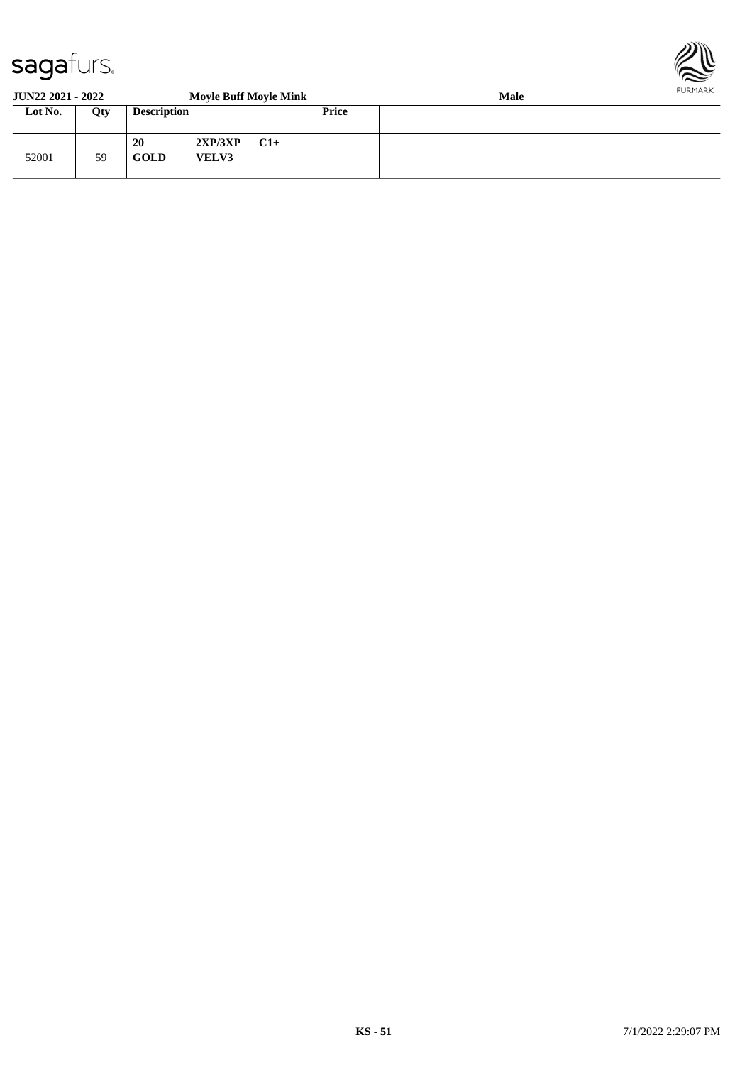

#### **JUN22 2021 - 2022 Moyle Buff Moyle Mink Male Lot No. Qty Description Price** 52001 59 **20 2XP/3XP C1+ GOLD VELV3**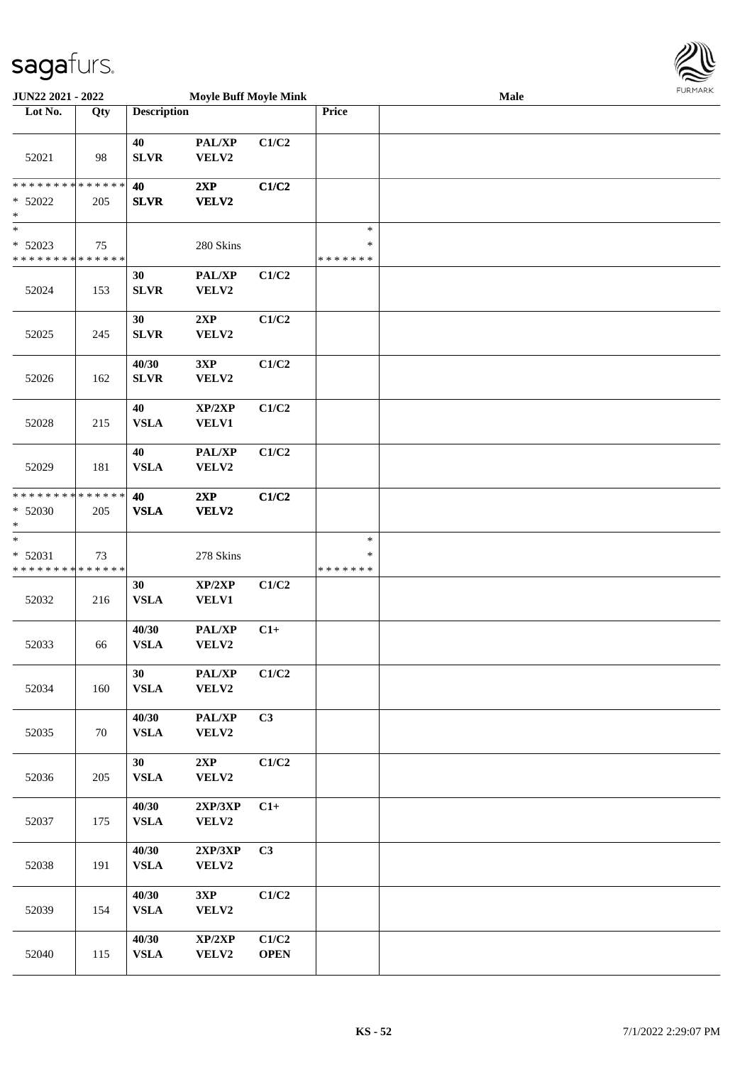

| <b>JUN22 2021 - 2022</b>                                          |     |                       | <b>Moyle Buff Moyle Mink</b> |                      |                                   | Male | 1.911171777 |
|-------------------------------------------------------------------|-----|-----------------------|------------------------------|----------------------|-----------------------------------|------|-------------|
| Lot No.                                                           | Qty | <b>Description</b>    |                              |                      | Price                             |      |             |
| 52021                                                             | 98  | 40<br><b>SLVR</b>     | PAL/XP<br>VELV2              | C1/C2                |                                   |      |             |
| * * * * * * * * <mark>* * * * * * *</mark><br>$* 52022$<br>$\ast$ | 205 | 40<br><b>SLVR</b>     | 2XP<br><b>VELV2</b>          | C1/C2                |                                   |      |             |
| $\ast$<br>$* 52023$<br>* * * * * * * * <mark>* * * * * * *</mark> | 75  |                       | 280 Skins                    |                      | $\ast$<br>$\ast$<br>* * * * * * * |      |             |
| 52024                                                             | 153 | 30<br><b>SLVR</b>     | PAL/XP<br>VELV2              | C1/C2                |                                   |      |             |
| 52025                                                             | 245 | 30<br><b>SLVR</b>     | 2XP<br>VELV2                 | C1/C2                |                                   |      |             |
| 52026                                                             | 162 | 40/30<br><b>SLVR</b>  | 3XP<br>VELV2                 | C1/C2                |                                   |      |             |
| 52028                                                             | 215 | 40<br><b>VSLA</b>     | XP/2XP<br><b>VELV1</b>       | C1/C2                |                                   |      |             |
| 52029                                                             | 181 | 40<br><b>VSLA</b>     | PAL/XP<br>VELV2              | C1/C2                |                                   |      |             |
| * * * * * * * * <mark>* * * * * * *</mark><br>* 52030<br>$\ast$   | 205 | 40<br><b>VSLA</b>     | 2XP<br>VELV2                 | C1/C2                |                                   |      |             |
| $\ast$<br>* 52031<br>* * * * * * * * <mark>* * * * * * *</mark>   | 73  |                       | 278 Skins                    |                      | $\ast$<br>$\ast$<br>* * * * * * * |      |             |
| 52032                                                             | 216 | 30<br><b>VSLA</b>     | XP/2XP<br><b>VELV1</b>       | C1/C2                |                                   |      |             |
| 52033                                                             | 66  | 40/30<br><b>VSLA</b>  | PAL/XP<br>VELV2              | $C1+$                |                                   |      |             |
| 52034                                                             | 160 | 30<br><b>VSLA</b>     | PAL/XP<br>VELV2              | C1/C2                |                                   |      |             |
| 52035                                                             | 70  | 40/30<br><b>VSLA</b>  | PAL/XP<br>VELV2              | C3                   |                                   |      |             |
| 52036                                                             | 205 | 30<br><b>VSLA</b>     | 2XP<br>VELV2                 | C1/C2                |                                   |      |             |
| 52037                                                             | 175 | 40/30<br><b>VSLA</b>  | 2XP/3XP<br>VELV2             | $C1+$                |                                   |      |             |
| 52038                                                             | 191 | 40/30<br>${\bf VSLA}$ | 2XP/3XP<br>VELV2             | C3                   |                                   |      |             |
| 52039                                                             | 154 | 40/30<br><b>VSLA</b>  | 3XP<br>VELV2                 | C1/C2                |                                   |      |             |
| 52040                                                             | 115 | 40/30<br>${\bf VSLA}$ | XP/2XP<br>VELV2              | C1/C2<br><b>OPEN</b> |                                   |      |             |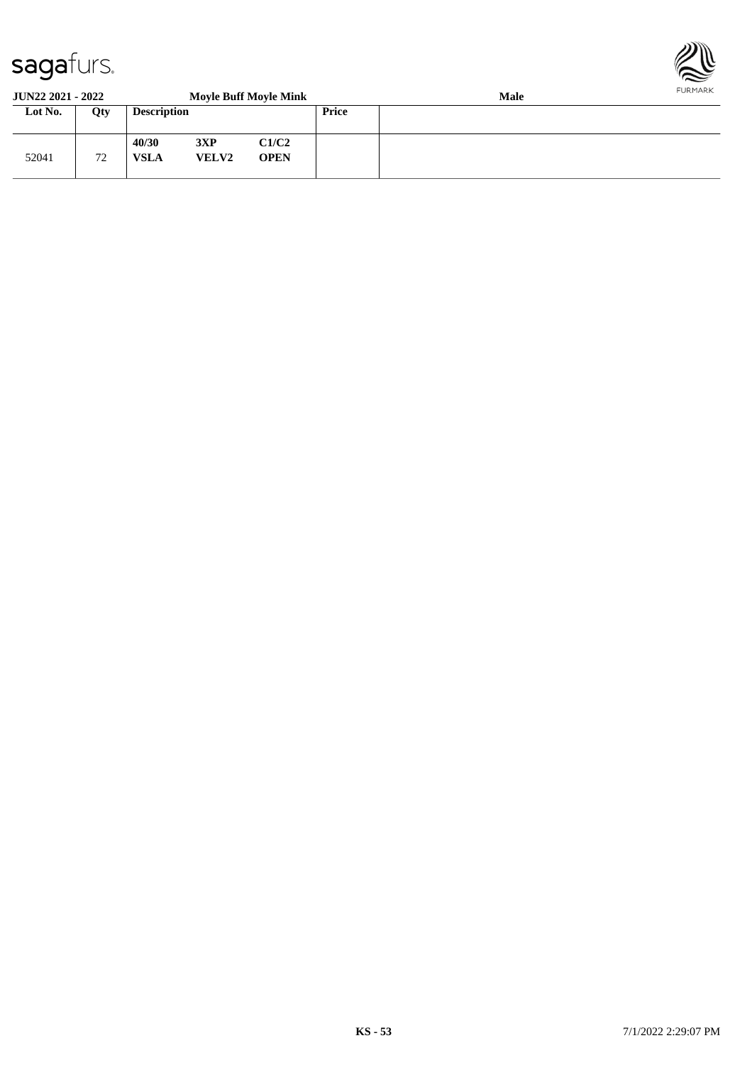

#### **JUN22 2021 - 2022 Moyle Buff Moyle Mink Male Lot No. Qty Description Price** 52041 72 **40/30 3XP C1/C2 VSLA VELV2 OPEN**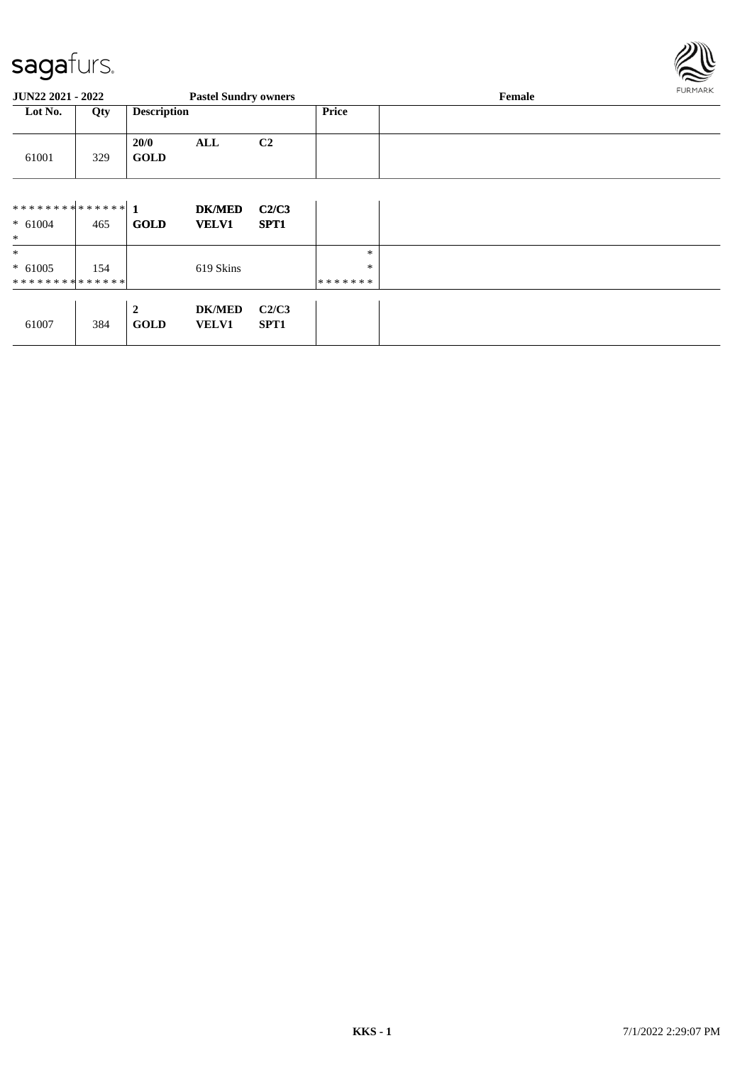

| <b>JUN22 2021 - 2022</b>      |     |                                 | <b>Pastel Sundry owners</b>   |                           |         | Female | <b>FURMARK</b> |
|-------------------------------|-----|---------------------------------|-------------------------------|---------------------------|---------|--------|----------------|
| Lot No.<br>Qty                |     | <b>Description</b>              |                               |                           | Price   |        |                |
| 61001                         | 329 | 20/0<br><b>GOLD</b>             | <b>ALL</b>                    | C2                        |         |        |                |
|                               |     |                                 | <b>DK/MED</b>                 | C2/C3                     |         |        |                |
| $* 61004$<br>$\ast$           | 465 | <b>GOLD</b>                     | <b>VELV1</b>                  | SPT <sub>1</sub>          |         |        |                |
| $\ast$                        |     |                                 |                               |                           | $\ast$  |        |                |
| $* 61005$                     | 154 |                                 | 619 Skins                     |                           | $\ast$  |        |                |
| * * * * * * * * * * * * * * * |     |                                 |                               |                           | ******* |        |                |
| 61007                         | 384 | $\boldsymbol{2}$<br><b>GOLD</b> | <b>DK/MED</b><br><b>VELV1</b> | C2/C3<br>SPT <sub>1</sub> |         |        |                |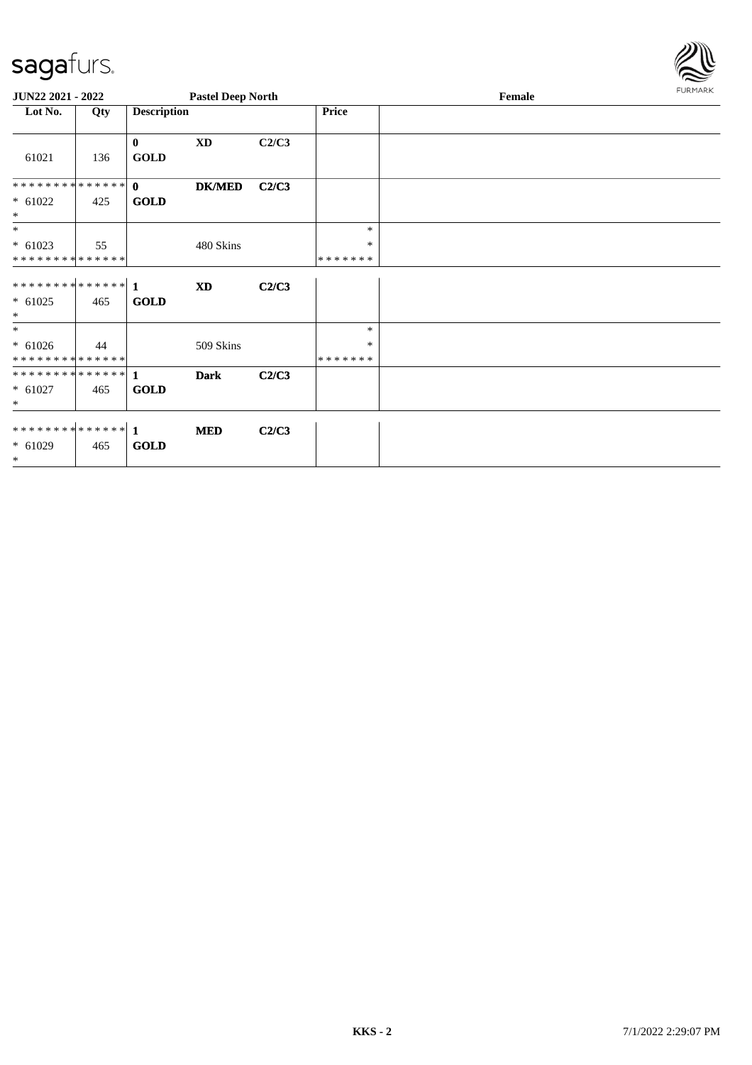

| JUN22 2021 - 2022                                  |     |                             | <b>Pastel Deep North</b> |       |                              | Female | <b>FURMARK</b> |
|----------------------------------------------------|-----|-----------------------------|--------------------------|-------|------------------------------|--------|----------------|
| Lot No.                                            | Qty | <b>Description</b>          |                          |       | Price                        |        |                |
| 61021                                              | 136 | $\bf{0}$<br><b>GOLD</b>     | $\mathbf{X}\mathbf{D}$   | C2/C3 |                              |        |                |
| **************<br>$* 61022$<br>$\ast$              | 425 | $\mathbf{0}$<br><b>GOLD</b> | <b>DK/MED</b>            | C2/C3 |                              |        |                |
| $*$<br>$* 61023$<br>* * * * * * * * * * * * * *    | 55  |                             | 480 Skins                |       | $\ast$<br>*<br>*******       |        |                |
| $* 61025$<br>$\ast$                                | 465 | <b>GOLD</b>                 | <b>XD</b>                | C2/C3 |                              |        |                |
| $\ast$<br>$* 61026$<br>* * * * * * * * * * * * * * | 44  |                             | 509 Skins                |       | $\ast$<br>*<br>* * * * * * * |        |                |
| $* 61027$<br>$\ast$                                | 465 | <b>GOLD</b>                 | <b>Dark</b>              | C2/C3 |                              |        |                |
| ************** 1<br>$* 61029$<br>$\ast$            | 465 | <b>GOLD</b>                 | <b>MED</b>               | C2/C3 |                              |        |                |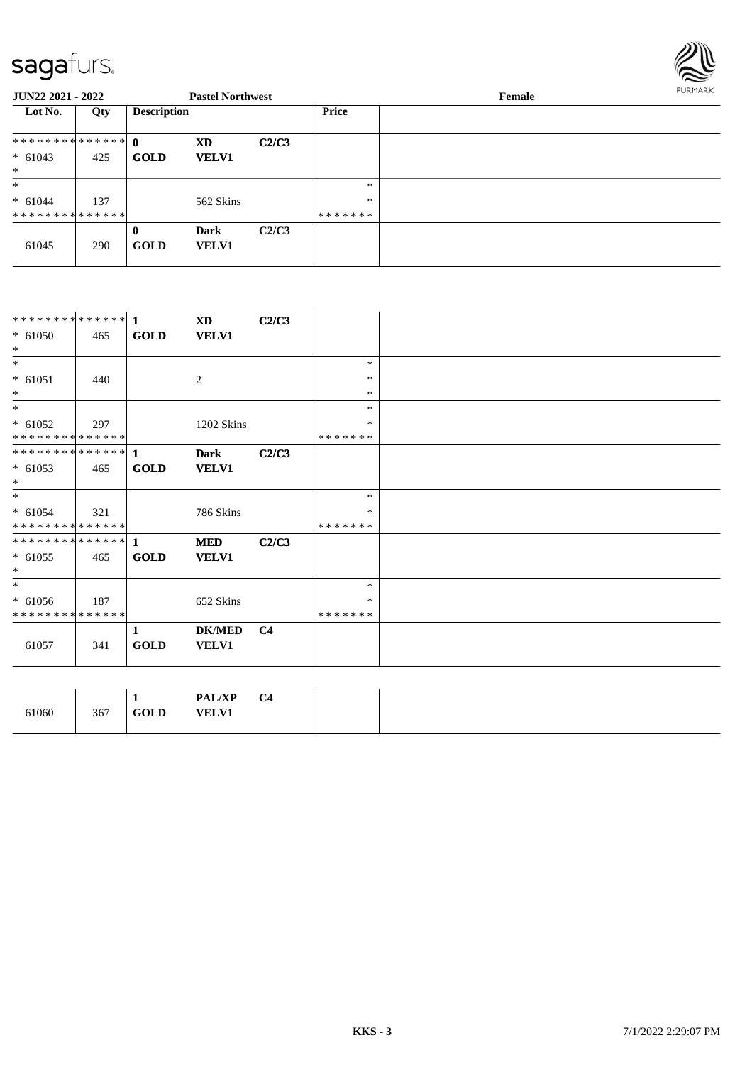

| JUN22 2021 - 2022 |     |                    | <b>Pastel Northwest</b> |       |         | Female | FURMARK |
|-------------------|-----|--------------------|-------------------------|-------|---------|--------|---------|
| Lot No.           | Qty | <b>Description</b> |                         |       | Price   |        |         |
|                   |     |                    | XD                      | C2/C3 |         |        |         |
| $* 61043$         | 425 | <b>GOLD</b>        | <b>VELV1</b>            |       |         |        |         |
| $*$               |     |                    |                         |       |         |        |         |
| $\ast$            |     |                    |                         |       | $*$     |        |         |
| $* 61044$         | 137 |                    | 562 Skins               |       | $\ast$  |        |         |
| **************    |     |                    |                         |       | ******* |        |         |
|                   |     | $\bf{0}$           | <b>Dark</b>             | C2/C3 |         |        |         |
| 61045             | 290 | <b>GOLD</b>        | <b>VELV1</b>            |       |         |        |         |

| ************** 1             |     |              | <b>XD</b>      | C2/C3          |         |
|------------------------------|-----|--------------|----------------|----------------|---------|
| $* 61050$                    | 465 | <b>GOLD</b>  | <b>VELV1</b>   |                |         |
| $\ast$                       |     |              |                |                |         |
| $\ast$                       |     |              |                |                | $\ast$  |
| $* 61051$                    | 440 |              | $\overline{c}$ |                | $\ast$  |
| $\ast$                       |     |              |                |                | $\ast$  |
| $\ast$                       |     |              |                |                | $\ast$  |
| $* 61052$                    | 297 |              | 1202 Skins     |                | ∗       |
| **************               |     |              |                |                | ******* |
| **************               |     | $\mathbf{1}$ | <b>Dark</b>    | C2/C3          |         |
| $* 61053$                    | 465 | <b>GOLD</b>  | <b>VELV1</b>   |                |         |
| $*$                          |     |              |                |                |         |
| $\ast$                       |     |              |                |                | $\ast$  |
| $* 61054$                    | 321 |              | 786 Skins      |                | ∗       |
| **************               |     |              |                |                | ******* |
| ******** <mark>******</mark> |     | $\mathbf{1}$ | <b>MED</b>     | C2/C3          |         |
| $* 61055$                    | 465 | <b>GOLD</b>  | <b>VELV1</b>   |                |         |
| $\ast$                       |     |              |                |                |         |
| $*$                          |     |              |                |                | $\ast$  |
| $* 61056$                    | 187 |              | 652 Skins      |                | ∗       |
| **************               |     |              |                |                | ******* |
|                              |     | $\mathbf{1}$ | <b>DK/MED</b>  | C <sub>4</sub> |         |
| 61057                        | 341 | GOLD         | <b>VELV1</b>   |                |         |
|                              |     |              |                |                |         |
|                              |     |              |                |                |         |
|                              |     | $\mathbf{1}$ | <b>PAL/XP</b>  | C <sub>4</sub> |         |
| 61060                        | 367 | <b>GOLD</b>  | <b>VELV1</b>   |                |         |
|                              |     |              |                |                |         |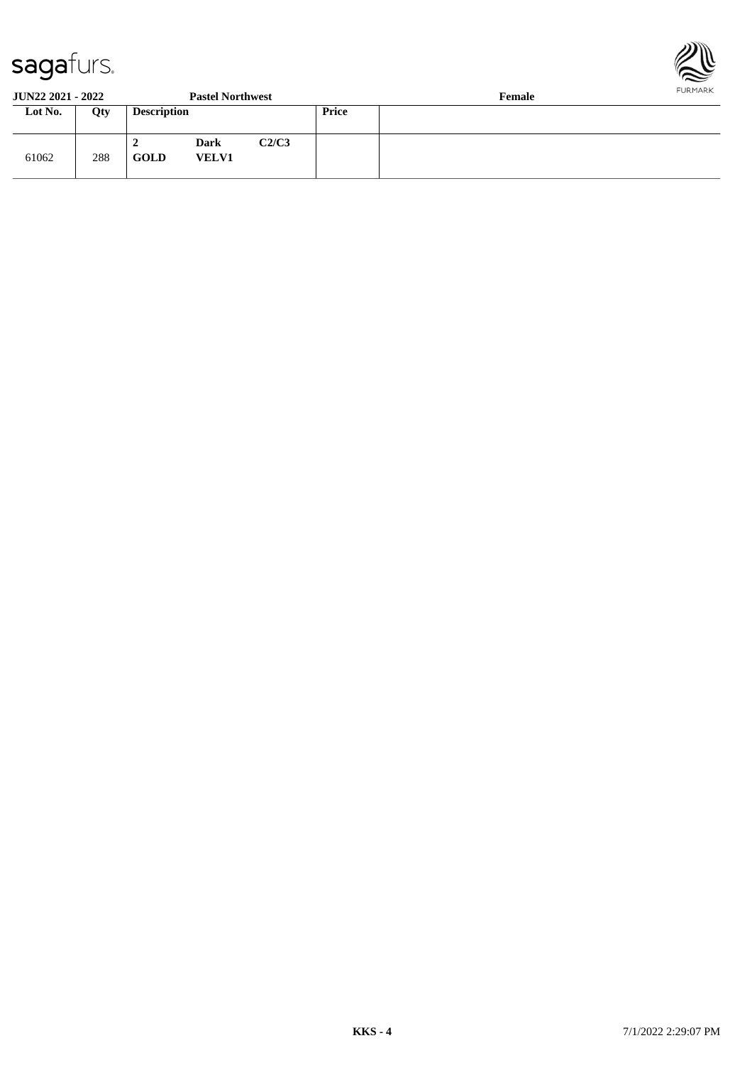

#### **JUN22 2021 - 2022 Pastel Northwest Female**

| Lot No. | Qty | <b>Description</b> |                             |       | Price |  |  |
|---------|-----|--------------------|-----------------------------|-------|-------|--|--|
| 61062   | 288 | GOLD               | <b>Dark</b><br><b>VELV1</b> | C2/C3 |       |  |  |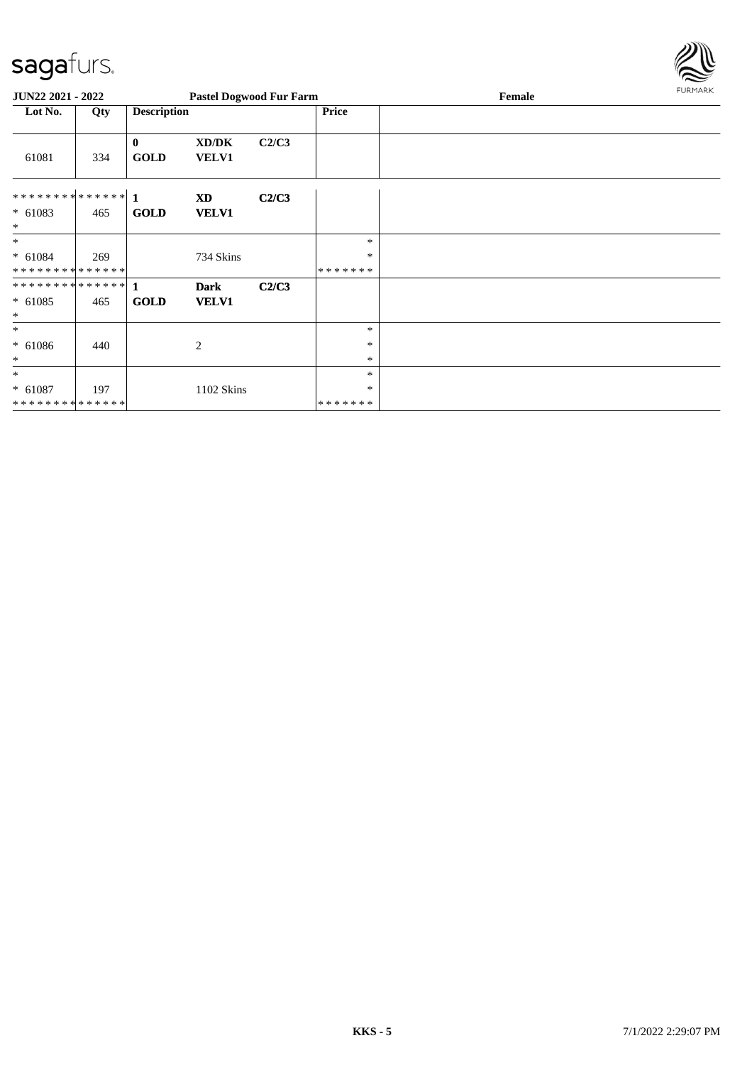

| JUN22 2021 - 2022   |     |                         | <b>Pastel Dogwood Fur Farm</b> |       |                  | Female | <b>FURMARK</b> |
|---------------------|-----|-------------------------|--------------------------------|-------|------------------|--------|----------------|
| Lot No.             | Qty | <b>Description</b>      |                                |       | <b>Price</b>     |        |                |
| 61081               | 334 | $\bf{0}$<br><b>GOLD</b> | XD/DK<br><b>VELV1</b>          | C2/C3 |                  |        |                |
|                     |     |                         | XD                             | C2/C3 |                  |        |                |
| $* 61083$<br>$\ast$ | 465 | <b>GOLD</b>             | <b>VELV1</b>                   |       |                  |        |                |
| $\ast$              |     |                         |                                |       | $\ast$           |        |                |
| $* 61084$           | 269 |                         | 734 Skins                      |       | $\ast$           |        |                |
| **************      |     |                         |                                |       | *******          |        |                |
| $* 61085$<br>$\ast$ | 465 | <b>GOLD</b>             | <b>Dark</b><br><b>VELV1</b>    | C2/C3 |                  |        |                |
| $\ast$              |     |                         |                                |       | $\ast$           |        |                |
| $* 61086$<br>$\ast$ | 440 |                         | 2                              |       | $\ast$<br>$\ast$ |        |                |
| $\ast$              |     |                         |                                |       | $\ast$           |        |                |
| $* 61087$           | 197 |                         | 1102 Skins                     |       | $\ast$           |        |                |
| **************      |     |                         |                                |       | *******          |        |                |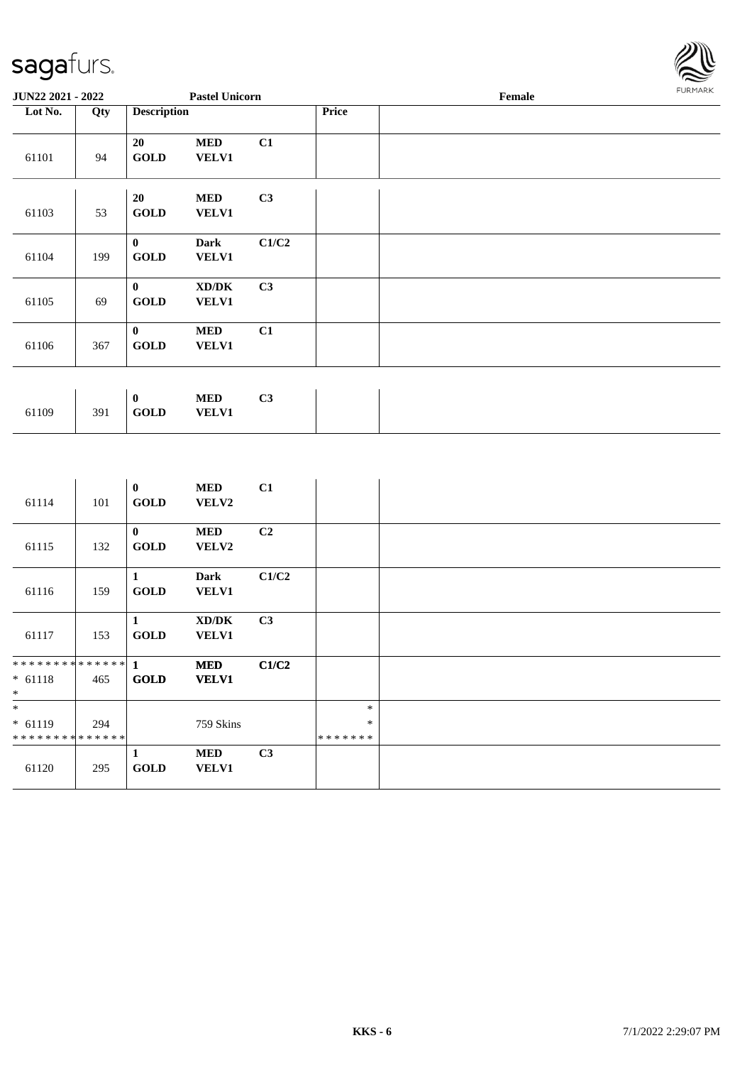

| <b>JUN22 2021 - 2022</b> |     |                             | <b>Pastel Unicorn</b>      |                |       | Female | <b>FURMARK</b> |
|--------------------------|-----|-----------------------------|----------------------------|----------------|-------|--------|----------------|
| Lot No.                  | Qty | <b>Description</b>          |                            |                | Price |        |                |
| 61101                    | 94  | 20<br><b>GOLD</b>           | <b>MED</b><br>VELV1        | C1             |       |        |                |
| 61103                    | 53  | 20<br><b>GOLD</b>           | <b>MED</b><br>VELV1        | C3             |       |        |                |
| 61104                    | 199 | $\bf{0}$<br><b>GOLD</b>     | Dark<br>VELV1              | C1/C2          |       |        |                |
| 61105                    | 69  | $\mathbf{0}$<br><b>GOLD</b> | XD/DK<br>VELV1             | C <sub>3</sub> |       |        |                |
| 61106                    | 367 | $\bf{0}$<br><b>GOLD</b>     | <b>MED</b><br>VELV1        | C1             |       |        |                |
|                          |     |                             |                            |                |       |        |                |
| 61109                    | 391 | $\bf{0}$<br><b>GOLD</b>     | <b>MED</b><br><b>VELV1</b> | C3             |       |        |                |

| 61114                              | 101 | $\bf{0}$<br><b>GOLD</b>     | <b>MED</b><br>VELV2         | C1             |                             |  |
|------------------------------------|-----|-----------------------------|-----------------------------|----------------|-----------------------------|--|
| 61115                              | 132 | $\mathbf{0}$<br><b>GOLD</b> | <b>MED</b><br><b>VELV2</b>  | C <sub>2</sub> |                             |  |
| 61116                              | 159 | 1<br><b>GOLD</b>            | <b>Dark</b><br><b>VELV1</b> | C1/C2          |                             |  |
| 61117                              | 153 | 1<br><b>GOLD</b>            | XD/DK<br><b>VELV1</b>       | C3             |                             |  |
| $* 61118$<br>$*$                   | 465 | <b>GOLD</b>                 | <b>MED</b><br><b>VELV1</b>  | C1/C2          |                             |  |
| $*$<br>$* 61119$<br>************** | 294 |                             | 759 Skins                   |                | $\ast$<br>$\ast$<br>******* |  |
| 61120                              | 295 | 1<br><b>GOLD</b>            | <b>MED</b><br><b>VELV1</b>  | C3             |                             |  |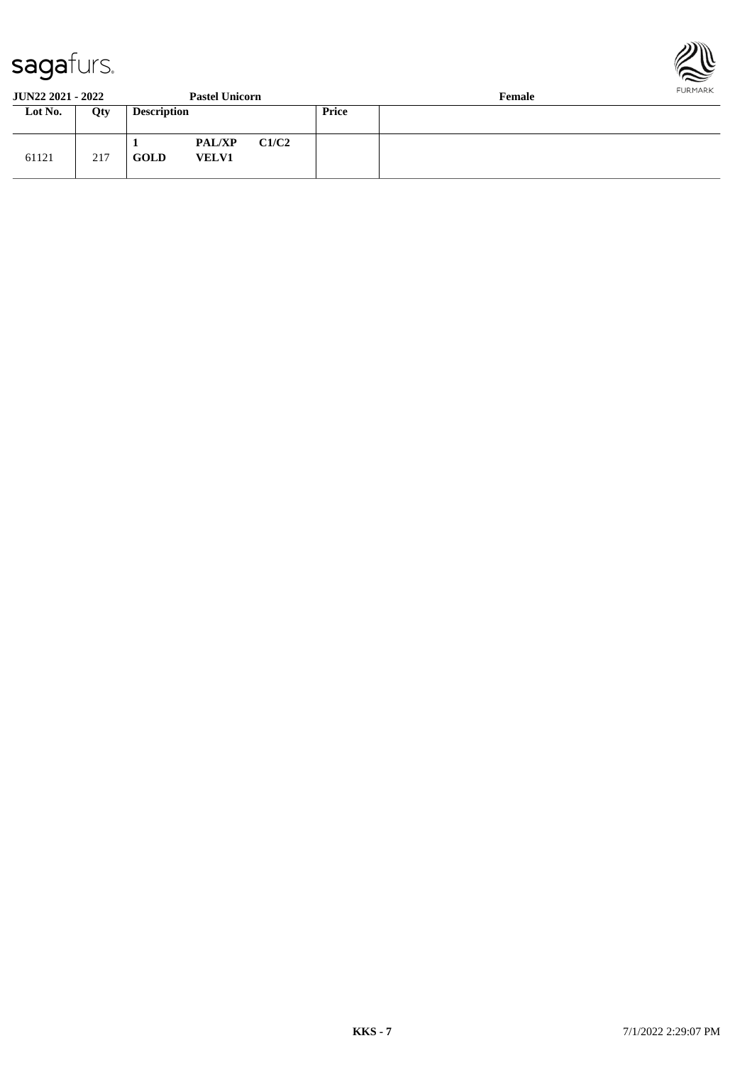

61121 217

**GOLD VELV1**



**JUN22 2021 - 2022 Pastel Unicorn Female**<br> **Price Female Loty Description Price 1 PAL/XP C1/C2**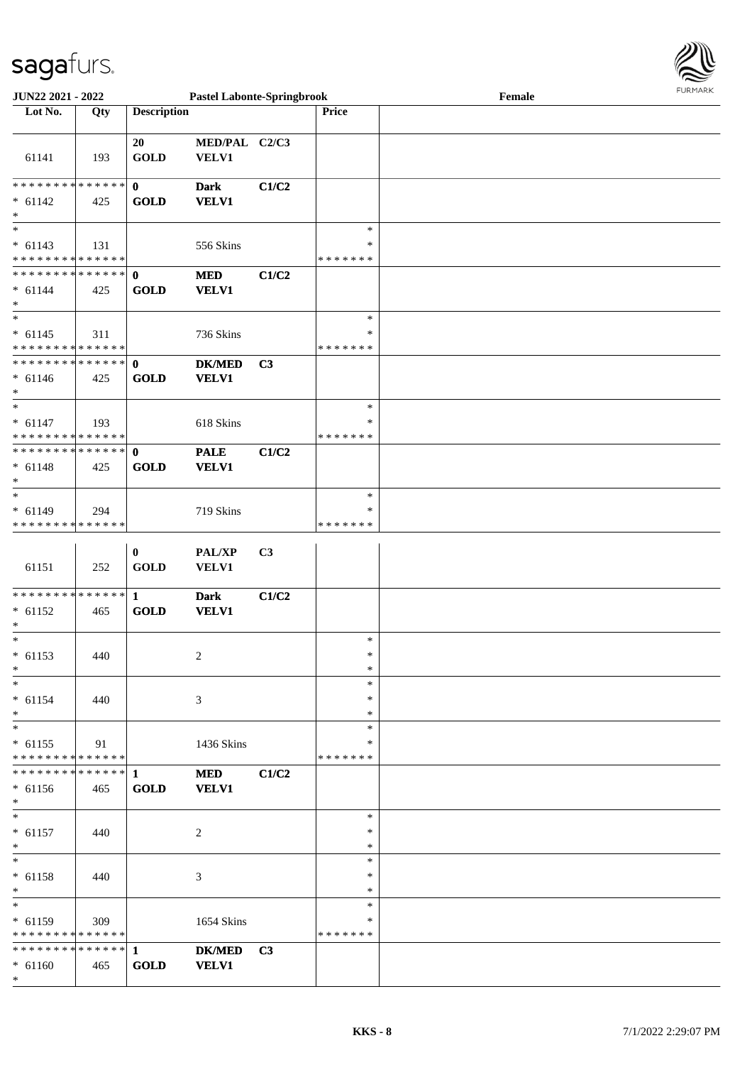

| <b>JUN22 2021 - 2022</b>                   |             |                    | <b>Pastel Labonte-Springbrook</b> |                |               | Female |  |
|--------------------------------------------|-------------|--------------------|-----------------------------------|----------------|---------------|--------|--|
| Lot No.                                    | Qty         | <b>Description</b> |                                   |                | <b>Price</b>  |        |  |
|                                            |             |                    |                                   |                |               |        |  |
|                                            |             | 20                 | MED/PAL C2/C3                     |                |               |        |  |
| 61141                                      | 193         | <b>GOLD</b>        | VELV1                             |                |               |        |  |
|                                            |             |                    |                                   |                |               |        |  |
| ******** <mark>******</mark>               |             | $\mathbf 0$        | <b>Dark</b>                       | C1/C2          |               |        |  |
| $* 61142$                                  | 425         | <b>GOLD</b>        | <b>VELV1</b>                      |                |               |        |  |
| $\ast$                                     |             |                    |                                   |                |               |        |  |
| $_{*}$                                     |             |                    |                                   |                | $\ast$        |        |  |
|                                            |             |                    |                                   |                | $\ast$        |        |  |
| $* 61143$<br>* * * * * * * * * * * * * *   | 131         |                    | 556 Skins                         |                | * * * * * * * |        |  |
| ******** <mark>******</mark>               |             |                    |                                   |                |               |        |  |
|                                            |             | $\mathbf{0}$       | <b>MED</b>                        | C1/C2          |               |        |  |
| $* 61144$                                  | 425         | <b>GOLD</b>        | <b>VELV1</b>                      |                |               |        |  |
| $\ast$                                     |             |                    |                                   |                |               |        |  |
| $\ast$                                     |             |                    |                                   |                | $\ast$        |        |  |
| $* 61145$                                  | 311         |                    | 736 Skins                         |                | $\ast$        |        |  |
| * * * * * * * * * * * * * *                |             |                    |                                   |                | *******       |        |  |
| * * * * * * * * * * * * * * *              |             | $\mathbf{0}$       | <b>DK/MED</b>                     | C3             |               |        |  |
| $* 61146$                                  | 425         | <b>GOLD</b>        | <b>VELV1</b>                      |                |               |        |  |
| $*$                                        |             |                    |                                   |                |               |        |  |
| $\overline{\ast}$                          |             |                    |                                   |                | $\ast$        |        |  |
| $* 61147$                                  | 193         |                    | 618 Skins                         |                | ∗             |        |  |
| * * * * * * * * <mark>* * * * * * *</mark> |             |                    |                                   |                | *******       |        |  |
| * * * * * * * * * * * * * * *              |             | $\mathbf{0}$       | <b>PALE</b>                       | C1/C2          |               |        |  |
| $* 61148$                                  | 425         | <b>GOLD</b>        | <b>VELV1</b>                      |                |               |        |  |
| $\ast$                                     |             |                    |                                   |                |               |        |  |
| $\ast$                                     |             |                    |                                   |                | $\ast$        |        |  |
| $* 61149$                                  | 294         |                    | 719 Skins                         |                | *             |        |  |
| * * * * * * * *                            | * * * * * * |                    |                                   |                | * * * * * * * |        |  |
|                                            |             |                    |                                   |                |               |        |  |
|                                            |             | $\bf{0}$           | <b>PAL/XP</b>                     | C <sub>3</sub> |               |        |  |
| 61151                                      | 252         | <b>GOLD</b>        | <b>VELV1</b>                      |                |               |        |  |
|                                            |             |                    |                                   |                |               |        |  |
|                                            |             |                    | <b>Dark</b>                       | C1/C2          |               |        |  |
| $* 61152$                                  | 465         | <b>GOLD</b>        | <b>VELV1</b>                      |                |               |        |  |
| $\ast$                                     |             |                    |                                   |                |               |        |  |
| $\overline{\ast}$                          |             |                    |                                   |                | $\ast$        |        |  |
| $* 61153$                                  | 440         |                    |                                   |                | $\ast$        |        |  |
| $\ast$                                     |             |                    | $\overline{c}$                    |                | $\ast$        |        |  |
| $*$                                        |             |                    |                                   |                | $\ast$        |        |  |
|                                            |             |                    |                                   |                |               |        |  |
| $* 61154$                                  | 440         |                    | $\mathfrak{Z}$                    |                | $\ast$        |        |  |
| $\ast$                                     |             |                    |                                   |                | $\ast$        |        |  |
| $*$                                        |             |                    |                                   |                | $\ast$        |        |  |
| $* 61155$                                  | 91          |                    | 1436 Skins                        |                | $\ast$        |        |  |
| * * * * * * * * * * * * * *                |             |                    |                                   |                | *******       |        |  |
|                                            |             |                    | <b>MED</b>                        | C1/C2          |               |        |  |
| $* 61156$                                  | 465         | <b>GOLD</b>        | <b>VELV1</b>                      |                |               |        |  |
| $*$                                        |             |                    |                                   |                |               |        |  |
| $*$                                        |             |                    |                                   |                | $\ast$        |        |  |
| $* 61157$                                  | 440         |                    | 2                                 |                | $\ast$        |        |  |
| $*$                                        |             |                    |                                   |                | $\ast$        |        |  |
| $*$                                        |             |                    |                                   |                | $\ast$        |        |  |
| $* 61158$                                  | 440         |                    | 3                                 |                | $\ast$        |        |  |
| $*$                                        |             |                    |                                   |                | *             |        |  |
| $\overline{\ast}$                          |             |                    |                                   |                | $\ast$        |        |  |
| $* 61159$                                  | 309         |                    | 1654 Skins                        |                | $\ast$        |        |  |
| * * * * * * * * * * * * * *                |             |                    |                                   |                | * * * * * * * |        |  |
|                                            |             |                    | <b>DK/MED</b>                     | C3             |               |        |  |
|                                            | 465         | <b>GOLD</b>        |                                   |                |               |        |  |
| $* 61160$<br>$\ast$                        |             |                    | <b>VELV1</b>                      |                |               |        |  |
|                                            |             |                    |                                   |                |               |        |  |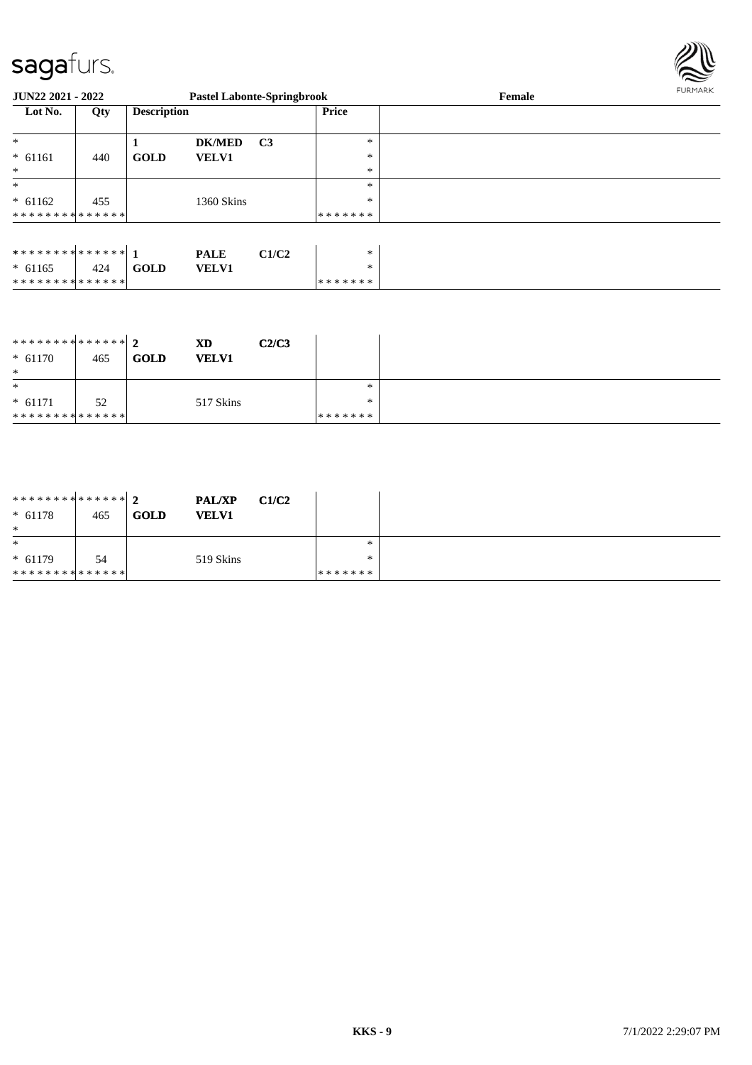\* \* \* \* \* \* \* \* \* \* \* \* \* \* \*



| <b>JUN22 2021 - 2022</b>      |     |                    | <b>Pastel Labonte-Springbrook</b> |                |         | Female | FURMARK |
|-------------------------------|-----|--------------------|-----------------------------------|----------------|---------|--------|---------|
| Lot No.<br>Qty                |     | <b>Description</b> |                                   |                | Price   |        |         |
| $\ast$                        |     |                    | <b>DK/MED</b>                     | C <sub>3</sub> | $\ast$  |        |         |
| $* 61161$                     | 440 | <b>GOLD</b>        | <b>VELV1</b>                      |                | $\ast$  |        |         |
| $*$                           |     |                    |                                   |                | $\ast$  |        |         |
| $\ast$                        |     |                    |                                   |                | $\ast$  |        |         |
| $* 61162$                     | 455 |                    | 1360 Skins                        |                | $\ast$  |        |         |
| * * * * * * * * * * * * * * * |     |                    |                                   |                | ******* |        |         |
|                               |     |                    |                                   |                |         |        |         |
|                               |     |                    | <b>PALE</b>                       | C1/C2          | *       |        |         |
| $* 61165$                     | 424 | <b>GOLD</b>        | <b>VELV1</b>                      |                | $\ast$  |        |         |

| ******** <mark>******</mark> 2<br>$* 61170$<br>$\ast$ | 465 | <b>GOLD</b> | XD<br><b>VELV1</b> | C2/C3 |         |  |
|-------------------------------------------------------|-----|-------------|--------------------|-------|---------|--|
| $\ast$                                                |     |             |                    |       | *       |  |
| $* 61171$                                             | 52  |             | 517 Skins          |       | $\ast$  |  |
| **************                                        |     |             |                    |       | ******* |  |

\* \* \* \* \* \* \*

| ******** <mark>******</mark> 2<br>$* 61178$<br>$\ast$ | 465 | <b>PAL/XP</b><br><b>GOLD</b><br><b>VELV1</b> | C1/C2 |         |  |
|-------------------------------------------------------|-----|----------------------------------------------|-------|---------|--|
| $\ast$                                                |     |                                              |       | ∗       |  |
| $* 61179$                                             | 54  | 519 Skins                                    |       | ∗       |  |
| * * * * * * * * * * * * * * *                         |     |                                              |       | ******* |  |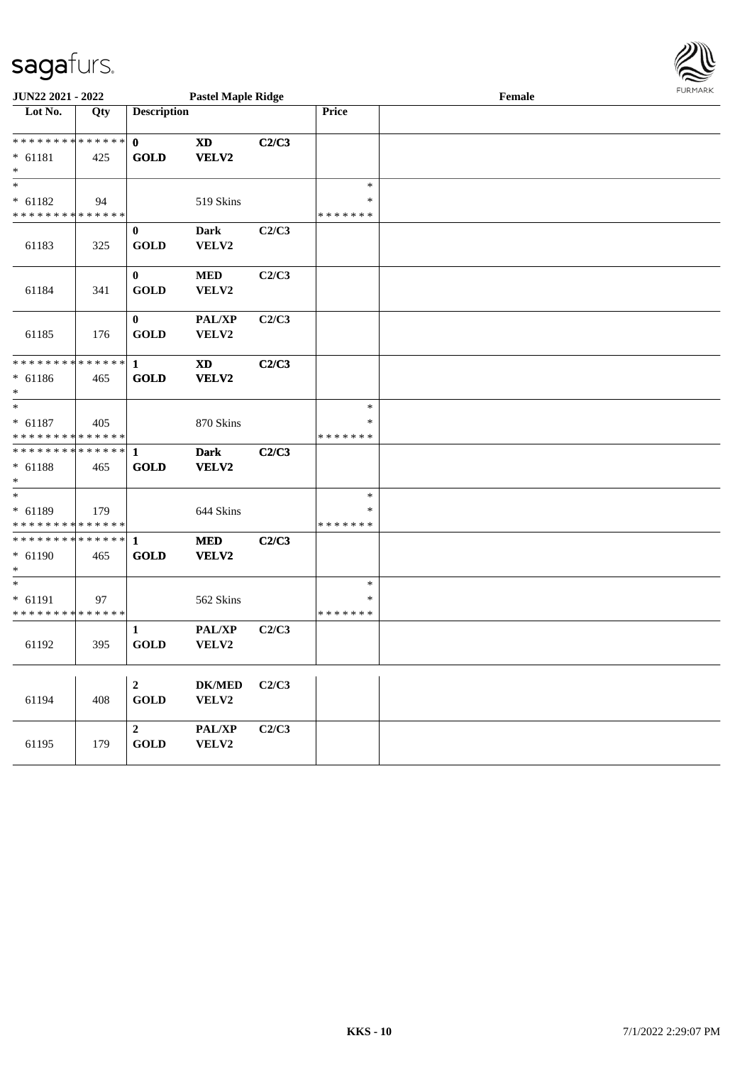

| JUN22 2021 - 2022                                    |     |                                         | <b>Pastel Maple Ridge</b> |       |                              | Female | FURMARK |  |
|------------------------------------------------------|-----|-----------------------------------------|---------------------------|-------|------------------------------|--------|---------|--|
| $\overline{\text{Lot No.}}$                          | Qty | <b>Description</b>                      |                           |       | Price                        |        |         |  |
| * * * * * * * * * * * * * *<br>$* 61181$<br>$\ast$   | 425 | $\mathbf{0}$<br><b>GOLD</b>             | <b>XD</b><br>VELV2        | C2/C3 |                              |        |         |  |
| $\ast$<br>$* 61182$<br>* * * * * * * * * * * * * *   | 94  |                                         | 519 Skins                 |       | $\ast$<br>∗<br>* * * * * * * |        |         |  |
| 61183                                                | 325 | $\bf{0}$<br><b>GOLD</b>                 | <b>Dark</b><br>VELV2      | C2/C3 |                              |        |         |  |
| 61184                                                | 341 | $\bf{0}$<br><b>GOLD</b>                 | $\bf MED$<br>VELV2        | C2/C3 |                              |        |         |  |
| 61185                                                | 176 | $\bf{0}$<br><b>GOLD</b>                 | PAL/XP<br>VELV2           | C2/C3 |                              |        |         |  |
| * * * * * * * * * * * * * * *<br>$* 61186$<br>$\ast$ | 465 | 1<br><b>GOLD</b>                        | <b>XD</b><br>VELV2        | C2/C3 |                              |        |         |  |
| $*$<br>$* 61187$<br>* * * * * * * * * * * * * *      | 405 |                                         | 870 Skins                 |       | $\ast$<br>∗<br>* * * * * * * |        |         |  |
| * * * * * * * * * * * * * * *<br>$* 61188$<br>$*$    | 465 | -1<br><b>GOLD</b>                       | <b>Dark</b><br>VELV2      | C2/C3 |                              |        |         |  |
| $*$<br>$* 61189$<br>* * * * * * * * * * * * * *      | 179 |                                         | 644 Skins                 |       | $\ast$<br>∗<br>* * * * * * * |        |         |  |
| * * * * * * * * * * * * * *<br>$* 61190$<br>$*$      | 465 | 1<br><b>GOLD</b>                        | <b>MED</b><br>VELV2       | C2/C3 |                              |        |         |  |
| $\ast$<br>$* 61191$<br>* * * * * * * * * * * * * *   | 97  |                                         | 562 Skins                 |       | ∗<br>∗<br>* * * * * * *      |        |         |  |
| 61192                                                | 395 | 1<br><b>GOLD</b>                        | PAL/XP<br>VELV2           | C2/C3 |                              |        |         |  |
| 61194                                                | 408 | $\boldsymbol{2}$<br><b>GOLD</b>         | $DK/MED$<br>VELV2         | C2/C3 |                              |        |         |  |
| 61195                                                | 179 | $\overline{2}$<br>$\operatorname{GOLD}$ | PAL/XP<br>VELV2           | C2/C3 |                              |        |         |  |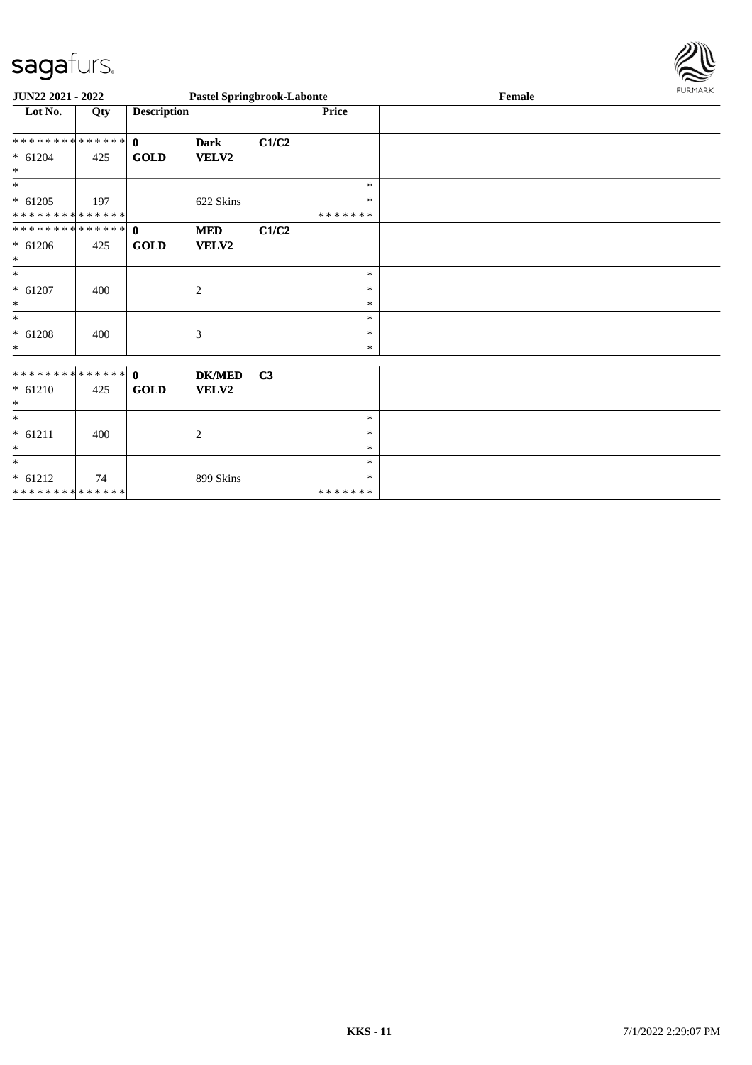

| JUN22 2021 - 2022                        |     |                    | <b>Pastel Springbrook-Labonte</b> |                |                         | Female | FURMARK |
|------------------------------------------|-----|--------------------|-----------------------------------|----------------|-------------------------|--------|---------|
| Lot No.                                  | Qty | <b>Description</b> |                                   |                | Price                   |        |         |
| ************** 0                         |     |                    | <b>Dark</b>                       | C1/C2          |                         |        |         |
| $* 61204$<br>$\ast$                      | 425 | <b>GOLD</b>        | VELV2                             |                |                         |        |         |
| $\ast$                                   |     |                    |                                   |                | $\ast$                  |        |         |
| $* 61205$<br>* * * * * * * * * * * * * * | 197 |                    | 622 Skins                         |                | $\ast$<br>* * * * * * * |        |         |
| ************** 0                         |     |                    | <b>MED</b>                        | C1/C2          |                         |        |         |
| $* 61206$<br>$\ast$                      | 425 | <b>GOLD</b>        | VELV2                             |                |                         |        |         |
| $\ast$                                   |     |                    |                                   |                | $\ast$                  |        |         |
| $* 61207$<br>$\ast$                      | 400 |                    | $\overline{2}$                    |                | $\ast$<br>$\ast$        |        |         |
| $\ast$                                   |     |                    |                                   |                | $\ast$                  |        |         |
| $* 61208$<br>$\ast$                      | 400 |                    | 3                                 |                | $\ast$<br>$\ast$        |        |         |
|                                          |     |                    | <b>DK/MED</b>                     | C <sub>3</sub> |                         |        |         |
| $* 61210$<br>$\ast$                      | 425 | GOLD               | <b>VELV2</b>                      |                |                         |        |         |
| $\overline{\phantom{a}^*}$               |     |                    |                                   |                | $\ast$                  |        |         |
| $* 61211$<br>$\ast$                      | 400 |                    | $\overline{2}$                    |                | $\ast$<br>$\ast$        |        |         |
| $\overline{\phantom{a}}$                 |     |                    |                                   |                | $\ast$                  |        |         |
| $* 61212$                                | 74  |                    | 899 Skins                         |                | *                       |        |         |
| **************                           |     |                    |                                   |                | *******                 |        |         |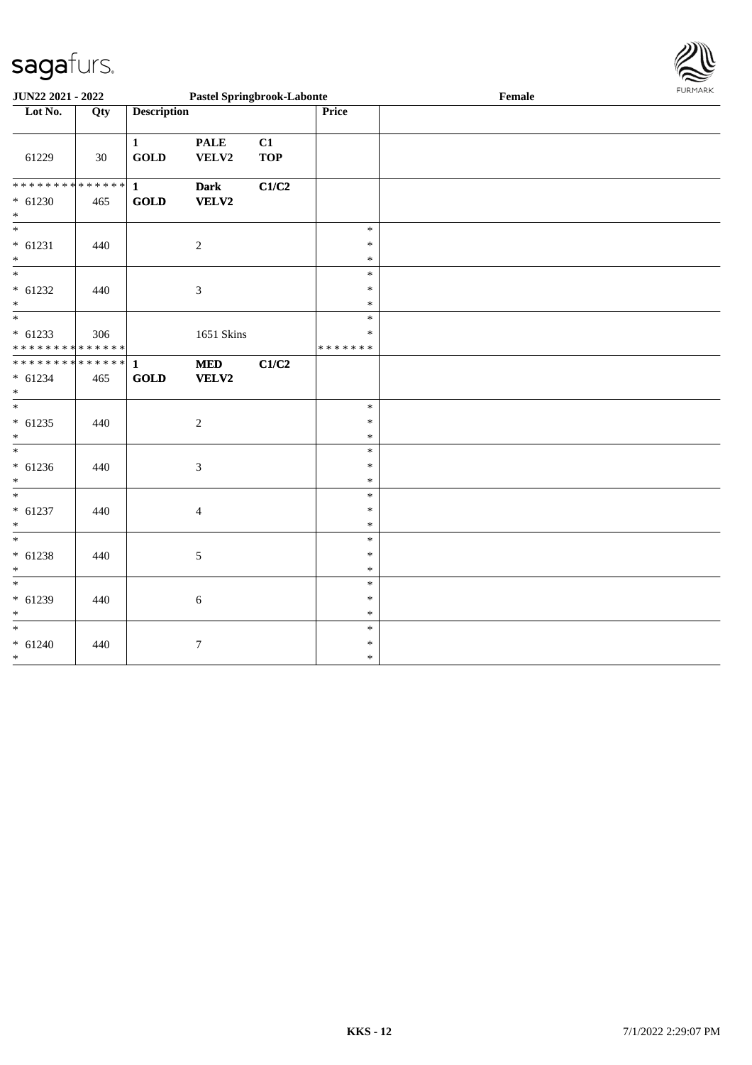

|                                                               | JUN22 2021 - 2022<br><b>Pastel Springbrook-Labonte</b> |                                                |                            |                  |                            | Female | FURMARK |
|---------------------------------------------------------------|--------------------------------------------------------|------------------------------------------------|----------------------------|------------------|----------------------------|--------|---------|
| Lot No.                                                       | Qty                                                    | <b>Description</b>                             |                            |                  | Price                      |        |         |
| 61229                                                         | 30                                                     | $\mathbf{1}$<br>GOLD                           | <b>PALE</b><br>VELV2       | C1<br><b>TOP</b> |                            |        |         |
| ******** <mark>******</mark><br>$* 61230$<br>$*$              | 465                                                    | $\mathbf{1}$<br><b>GOLD</b>                    | <b>Dark</b><br>VELV2       | C1/C2            |                            |        |         |
| $\overline{\phantom{0}}$<br>$* 61231$<br>$*$                  | 440                                                    |                                                | $\overline{c}$             |                  | $\ast$<br>$\ast$<br>$\ast$ |        |         |
| $* 61232$<br>$*$                                              | 440                                                    |                                                | $\mathfrak{Z}$             |                  | $\ast$<br>$\ast$<br>$\ast$ |        |         |
| $\overline{\ }$<br>$* 61233$<br>* * * * * * * * * * * * * * * | 306                                                    |                                                | 1651 Skins                 |                  | $\ast$<br>*<br>*******     |        |         |
| * * * * * * * * * * * * * * *<br>$* 61234$<br>$*$             | 465                                                    | $\mathbf{1}$<br>$\operatorname{\mathbf{GOLD}}$ | <b>MED</b><br><b>VELV2</b> | C1/C2            |                            |        |         |
| $\frac{1}{1}$<br>$* 61235$<br>$*$                             | 440                                                    |                                                | 2                          |                  | $\ast$<br>$\ast$<br>$\ast$ |        |         |
| $\overline{\phantom{0}}$<br>$* 61236$<br>$*$                  | 440                                                    |                                                | $\mathfrak{Z}$             |                  | $\ast$<br>$\ast$<br>$\ast$ |        |         |
| $*$<br>$* 61237$<br>$*$                                       | 440                                                    |                                                | $\overline{4}$             |                  | $\ast$<br>$\ast$<br>$\ast$ |        |         |
| $\overline{\phantom{0}}$<br>$* 61238$<br>$*$                  | 440                                                    |                                                | $\mathfrak{S}$             |                  | $\ast$<br>$\ast$<br>$\ast$ |        |         |
| $\frac{1}{1}$<br>$* 61239$<br>$*$                             | 440                                                    |                                                | $\sqrt{6}$                 |                  | $\ast$<br>$\ast$<br>$\ast$ |        |         |
| $* 61240$<br>$*$                                              | 440                                                    |                                                | $\tau$                     |                  | $\ast$<br>$\ast$<br>$\ast$ |        |         |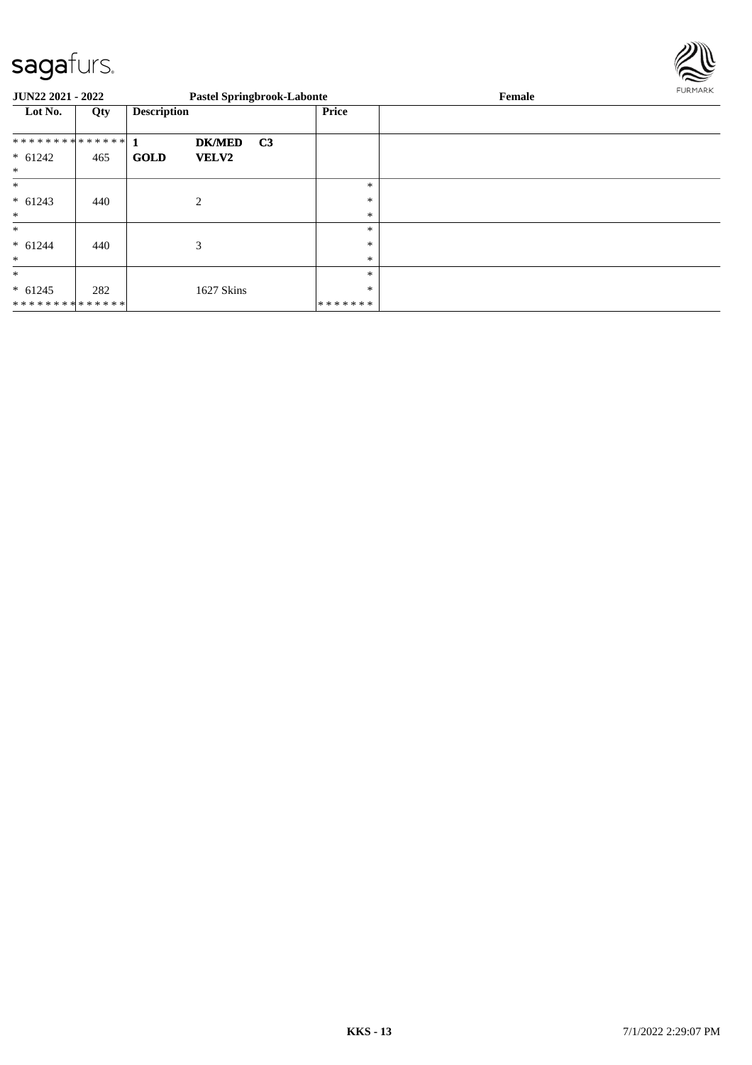

| JUN22 2021 - 2022                     |     |                    | <b>Pastel Springbrook-Labonte</b> |                |                             | Female | FURMARK |
|---------------------------------------|-----|--------------------|-----------------------------------|----------------|-----------------------------|--------|---------|
| Lot No.                               | Qty | <b>Description</b> |                                   |                | Price                       |        |         |
| $* 61242$<br>$\ast$                   | 465 | <b>GOLD</b>        | <b>DK/MED</b><br><b>VELV2</b>     | C <sub>3</sub> |                             |        |         |
| $\ast$<br>$* 61243$<br>$\ast$         | 440 |                    | 2                                 |                | $\ast$<br>$\ast$<br>$\ast$  |        |         |
| $\ast$<br>$* 61244$<br>$\ast$         | 440 |                    | 3                                 |                | $\ast$<br>$\ast$<br>$\ast$  |        |         |
| $\ast$<br>$* 61245$<br>************** | 282 |                    | 1627 Skins                        |                | $\ast$<br>$\ast$<br>******* |        |         |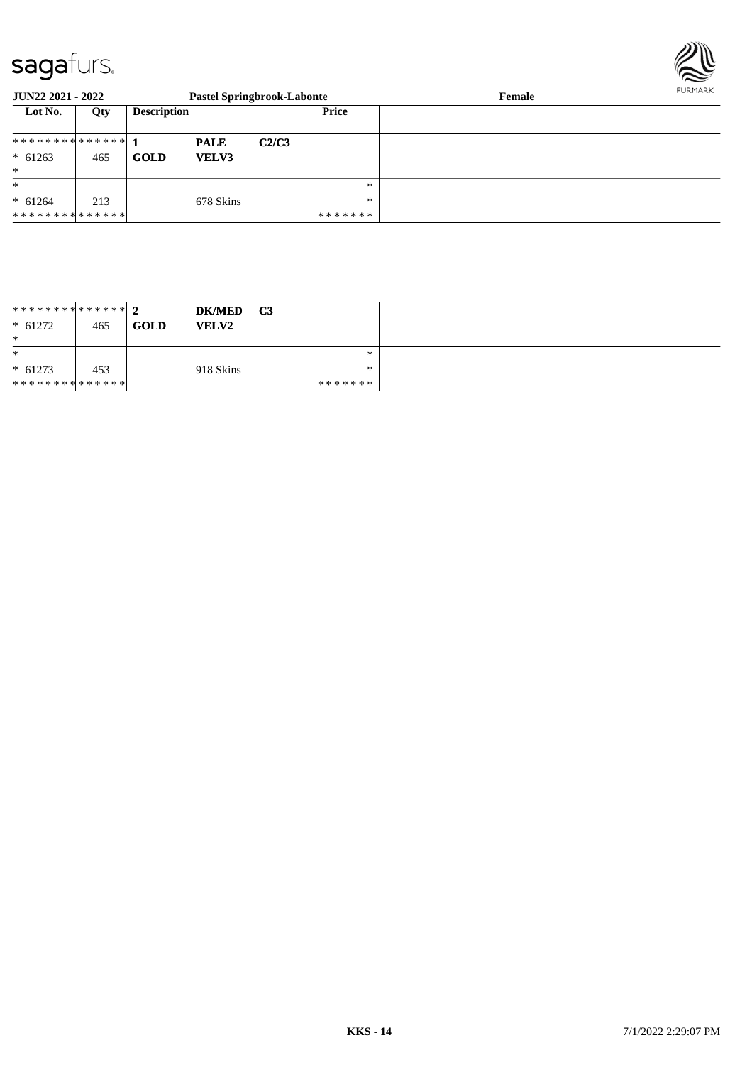

| <b>JUN22 2021 - 2022</b>                   |     |                    |                      | <b>Pastel Springbrook-Labonte</b> |                   | Female | FURMARK |
|--------------------------------------------|-----|--------------------|----------------------|-----------------------------------|-------------------|--------|---------|
| Lot No.                                    | Qty | <b>Description</b> |                      |                                   | Price             |        |         |
| ************** 1<br>$* 61263$              | 465 | GOLD               | <b>PALE</b><br>VELV3 | C2/C3                             |                   |        |         |
| $\ast$<br>$\ast$                           |     |                    |                      |                                   | $\ast$            |        |         |
| $* 61264$<br>* * * * * * * * * * * * * * * | 213 |                    | 678 Skins            |                                   | $\ast$<br>******* |        |         |

| ************** 2<br>$* 61272$<br>$\ast$ | 465 | <b>GOLD</b> | <b>DK/MED</b><br><b>VELV2</b> | C <sub>3</sub> |         |  |
|-----------------------------------------|-----|-------------|-------------------------------|----------------|---------|--|
| $\ast$                                  |     |             |                               |                | ∗       |  |
| $* 61273$                               | 453 |             | 918 Skins                     |                | ∗       |  |
| **************                          |     |             |                               |                | ******* |  |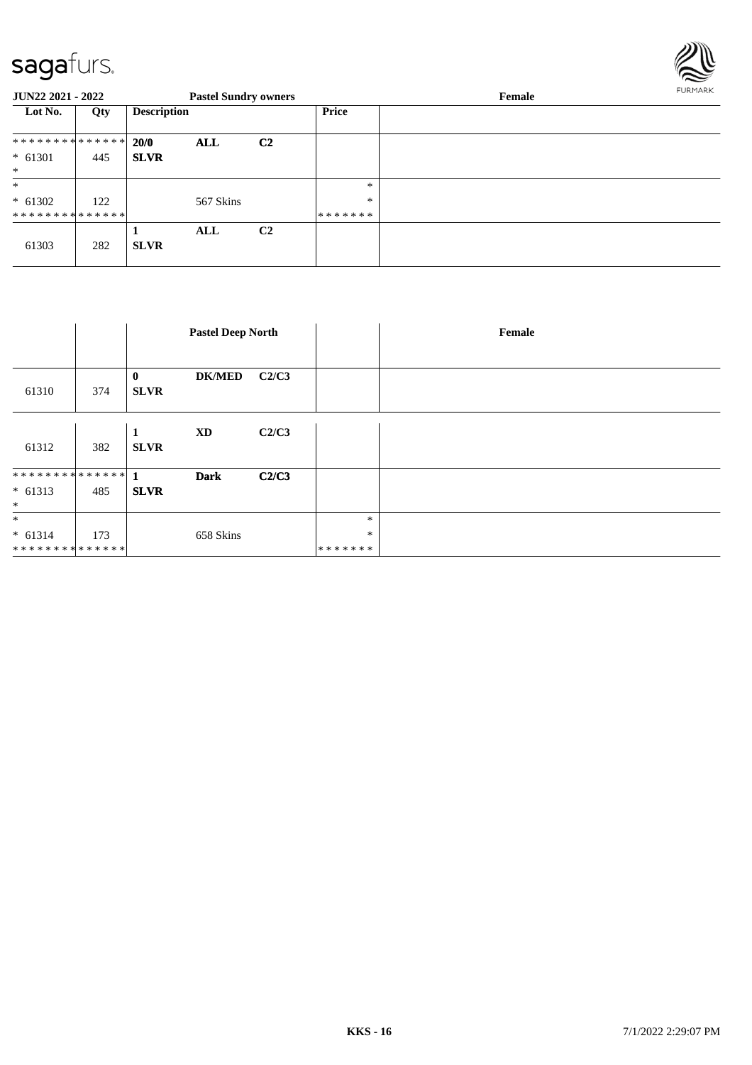

| <b>JUN22 2021 - 2022</b>    |     |                    | <b>Pastel Sundry owners</b> |                |                         | Female | FURMARK |
|-----------------------------|-----|--------------------|-----------------------------|----------------|-------------------------|--------|---------|
| Lot No.                     | Qty | <b>Description</b> |                             |                | Price                   |        |         |
| **************              |     | 20/0               | ALL                         | C <sub>2</sub> |                         |        |         |
| $* 61301$<br>$*$            | 445 | <b>SLVR</b>        |                             |                |                         |        |         |
| $\ast$                      |     |                    |                             |                | *                       |        |         |
| $* 61302$<br>************** | 122 |                    | 567 Skins                   |                | $\ast$<br>* * * * * * * |        |         |
| 61303                       | 282 | <b>SLVR</b>        | ALL                         | C <sub>2</sub> |                         |        |         |

|                     |     | <b>Pastel Deep North</b>                 |       |         | Female |
|---------------------|-----|------------------------------------------|-------|---------|--------|
|                     |     |                                          |       |         |        |
| 61310               | 374 | <b>DK/MED</b><br>$\bf{0}$<br><b>SLVR</b> | C2/C3 |         |        |
| 61312               | 382 | XD<br>1<br><b>SLVR</b>                   | C2/C3 |         |        |
| ************** 1    |     | <b>Dark</b>                              | C2/C3 |         |        |
| $* 61313$<br>$\ast$ | 485 | <b>SLVR</b>                              |       |         |        |
| $\ast$              |     |                                          |       | $\ast$  |        |
| $* 61314$           | 173 | 658 Skins                                |       | $\ast$  |        |
| **************      |     |                                          |       | ******* |        |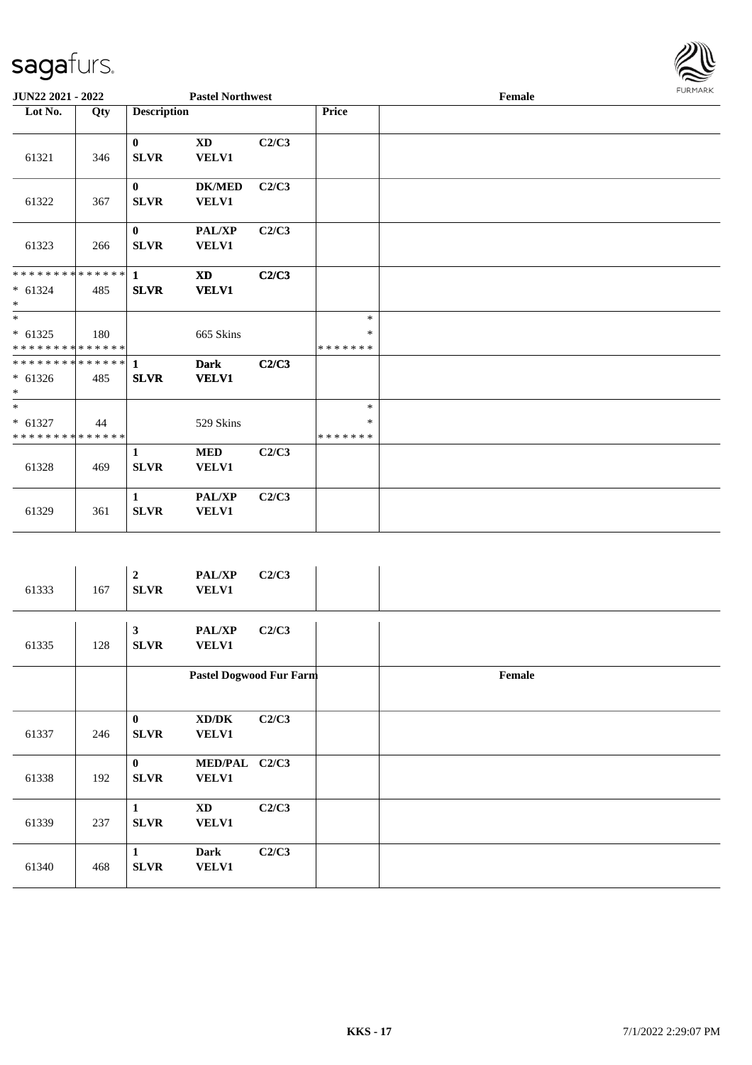

| JUN22 2021 - 2022                     |     |                             | <b>Pastel Northwest</b>       |       |                             | Female |  |  |  |  |
|---------------------------------------|-----|-----------------------------|-------------------------------|-------|-----------------------------|--------|--|--|--|--|
| Lot No.                               | Qty | <b>Description</b>          |                               |       | Price                       |        |  |  |  |  |
| 61321                                 | 346 | $\bf{0}$<br><b>SLVR</b>     | <b>XD</b><br><b>VELV1</b>     | C2/C3 |                             |        |  |  |  |  |
| 61322                                 | 367 | $\mathbf{0}$<br><b>SLVR</b> | <b>DK/MED</b><br><b>VELV1</b> | C2/C3 |                             |        |  |  |  |  |
| 61323                                 | 266 | $\bf{0}$<br><b>SLVR</b>     | PAL/XP<br><b>VELV1</b>        | C2/C3 |                             |        |  |  |  |  |
| $* 61324$<br>$\ast$                   | 485 | <b>SLVR</b>                 | <b>XD</b><br><b>VELV1</b>     | C2/C3 |                             |        |  |  |  |  |
| $\ast$<br>$* 61325$<br>************** | 180 |                             | 665 Skins                     |       | $\ast$<br>$\ast$<br>******* |        |  |  |  |  |
| $* 61326$<br>$\ast$                   | 485 | <b>SLVR</b>                 | <b>Dark</b><br><b>VELV1</b>   | C2/C3 |                             |        |  |  |  |  |
| $\ast$<br>$* 61327$<br>************** | 44  |                             | 529 Skins                     |       | $\ast$<br>$\ast$<br>******* |        |  |  |  |  |
| 61328                                 | 469 | $\mathbf{1}$<br><b>SLVR</b> | <b>MED</b><br><b>VELV1</b>    | C2/C3 |                             |        |  |  |  |  |
| 61329                                 | 361 | $\mathbf{1}$<br>SLVR        | <b>PAL/XP</b><br><b>VELV1</b> | C2/C3 |                             |        |  |  |  |  |
|                                       |     |                             |                               |       |                             |        |  |  |  |  |

| 61333 | 167 | $\boldsymbol{2}$<br><b>SLVR</b> | <b>PAL/XP</b><br><b>VELV1</b> | C2/C3 |        |
|-------|-----|---------------------------------|-------------------------------|-------|--------|
| 61335 | 128 | $\mathbf{3}$<br><b>SLVR</b>     | <b>PAL/XP</b><br><b>VELV1</b> | C2/C3 |        |
|       |     |                                 | Pastel Dogwood Fur Farm       |       | Female |
| 61337 | 246 | $\bf{0}$<br><b>SLVR</b>         | XD/DK<br><b>VELV1</b>         | C2/C3 |        |
| 61338 | 192 | $\bf{0}$<br><b>SLVR</b>         | MED/PAL C2/C3<br><b>VELV1</b> |       |        |
| 61339 | 237 | 1<br><b>SLVR</b>                | <b>XD</b><br><b>VELV1</b>     | C2/C3 |        |
| 61340 | 468 | $\mathbf{1}$<br><b>SLVR</b>     | <b>Dark</b><br><b>VELV1</b>   | C2/C3 |        |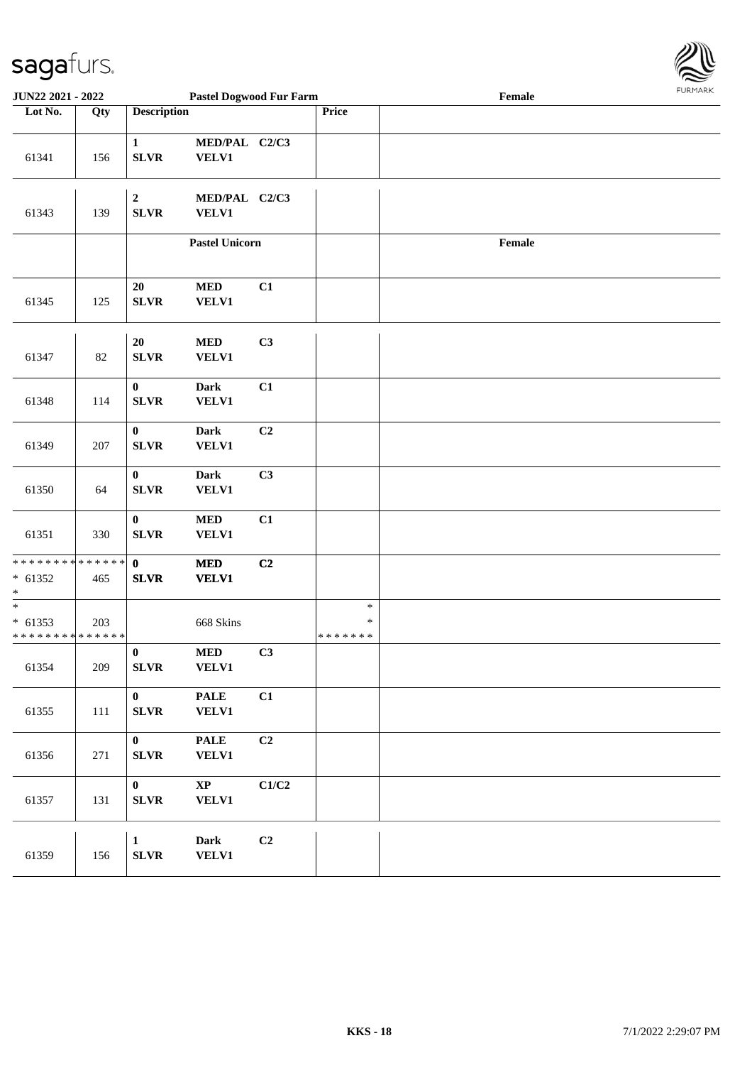

| <b>JUN22 2021 - 2022</b>                                        |                   |                                 | <b>Pastel Dogwood Fur Farm</b>                     |                |                                   | Female | 1.9151111515 |
|-----------------------------------------------------------------|-------------------|---------------------------------|----------------------------------------------------|----------------|-----------------------------------|--------|--------------|
| Lot No.                                                         | $\overline{Q}$ ty | <b>Description</b>              |                                                    |                | Price                             |        |              |
| 61341                                                           | 156               | $\mathbf{1}$<br><b>SLVR</b>     | MED/PAL C2/C3<br><b>VELV1</b>                      |                |                                   |        |              |
| 61343                                                           | 139               | $\boldsymbol{2}$<br><b>SLVR</b> | MED/PAL C2/C3<br><b>VELV1</b>                      |                |                                   |        |              |
|                                                                 |                   |                                 | <b>Pastel Unicorn</b>                              |                |                                   | Female |              |
| 61345                                                           | 125               | $20\,$<br><b>SLVR</b>           | $\bf MED$<br><b>VELV1</b>                          | C1             |                                   |        |              |
| 61347                                                           | 82                | $20\,$<br><b>SLVR</b>           | $\bf MED$<br><b>VELV1</b>                          | C3             |                                   |        |              |
| 61348                                                           | 114               | $\bf{0}$<br><b>SLVR</b>         | <b>Dark</b><br><b>VELV1</b>                        | C1             |                                   |        |              |
| 61349                                                           | 207               | $\bf{0}$<br><b>SLVR</b>         | <b>Dark</b><br><b>VELV1</b>                        | C2             |                                   |        |              |
| 61350                                                           | 64                | $\bf{0}$<br><b>SLVR</b>         | <b>Dark</b><br><b>VELV1</b>                        | C3             |                                   |        |              |
| 61351                                                           | 330               | $\bf{0}$<br><b>SLVR</b>         | $\bf MED$<br><b>VELV1</b>                          | C1             |                                   |        |              |
| * * * * * * * * <mark>* * * * * *</mark><br>$* 61352$<br>$\ast$ | 465               | $\mathbf{0}$<br><b>SLVR</b>     | $\bf MED$<br><b>VELV1</b>                          | C2             |                                   |        |              |
| $\ast$<br>$* 61353$<br>* * * * * * * * * * * * * *              | 203               |                                 | 668 Skins                                          |                | $\ast$<br>$\ast$<br>* * * * * * * |        |              |
| 61354                                                           | 209               | $\pmb{0}$<br>${\bf SLVR}$       | $\bf MED$<br>VELV1                                 | C3             |                                   |        |              |
| 61355                                                           | 111               | $\bf{0}$<br>${\bf SLVR}$        | $\ensuremath{\mathbf{PAL}}\xspace$<br><b>VELV1</b> | C1             |                                   |        |              |
| 61356                                                           | 271               | $\bf{0}$<br>${\bf SLVR}$        | $\ensuremath{\mathsf{PALE}}$<br>VELV1              | C <sub>2</sub> |                                   |        |              |
| 61357                                                           | 131               | $\bf{0}$<br><b>SLVR</b>         | $\bold{XP}$<br><b>VELV1</b>                        | C1/C2          |                                   |        |              |
| 61359                                                           | 156               | $\mathbf{1}$<br>${\bf SLVR}$    | <b>Dark</b><br><b>VELV1</b>                        | C2             |                                   |        |              |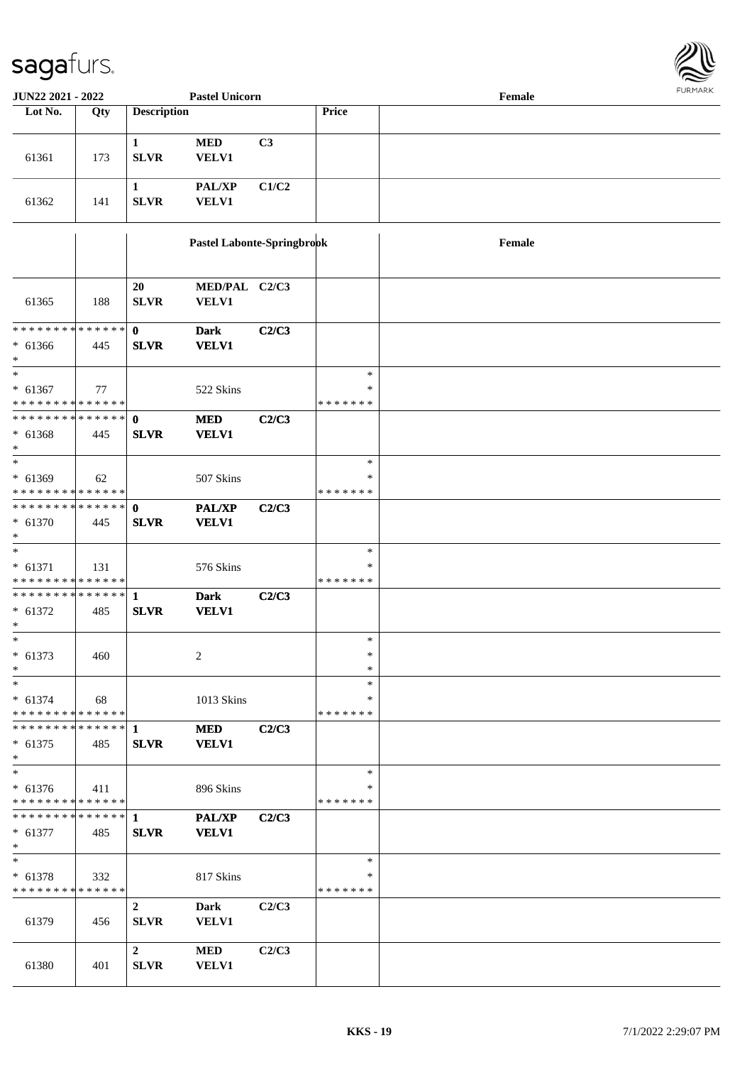

| JUN22 2021 - 2022                                                            | <b>Pastel Unicorn</b> |                                 |                             |       |                              |        |  |
|------------------------------------------------------------------------------|-----------------------|---------------------------------|-----------------------------|-------|------------------------------|--------|--|
| Lot No.                                                                      | Qty                   | <b>Description</b>              |                             |       | Price                        |        |  |
| 61361                                                                        | 173                   | $\mathbf{1}$<br><b>SLVR</b>     | <b>MED</b><br>VELV1         | C3    |                              |        |  |
| 61362                                                                        | 141                   | $\mathbf{1}$<br><b>SLVR</b>     | PAL/XP<br><b>VELV1</b>      | C1/C2 |                              |        |  |
|                                                                              |                       |                                 | Pastel Labonte-Springbrook  |       |                              | Female |  |
| 61365                                                                        | 188                   | 20<br><b>SLVR</b>               | MED/PAL C2/C3<br>VELV1      |       |                              |        |  |
| * * * * * * * * * * * * * * *<br>$* 61366$<br>$*$                            | 445                   | $\mathbf{0}$<br><b>SLVR</b>     | <b>Dark</b><br><b>VELV1</b> | C2/C3 |                              |        |  |
| $*$<br>$* 61367$<br>* * * * * * * * * * * * * *                              | 77                    |                                 | 522 Skins                   |       | $\ast$<br>*<br>* * * * * * * |        |  |
| * * * * * * * * * * * * * * *<br>$* 61368$<br>$*$                            | 445                   | $\mathbf 0$<br><b>SLVR</b>      | <b>MED</b><br><b>VELV1</b>  | C2/C3 |                              |        |  |
| $\overline{\ast}$<br>$* 61369$<br>* * * * * * * * <mark>* * * * * * *</mark> | 62                    |                                 | 507 Skins                   |       | $\ast$<br>*<br>* * * * * * * |        |  |
| * * * * * * * * * * * * * * *<br>$* 61370$<br>$*$                            | 445                   | $\mathbf{0}$<br><b>SLVR</b>     | PAL/XP<br><b>VELV1</b>      | C2/C3 |                              |        |  |
| $\overline{\ast}$<br>$* 61371$<br>* * * * * * * * <mark>* * * * * * *</mark> | 131                   |                                 | 576 Skins                   |       | $\ast$<br>∗<br>* * * * * * * |        |  |
| $* 61372$<br>$\ast$                                                          | 485                   | <b>SLVR</b>                     | <b>Dark</b><br><b>VELV1</b> | C2/C3 |                              |        |  |
| $*$<br>$* 61373$<br>$\ast$                                                   | 460                   |                                 | 2                           |       | $\ast$<br>$\ast$<br>$\ast$   |        |  |
| $*$<br>$* 61374$<br>* * * * * * * * * * * * * *                              | 68                    |                                 | 1013 Skins                  |       | *<br>∗<br>* * * * * * *      |        |  |
| * * * * * * * * * * * * * * *<br>$* 61375$<br>$*$                            | 485                   | $\mathbf{1}$<br><b>SLVR</b>     | <b>MED</b><br><b>VELV1</b>  | C2/C3 |                              |        |  |
| $*$<br>$* 61376$<br>* * * * * * * * * * * * * * *                            | 411                   |                                 | 896 Skins                   |       | $\ast$<br>∗<br>* * * * * * * |        |  |
| ************** 1<br>$* 61377$<br>$*$                                         | 485                   | <b>SLVR</b>                     | PAL/XP<br><b>VELV1</b>      | C2/C3 |                              |        |  |
| $*$<br>$* 61378$<br>* * * * * * * * * * * * * *                              | 332                   |                                 | 817 Skins                   |       | $\ast$<br>∗<br>* * * * * * * |        |  |
| 61379                                                                        | 456                   | $\boldsymbol{2}$<br><b>SLVR</b> | Dark<br><b>VELV1</b>        | C2/C3 |                              |        |  |
| 61380                                                                        | 401                   | $\mathbf{2}$<br><b>SLVR</b>     | <b>MED</b><br><b>VELV1</b>  | C2/C3 |                              |        |  |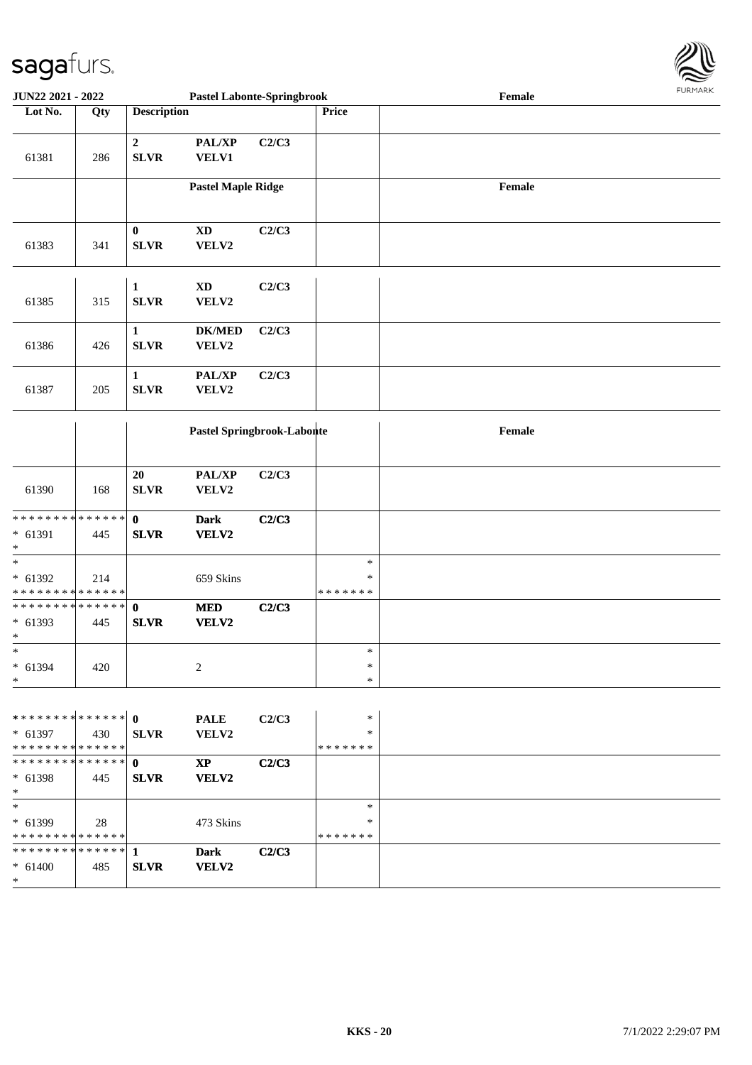\*



| JUN22 2021 - 2022                                    |     |                             | <b>Pastel Labonte-Springbrook</b>   |       |                              | Female | <b>FURMARK</b> |
|------------------------------------------------------|-----|-----------------------------|-------------------------------------|-------|------------------------------|--------|----------------|
| Lot No.                                              | Qty | <b>Description</b>          |                                     |       | Price                        |        |                |
| 61381                                                | 286 | $\mathbf 2$<br><b>SLVR</b>  | PAL/XP<br><b>VELV1</b>              | C2/C3 |                              |        |                |
|                                                      |     |                             | <b>Pastel Maple Ridge</b>           |       |                              | Female |                |
| 61383                                                | 341 | $\bf{0}$<br><b>SLVR</b>     | $\mathbf{X}\mathbf{D}$<br>VELV2     | C2/C3 |                              |        |                |
| 61385                                                | 315 | $\mathbf{1}$<br><b>SLVR</b> | $\boldsymbol{\mathrm{XD}}$<br>VELV2 | C2/C3 |                              |        |                |
| 61386                                                | 426 | $\mathbf{1}$<br><b>SLVR</b> | $DK/MED$<br>VELV2                   | C2/C3 |                              |        |                |
| 61387                                                | 205 | $\mathbf{1}$<br><b>SLVR</b> | PAL/XP<br>VELV2                     | C2/C3 |                              |        |                |
|                                                      |     |                             | Pastel Springbrook-Labonte          |       |                              | Female |                |
| 61390                                                | 168 | 20<br><b>SLVR</b>           | PAL/XP<br>VELV2                     | C2/C3 |                              |        |                |
| * * * * * * * * * * * * * * *<br>$* 61391$<br>$\ast$ | 445 | $\mathbf 0$<br><b>SLVR</b>  | <b>Dark</b><br>VELV2                | C2/C3 |                              |        |                |
| $\ast$<br>* 61392<br>* * * * * * * * * * * * * *     | 214 |                             | 659 Skins                           |       | $\ast$<br>∗<br>* * * * * * * |        |                |
| * * * * * * * * * * * * * * *<br>* 61393<br>$\ast$   | 445 | $\mathbf{0}$<br><b>SLVR</b> | $\bf MED$<br>VELV2                  | C2/C3 |                              |        |                |
| $*$<br>* 61394<br>$\ast$                             | 420 |                             | $\overline{c}$                      |       | $\ast$<br>$\ast$<br>$\ast$   |        |                |
| $* 61397$<br>* * * * * * * * * * * * * *             | 430 | <b>SLVR</b>                 | <b>PALE</b><br>VELV2                | C2/C3 | $\ast$<br>∗<br>* * * * * * * |        |                |
| * * * * * * * * * * * * * * *<br>$* 61398$<br>$\ast$ | 445 | $\mathbf{0}$<br><b>SLVR</b> | <b>XP</b><br>VELV2                  | C2/C3 |                              |        |                |
| $*$<br>* 61399<br>* * * * * * * * * * * * * *        | 28  |                             | 473 Skins                           |       | $\ast$<br>∗<br>* * * * * * * |        |                |
| * * * * * * * * * * * * * * *<br>$* 61400$<br>$*$    | 485 | 1<br><b>SLVR</b>            | <b>Dark</b><br><b>VELV2</b>         | C2/C3 |                              |        |                |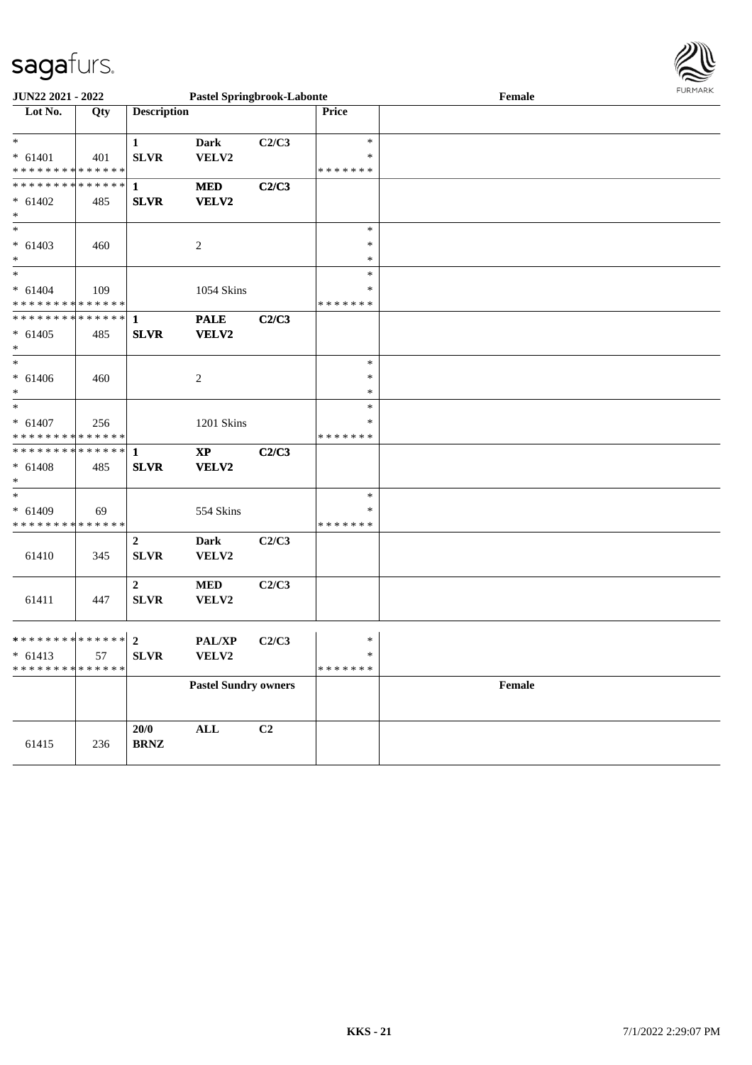

| <b>JUN22 2021 - 2022</b>                   | <b>Pastel Springbrook-Labonte</b> |                    |                             |       |               | Female | FURMARK |
|--------------------------------------------|-----------------------------------|--------------------|-----------------------------|-------|---------------|--------|---------|
| Lot No.                                    | Qty                               | <b>Description</b> |                             |       | Price         |        |         |
|                                            |                                   |                    |                             |       |               |        |         |
| $\ast$                                     |                                   | $\mathbf{1}$       | <b>Dark</b>                 | C2/C3 | $\ast$        |        |         |
| $* 61401$                                  | 401                               | <b>SLVR</b>        | VELV2                       |       | ∗             |        |         |
| * * * * * * * * <mark>* * * * * *</mark>   |                                   |                    |                             |       | *******       |        |         |
|                                            |                                   |                    | $\bf MED$                   | C2/C3 |               |        |         |
| $* 61402$                                  | 485                               | <b>SLVR</b>        | VELV2                       |       |               |        |         |
| $*$                                        |                                   |                    |                             |       |               |        |         |
| $\ast$                                     |                                   |                    |                             |       | $\ast$        |        |         |
| $* 61403$                                  | 460                               |                    | 2                           |       | $\ast$        |        |         |
| $\ast$                                     |                                   |                    |                             |       | $\ast$        |        |         |
| $\overline{\ast}$                          |                                   |                    |                             |       | $\ast$        |        |         |
| $* 61404$                                  | 109                               |                    | 1054 Skins                  |       | *             |        |         |
| * * * * * * * * <mark>* * * * * * *</mark> |                                   |                    |                             |       | *******       |        |         |
|                                            |                                   |                    | <b>PALE</b>                 | C2/C3 |               |        |         |
| $* 61405$                                  | 485                               | <b>SLVR</b>        | VELV2                       |       |               |        |         |
| $\ast$                                     |                                   |                    |                             |       |               |        |         |
|                                            |                                   |                    |                             |       | $\ast$        |        |         |
| $* 61406$                                  | 460                               |                    | 2                           |       | ∗             |        |         |
| $\ast$                                     |                                   |                    |                             |       | *             |        |         |
| $\overline{\ast}$                          |                                   |                    |                             |       | $\ast$        |        |         |
| $* 61407$                                  | 256                               |                    | 1201 Skins                  |       | *             |        |         |
| * * * * * * * * <mark>* * * * * *</mark>   |                                   |                    |                             |       | * * * * * * * |        |         |
|                                            |                                   |                    | $\bold{XP}$                 | C2/C3 |               |        |         |
| $* 61408$                                  | 485                               | <b>SLVR</b>        | VELV2                       |       |               |        |         |
| $\ast$                                     |                                   |                    |                             |       |               |        |         |
| $\ast$                                     |                                   |                    |                             |       | $\ast$        |        |         |
| $* 61409$                                  | 69                                |                    | 554 Skins                   |       | $\ast$        |        |         |
| * * * * * * * * * * * * * * *              |                                   |                    |                             |       | * * * * * * * |        |         |
|                                            |                                   | $2^{\circ}$        | <b>Dark</b>                 | C2/C3 |               |        |         |
| 61410                                      | 345                               | <b>SLVR</b>        | VELV2                       |       |               |        |         |
|                                            |                                   |                    |                             |       |               |        |         |
|                                            |                                   | $\mathbf{2}$       | <b>MED</b>                  | C2/C3 |               |        |         |
| 61411                                      | 447                               | <b>SLVR</b>        | VELV2                       |       |               |        |         |
|                                            |                                   |                    |                             |       |               |        |         |
|                                            |                                   |                    |                             |       |               |        |         |
|                                            |                                   |                    | PAL/XP                      | C2/C3 | $\ast$        |        |         |
| * 61413   57   SLVR VELV2                  |                                   |                    |                             |       | $\ast$        |        |         |
| * * * * * * * * * * * * * * *              |                                   |                    |                             |       | * * * * * * * |        |         |
|                                            |                                   |                    | <b>Pastel Sundry owners</b> |       |               | Female |         |
|                                            |                                   |                    |                             |       |               |        |         |
|                                            |                                   | 20/0               |                             | C2    |               |        |         |
| 61415                                      |                                   | <b>BRNZ</b>        | $\mathbf{ALL}$              |       |               |        |         |
|                                            | 236                               |                    |                             |       |               |        |         |
|                                            |                                   |                    |                             |       |               |        |         |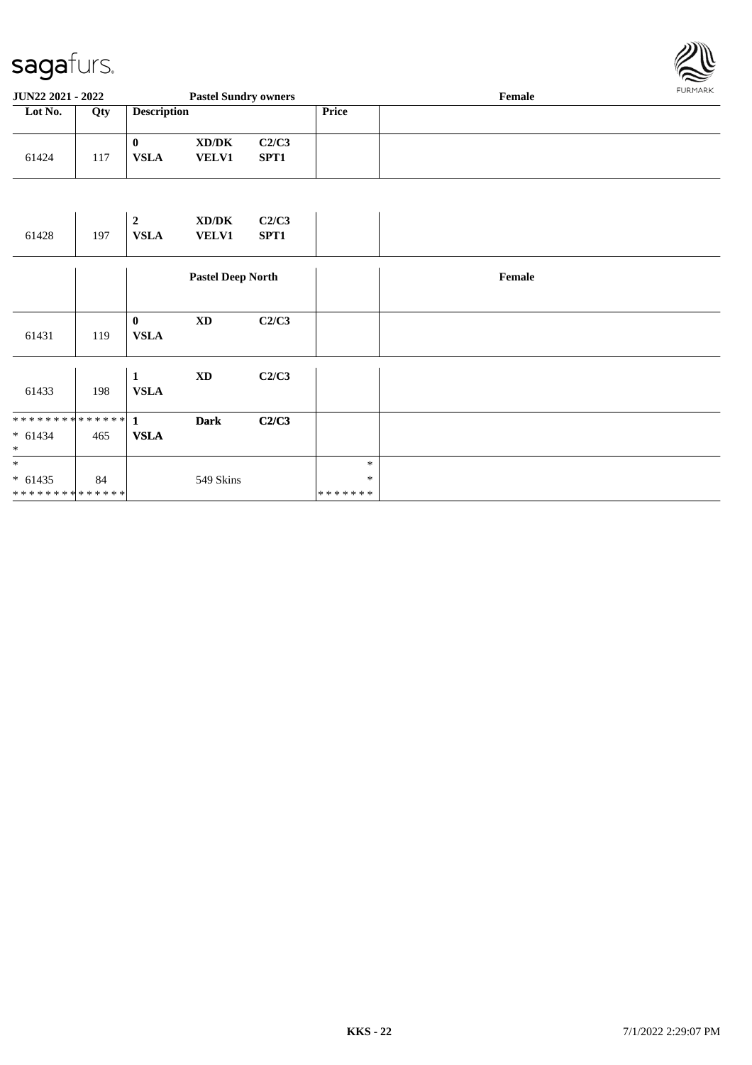

| <b>JUN22 2021 - 2022</b><br><b>Pastel Sundry owners</b> |     |                    |                       |                           |       | FURMARK<br>Female |  |  |
|---------------------------------------------------------|-----|--------------------|-----------------------|---------------------------|-------|-------------------|--|--|
| Lot No.                                                 | Qty | <b>Description</b> |                       |                           | Price |                   |  |  |
| 61424                                                   | 117 | 0<br><b>VSLA</b>   | XD/DK<br><b>VELV1</b> | C2/C3<br>SPT <sub>1</sub> |       |                   |  |  |

| 61428                                   | 197 | $\overline{2}$<br><b>VSLA</b> | XD/DK<br><b>VELV1</b>    | C2/C3<br>SPT1 |                             |        |
|-----------------------------------------|-----|-------------------------------|--------------------------|---------------|-----------------------------|--------|
|                                         |     |                               | <b>Pastel Deep North</b> |               |                             | Female |
| 61431                                   | 119 | $\bf{0}$<br><b>VSLA</b>       | $\mathbf{X}\mathbf{D}$   | C2/C3         |                             |        |
| 61433                                   | 198 | $\mathbf{1}$<br><b>VSLA</b>   | $\mathbf{X}\mathbf{D}$   | C2/C3         |                             |        |
| ************** 1<br>$* 61434$<br>$\ast$ | 465 | <b>VSLA</b>                   | <b>Dark</b>              | C2/C3         |                             |        |
| $\ast$<br>$* 61435$<br>**************   | 84  |                               | 549 Skins                |               | $\ast$<br>$\ast$<br>******* |        |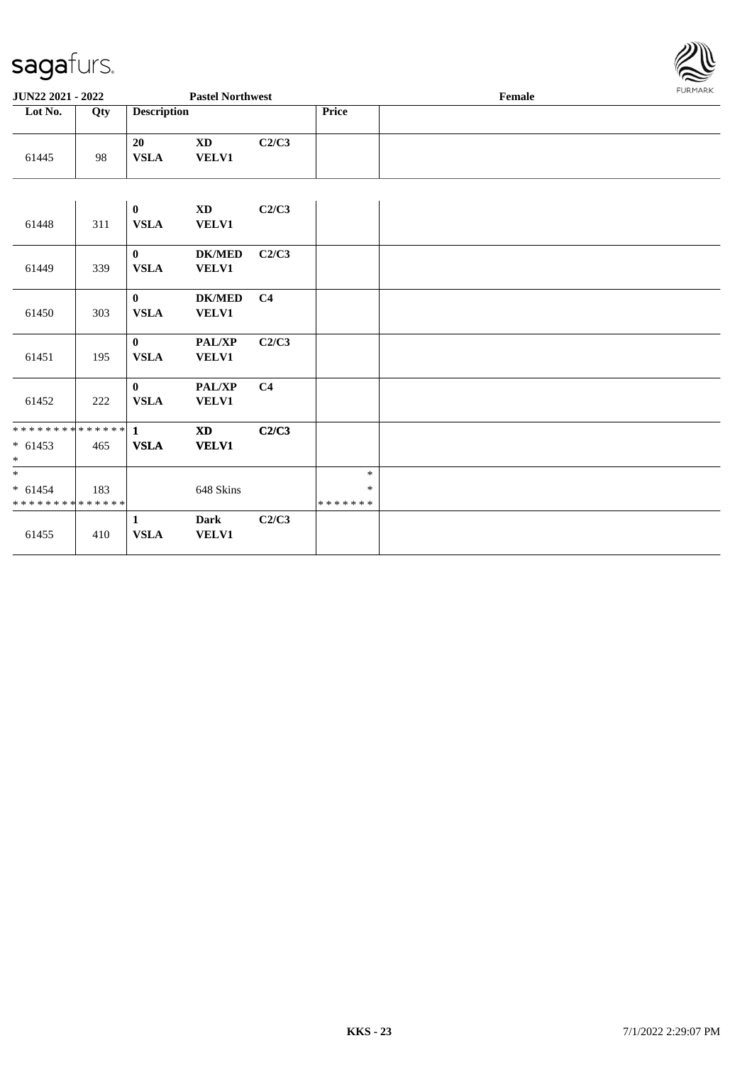

| <b>JUN22 2021 - 2022</b>                                          |     |                             | <b>Pastel Northwest</b>       |                |                                   | $\ensuremath{\textnormal{\textbf{Female}}}$ | 1.91111111 |
|-------------------------------------------------------------------|-----|-----------------------------|-------------------------------|----------------|-----------------------------------|---------------------------------------------|------------|
| Lot No.                                                           | Qty | <b>Description</b>          |                               |                | Price                             |                                             |            |
| 61445                                                             | 98  | 20<br><b>VSLA</b>           | <b>XD</b><br><b>VELV1</b>     | C2/C3          |                                   |                                             |            |
|                                                                   |     |                             |                               |                |                                   |                                             |            |
| 61448                                                             | 311 | $\bf{0}$<br><b>VSLA</b>     | <b>XD</b><br><b>VELV1</b>     | C2/C3          |                                   |                                             |            |
| 61449                                                             | 339 | $\mathbf{0}$<br><b>VSLA</b> | <b>DK/MED</b><br><b>VELV1</b> | C2/C3          |                                   |                                             |            |
| 61450                                                             | 303 | $\mathbf{0}$<br><b>VSLA</b> | <b>DK/MED</b><br><b>VELV1</b> | C <sub>4</sub> |                                   |                                             |            |
| 61451                                                             | 195 | $\mathbf{0}$<br><b>VSLA</b> | PAL/XP<br>VELV1               | C2/C3          |                                   |                                             |            |
| 61452                                                             | 222 | $\mathbf{0}$<br><b>VSLA</b> | PAL/XP<br><b>VELV1</b>        | C <sub>4</sub> |                                   |                                             |            |
| * * * * * * * * <mark>* * * * * * *</mark><br>$* 61453$<br>$\ast$ | 465 | $\mathbf{1}$<br><b>VSLA</b> | <b>XD</b><br><b>VELV1</b>     | C2/C3          |                                   |                                             |            |
| $* 61454$<br>* * * * * * * * * * * * * *                          | 183 |                             | 648 Skins                     |                | $\ast$<br>$\ast$<br>* * * * * * * |                                             |            |
| 61455                                                             | 410 | 1<br><b>VSLA</b>            | <b>Dark</b><br><b>VELV1</b>   | C2/C3          |                                   |                                             |            |
|                                                                   |     |                             |                               |                |                                   |                                             |            |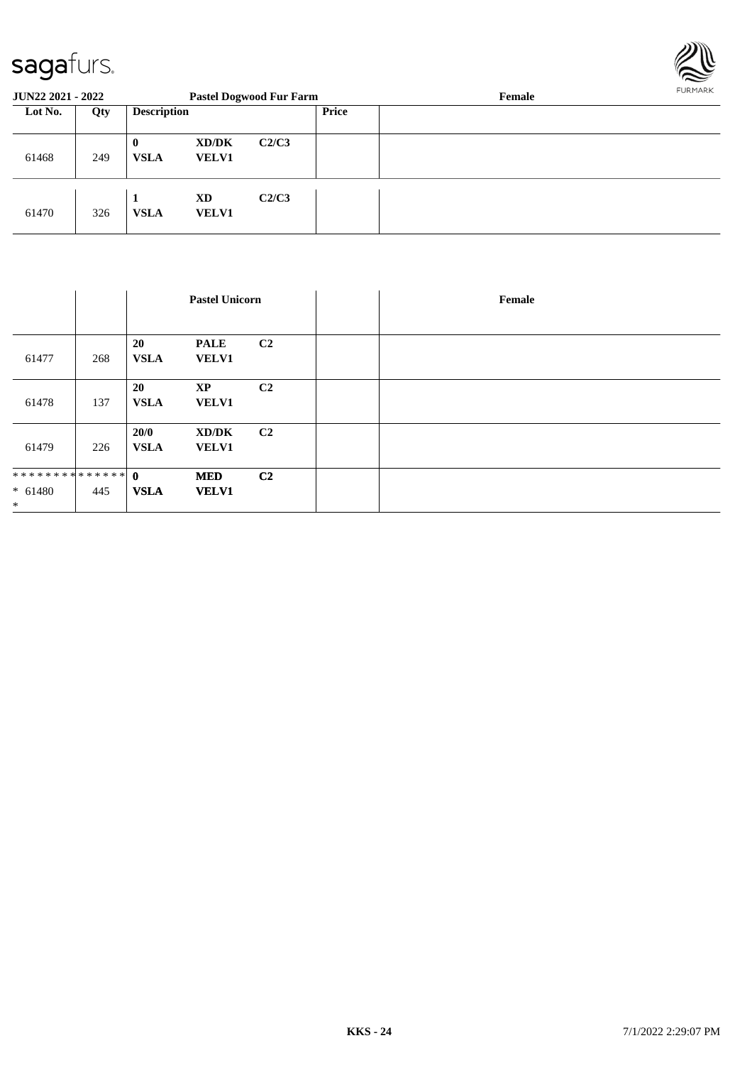

| <b>JUN22 2021 - 2022</b> |     |                         |                       | <b>Pastel Dogwood Fur Farm</b> |       | Female | FURMARR |
|--------------------------|-----|-------------------------|-----------------------|--------------------------------|-------|--------|---------|
| Lot No.<br>Qty           |     | <b>Description</b>      |                       |                                | Price |        |         |
| 61468                    | 249 | $\bf{0}$<br><b>VSLA</b> | XD/DK<br><b>VELV1</b> | C2/C3                          |       |        |         |
| 61470                    | 326 | <b>VSLA</b>             | XD<br><b>VELV1</b>    | C2/C3                          |       |        |         |

|                                      |     |                     | <b>Pastel Unicorn</b>       |                |  | Female |
|--------------------------------------|-----|---------------------|-----------------------------|----------------|--|--------|
|                                      |     |                     |                             |                |  |        |
| 61477                                | 268 | 20<br><b>VSLA</b>   | <b>PALE</b><br><b>VELV1</b> | C <sub>2</sub> |  |        |
| 61478                                | 137 | 20<br><b>VSLA</b>   | <b>XP</b><br>VELV1          | C <sub>2</sub> |  |        |
| 61479                                | 226 | 20/0<br><b>VSLA</b> | XD/DK<br><b>VELV1</b>       | C2             |  |        |
| ************** 0<br>$* 61480$<br>$*$ | 445 | <b>VSLA</b>         | <b>MED</b><br><b>VELV1</b>  | C <sub>2</sub> |  |        |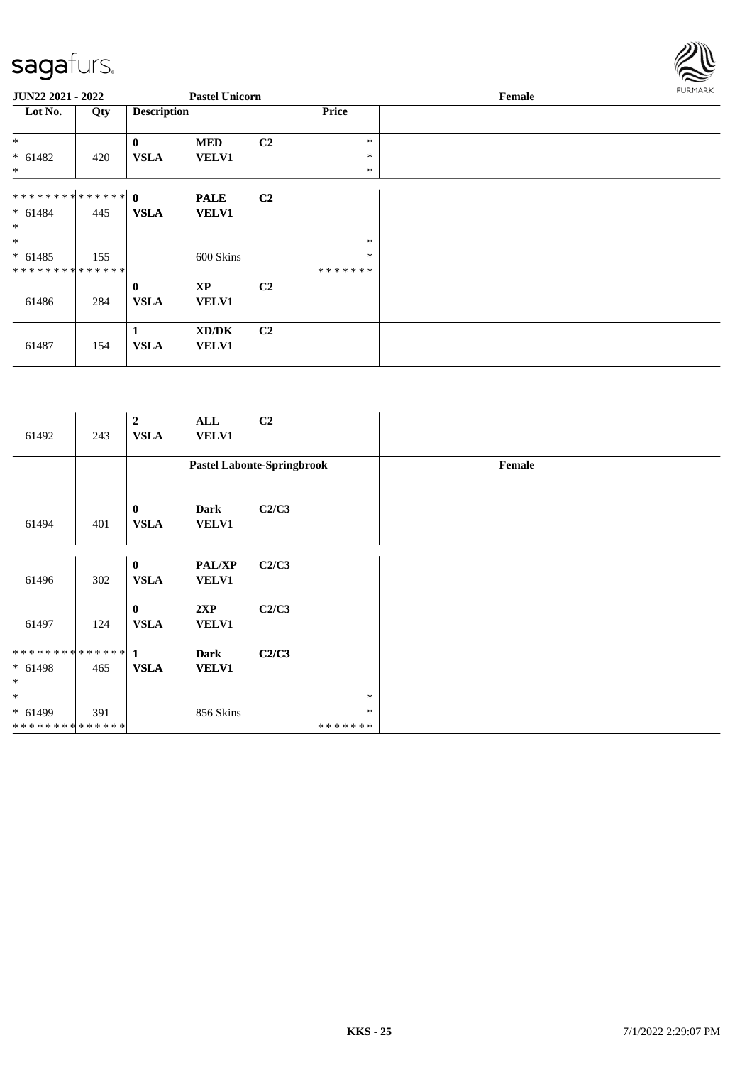

| <b>JUN22 2021 - 2022</b>      |     |                    | <b>Pastel Unicorn</b> |                |              | Female |  |  |  |  |
|-------------------------------|-----|--------------------|-----------------------|----------------|--------------|--------|--|--|--|--|
| Lot No.                       | Qty | <b>Description</b> |                       |                | <b>Price</b> |        |  |  |  |  |
| $*$                           |     | $\bf{0}$           | <b>MED</b>            | C <sub>2</sub> | *            |        |  |  |  |  |
| $* 61482$                     | 420 | <b>VSLA</b>        | <b>VELV1</b>          |                | $\ast$       |        |  |  |  |  |
| $\ast$                        |     |                    |                       |                | $\ast$       |        |  |  |  |  |
|                               |     |                    | <b>PALE</b>           | C <sub>2</sub> |              |        |  |  |  |  |
| $* 61484$                     | 445 | <b>VSLA</b>        | <b>VELV1</b>          |                |              |        |  |  |  |  |
| $*$                           |     |                    |                       |                |              |        |  |  |  |  |
| $*$                           |     |                    |                       |                | *            |        |  |  |  |  |
| $* 61485$                     | 155 |                    | 600 Skins             |                | $\ast$       |        |  |  |  |  |
| * * * * * * * * * * * * * * * |     |                    |                       |                | *******      |        |  |  |  |  |
|                               |     | $\bf{0}$           | XP                    | C <sub>2</sub> |              |        |  |  |  |  |
| 61486                         | 284 | <b>VSLA</b>        | <b>VELV1</b>          |                |              |        |  |  |  |  |
|                               |     |                    |                       |                |              |        |  |  |  |  |
|                               |     | 1                  | XD/DK                 | C <sub>2</sub> |              |        |  |  |  |  |
| 61487                         | 154 | <b>VSLA</b>        | <b>VELV1</b>          |                |              |        |  |  |  |  |
|                               |     |                    |                       |                |              |        |  |  |  |  |

| 61492                                   | 243 | $\boldsymbol{2}$<br><b>VSLA</b> | ALL<br><b>VELV1</b>           | C <sub>2</sub>             |                             |        |
|-----------------------------------------|-----|---------------------------------|-------------------------------|----------------------------|-----------------------------|--------|
|                                         |     |                                 |                               | Pastel Labonte-Springbrook |                             | Female |
| 61494                                   | 401 | $\bf{0}$<br><b>VSLA</b>         | <b>Dark</b><br><b>VELV1</b>   | C2/C3                      |                             |        |
| 61496                                   | 302 | $\bf{0}$<br><b>VSLA</b>         | <b>PAL/XP</b><br><b>VELV1</b> | C2/C3                      |                             |        |
| 61497                                   | 124 | $\bf{0}$<br><b>VSLA</b>         | 2XP<br><b>VELV1</b>           | C2/C3                      |                             |        |
| ************** 1<br>$* 61498$<br>$\ast$ | 465 | <b>VSLA</b>                     | <b>Dark</b><br><b>VELV1</b>   | C2/C3                      |                             |        |
| $\ast$<br>$* 61499$<br>**************   | 391 |                                 | 856 Skins                     |                            | $\ast$<br>$\ast$<br>******* |        |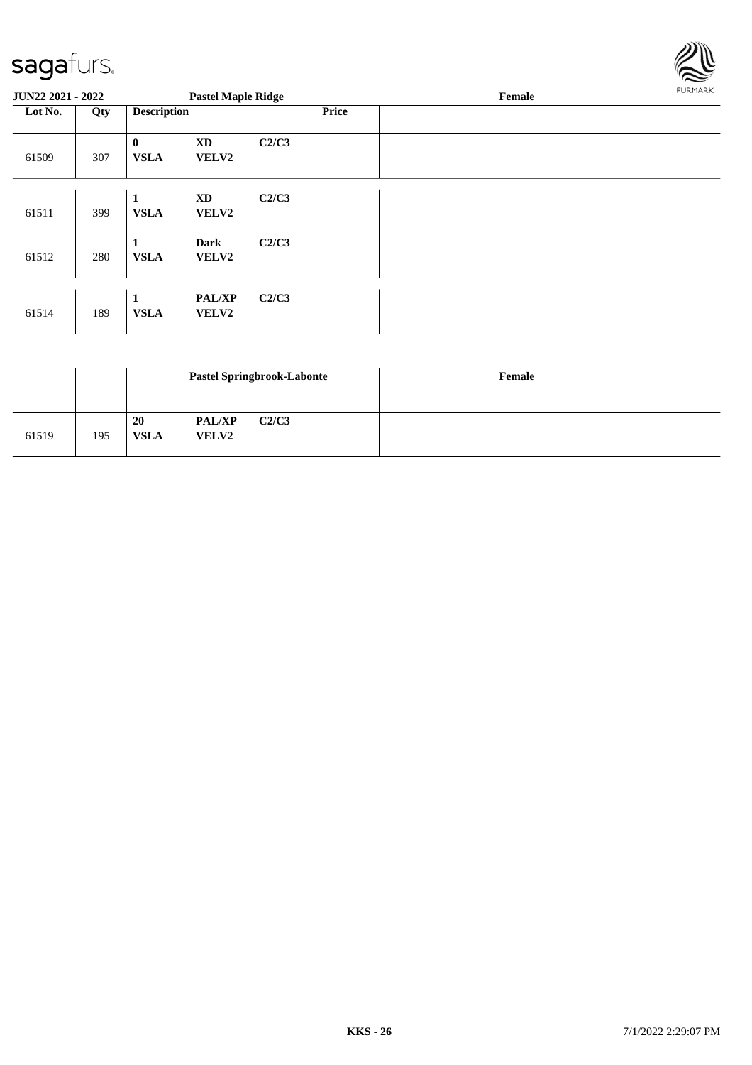

| <b>JUN22 2021 - 2022</b> |     |                             | <b>Pastel Maple Ridge</b>     |       |              | FURMARK<br>Female |  |
|--------------------------|-----|-----------------------------|-------------------------------|-------|--------------|-------------------|--|
| Lot No.                  | Qty | <b>Description</b>          |                               |       | <b>Price</b> |                   |  |
| 61509                    | 307 | $\bf{0}$<br><b>VSLA</b>     | <b>XD</b><br>VELV2            | C2/C3 |              |                   |  |
| 61511                    | 399 | $\mathbf{1}$<br><b>VSLA</b> | XD<br><b>VELV2</b>            | C2/C3 |              |                   |  |
| 61512                    | 280 | 1<br><b>VSLA</b>            | <b>Dark</b><br><b>VELV2</b>   | C2/C3 |              |                   |  |
| 61514                    | 189 | 1<br><b>VSLA</b>            | <b>PAL/XP</b><br><b>VELV2</b> | C2/C3 |              |                   |  |

|       |     |                   |                               | Pastel Springbrook-Labonte | Female |
|-------|-----|-------------------|-------------------------------|----------------------------|--------|
| 61519 | 195 | 20<br><b>VSLA</b> | <b>PAL/XP</b><br><b>VELV2</b> | C2/C3                      |        |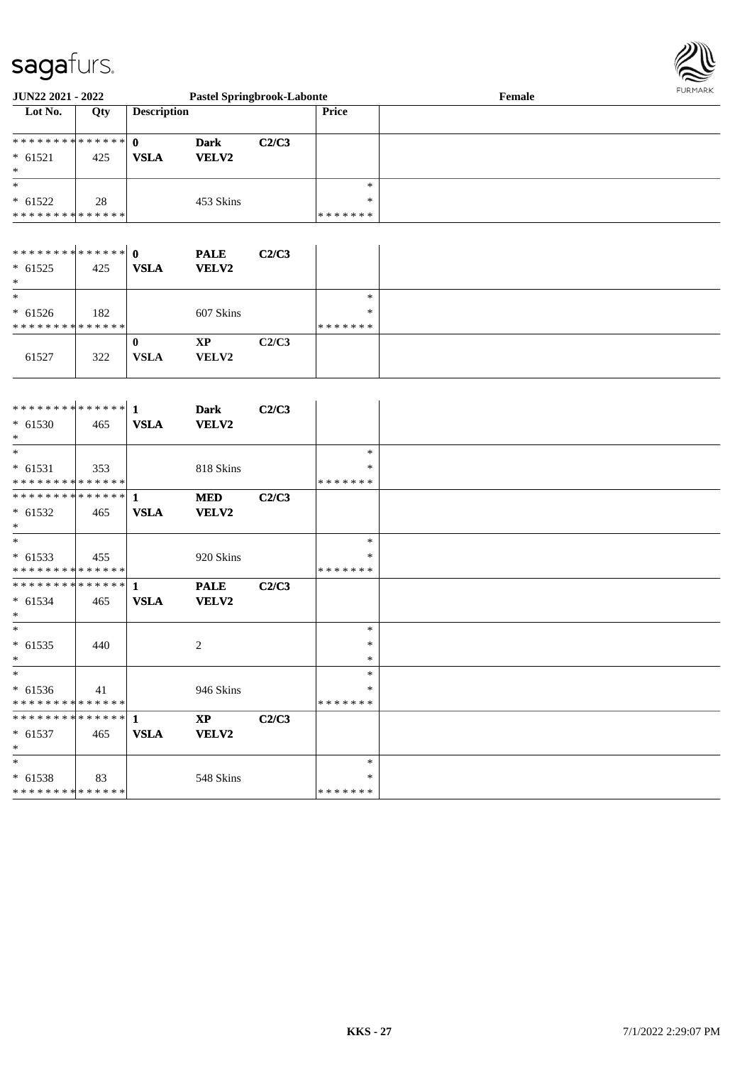\* 61536

\* 61538

\* \*

\* \* \* \* \* \* \* \* \* \* \* \* \* \*

\* \* \* \* \* \* \* \* \* \* \* \* \* \*

**\* \* \* \* \* \* \* \* \* \* \* \* \*** \* 61537 465

41 946 Skins

83 548 Skins

**1 XP C2/C3 VSLA VELV2**



| JUN22 2021 - 2022                                          |     |                    | <b>Pastel Springbrook-Labonte</b> |       |               | Female |  |
|------------------------------------------------------------|-----|--------------------|-----------------------------------|-------|---------------|--------|--|
| Lot No.                                                    | Qty | <b>Description</b> |                                   |       | <b>Price</b>  |        |  |
|                                                            |     |                    |                                   |       |               |        |  |
| **************                                             |     | $\mathbf 0$        | <b>Dark</b>                       | C2/C3 |               |        |  |
| $* 61521$                                                  | 425 | <b>VSLA</b>        | VELV2                             |       |               |        |  |
| $\ast$                                                     |     |                    |                                   |       |               |        |  |
| $\ast$                                                     |     |                    |                                   |       | $\ast$        |        |  |
| $* 61522$                                                  | 28  |                    | 453 Skins                         |       | *             |        |  |
| * * * * * * * * * * * * * *                                |     |                    |                                   |       | * * * * * * * |        |  |
|                                                            |     |                    |                                   |       |               |        |  |
|                                                            |     |                    | <b>PALE</b>                       | C2/C3 |               |        |  |
| $* 61525$                                                  | 425 | <b>VSLA</b>        | VELV2                             |       |               |        |  |
| $\ast$                                                     |     |                    |                                   |       |               |        |  |
| $\overline{\phantom{a}^*}$                                 |     |                    |                                   |       | $\ast$        |        |  |
| $* 61526$                                                  | 182 |                    | 607 Skins                         |       | $\ast$        |        |  |
| * * * * * * * * * * * * * *                                |     |                    |                                   |       | * * * * * * * |        |  |
|                                                            |     | $\bf{0}$           | $\bold{XP}$                       | C2/C3 |               |        |  |
| 61527                                                      | 322 | <b>VSLA</b>        | VELV2                             |       |               |        |  |
|                                                            |     |                    |                                   |       |               |        |  |
|                                                            |     |                    |                                   |       |               |        |  |
|                                                            |     |                    | <b>Dark</b>                       | C2/C3 |               |        |  |
| $* 61530$                                                  | 465 | <b>VSLA</b>        | <b>VELV2</b>                      |       |               |        |  |
| $\ast$<br>$\overline{\phantom{1}}$                         |     |                    |                                   |       |               |        |  |
|                                                            |     |                    |                                   |       | $\ast$        |        |  |
| $* 61531$                                                  | 353 |                    | 818 Skins                         |       | *             |        |  |
| * * * * * * * * * * * * * *<br>* * * * * * * * * * * * * * |     |                    |                                   |       | * * * * * * * |        |  |
|                                                            |     | $\mathbf{1}$       | <b>MED</b>                        | C2/C3 |               |        |  |
| $* 61532$<br>$\ast$                                        | 465 | <b>VSLA</b>        | <b>VELV2</b>                      |       |               |        |  |
| $\ast$                                                     |     |                    |                                   |       | $\ast$        |        |  |
|                                                            |     |                    |                                   |       | ∗             |        |  |
| $* 61533$<br>* * * * * * * * * * * * * *                   | 455 |                    | 920 Skins                         |       | * * * * * * * |        |  |
| * * * * * * * * * * * * * * *                              |     | $\mathbf{1}$       |                                   | C2/C3 |               |        |  |
|                                                            |     |                    | <b>PALE</b>                       |       |               |        |  |
| $* 61534$<br>$\ast$                                        | 465 | <b>VSLA</b>        | VELV2                             |       |               |        |  |
| $\ast$                                                     |     |                    |                                   |       | $\ast$        |        |  |
| $* 61535$                                                  | 440 |                    | $\overline{c}$                    |       | $\ast$        |        |  |
| $\ast$                                                     |     |                    |                                   |       | $\ast$        |        |  |
| $*$                                                        |     |                    |                                   |       | $\ast$        |        |  |
|                                                            |     |                    |                                   |       |               |        |  |

\* \* \* \* \* \* \* \*

> \* \*

\* \* \* \* \* \* \*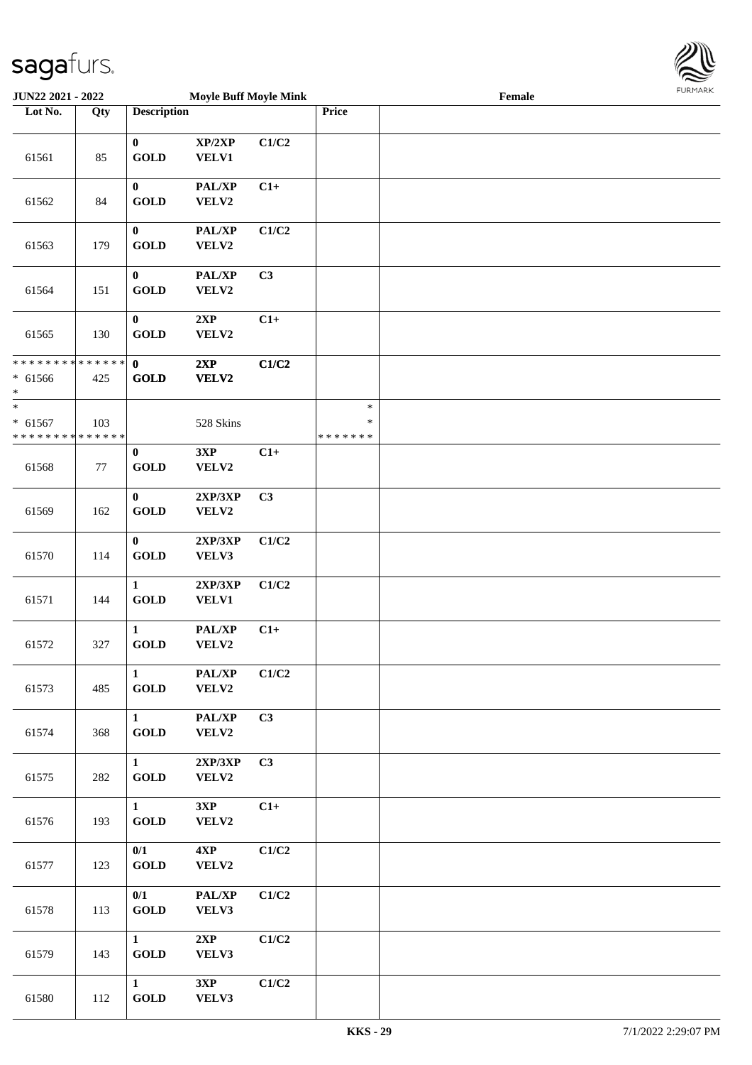

| <b>JUN22 2021 - 2022</b>                   |     |                       | <b>Moyle Buff Moyle Mink</b> |       |               | Female |  |
|--------------------------------------------|-----|-----------------------|------------------------------|-------|---------------|--------|--|
| Lot No.                                    | Qty | <b>Description</b>    |                              |       | Price         |        |  |
|                                            |     |                       |                              |       |               |        |  |
|                                            |     | $\bf{0}$              | XP/2XP                       | C1/C2 |               |        |  |
| 61561                                      | 85  | <b>GOLD</b>           | <b>VELV1</b>                 |       |               |        |  |
|                                            |     |                       |                              |       |               |        |  |
|                                            |     | $\bf{0}$              | PAL/XP                       | $C1+$ |               |        |  |
| 61562                                      | 84  | <b>GOLD</b>           | VELV2                        |       |               |        |  |
|                                            |     |                       |                              |       |               |        |  |
|                                            |     | $\bf{0}$              | PAL/XP                       | C1/C2 |               |        |  |
| 61563                                      | 179 | <b>GOLD</b>           | VELV2                        |       |               |        |  |
|                                            |     |                       |                              |       |               |        |  |
|                                            |     | $\bf{0}$              | PAL/XP                       | C3    |               |        |  |
| 61564                                      | 151 | <b>GOLD</b>           | VELV2                        |       |               |        |  |
|                                            |     | $\bf{0}$              | 2XP                          | $C1+$ |               |        |  |
| 61565                                      | 130 | <b>GOLD</b>           | VELV2                        |       |               |        |  |
|                                            |     |                       |                              |       |               |        |  |
| * * * * * * * * <mark>* * * * * *</mark>   |     | $\mathbf{0}$          | 2XP                          | C1/C2 |               |        |  |
| $* 61566$                                  | 425 | <b>GOLD</b>           | VELV2                        |       |               |        |  |
| *                                          |     |                       |                              |       |               |        |  |
| $\ast$                                     |     |                       |                              |       | $\ast$        |        |  |
| $* 61567$                                  | 103 |                       | 528 Skins                    |       | $\ast$        |        |  |
| * * * * * * * * <mark>* * * * * * *</mark> |     |                       |                              |       | * * * * * * * |        |  |
|                                            |     | $\bf{0}$              | 3XP                          | $C1+$ |               |        |  |
| 61568                                      | 77  | <b>GOLD</b>           | VELV2                        |       |               |        |  |
|                                            |     |                       |                              |       |               |        |  |
|                                            |     | $\bf{0}$              | 2XP/3XP                      | C3    |               |        |  |
| 61569                                      | 162 | <b>GOLD</b>           | VELV2                        |       |               |        |  |
|                                            |     |                       |                              |       |               |        |  |
|                                            |     | $\bf{0}$              | 2XP/3XP                      | C1/C2 |               |        |  |
| 61570                                      | 114 | <b>GOLD</b>           | VELV3                        |       |               |        |  |
|                                            |     | $\mathbf{1}$          |                              |       |               |        |  |
| 61571                                      | 144 | <b>GOLD</b>           | 2XP/3XP<br><b>VELV1</b>      | C1/C2 |               |        |  |
|                                            |     |                       |                              |       |               |        |  |
|                                            |     | $\mathbf{1}$          | PAL/XP                       | $C1+$ |               |        |  |
| 61572                                      | 327 | <b>GOLD</b>           | VELV2                        |       |               |        |  |
|                                            |     |                       |                              |       |               |        |  |
|                                            |     | $\mathbf{1}$          | PAL/XP                       | C1/C2 |               |        |  |
| 61573                                      | 485 | $\operatorname{GOLD}$ | VELV2                        |       |               |        |  |
|                                            |     |                       |                              |       |               |        |  |
|                                            |     | $\mathbf{1}$          | PAL/XP                       | C3    |               |        |  |
| 61574                                      | 368 | <b>GOLD</b>           | VELV2                        |       |               |        |  |
|                                            |     |                       |                              |       |               |        |  |
|                                            |     | $\mathbf{1}$          | 2XP/3XP                      | C3    |               |        |  |
| 61575                                      | 282 | <b>GOLD</b>           | VELV2                        |       |               |        |  |
|                                            |     |                       |                              |       |               |        |  |
|                                            |     | $\mathbf{1}$          | 3XP                          | $C1+$ |               |        |  |
| 61576                                      | 193 | <b>GOLD</b>           | VELV2                        |       |               |        |  |
|                                            |     | 0/1                   | 4XP                          | C1/C2 |               |        |  |
| 61577                                      | 123 | <b>GOLD</b>           | VELV2                        |       |               |        |  |
|                                            |     |                       |                              |       |               |        |  |
|                                            |     | 0/1                   | PAL/XP                       | C1/C2 |               |        |  |
| 61578                                      | 113 | <b>GOLD</b>           | VELV3                        |       |               |        |  |
|                                            |     |                       |                              |       |               |        |  |
|                                            |     | $\mathbf{1}$          | 2XP                          | C1/C2 |               |        |  |
| 61579                                      | 143 | <b>GOLD</b>           | VELV3                        |       |               |        |  |
|                                            |     |                       |                              |       |               |        |  |
|                                            |     | $\mathbf{1}$          | 3XP                          | C1/C2 |               |        |  |
| 61580                                      | 112 | <b>GOLD</b>           | VELV3                        |       |               |        |  |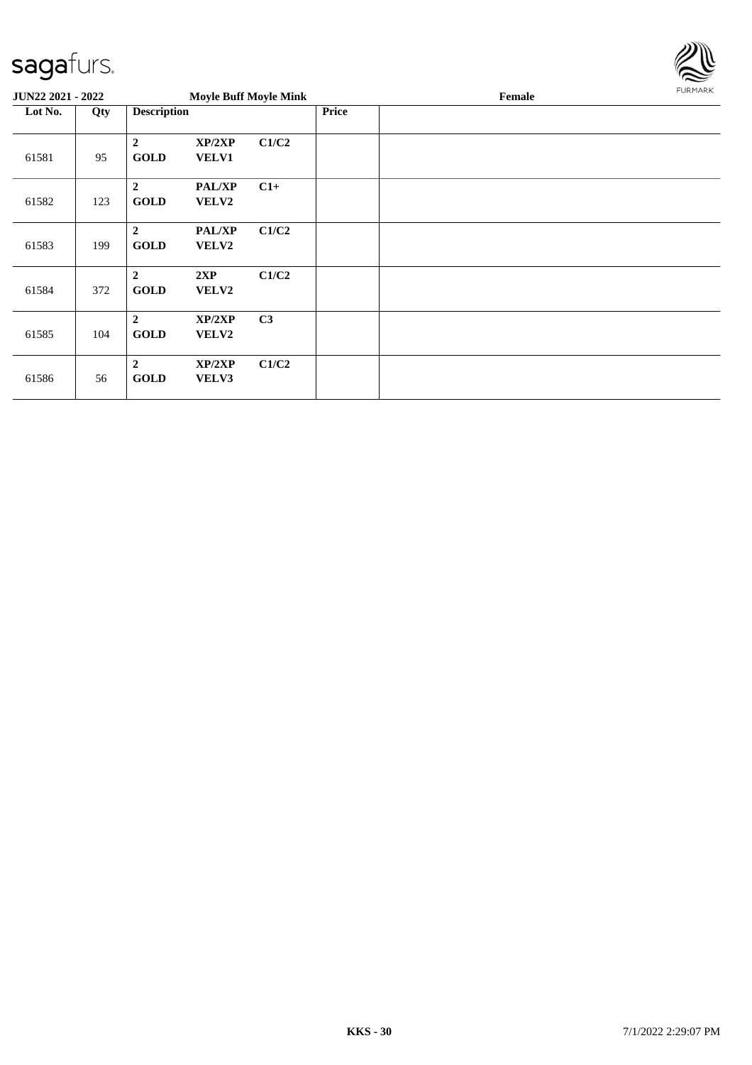

| JUN22 2021 - 2022 |     |                                 |                        | <b>Moyle Buff Moyle Mink</b> |       | Female | FURMARK |
|-------------------|-----|---------------------------------|------------------------|------------------------------|-------|--------|---------|
| Lot No.           | Qty | <b>Description</b>              |                        |                              | Price |        |         |
| 61581             | 95  | $\boldsymbol{2}$<br><b>GOLD</b> | XP/2XP<br><b>VELV1</b> | C1/C2                        |       |        |         |
| 61582             | 123 | $\overline{2}$<br><b>GOLD</b>   | <b>PAL/XP</b><br>VELV2 | $C1+$                        |       |        |         |
| 61583             | 199 | $\boldsymbol{2}$<br><b>GOLD</b> | PAL/XP<br><b>VELV2</b> | C1/C2                        |       |        |         |
| 61584             | 372 | $\boldsymbol{2}$<br><b>GOLD</b> | 2XP<br>VELV2           | C1/C2                        |       |        |         |
| 61585             | 104 | $\overline{2}$<br><b>GOLD</b>   | XP/2XP<br>VELV2        | C <sub>3</sub>               |       |        |         |
| 61586             | 56  | $\boldsymbol{2}$<br><b>GOLD</b> | XP/2XP<br>VELV3        | C1/C2                        |       |        |         |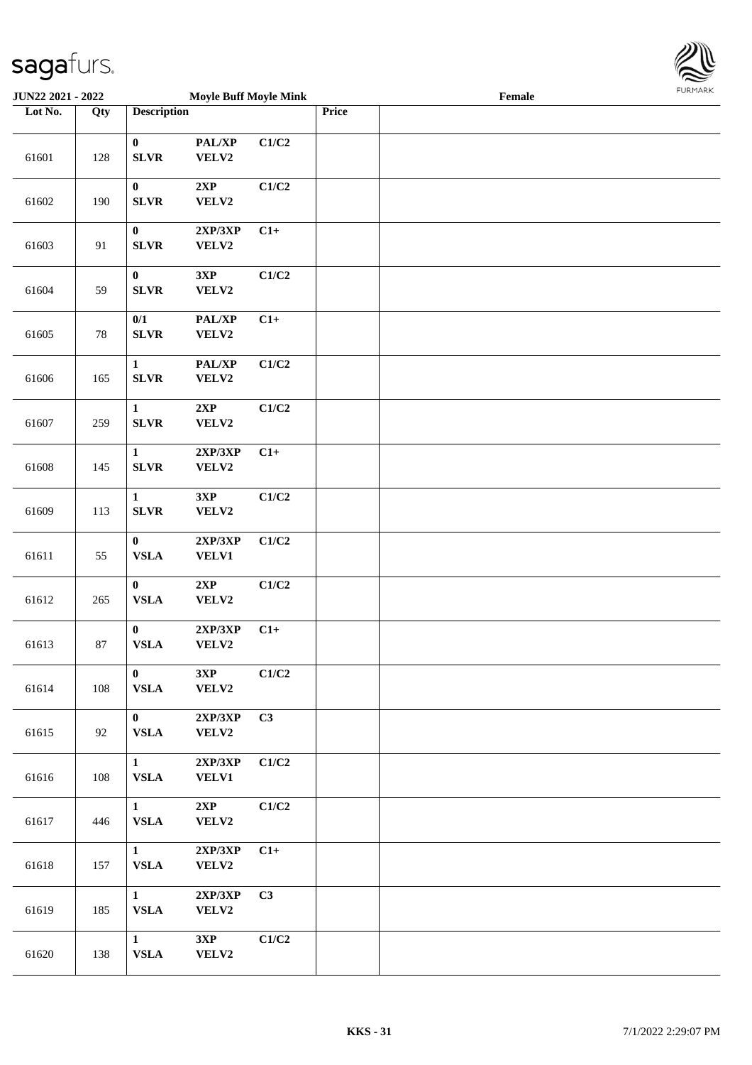

| <b>JUN22 2021 - 2022</b> |     |                                 | <b>Moyle Buff Moyle Mink</b> |       |       | Female |  |
|--------------------------|-----|---------------------------------|------------------------------|-------|-------|--------|--|
| Lot No.                  | Qty | <b>Description</b>              |                              |       | Price |        |  |
| 61601                    | 128 | $\mathbf{0}$<br><b>SLVR</b>     | PAL/XP<br>VELV2              | C1/C2 |       |        |  |
| 61602                    | 190 | $\bf{0}$<br><b>SLVR</b>         | 2XP<br>VELV2                 | C1/C2 |       |        |  |
| 61603                    | 91  | $\bf{0}$<br><b>SLVR</b>         | 2XP/3XP<br>VELV2             | $C1+$ |       |        |  |
| 61604                    | 59  | $\boldsymbol{0}$<br><b>SLVR</b> | 3XP<br>VELV2                 | C1/C2 |       |        |  |
| 61605                    | 78  | 0/1<br><b>SLVR</b>              | PAL/XP<br>VELV2              | $C1+$ |       |        |  |
| 61606                    | 165 | $\mathbf{1}$<br><b>SLVR</b>     | PAL/XP<br>VELV2              | C1/C2 |       |        |  |
| 61607                    | 259 | $\mathbf{1}$<br>${\bf SLVR}$    | 2XP<br>VELV2                 | C1/C2 |       |        |  |
| 61608                    | 145 | $\mathbf{1}$<br><b>SLVR</b>     | 2XP/3XP<br>VELV2             | $C1+$ |       |        |  |
| 61609                    | 113 | $\mathbf{1}$<br><b>SLVR</b>     | 3XP<br>VELV2                 | C1/C2 |       |        |  |
| 61611                    | 55  | $\bf{0}$<br>${\bf VSLA}$        | 2XP/3XP<br><b>VELV1</b>      | C1/C2 |       |        |  |
| 61612                    | 265 | $\bf{0}$<br>${\bf VSLA}$        | 2XP<br>VELV2                 | C1/C2 |       |        |  |
| 61613                    | 87  | $\bf{0}$<br>${\bf VSLA}$        | 2XP/3XP<br>VELV2             | $C1+$ |       |        |  |
| 61614                    | 108 | $\mathbf{0}$<br><b>VSLA</b>     | 3XP<br>VELV2                 | C1/C2 |       |        |  |
| 61615                    | 92  | $\mathbf{0}$<br><b>VSLA</b>     | 2XP/3XP<br><b>VELV2</b>      | C3    |       |        |  |
| 61616                    | 108 | $\mathbf{1}$<br>${\bf VSLA}$    | 2XP/3XP<br><b>VELV1</b>      | C1/C2 |       |        |  |
| 61617                    | 446 | $\mathbf{1}$<br>${\bf VSLA}$    | 2XP<br>VELV2                 | C1/C2 |       |        |  |
| 61618                    | 157 | $\mathbf{1}$<br><b>VSLA</b>     | 2XP/3XP<br>VELV2             | $C1+$ |       |        |  |
| 61619                    | 185 | $\mathbf{1}$<br><b>VSLA</b>     | 2XP/3XP<br>VELV2             | C3    |       |        |  |
| 61620                    | 138 | $\mathbf{1}$<br>${\bf VSLA}$    | 3XP<br>VELV2                 | C1/C2 |       |        |  |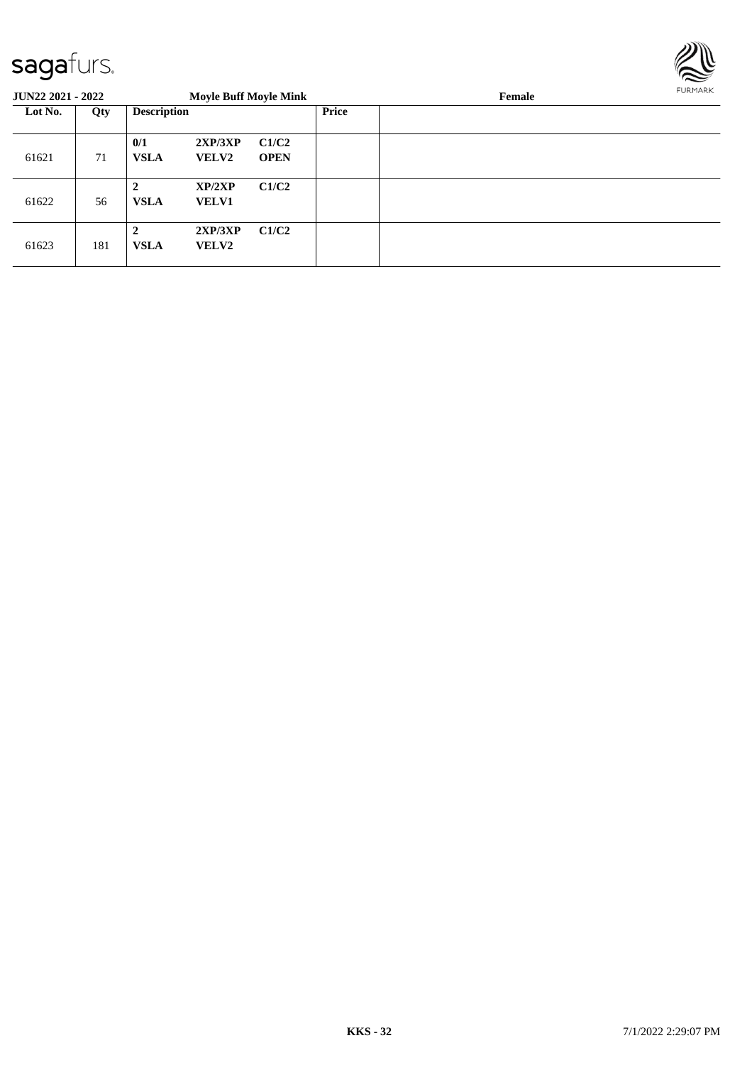

| <b>JUN22 2021 - 2022</b> |     |                             | <b>Moyle Buff Moyle Mink</b> |                      |              | Female | FURMARK |
|--------------------------|-----|-----------------------------|------------------------------|----------------------|--------------|--------|---------|
| Lot No.                  | Qty | <b>Description</b>          |                              |                      | <b>Price</b> |        |         |
| 61621                    | 71  | 0/1<br><b>VSLA</b>          | 2XP/3XP<br><b>VELV2</b>      | C1/C2<br><b>OPEN</b> |              |        |         |
| 61622                    | 56  | $\mathbf{2}$<br><b>VSLA</b> | XP/2XP<br><b>VELV1</b>       | C1/C2                |              |        |         |
| 61623                    | 181 | $\mathbf{2}$<br><b>VSLA</b> | 2XP/3XP<br><b>VELV2</b>      | C1/C2                |              |        |         |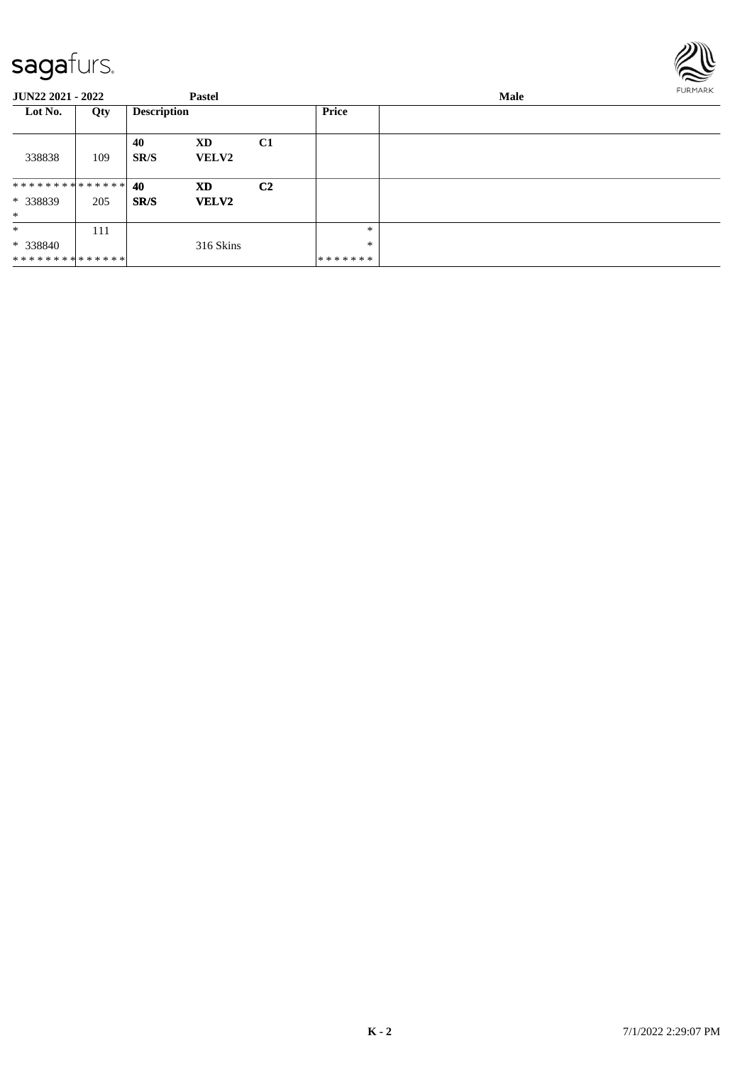

| <b>JUN22 2021 - 2022</b>                            |     |                    | <b>Pastel</b>      |                |                                   | <b>FURMARK</b><br>Male |  |  |  |
|-----------------------------------------------------|-----|--------------------|--------------------|----------------|-----------------------------------|------------------------|--|--|--|
| Lot No.                                             | Qty | <b>Description</b> |                    |                | Price                             |                        |  |  |  |
| 338838                                              | 109 | 40<br>SR/S         | XD<br><b>VELV2</b> | C1             |                                   |                        |  |  |  |
| * * * * * * * * * * * * * * *<br>* 338839<br>$\ast$ | 205 | 40<br>SR/S         | XD<br><b>VELV2</b> | C <sub>2</sub> |                                   |                        |  |  |  |
| $\ast$<br>$* 338840$<br>**************              | 111 |                    | 316 Skins          |                | $\ast$<br>$\ast$<br>* * * * * * * |                        |  |  |  |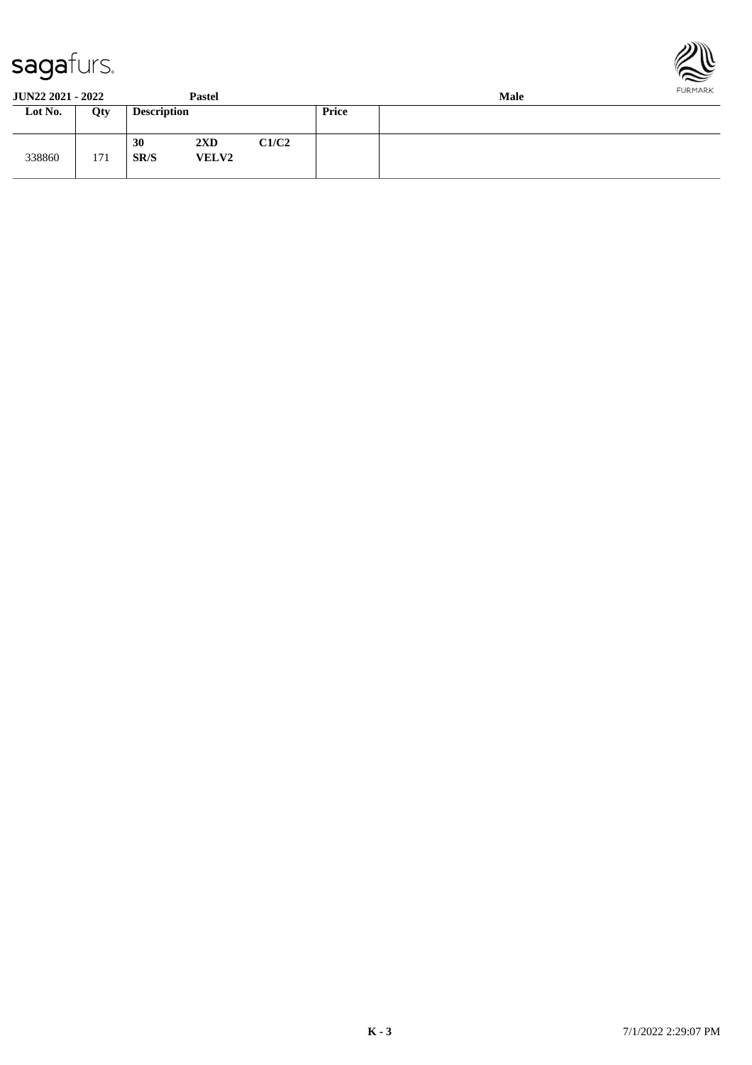



| <b>JUN22 2021 - 2022</b> |     |                    | Pastel                                  |       |              | <b>FURMARK</b><br><b>Male</b> |  |  |  |
|--------------------------|-----|--------------------|-----------------------------------------|-------|--------------|-------------------------------|--|--|--|
| Lot No.                  | Qty | <b>Description</b> |                                         |       | <b>Price</b> |                               |  |  |  |
| 338860                   | 171 | 30<br>SR/S         | $2\mathbf{X}\mathbf{D}$<br><b>VELV2</b> | C1/C2 |              |                               |  |  |  |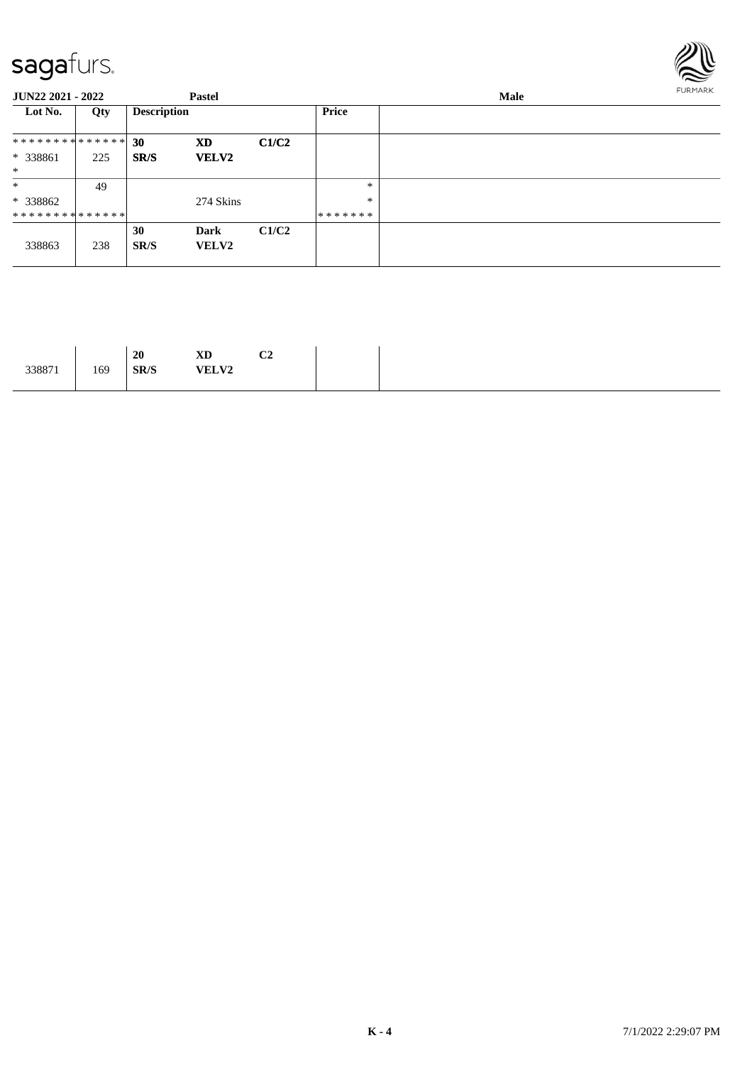

| <b>JUN22 2021 - 2022</b>      |     |                    | <b>Pastel</b>        |       |         | FURMARK<br>Male |  |  |  |  |
|-------------------------------|-----|--------------------|----------------------|-------|---------|-----------------|--|--|--|--|
| Lot No.                       | Qty | <b>Description</b> |                      |       | Price   |                 |  |  |  |  |
| * * * * * * * * * * * * * * * |     | 30                 | XD                   | C1/C2 |         |                 |  |  |  |  |
| * 338861                      | 225 | SR/S               | <b>VELV2</b>         |       |         |                 |  |  |  |  |
| $*$                           |     |                    |                      |       |         |                 |  |  |  |  |
| $\ast$                        | 49  |                    |                      |       | $\ast$  |                 |  |  |  |  |
| $*338862$                     |     |                    | 274 Skins            |       | $\ast$  |                 |  |  |  |  |
| **************                |     |                    |                      |       | ******* |                 |  |  |  |  |
| 338863                        | 238 | 30<br>SR/S         | Dark<br><b>VELV2</b> | C1/C2 |         |                 |  |  |  |  |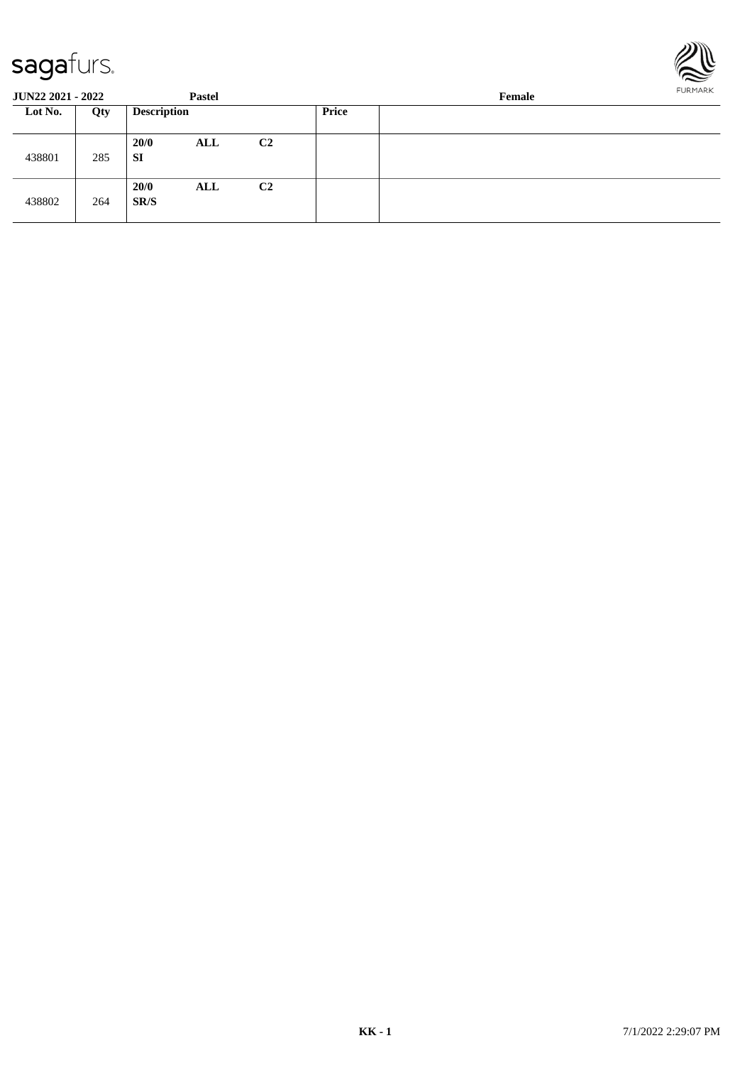

| <b>JUN22 2021 - 2022</b> |     |                    | <b>Pastel</b> |                |       | FURMARK<br>Female |  |  |  |
|--------------------------|-----|--------------------|---------------|----------------|-------|-------------------|--|--|--|
| Lot No.                  | Qty | <b>Description</b> |               |                | Price |                   |  |  |  |
| 438801                   | 285 | 20/0<br>SI         | <b>ALL</b>    | C <sub>2</sub> |       |                   |  |  |  |
| 438802                   | 264 | 20/0<br>SR/S       | ALL           | C <sub>2</sub> |       |                   |  |  |  |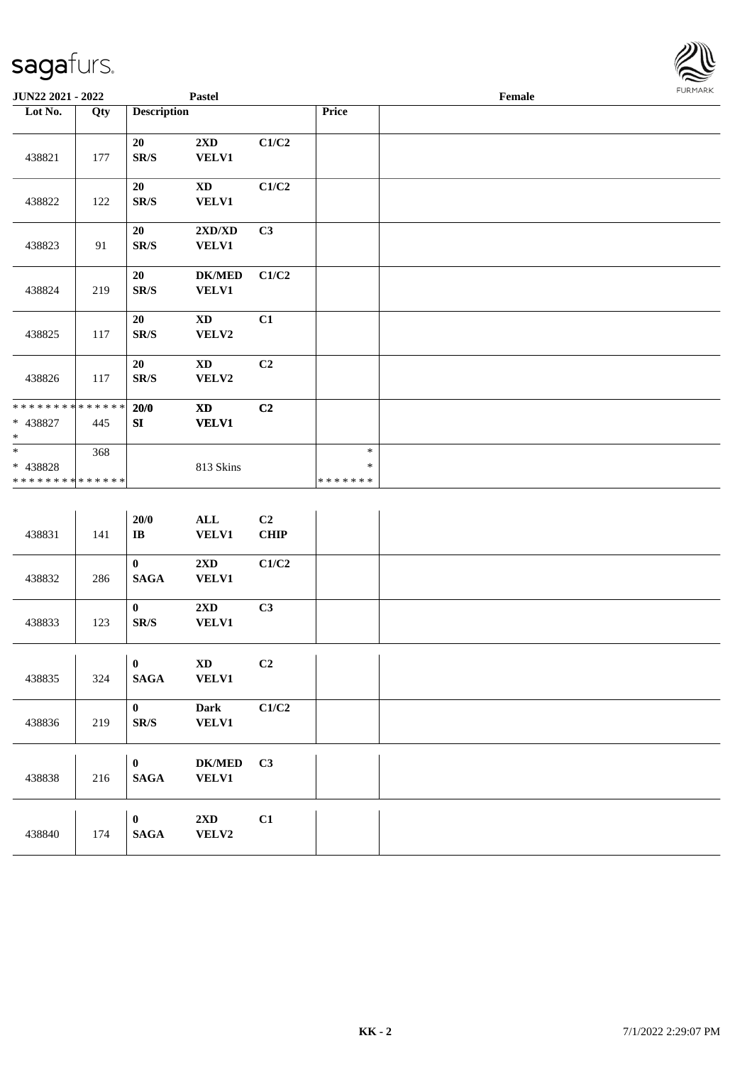

| JUN22 2021 - 2022                                                     |     |                                                                       | Pastel                                           |            |                                   | Female | FURMARK |
|-----------------------------------------------------------------------|-----|-----------------------------------------------------------------------|--------------------------------------------------|------------|-----------------------------------|--------|---------|
| Lot No.                                                               | Qty | <b>Description</b>                                                    |                                                  |            | Price                             |        |         |
| 438821                                                                | 177 | 20<br>$\mathbf{SR}/\mathbf{S}$                                        | 2XD<br><b>VELV1</b>                              | C1/C2      |                                   |        |         |
| 438822                                                                | 122 | 20<br>$\mathbf{SR}/\mathbf{S}$                                        | $\mathbf{X}\mathbf{D}$<br><b>VELV1</b>           | C1/C2      |                                   |        |         |
| 438823                                                                | 91  | 20<br>$\mathbf{SR}/\mathbf{S}$                                        | $2{\bf X}{\bf D}/{\bf X}{\bf D}$<br><b>VELV1</b> | C3         |                                   |        |         |
| 438824                                                                | 219 | 20<br>$\mathbf{SR}/\mathbf{S}$                                        | <b>DK/MED</b><br><b>VELV1</b>                    | C1/C2      |                                   |        |         |
| 438825                                                                | 117 | 20<br>$\mathbf{SR}/\mathbf{S}$                                        | $\mathbf{X}\mathbf{D}$<br>VELV2                  | C1         |                                   |        |         |
| 438826                                                                | 117 | 20<br>$\mathbf{SR}/\mathbf{S}$                                        | XD<br>VELV2                                      | C2         |                                   |        |         |
| ******** <mark>******</mark><br>* 438827<br>$\ast$                    | 445 | 20/0<br>SI                                                            | $\boldsymbol{\mathrm{XD}}$<br><b>VELV1</b>       | C2         |                                   |        |         |
| $\overline{\phantom{a}^*}$<br>* 438828<br>* * * * * * * * * * * * * * | 368 |                                                                       | 813 Skins                                        |            | $\ast$<br>$\ast$<br>* * * * * * * |        |         |
| 438831                                                                | 141 | $20/0$<br>$\bf{IB}$                                                   | $\mathbf{ALL}$<br><b>VELV1</b>                   | C2<br>CHIP |                                   |        |         |
| 438832                                                                | 286 | $\mathbf{0}$<br>$\mathbf{SAGA}$                                       | $2\mathbf{X}\mathbf{D}$<br><b>VELV1</b>          | C1/C2      |                                   |        |         |
| 438833                                                                | 123 | $\boldsymbol{0}$<br>$\mathbf{SR}/\mathbf{S}$                          | $2\mathbf{X}\mathbf{D}$<br><b>VELV1</b>          | C3         |                                   |        |         |
| 438835                                                                | 324 | $\blacksquare$<br>$\pmb{0}$<br>$\mathbf{SAGA}$                        | $\boldsymbol{\mathrm{XD}}$<br><b>VELV1</b>       | C2         |                                   |        |         |
| 438836                                                                | 219 | $\bf{0}$<br>$\ensuremath{\textup{SR}}\xspace/\ensuremath{\textup{S}}$ | Dark<br><b>VELV1</b>                             | C1/C2      |                                   |        |         |
| 438838                                                                | 216 | $\bf{0}$<br><b>SAGA</b>                                               | $DK/MED$<br><b>VELV1</b>                         | C3         |                                   |        |         |
| 438840                                                                | 174 | $\bf{0}$<br>$\mathbf{SAGA}$                                           | 2XD<br>VELV2                                     | C1         |                                   |        |         |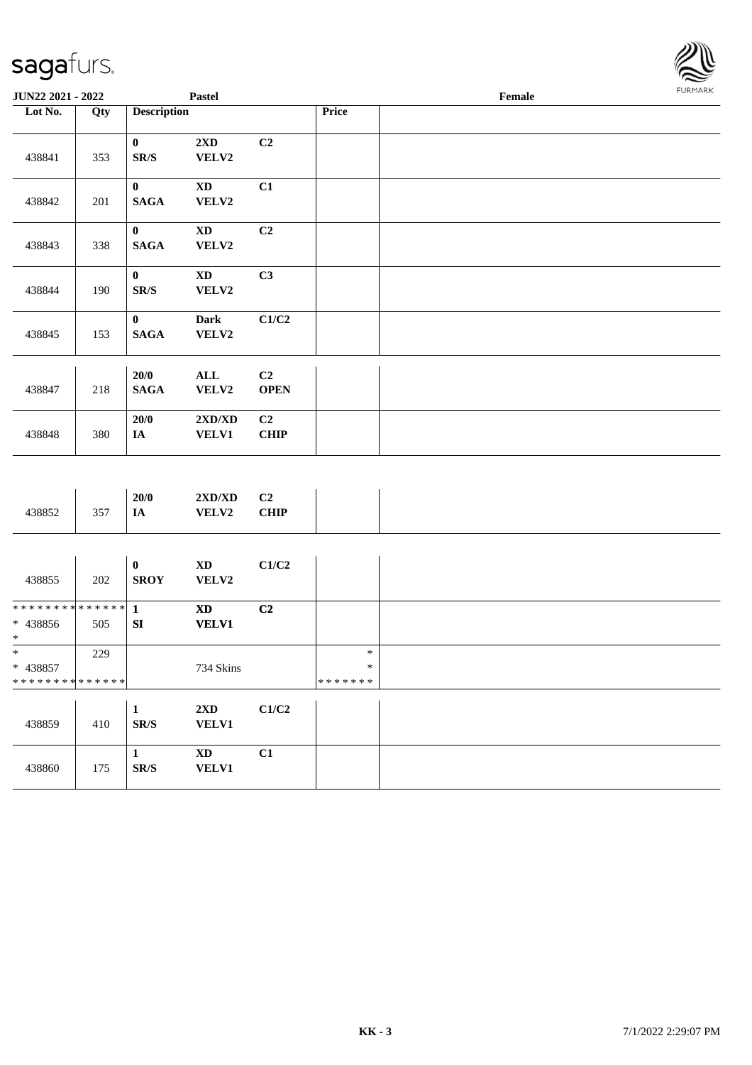

| JUN22 2021 - 2022                               |     |                                                                           | Pastel                                     |                               |                                   | Female | <b>FURMARK</b> |
|-------------------------------------------------|-----|---------------------------------------------------------------------------|--------------------------------------------|-------------------------------|-----------------------------------|--------|----------------|
| Lot No.                                         | Qty | <b>Description</b>                                                        |                                            |                               | Price                             |        |                |
| 438841                                          | 353 | $\mathbf{0}$<br>$\mathbf{SR}/\mathbf{S}$                                  | $2{\bf X}{\bf D}$<br>VELV2                 | C <sub>2</sub>                |                                   |        |                |
| 438842                                          | 201 | $\mathbf{0}$<br>$\mathbf{SAGA}$                                           | $\mathbf{X}\mathbf{D}$<br>VELV2            | C1                            |                                   |        |                |
| 438843                                          | 338 | $\mathbf{0}$<br>$\mathbf{SAGA}$                                           | $\mathbf{X}\mathbf{D}$<br>${\bf VELV2}$    | C <sub>2</sub>                |                                   |        |                |
| 438844                                          | 190 | $\mathbf{0}$<br>$\mathbf{SR}/\mathbf{S}$                                  | $\mathbf{X}\mathbf{D}$<br>VELV2            | C3                            |                                   |        |                |
| 438845                                          | 153 | $\bf{0}$<br><b>SAGA</b>                                                   | <b>Dark</b><br>VELV2                       | C1/C2                         |                                   |        |                |
| 438847                                          | 218 | 20/0<br><b>SAGA</b>                                                       | $\mathbf{ALL}$<br>VELV2                    | C2<br><b>OPEN</b>             |                                   |        |                |
| 438848                                          | 380 | 20/0<br><b>IA</b>                                                         | 2XD/XD<br><b>VELV1</b>                     | C <sub>2</sub><br><b>CHIP</b> |                                   |        |                |
|                                                 |     |                                                                           |                                            |                               |                                   |        |                |
| 438852                                          | 357 | 20/0<br>IA                                                                | 2XD/XD<br><b>VELV2</b>                     | C2<br>CHIP                    |                                   |        |                |
| 438855                                          | 202 | $\boldsymbol{0}$<br><b>SROY</b>                                           | $\mathbf{X}\mathbf{D}$<br>VELV2            | C1/C2                         |                                   |        |                |
| ************** 1<br>* 438856<br>$\ast$          | 505 | ${\bf S}{\bf I}$                                                          | $\mathbf{X}\mathbf{D}$<br><b>VELV1</b>     | C <sub>2</sub>                |                                   |        |                |
| $*$<br>* 438857<br>******** <mark>******</mark> | 229 |                                                                           | 734 Skins                                  |                               | $\ast$<br>$\ast$<br>* * * * * * * |        |                |
| 438859                                          | 410 | $\mathbf{1}$<br>$\mathbf{SR}/\mathbf{S}$                                  | $2{\bf X}{\bf D}$<br><b>VELV1</b>          | C1/C2                         |                                   |        |                |
| 438860                                          | 175 | $\mathbf{1}$<br>$\ensuremath{\textup{SR}}\xspace/\ensuremath{\textup{S}}$ | $\boldsymbol{\mathrm{XD}}$<br><b>VELV1</b> | C1                            |                                   |        |                |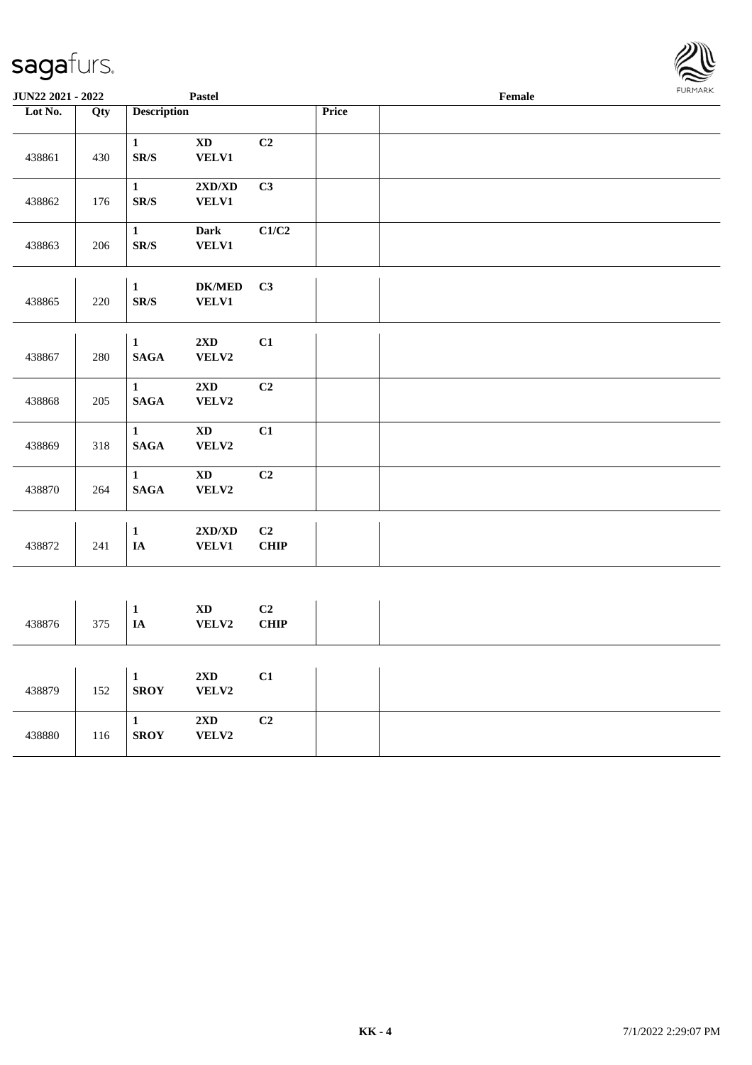| JUN22 2021 - 2022 |         |                                          | Pastel                                    |                           | Female |  |  |
|-------------------|---------|------------------------------------------|-------------------------------------------|---------------------------|--------|--|--|
| Lot No.           | Qty     | <b>Description</b>                       |                                           |                           | Price  |  |  |
| 438861            | 430     | $\mathbf{1}$<br>SR/S                     | $\mathbf{X}\mathbf{D}$<br><b>VELV1</b>    | C2                        |        |  |  |
| 438862            | 176     | $\mathbf{1}$<br>SR/S                     | $2{\bf X}{\bf D}/{\bf X}{\bf D}$<br>VELV1 | C3                        |        |  |  |
| 438863            | 206     | $\mathbf{1}$<br>${\bf SR}/\bf S$         | <b>Dark</b><br>VELV1                      | $\mathbf{C1}/\mathbf{C2}$ |        |  |  |
| 438865            | $220\,$ | $\mathbf{1}$<br>$\mathbf{SR}/\mathbf{S}$ | <b>DK/MED</b><br><b>VELV1</b>             | C3                        |        |  |  |
| 438867            | 280     | $\mathbf{1}$<br><b>SAGA</b>              | $2{\bf X}{\bf D}$<br>VELV2                | C1                        |        |  |  |
| 438868            | 205     | $\mathbf{1}$<br>$\mathbf{SAGA}$          | $2{\bf X}{\bf D}$<br>VELV2                | C2                        |        |  |  |
| 438869            | 318     | $\mathbf{1}$<br>$\mathbf{SAGA}$          | $\mathbf{X}\mathbf{D}$<br>VELV2           | C1                        |        |  |  |
| 438870            | 264     | $\mathbf{1}$<br><b>SAGA</b>              | $\mathbf{X}\mathbf{D}$<br>VELV2           | C <sub>2</sub>            |        |  |  |
| 438872            | 241     | $\mathbf{1}$<br>$\mathbf{IA}$            | $2{\bf X}{\bf D}/{\bf X}{\bf D}$<br>VELV1 | C2<br><b>CHIP</b>         |        |  |  |
|                   |         |                                          |                                           |                           |        |  |  |
| 438876            | 375     | $\mathbf{1}$<br>$\mathbf{IA}$            | $\mathbf{X}\mathbf{D}$<br>VELV2           | $\bf C2$<br><b>CHIP</b>   |        |  |  |
| 438879            | 152     | $\mathbf 1$<br><b>SROY</b>               | 2XD<br>VELV2                              | C1                        |        |  |  |
| 438880            | 116     | $\mathbf{1}$<br><b>SROY</b>              | $2\mathbf{X}\mathbf{D}$<br>VELV2          | C <sub>2</sub>            |        |  |  |